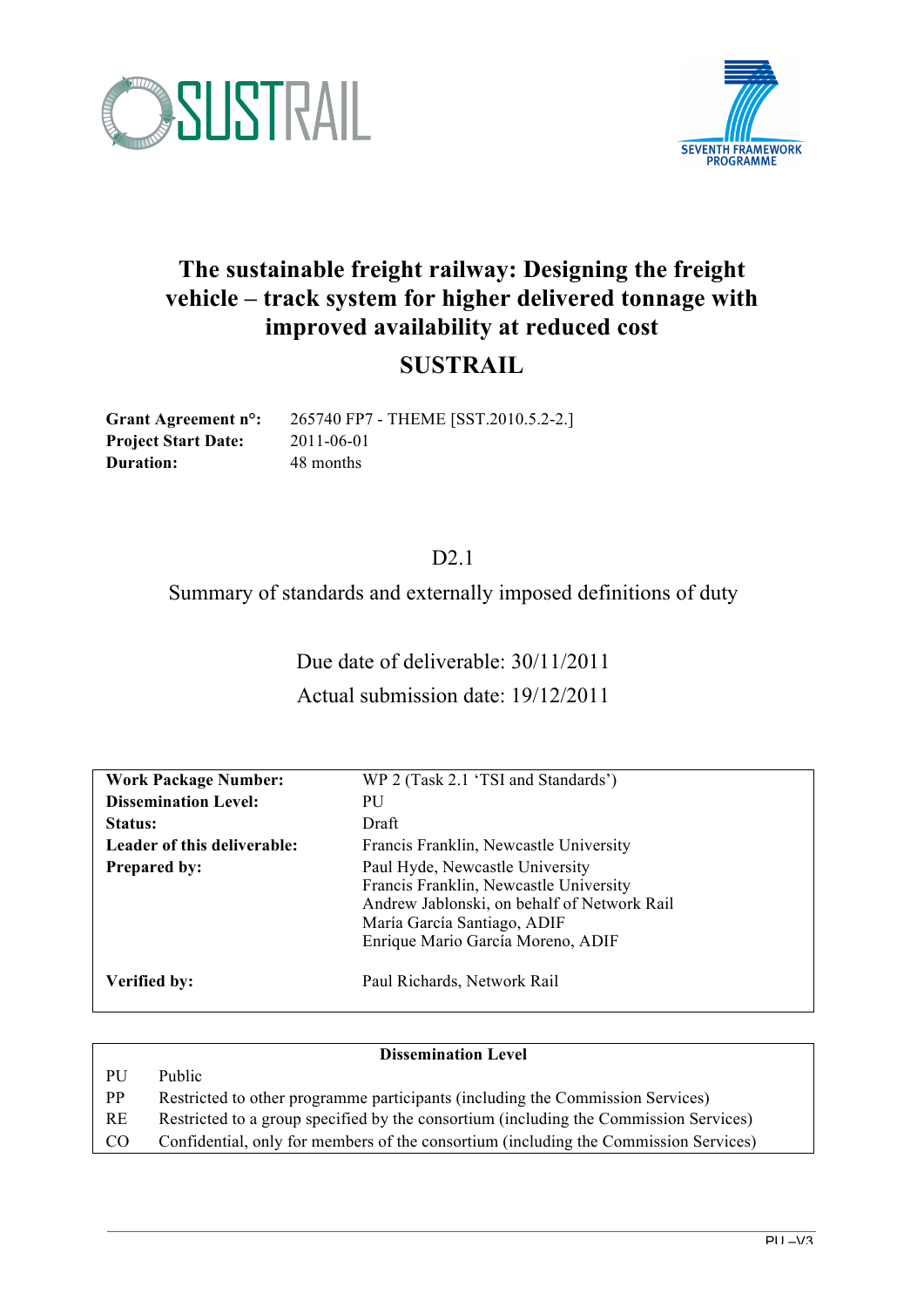



## **The sustainable freight railway: Designing the freight vehicle – track system for higher delivered tonnage with improved availability at reduced cost**

### **SUSTRAIL**

**Project Start Date:** 2011-06-01 **Duration:** 48 months

**Grant Agreement n°:** 265740 FP7 - THEME [SST.2010.5.2-2.]

### D<sub>2.1</sub>

Summary of standards and externally imposed definitions of duty

Due date of deliverable: 30/11/2011 Actual submission date: 19/12/2011

| <b>Work Package Number:</b><br><b>Dissemination Level:</b> | WP 2 (Task 2.1 'TSI and Standards')<br>PU                                                                                                                                                    |
|------------------------------------------------------------|----------------------------------------------------------------------------------------------------------------------------------------------------------------------------------------------|
| Status:                                                    | Draft                                                                                                                                                                                        |
| Leader of this deliverable:                                | Francis Franklin, Newcastle University                                                                                                                                                       |
| <b>Prepared by:</b>                                        | Paul Hyde, Newcastle University<br>Francis Franklin, Newcastle University<br>Andrew Jablonski, on behalf of Network Rail<br>María García Santiago, ADIF<br>Enrique Mario García Moreno, ADIF |
| Verified by:                                               | Paul Richards, Network Rail                                                                                                                                                                  |

| <b>Dissemination Level</b> |                                                                                       |  |  |  |  |
|----------------------------|---------------------------------------------------------------------------------------|--|--|--|--|
| <b>PU</b>                  | Public                                                                                |  |  |  |  |
| PP                         | Restricted to other programme participants (including the Commission Services)        |  |  |  |  |
| <b>RE</b>                  | Restricted to a group specified by the consortium (including the Commission Services) |  |  |  |  |
| CO <sub>.</sub>            | Confidential, only for members of the consortium (including the Commission Services)  |  |  |  |  |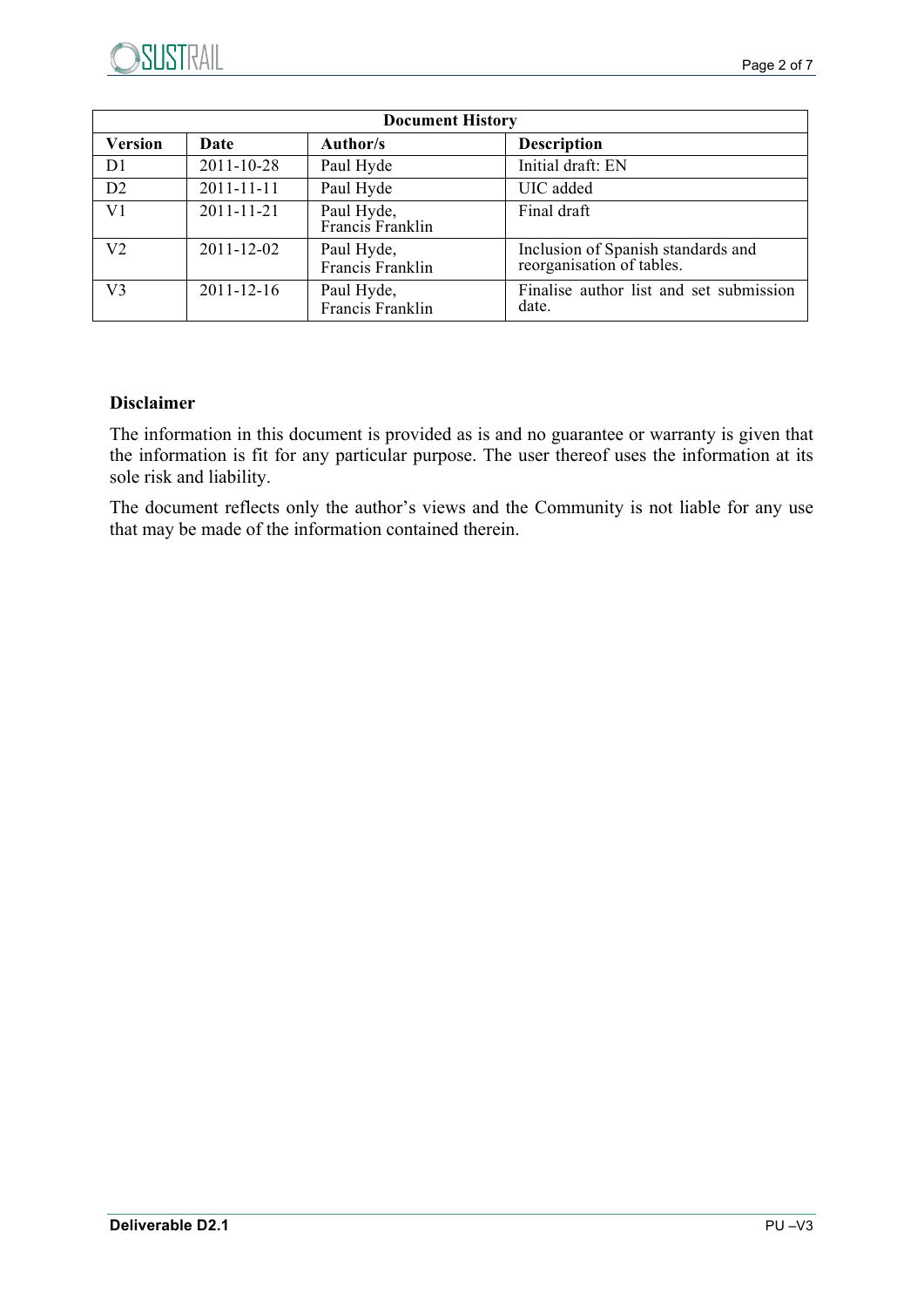| <b>Document History</b> |                  |                                |                                                                 |  |  |
|-------------------------|------------------|--------------------------------|-----------------------------------------------------------------|--|--|
| <b>Version</b>          | <b>Date</b>      | Author/s                       | <b>Description</b>                                              |  |  |
| D <sub>1</sub>          | 2011-10-28       | Paul Hyde                      | Initial draft: EN                                               |  |  |
| D2                      | $2011 - 11 - 11$ | Paul Hyde                      | UIC added                                                       |  |  |
| V <sub>1</sub>          | $2011 - 11 - 21$ | Paul Hyde,<br>Francis Franklin | Final draft                                                     |  |  |
| V <sub>2</sub>          | 2011-12-02       | Paul Hyde,<br>Francis Franklin | Inclusion of Spanish standards and<br>reorganisation of tables. |  |  |
| V <sub>3</sub>          | $2011 - 12 - 16$ | Paul Hyde,<br>Francis Franklin | Finalise author list and set submission<br>date.                |  |  |

#### **Disclaimer**

The information in this document is provided as is and no guarantee or warranty is given that the information is fit for any particular purpose. The user thereof uses the information at its sole risk and liability.

The document reflects only the author's views and the Community is not liable for any use that may be made of the information contained therein.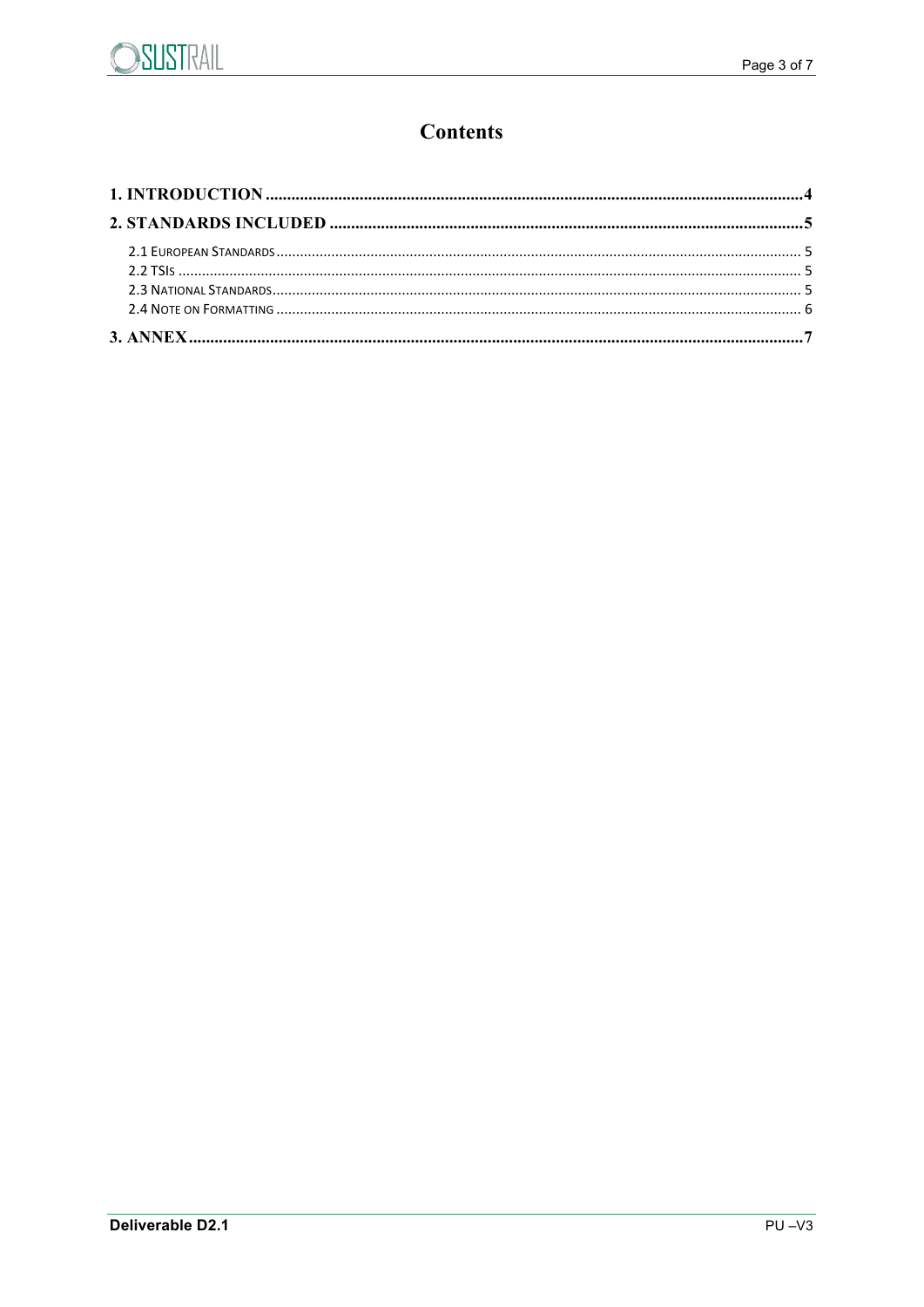

### **Contents**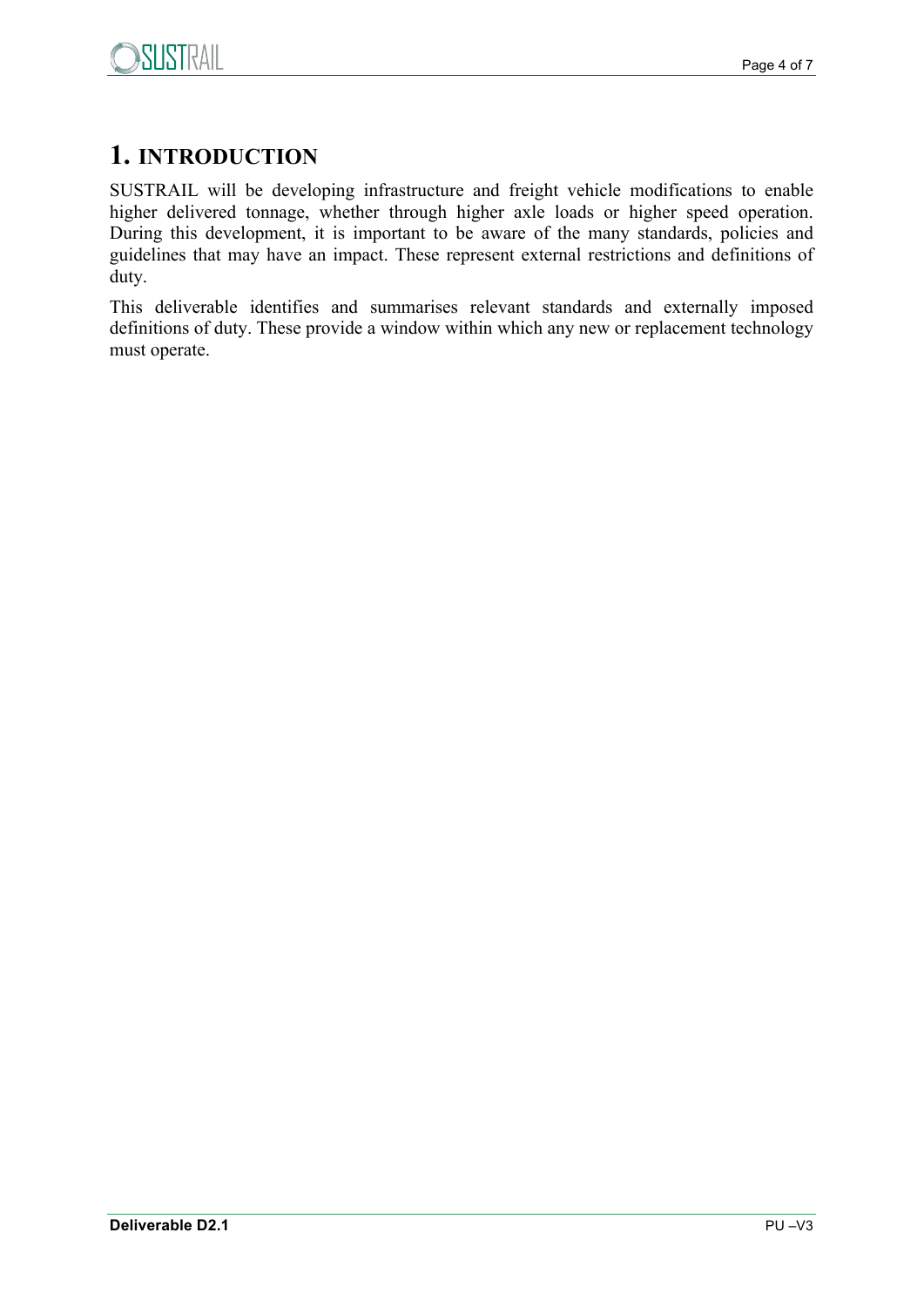

## **1. INTRODUCTION**

SUSTRAIL will be developing infrastructure and freight vehicle modifications to enable higher delivered tonnage, whether through higher axle loads or higher speed operation. During this development, it is important to be aware of the many standards, policies and guidelines that may have an impact. These represent external restrictions and definitions of duty.

This deliverable identifies and summarises relevant standards and externally imposed definitions of duty. These provide a window within which any new or replacement technology must operate.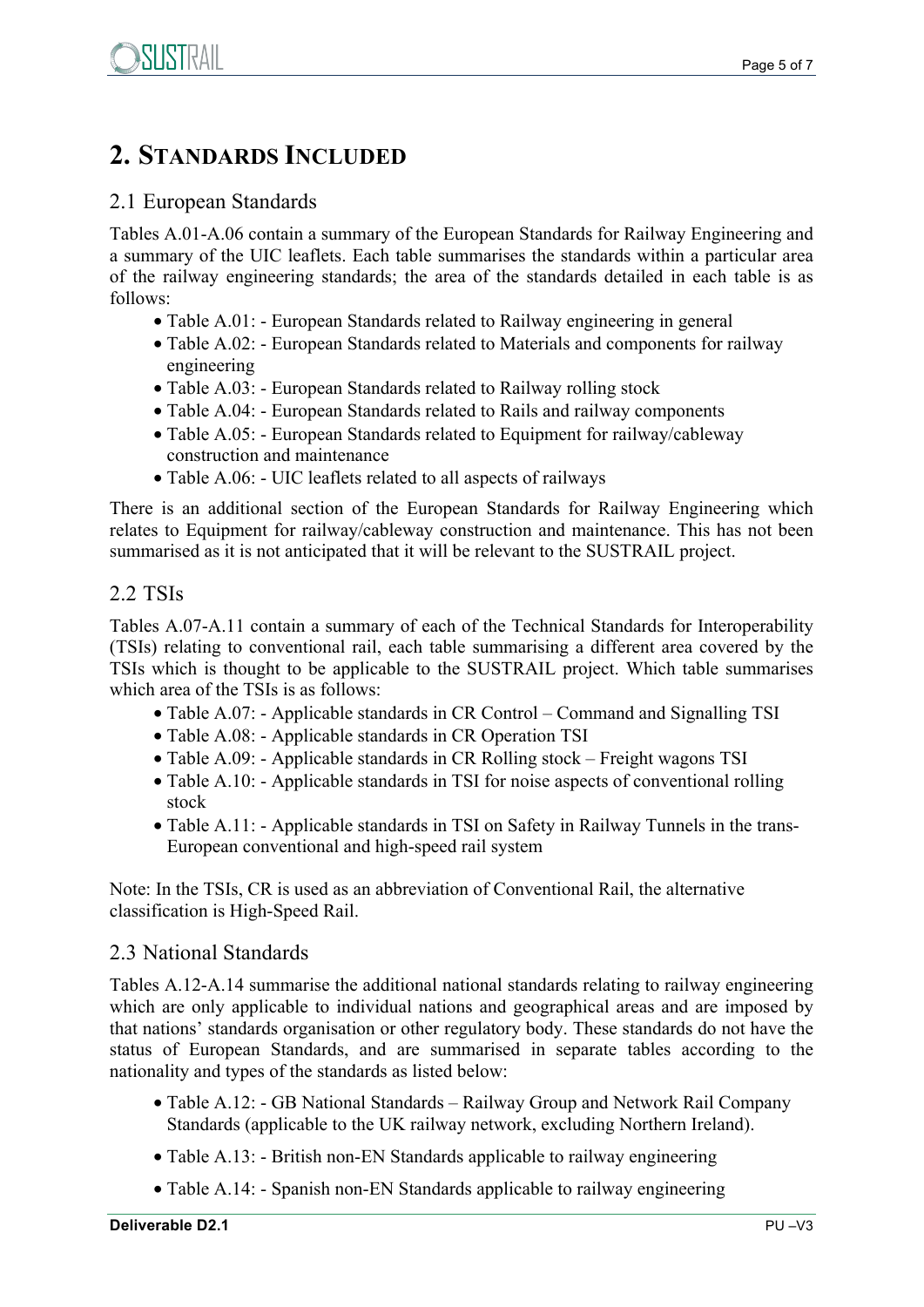## **2. STANDARDS INCLUDED**

#### 2.1 European Standards

Tables A.01-A.06 contain a summary of the European Standards for Railway Engineering and a summary of the UIC leaflets. Each table summarises the standards within a particular area of the railway engineering standards; the area of the standards detailed in each table is as follows:

- Table A.01: European Standards related to Railway engineering in general
- Table A.02: European Standards related to Materials and components for railway engineering
- Table A.03: European Standards related to Railway rolling stock
- Table A.04: European Standards related to Rails and railway components
- Table A.05: European Standards related to Equipment for railway/cableway construction and maintenance
- Table A.06: UIC leaflets related to all aspects of railways

There is an additional section of the European Standards for Railway Engineering which relates to Equipment for railway/cableway construction and maintenance. This has not been summarised as it is not anticipated that it will be relevant to the SUSTRAIL project.

#### 2.2 TSIs

Tables A.07-A.11 contain a summary of each of the Technical Standards for Interoperability (TSIs) relating to conventional rail, each table summarising a different area covered by the TSIs which is thought to be applicable to the SUSTRAIL project. Which table summarises which area of the TSIs is as follows:

- Table A.07: Applicable standards in CR Control Command and Signalling TSI
- Table A.08: Applicable standards in CR Operation TSI
- Table A.09: Applicable standards in CR Rolling stock Freight wagons TSI
- Table A.10: Applicable standards in TSI for noise aspects of conventional rolling stock
- Table A.11: Applicable standards in TSI on Safety in Railway Tunnels in the trans-European conventional and high-speed rail system

Note: In the TSIs, CR is used as an abbreviation of Conventional Rail, the alternative classification is High-Speed Rail.

#### 2.3 National Standards

Tables A.12-A.14 summarise the additional national standards relating to railway engineering which are only applicable to individual nations and geographical areas and are imposed by that nations' standards organisation or other regulatory body. These standards do not have the status of European Standards, and are summarised in separate tables according to the nationality and types of the standards as listed below:

- Table A.12: GB National Standards Railway Group and Network Rail Company Standards (applicable to the UK railway network, excluding Northern Ireland).
- Table A.13: British non-EN Standards applicable to railway engineering
- Table A.14: Spanish non-EN Standards applicable to railway engineering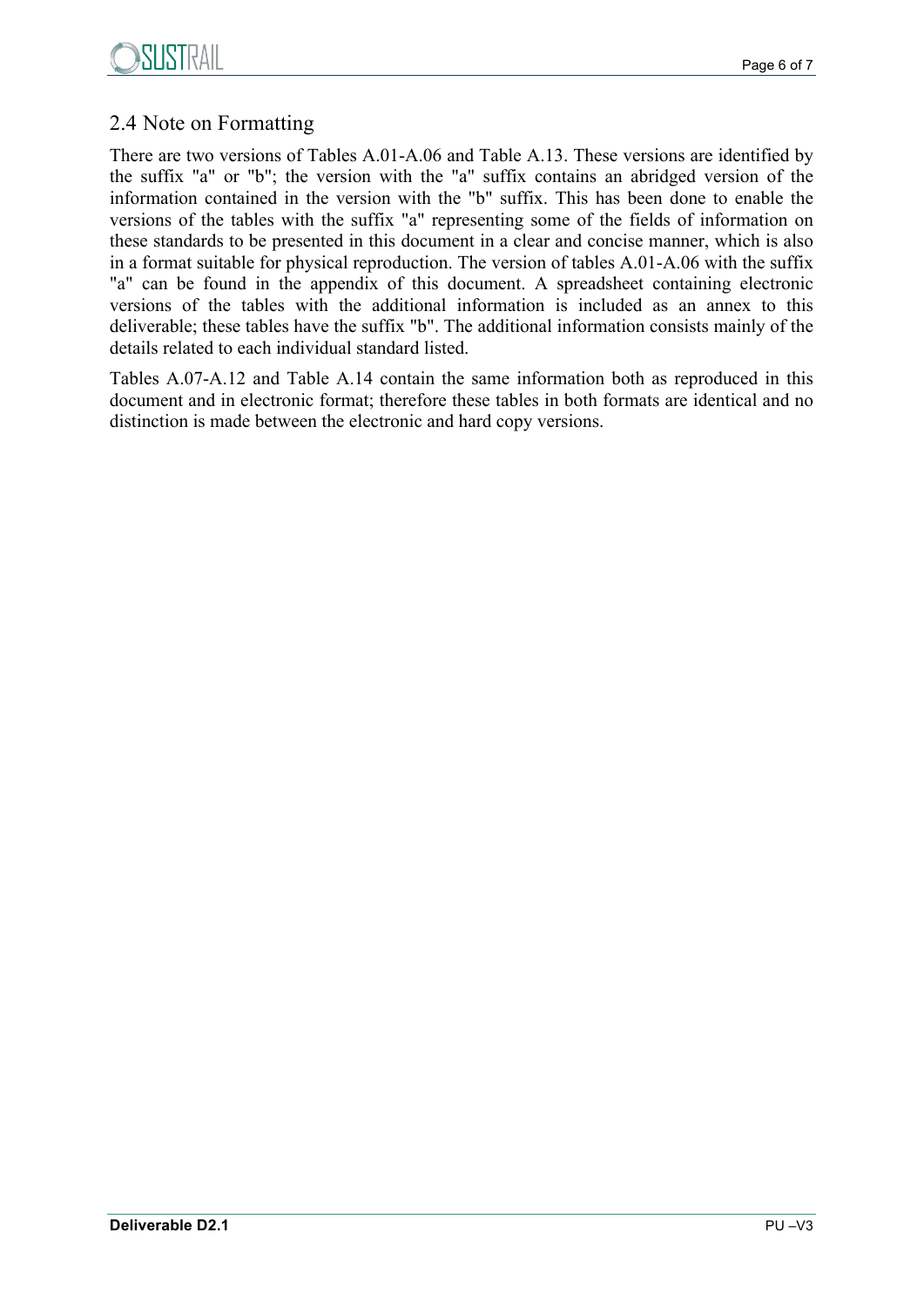

### 2.4 Note on Formatting

There are two versions of Tables A.01-A.06 and Table A.13. These versions are identified by the suffix "a" or "b"; the version with the "a" suffix contains an abridged version of the information contained in the version with the "b" suffix. This has been done to enable the versions of the tables with the suffix "a" representing some of the fields of information on these standards to be presented in this document in a clear and concise manner, which is also in a format suitable for physical reproduction. The version of tables A.01-A.06 with the suffix "a" can be found in the appendix of this document. A spreadsheet containing electronic versions of the tables with the additional information is included as an annex to this deliverable; these tables have the suffix "b". The additional information consists mainly of the details related to each individual standard listed.

Tables A.07-A.12 and Table A.14 contain the same information both as reproduced in this document and in electronic format; therefore these tables in both formats are identical and no distinction is made between the electronic and hard copy versions.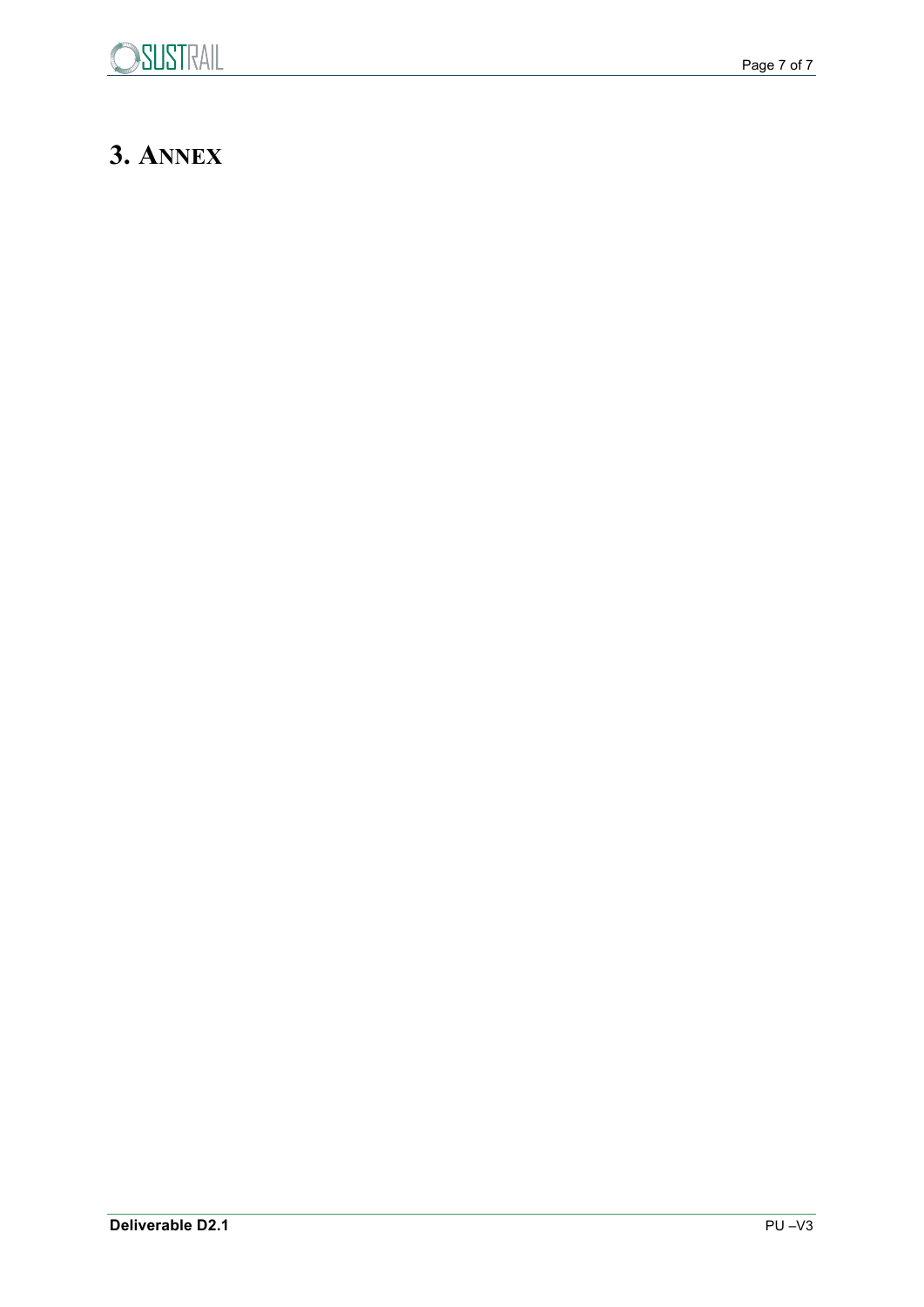# **3. ANNEX**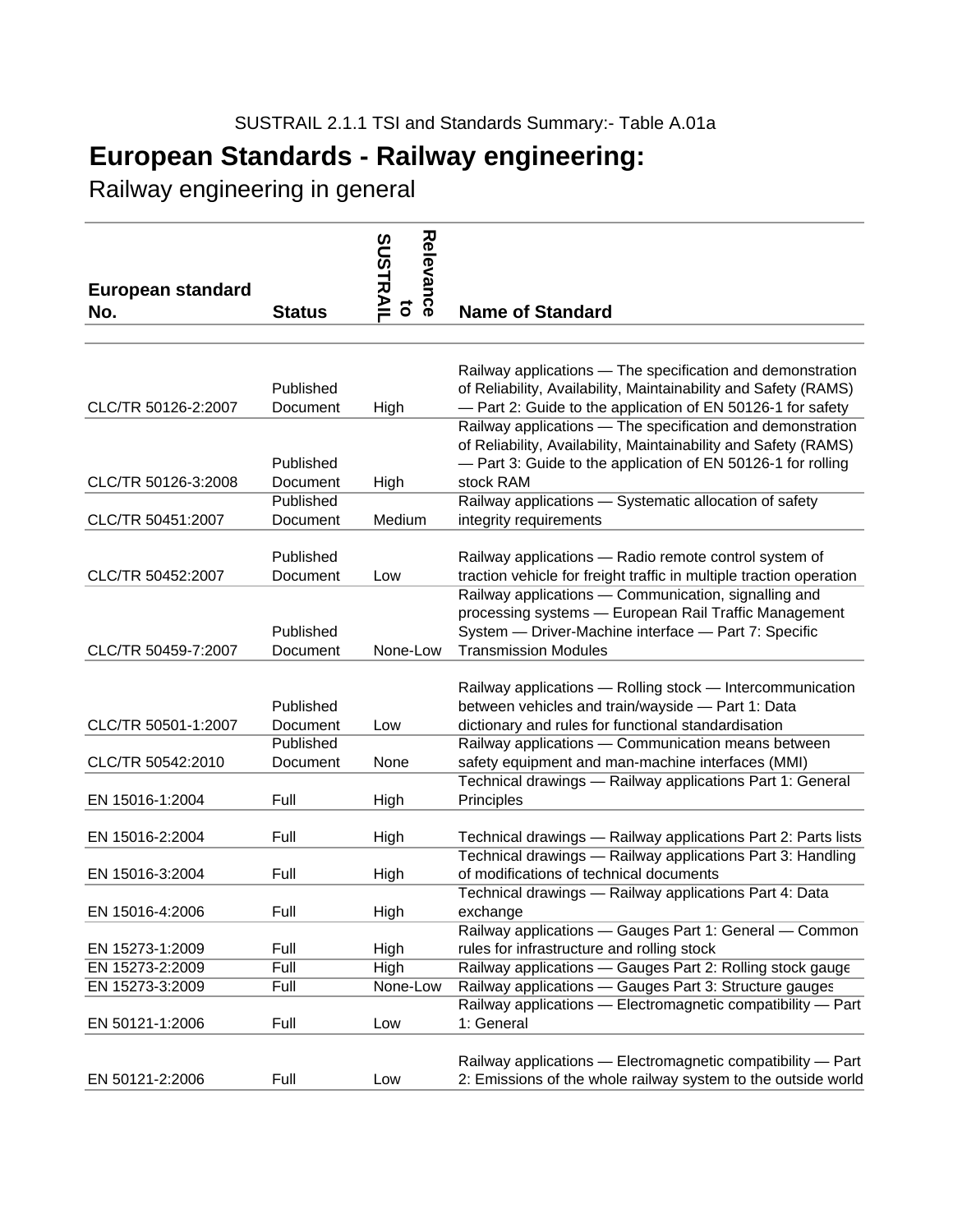Railway engineering in general

| <b>European standard</b>                 |                                   | Relevance<br><b>SUSTRAIL</b> |                                                                                                                                                                                                            |
|------------------------------------------|-----------------------------------|------------------------------|------------------------------------------------------------------------------------------------------------------------------------------------------------------------------------------------------------|
| No.                                      | <b>Status</b>                     | õ                            | <b>Name of Standard</b>                                                                                                                                                                                    |
|                                          |                                   |                              |                                                                                                                                                                                                            |
| CLC/TR 50126-2:2007                      | Published<br>Document             | High                         | Railway applications - The specification and demonstration<br>of Reliability, Availability, Maintainability and Safety (RAMS)<br>- Part 2: Guide to the application of EN 50126-1 for safety               |
| CLC/TR 50126-3:2008                      | Published<br>Document             |                              | Railway applications - The specification and demonstration<br>of Reliability, Availability, Maintainability and Safety (RAMS)<br>- Part 3: Guide to the application of EN 50126-1 for rolling<br>stock RAM |
| CLC/TR 50451:2007                        | Published<br>Document             | High<br>Medium               | Railway applications - Systematic allocation of safety<br>integrity requirements                                                                                                                           |
| CLC/TR 50452:2007                        | Published<br>Document             | Low                          | Railway applications - Radio remote control system of<br>traction vehicle for freight traffic in multiple traction operation                                                                               |
| CLC/TR 50459-7:2007                      | Published<br>Document             | None-Low                     | Railway applications - Communication, signalling and<br>processing systems - European Rail Traffic Management<br>System - Driver-Machine interface - Part 7: Specific<br><b>Transmission Modules</b>       |
|                                          | Published                         |                              | Railway applications - Rolling stock - Intercommunication<br>between vehicles and train/wayside - Part 1: Data                                                                                             |
| CLC/TR 50501-1:2007<br>CLC/TR 50542:2010 | Document<br>Published<br>Document | Low<br>None                  | dictionary and rules for functional standardisation<br>Railway applications - Communication means between<br>safety equipment and man-machine interfaces (MMI)                                             |
| EN 15016-1:2004                          | Full                              | High                         | Technical drawings - Railway applications Part 1: General<br>Principles                                                                                                                                    |
| EN 15016-2:2004                          | Full                              | High                         | Technical drawings - Railway applications Part 2: Parts lists                                                                                                                                              |
| EN 15016-3:2004                          | Full                              | High                         | Technical drawings - Railway applications Part 3: Handling<br>of modifications of technical documents                                                                                                      |
| EN 15016-4:2006                          | Full                              | High                         | Technical drawings - Railway applications Part 4: Data<br>exchange                                                                                                                                         |
| EN 15273-1:2009                          | Full                              | High                         | Railway applications - Gauges Part 1: General - Common<br>rules for infrastructure and rolling stock                                                                                                       |
| EN 15273-2:2009                          | Full                              | High                         | Railway applications - Gauges Part 2: Rolling stock gauge                                                                                                                                                  |
| EN 15273-3:2009<br>EN 50121-1:2006       | Full<br>Full                      | None-Low<br>Low              | Railway applications - Gauges Part 3: Structure gauges<br>Railway applications - Electromagnetic compatibility - Part<br>1: General                                                                        |
| EN 50121-2:2006                          | Full                              | Low                          | Railway applications - Electromagnetic compatibility - Part<br>2: Emissions of the whole railway system to the outside world                                                                               |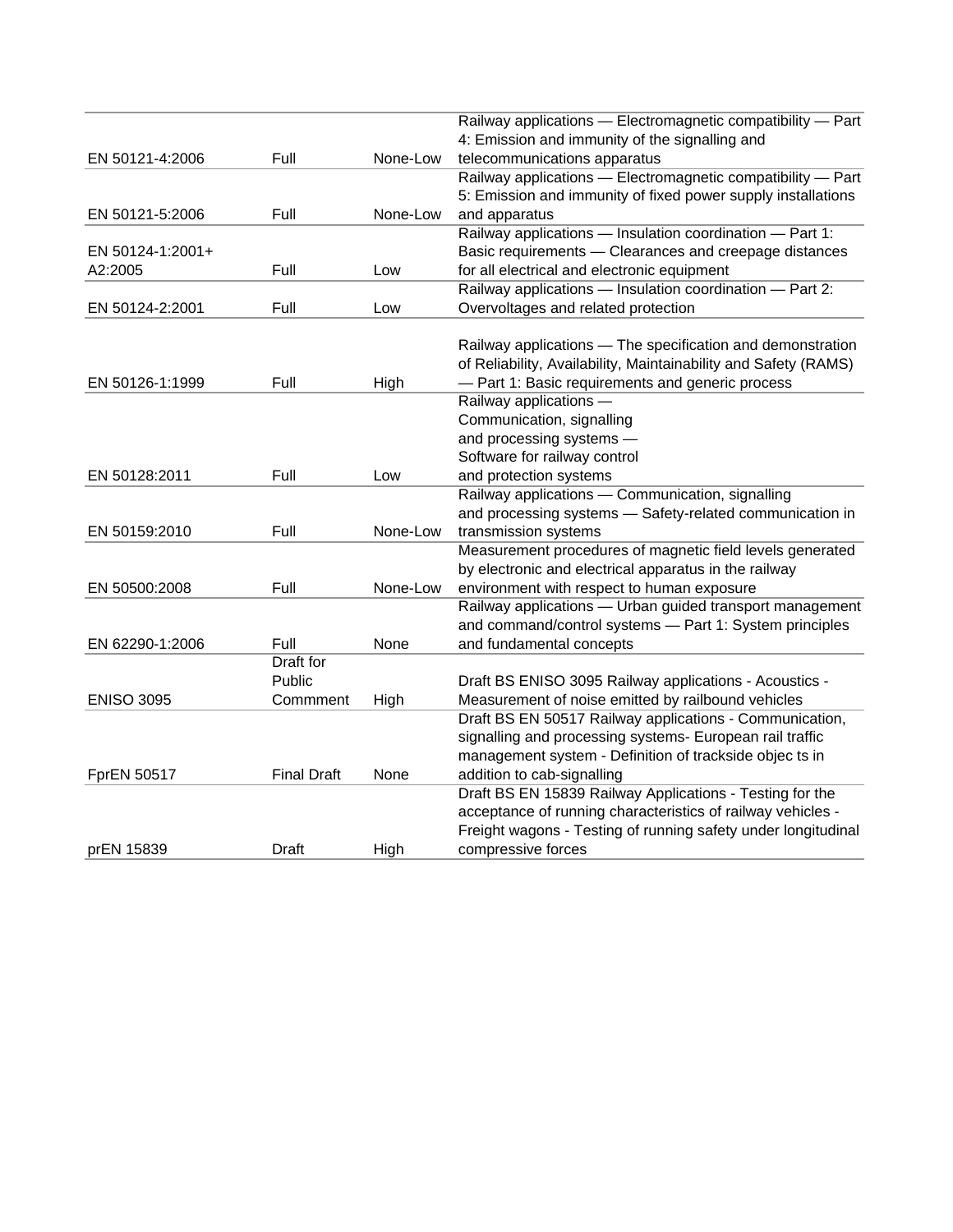|                   |                    |          | Railway applications - Electromagnetic compatibility - Part     |
|-------------------|--------------------|----------|-----------------------------------------------------------------|
|                   |                    |          | 4: Emission and immunity of the signalling and                  |
| EN 50121-4:2006   | Full               | None-Low | telecommunications apparatus                                    |
|                   |                    |          | Railway applications - Electromagnetic compatibility - Part     |
|                   |                    |          | 5: Emission and immunity of fixed power supply installations    |
| EN 50121-5:2006   | Full               | None-Low | and apparatus                                                   |
|                   |                    |          | Railway applications - Insulation coordination - Part 1:        |
| EN 50124-1:2001+  |                    |          | Basic requirements - Clearances and creepage distances          |
| A2:2005           | Full               | Low      | for all electrical and electronic equipment                     |
|                   |                    |          | Railway applications - Insulation coordination - Part 2:        |
| EN 50124-2:2001   | Full               | Low      | Overvoltages and related protection                             |
|                   |                    |          |                                                                 |
|                   |                    |          | Railway applications - The specification and demonstration      |
|                   |                    |          | of Reliability, Availability, Maintainability and Safety (RAMS) |
| EN 50126-1:1999   | Full               | High     | - Part 1: Basic requirements and generic process                |
|                   |                    |          | Railway applications -                                          |
|                   |                    |          | Communication, signalling                                       |
|                   |                    |          | and processing systems -                                        |
|                   |                    |          | Software for railway control                                    |
| EN 50128:2011     | Full               | Low      | and protection systems                                          |
|                   |                    |          | Railway applications - Communication, signalling                |
|                   |                    |          | and processing systems - Safety-related communication in        |
| EN 50159:2010     | Full               | None-Low | transmission systems                                            |
|                   |                    |          | Measurement procedures of magnetic field levels generated       |
|                   |                    |          | by electronic and electrical apparatus in the railway           |
| EN 50500:2008     | Full               | None-Low | environment with respect to human exposure                      |
|                   |                    |          | Railway applications - Urban guided transport management        |
|                   |                    |          | and command/control systems - Part 1: System principles         |
| EN 62290-1:2006   | Full               | None     | and fundamental concepts                                        |
|                   | <b>Draft</b> for   |          |                                                                 |
|                   | Public             |          | Draft BS ENISO 3095 Railway applications - Acoustics -          |
| <b>ENISO 3095</b> | Commment           | High     | Measurement of noise emitted by railbound vehicles              |
|                   |                    |          | Draft BS EN 50517 Railway applications - Communication,         |
|                   |                    |          | signalling and processing systems- European rail traffic        |
|                   |                    |          | management system - Definition of trackside objec ts in         |
| FprEN 50517       | <b>Final Draft</b> | None     | addition to cab-signalling                                      |
|                   |                    |          | Draft BS EN 15839 Railway Applications - Testing for the        |
|                   |                    |          | acceptance of running characteristics of railway vehicles -     |
|                   |                    |          | Freight wagons - Testing of running safety under longitudinal   |
| prEN 15839        | Draft              | High     | compressive forces                                              |
|                   |                    |          |                                                                 |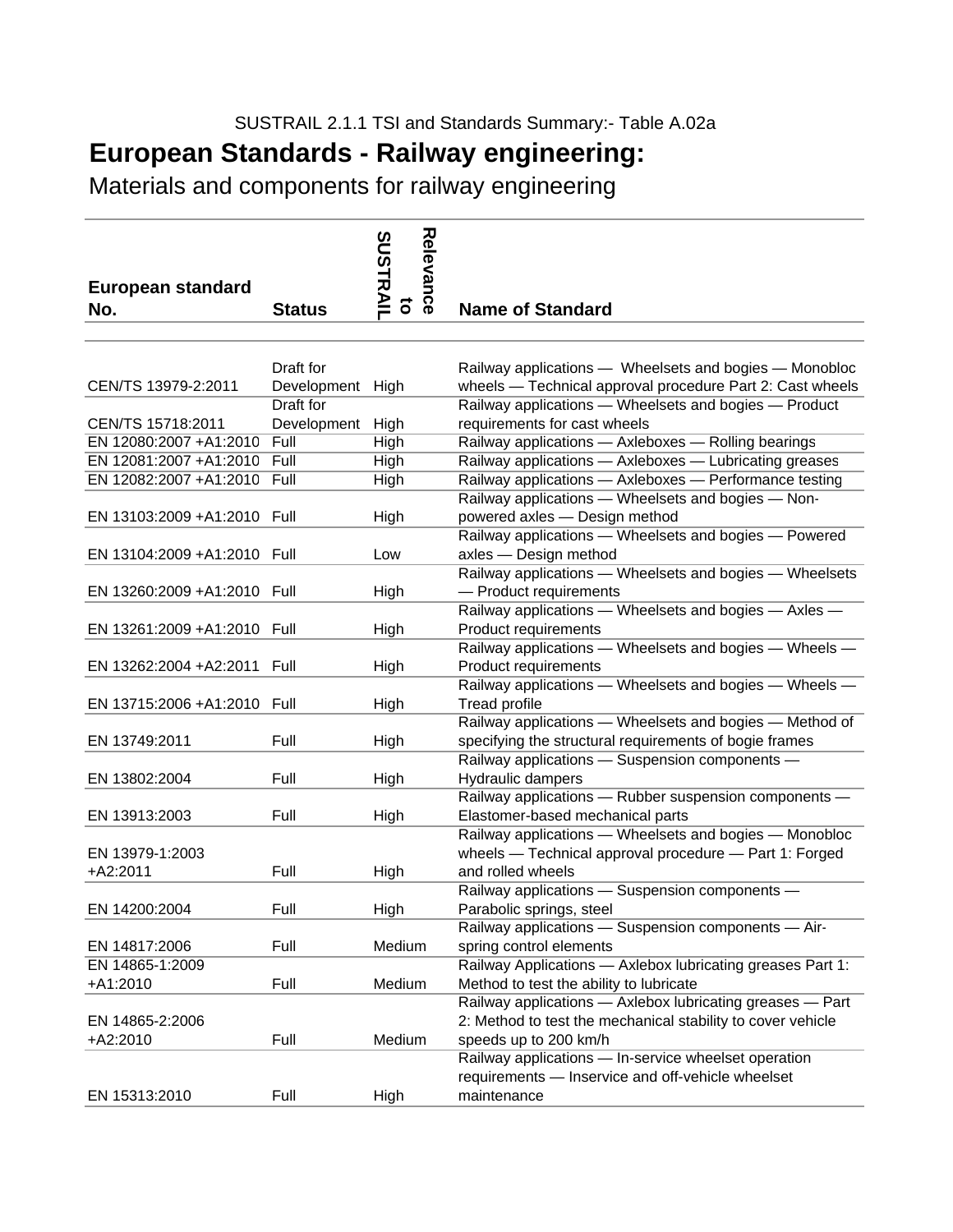Materials and components for railway engineering

| <b>European standard</b><br>No. | <b>Status</b>                                     | Relevance<br><b>SUSTRAII</b><br>$\overline{\sigma}$ | <b>Name of Standard</b>                                                                                                                                                      |
|---------------------------------|---------------------------------------------------|-----------------------------------------------------|------------------------------------------------------------------------------------------------------------------------------------------------------------------------------|
|                                 |                                                   |                                                     |                                                                                                                                                                              |
| CEN/TS 13979-2:2011             | Draft for<br>Development High<br><b>Draft</b> for |                                                     | Railway applications - Wheelsets and bogies - Monobloc<br>wheels - Technical approval procedure Part 2: Cast wheels<br>Railway applications - Wheelsets and bogies - Product |
| CEN/TS 15718:2011               | Development High                                  |                                                     | requirements for cast wheels                                                                                                                                                 |
| EN 12080:2007 +A1:2010          | Full                                              | High                                                | Railway applications - Axleboxes - Rolling bearings                                                                                                                          |
| EN 12081:2007 +A1:2010          | Full                                              | High                                                | Railway applications - Axleboxes - Lubricating greases                                                                                                                       |
| EN 12082:2007 +A1:2010 Full     |                                                   | High                                                | Railway applications - Axleboxes - Performance testing                                                                                                                       |
| EN 13103:2009 +A1:2010 Full     |                                                   | High                                                | Railway applications - Wheelsets and bogies - Non-<br>powered axles - Design method                                                                                          |
| EN 13104:2009 +A1:2010 Full     |                                                   | Low                                                 | Railway applications - Wheelsets and bogies - Powered<br>axles - Design method                                                                                               |
| EN 13260:2009 +A1:2010 Full     |                                                   | High                                                | Railway applications - Wheelsets and bogies - Wheelsets<br>- Product requirements                                                                                            |
| EN 13261:2009 +A1:2010 Full     |                                                   | High                                                | Railway applications - Wheelsets and bogies - Axles -<br>Product requirements                                                                                                |
| EN 13262:2004 + A2:2011 Full    |                                                   | High                                                | Railway applications - Wheelsets and bogies - Wheels -<br>Product requirements                                                                                               |
| EN 13715:2006 +A1:2010 Full     |                                                   | High                                                | Railway applications - Wheelsets and bogies - Wheels -<br><b>Tread profile</b>                                                                                               |
| EN 13749:2011                   | Full                                              | High                                                | Railway applications - Wheelsets and bogies - Method of<br>specifying the structural requirements of bogie frames                                                            |
| EN 13802:2004                   | Full                                              | High                                                | Railway applications - Suspension components -<br>Hydraulic dampers                                                                                                          |
| EN 13913:2003                   | Full                                              | High                                                | Railway applications - Rubber suspension components -<br>Elastomer-based mechanical parts                                                                                    |
| EN 13979-1:2003<br>$+A2:2011$   | Full                                              | High                                                | Railway applications - Wheelsets and bogies - Monobloc<br>wheels - Technical approval procedure - Part 1: Forged<br>and rolled wheels                                        |
| EN 14200:2004                   | Full                                              | High                                                | Railway applications - Suspension components -<br>Parabolic springs, steel                                                                                                   |
| EN 14817:2006                   | Full                                              | Medium                                              | Railway applications — Suspension components — Air-<br>spring control elements                                                                                               |
| EN 14865-1:2009                 |                                                   |                                                     | Railway Applications - Axlebox lubricating greases Part 1:                                                                                                                   |
| +A1:2010<br>EN 14865-2:2006     | Full                                              | Medium                                              | Method to test the ability to lubricate<br>Railway applications - Axlebox lubricating greases - Part<br>2: Method to test the mechanical stability to cover vehicle          |
| +A2:2010                        | Full                                              | Medium                                              | speeds up to 200 km/h                                                                                                                                                        |
|                                 |                                                   |                                                     | Railway applications - In-service wheelset operation<br>requirements - Inservice and off-vehicle wheelset                                                                    |
| EN 15313:2010                   | Full                                              | High                                                | maintenance                                                                                                                                                                  |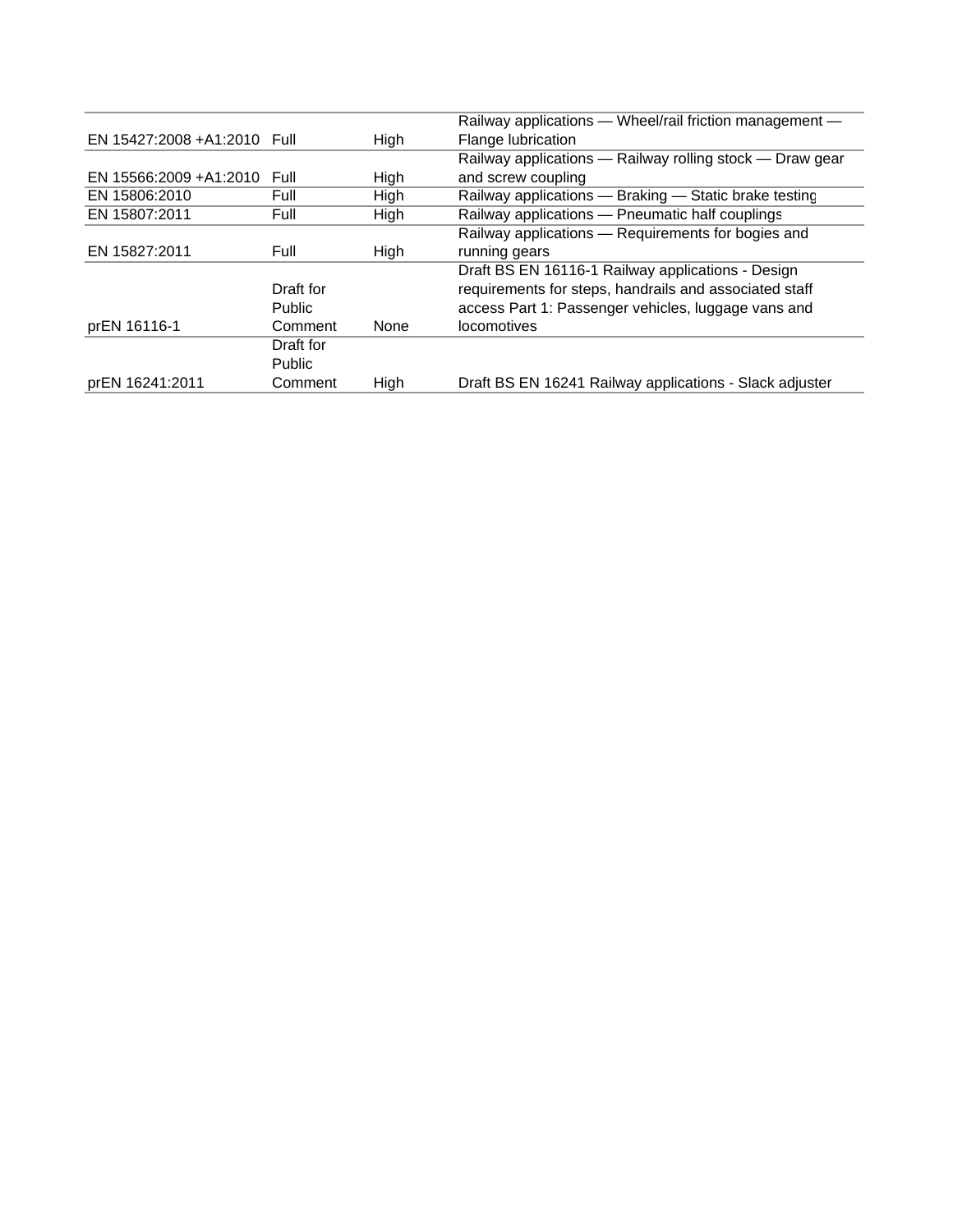|                              |               |      | Railway applications — Wheel/rail friction management —  |
|------------------------------|---------------|------|----------------------------------------------------------|
| EN 15427:2008 + A1:2010 Full |               | High | Flange lubrication                                       |
|                              |               |      | Railway applications - Railway rolling stock - Draw gear |
| EN 15566:2009 +A1:2010       | Full          | High | and screw coupling                                       |
| EN 15806:2010                | Full          | High | Railway applications - Braking - Static brake testing    |
| EN 15807:2011                | Full          | High | Railway applications - Pneumatic half couplings          |
|                              |               |      | Railway applications - Requirements for bogies and       |
| EN 15827:2011                | Full          | High | running gears                                            |
|                              |               |      | Draft BS EN 16116-1 Railway applications - Design        |
|                              | Draft for     |      | requirements for steps, handrails and associated staff   |
|                              | <b>Public</b> |      | access Part 1: Passenger vehicles, luggage vans and      |
| prEN 16116-1                 | Comment       | None | locomotives                                              |
|                              | Draft for     |      |                                                          |
|                              | <b>Public</b> |      |                                                          |
| prEN 16241:2011              | Comment       | High | Draft BS EN 16241 Railway applications - Slack adjuster  |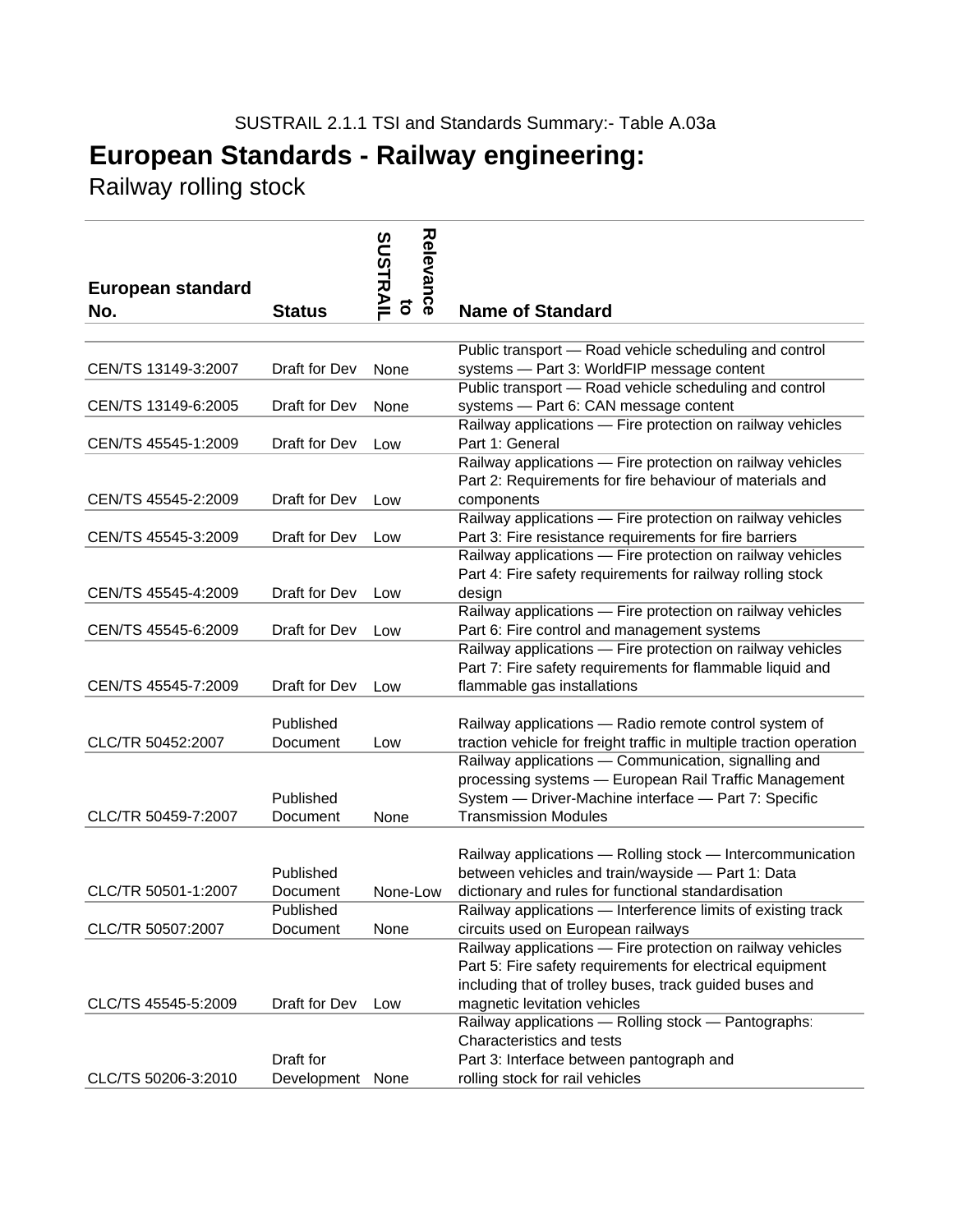Railway rolling stock

| <b>European standard</b> |                       | Relevance<br><b>SUSTRAI</b><br>õ |                                                                                                                                                                                                                    |
|--------------------------|-----------------------|----------------------------------|--------------------------------------------------------------------------------------------------------------------------------------------------------------------------------------------------------------------|
| No.                      | <b>Status</b>         |                                  | <b>Name of Standard</b>                                                                                                                                                                                            |
|                          |                       |                                  | Public transport - Road vehicle scheduling and control                                                                                                                                                             |
| CEN/TS 13149-3:2007      | Draft for Dev         | None                             | systems - Part 3: WorldFIP message content                                                                                                                                                                         |
| CEN/TS 13149-6:2005      | Draft for Dev         | None                             | Public transport - Road vehicle scheduling and control<br>systems - Part 6: CAN message content                                                                                                                    |
| CEN/TS 45545-1:2009      | Draft for Dev         | Low                              | Railway applications - Fire protection on railway vehicles<br>Part 1: General                                                                                                                                      |
| CEN/TS 45545-2:2009      | Draft for Dev         | Low                              | Railway applications - Fire protection on railway vehicles<br>Part 2: Requirements for fire behaviour of materials and<br>components                                                                               |
|                          |                       |                                  | Railway applications - Fire protection on railway vehicles                                                                                                                                                         |
| CEN/TS 45545-3:2009      | Draft for Dev         | Low                              | Part 3: Fire resistance requirements for fire barriers                                                                                                                                                             |
|                          |                       |                                  | Railway applications - Fire protection on railway vehicles<br>Part 4: Fire safety requirements for railway rolling stock                                                                                           |
| CEN/TS 45545-4:2009      | Draft for Dev         | Low                              | design<br>Railway applications - Fire protection on railway vehicles                                                                                                                                               |
| CEN/TS 45545-6:2009      | Draft for Dev         | Low                              | Part 6: Fire control and management systems                                                                                                                                                                        |
|                          |                       |                                  | Railway applications - Fire protection on railway vehicles<br>Part 7: Fire safety requirements for flammable liquid and                                                                                            |
| CEN/TS 45545-7:2009      | Draft for Dev         | Low                              | flammable gas installations                                                                                                                                                                                        |
| CLC/TR 50452:2007        | Published<br>Document | Low                              | Railway applications - Radio remote control system of<br>traction vehicle for freight traffic in multiple traction operation                                                                                       |
| CLC/TR 50459-7:2007      | Published<br>Document | None                             | Railway applications - Communication, signalling and<br>processing systems - European Rail Traffic Management<br>System - Driver-Machine interface - Part 7: Specific<br><b>Transmission Modules</b>               |
|                          | Published             |                                  | Railway applications - Rolling stock - Intercommunication<br>between vehicles and train/wayside - Part 1: Data                                                                                                     |
| CLC/TR 50501-1:2007      | Document<br>Published | None-Low                         | dictionary and rules for functional standardisation<br>Railway applications - Interference limits of existing track                                                                                                |
| CLC/TR 50507:2007        | Document              | None                             | circuits used on European railways                                                                                                                                                                                 |
| CLC/TS 45545-5:2009      | Draft for Dev         | Low                              | Railway applications - Fire protection on railway vehicles<br>Part 5: Fire safety requirements for electrical equipment<br>including that of trolley buses, track guided buses and<br>magnetic levitation vehicles |
|                          | Draft for             |                                  | Railway applications - Rolling stock - Pantographs:<br>Characteristics and tests<br>Part 3: Interface between pantograph and                                                                                       |
| CLC/TS 50206-3:2010      | Development None      |                                  | rolling stock for rail vehicles                                                                                                                                                                                    |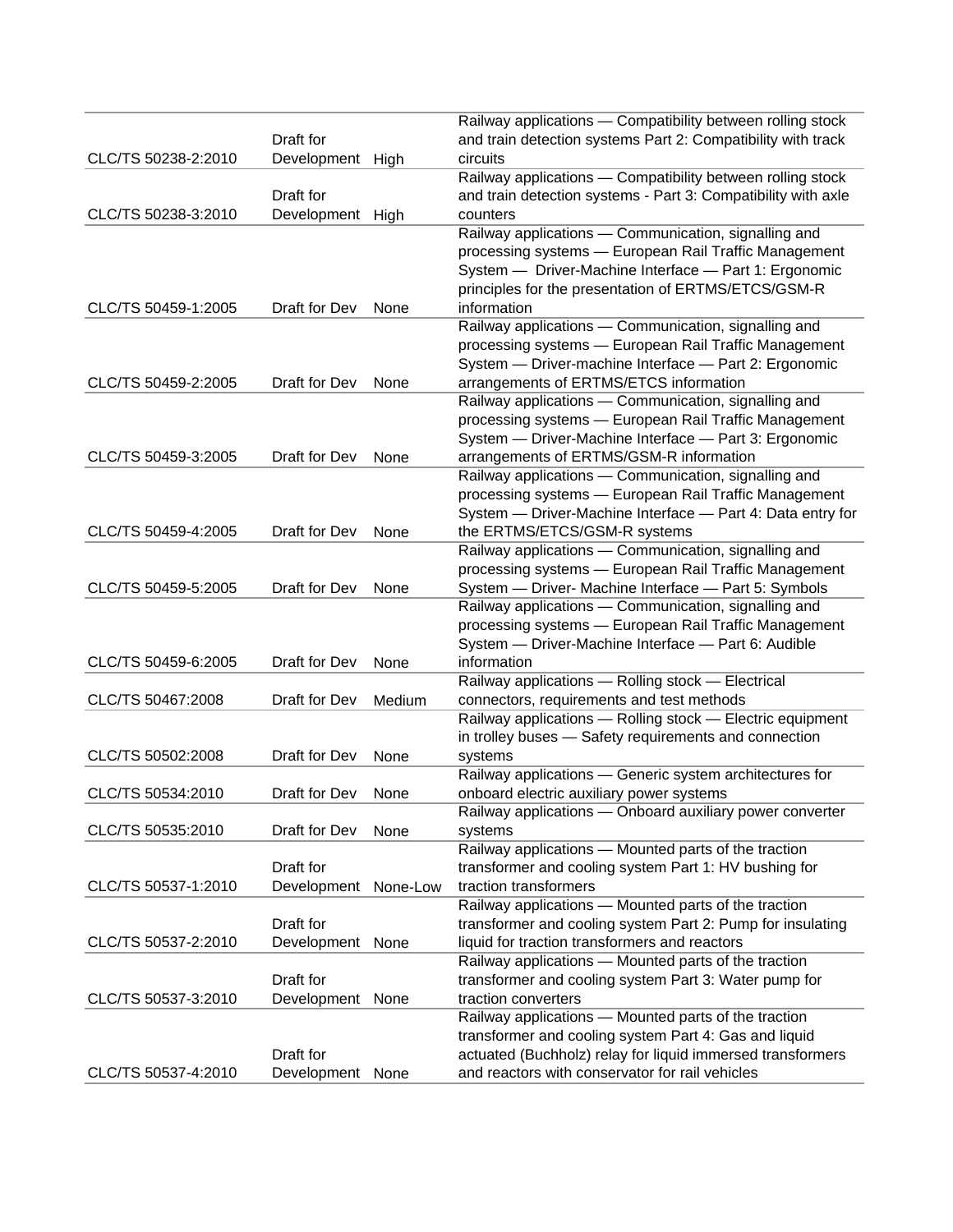|                     |                  |          | Railway applications - Compatibility between rolling stock    |
|---------------------|------------------|----------|---------------------------------------------------------------|
|                     | Draft for        |          | and train detection systems Part 2: Compatibility with track  |
| CLC/TS 50238-2:2010 | Development      | High     | circuits                                                      |
|                     |                  |          | Railway applications - Compatibility between rolling stock    |
|                     | Draft for        |          | and train detection systems - Part 3: Compatibility with axle |
| CLC/TS 50238-3:2010 | Development      | High     | counters                                                      |
|                     |                  |          | Railway applications - Communication, signalling and          |
|                     |                  |          | processing systems - European Rail Traffic Management         |
|                     |                  |          | System - Driver-Machine Interface - Part 1: Ergonomic         |
|                     |                  |          | principles for the presentation of ERTMS/ETCS/GSM-R           |
| CLC/TS 50459-1:2005 | Draft for Dev    | None     | information                                                   |
|                     |                  |          | Railway applications - Communication, signalling and          |
|                     |                  |          | processing systems - European Rail Traffic Management         |
|                     |                  |          | System - Driver-machine Interface - Part 2: Ergonomic         |
| CLC/TS 50459-2:2005 | Draft for Dev    | None     | arrangements of ERTMS/ETCS information                        |
|                     |                  |          | Railway applications - Communication, signalling and          |
|                     |                  |          | processing systems - European Rail Traffic Management         |
|                     |                  |          | System - Driver-Machine Interface - Part 3: Ergonomic         |
| CLC/TS 50459-3:2005 | Draft for Dev    | None     | arrangements of ERTMS/GSM-R information                       |
|                     |                  |          | Railway applications - Communication, signalling and          |
|                     |                  |          | processing systems - European Rail Traffic Management         |
|                     |                  |          | System - Driver-Machine Interface - Part 4: Data entry for    |
| CLC/TS 50459-4:2005 | Draft for Dev    | None     | the ERTMS/ETCS/GSM-R systems                                  |
|                     |                  |          | Railway applications - Communication, signalling and          |
|                     |                  |          | processing systems - European Rail Traffic Management         |
| CLC/TS 50459-5:2005 | Draft for Dev    | None     | System - Driver- Machine Interface - Part 5: Symbols          |
|                     |                  |          | Railway applications - Communication, signalling and          |
|                     |                  |          | processing systems - European Rail Traffic Management         |
|                     |                  |          | System - Driver-Machine Interface - Part 6: Audible           |
| CLC/TS 50459-6:2005 | Draft for Dev    | None     | information                                                   |
|                     |                  |          | Railway applications - Rolling stock - Electrical             |
| CLC/TS 50467:2008   | Draft for Dev    | Medium   | connectors, requirements and test methods                     |
|                     |                  |          | Railway applications - Rolling stock - Electric equipment     |
|                     |                  |          | in trolley buses - Safety requirements and connection         |
| CLC/TS 50502:2008   | Draft for Dev    | None     | systems                                                       |
|                     |                  |          | Railway applications - Generic system architectures for       |
| CLC/TS 50534:2010   | Draft for Dev    | None     | onboard electric auxiliary power systems                      |
|                     |                  |          | Railway applications — Onboard auxiliary power converter      |
| CLC/TS 50535:2010   | Draft for Dev    | None     | systems                                                       |
|                     |                  |          | Railway applications - Mounted parts of the traction          |
|                     | Draft for        |          | transformer and cooling system Part 1: HV bushing for         |
| CLC/TS 50537-1:2010 | Development      | None-Low | traction transformers                                         |
|                     |                  |          | Railway applications - Mounted parts of the traction          |
|                     | Draft for        |          | transformer and cooling system Part 2: Pump for insulating    |
| CLC/TS 50537-2:2010 | Development None |          | liquid for traction transformers and reactors                 |
|                     |                  |          | Railway applications - Mounted parts of the traction          |
|                     | Draft for        |          | transformer and cooling system Part 3: Water pump for         |
| CLC/TS 50537-3:2010 | Development None |          | traction converters                                           |
|                     |                  |          | Railway applications - Mounted parts of the traction          |
|                     |                  |          | transformer and cooling system Part 4: Gas and liquid         |
|                     | Draft for        |          | actuated (Buchholz) relay for liquid immersed transformers    |
| CLC/TS 50537-4:2010 | Development None |          | and reactors with conservator for rail vehicles               |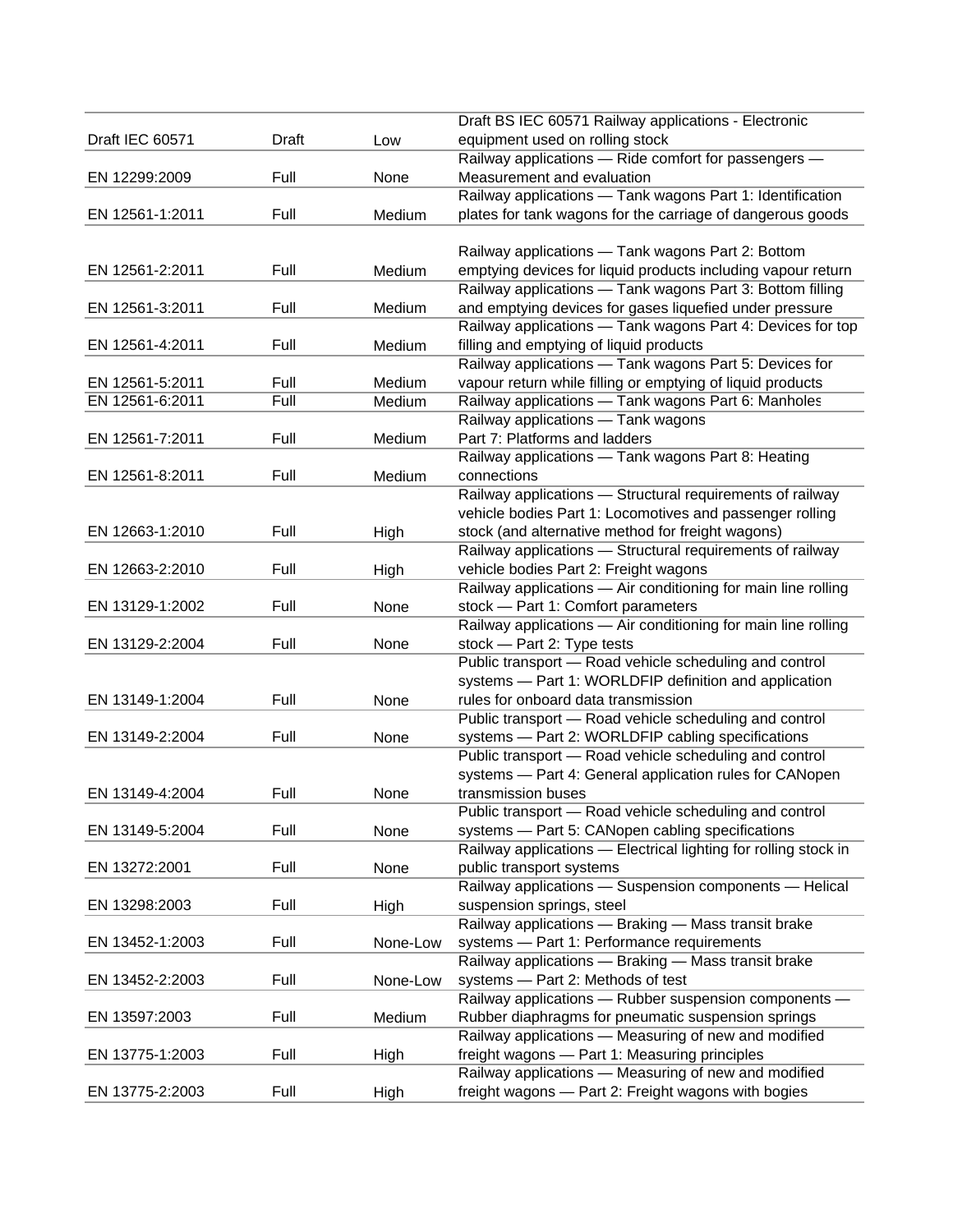|                 |       |          | Draft BS IEC 60571 Railway applications - Electronic            |
|-----------------|-------|----------|-----------------------------------------------------------------|
| Draft IEC 60571 | Draft | Low      | equipment used on rolling stock                                 |
|                 |       |          | Railway applications - Ride comfort for passengers -            |
| EN 12299:2009   | Full  | None     | Measurement and evaluation                                      |
|                 |       |          | Railway applications - Tank wagons Part 1: Identification       |
| EN 12561-1:2011 | Full  | Medium   | plates for tank wagons for the carriage of dangerous goods      |
|                 |       |          |                                                                 |
|                 |       |          | Railway applications - Tank wagons Part 2: Bottom               |
| EN 12561-2:2011 | Full  | Medium   | emptying devices for liquid products including vapour return    |
|                 |       |          | Railway applications - Tank wagons Part 3: Bottom filling       |
| EN 12561-3:2011 | Full  | Medium   | and emptying devices for gases liquefied under pressure         |
|                 |       |          | Railway applications - Tank wagons Part 4: Devices for top      |
| EN 12561-4:2011 | Full  | Medium   | filling and emptying of liquid products                         |
|                 |       |          | Railway applications - Tank wagons Part 5: Devices for          |
| EN 12561-5:2011 | Full  | Medium   | vapour return while filling or emptying of liquid products      |
| EN 12561-6:2011 | Full  | Medium   | Railway applications - Tank wagons Part 6: Manholes             |
|                 |       |          | Railway applications - Tank wagons                              |
| EN 12561-7:2011 | Full  | Medium   | Part 7: Platforms and ladders                                   |
|                 |       |          | Railway applications - Tank wagons Part 8: Heating              |
| EN 12561-8:2011 | Full  | Medium   | connections                                                     |
|                 |       |          | Railway applications - Structural requirements of railway       |
|                 |       |          | vehicle bodies Part 1: Locomotives and passenger rolling        |
| EN 12663-1:2010 | Full  | High     | stock (and alternative method for freight wagons)               |
|                 |       |          | Railway applications - Structural requirements of railway       |
| EN 12663-2:2010 | Full  | High     | vehicle bodies Part 2: Freight wagons                           |
|                 |       |          | Railway applications - Air conditioning for main line rolling   |
| EN 13129-1:2002 | Full  | None     | stock - Part 1: Comfort parameters                              |
|                 |       |          | Railway applications - Air conditioning for main line rolling   |
| EN 13129-2:2004 | Full  | None     | stock - Part 2: Type tests                                      |
|                 |       |          | Public transport - Road vehicle scheduling and control          |
|                 |       |          | systems - Part 1: WORLDFIP definition and application           |
| EN 13149-1:2004 | Full  | None     | rules for onboard data transmission                             |
|                 |       |          | Public transport - Road vehicle scheduling and control          |
| EN 13149-2:2004 | Full  | None     | systems - Part 2: WORLDFIP cabling specifications               |
|                 |       |          | Public transport - Road vehicle scheduling and control          |
|                 |       |          | systems - Part 4: General application rules for CANopen         |
| EN 13149-4:2004 | Full  | None     | transmission buses                                              |
|                 |       |          | Public transport - Road vehicle scheduling and control          |
| EN 13149-5:2004 | Full  | None     | systems - Part 5: CANopen cabling specifications                |
|                 |       |          | Railway applications - Electrical lighting for rolling stock in |
| EN 13272:2001   | Full  | None     | public transport systems                                        |
|                 |       |          | Railway applications - Suspension components - Helical          |
| EN 13298:2003   | Full  | High     | suspension springs, steel                                       |
|                 |       |          | Railway applications - Braking - Mass transit brake             |
| EN 13452-1:2003 | Full  | None-Low | systems - Part 1: Performance requirements                      |
|                 |       |          | Railway applications - Braking - Mass transit brake             |
| EN 13452-2:2003 | Full  | None-Low | systems - Part 2: Methods of test                               |
|                 |       |          | Railway applications - Rubber suspension components -           |
| EN 13597:2003   | Full  | Medium   | Rubber diaphragms for pneumatic suspension springs              |
|                 |       |          | Railway applications - Measuring of new and modified            |
| EN 13775-1:2003 | Full  | High     | freight wagons - Part 1: Measuring principles                   |
|                 |       |          | Railway applications - Measuring of new and modified            |
| EN 13775-2:2003 | Full  | High     | freight wagons - Part 2: Freight wagons with bogies             |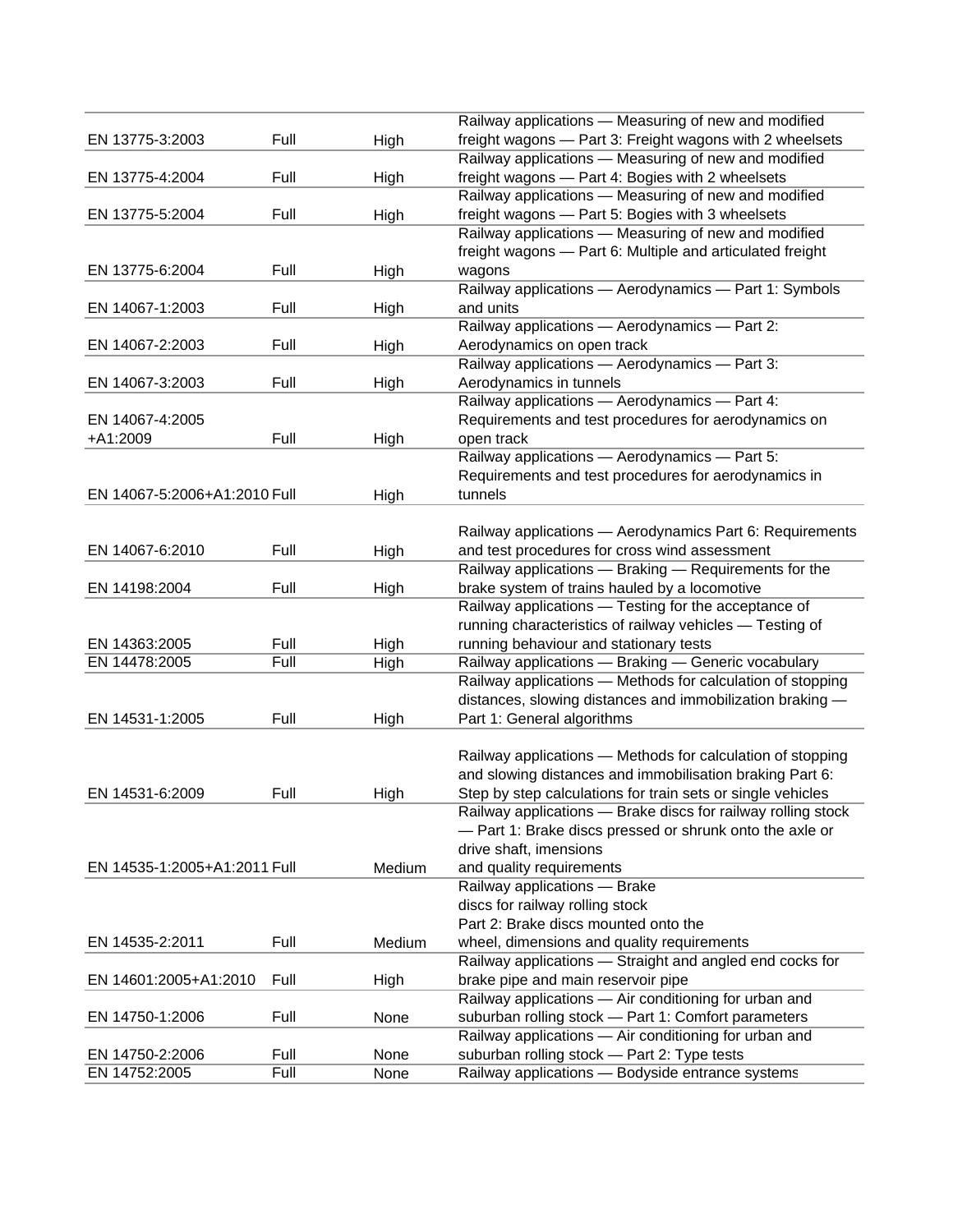| Full<br>freight wagons - Part 3: Freight wagons with 2 wheelsets<br>EN 13775-3:2003<br>High<br>Railway applications - Measuring of new and modified<br>Full<br>freight wagons - Part 4: Bogies with 2 wheelsets<br>EN 13775-4:2004<br>High<br>Railway applications - Measuring of new and modified<br>Full<br>freight wagons - Part 5: Bogies with 3 wheelsets<br>EN 13775-5:2004<br>High<br>Railway applications - Measuring of new and modified<br>freight wagons - Part 6: Multiple and articulated freight<br>Full<br>EN 13775-6:2004<br>High<br>wagons<br>Railway applications - Aerodynamics - Part 1: Symbols<br>Full<br>and units<br>EN 14067-1:2003<br>High<br>Railway applications - Aerodynamics - Part 2:<br>Full<br>EN 14067-2:2003<br>Aerodynamics on open track<br>High<br>Railway applications - Aerodynamics - Part 3:<br>Full<br>Aerodynamics in tunnels<br>EN 14067-3:2003<br>High<br>Railway applications - Aerodynamics - Part 4:<br>Requirements and test procedures for aerodynamics on<br>EN 14067-4:2005<br>+A1:2009<br>Full<br>open track<br>High<br>Railway applications - Aerodynamics - Part 5:<br>Requirements and test procedures for aerodynamics in<br>EN 14067-5:2006+A1:2010 Full<br>tunnels<br>High<br>Railway applications - Aerodynamics Part 6: Requirements<br>Full<br>and test procedures for cross wind assessment<br>EN 14067-6:2010<br>High<br>Railway applications - Braking - Requirements for the<br>Full<br>brake system of trains hauled by a locomotive<br>EN 14198:2004<br>High<br>Railway applications - Testing for the acceptance of<br>running characteristics of railway vehicles - Testing of<br>Full<br>EN 14363:2005<br>High<br>running behaviour and stationary tests<br>EN 14478:2005<br>Full<br>Railway applications - Braking - Generic vocabulary<br>High<br>Railway applications - Methods for calculation of stopping<br>distances, slowing distances and immobilization braking -<br>Full<br>EN 14531-1:2005<br>Part 1: General algorithms<br>High<br>Railway applications - Methods for calculation of stopping<br>and slowing distances and immobilisation braking Part 6:<br>Full<br>Step by step calculations for train sets or single vehicles<br>EN 14531-6:2009<br>High<br>Railway applications - Brake discs for railway rolling stock<br>- Part 1: Brake discs pressed or shrunk onto the axle or<br>drive shaft, imensions<br>EN 14535-1:2005+A1:2011 Full<br>Medium<br>and quality requirements<br>Railway applications - Brake<br>discs for railway rolling stock<br>Part 2: Brake discs mounted onto the<br>Full<br>EN 14535-2:2011<br>Medium<br>wheel, dimensions and quality requirements |  | Railway applications - Measuring of new and modified |
|-----------------------------------------------------------------------------------------------------------------------------------------------------------------------------------------------------------------------------------------------------------------------------------------------------------------------------------------------------------------------------------------------------------------------------------------------------------------------------------------------------------------------------------------------------------------------------------------------------------------------------------------------------------------------------------------------------------------------------------------------------------------------------------------------------------------------------------------------------------------------------------------------------------------------------------------------------------------------------------------------------------------------------------------------------------------------------------------------------------------------------------------------------------------------------------------------------------------------------------------------------------------------------------------------------------------------------------------------------------------------------------------------------------------------------------------------------------------------------------------------------------------------------------------------------------------------------------------------------------------------------------------------------------------------------------------------------------------------------------------------------------------------------------------------------------------------------------------------------------------------------------------------------------------------------------------------------------------------------------------------------------------------------------------------------------------------------------------------------------------------------------------------------------------------------------------------------------------------------------------------------------------------------------------------------------------------------------------------------------------------------------------------------------------------------------------------------------------------------------------------------------------------------------------------------------------------------------------------------------------------------------------------------------------------------|--|------------------------------------------------------|
|                                                                                                                                                                                                                                                                                                                                                                                                                                                                                                                                                                                                                                                                                                                                                                                                                                                                                                                                                                                                                                                                                                                                                                                                                                                                                                                                                                                                                                                                                                                                                                                                                                                                                                                                                                                                                                                                                                                                                                                                                                                                                                                                                                                                                                                                                                                                                                                                                                                                                                                                                                                                                                                                             |  |                                                      |
|                                                                                                                                                                                                                                                                                                                                                                                                                                                                                                                                                                                                                                                                                                                                                                                                                                                                                                                                                                                                                                                                                                                                                                                                                                                                                                                                                                                                                                                                                                                                                                                                                                                                                                                                                                                                                                                                                                                                                                                                                                                                                                                                                                                                                                                                                                                                                                                                                                                                                                                                                                                                                                                                             |  |                                                      |
|                                                                                                                                                                                                                                                                                                                                                                                                                                                                                                                                                                                                                                                                                                                                                                                                                                                                                                                                                                                                                                                                                                                                                                                                                                                                                                                                                                                                                                                                                                                                                                                                                                                                                                                                                                                                                                                                                                                                                                                                                                                                                                                                                                                                                                                                                                                                                                                                                                                                                                                                                                                                                                                                             |  |                                                      |
|                                                                                                                                                                                                                                                                                                                                                                                                                                                                                                                                                                                                                                                                                                                                                                                                                                                                                                                                                                                                                                                                                                                                                                                                                                                                                                                                                                                                                                                                                                                                                                                                                                                                                                                                                                                                                                                                                                                                                                                                                                                                                                                                                                                                                                                                                                                                                                                                                                                                                                                                                                                                                                                                             |  |                                                      |
|                                                                                                                                                                                                                                                                                                                                                                                                                                                                                                                                                                                                                                                                                                                                                                                                                                                                                                                                                                                                                                                                                                                                                                                                                                                                                                                                                                                                                                                                                                                                                                                                                                                                                                                                                                                                                                                                                                                                                                                                                                                                                                                                                                                                                                                                                                                                                                                                                                                                                                                                                                                                                                                                             |  |                                                      |
|                                                                                                                                                                                                                                                                                                                                                                                                                                                                                                                                                                                                                                                                                                                                                                                                                                                                                                                                                                                                                                                                                                                                                                                                                                                                                                                                                                                                                                                                                                                                                                                                                                                                                                                                                                                                                                                                                                                                                                                                                                                                                                                                                                                                                                                                                                                                                                                                                                                                                                                                                                                                                                                                             |  |                                                      |
|                                                                                                                                                                                                                                                                                                                                                                                                                                                                                                                                                                                                                                                                                                                                                                                                                                                                                                                                                                                                                                                                                                                                                                                                                                                                                                                                                                                                                                                                                                                                                                                                                                                                                                                                                                                                                                                                                                                                                                                                                                                                                                                                                                                                                                                                                                                                                                                                                                                                                                                                                                                                                                                                             |  |                                                      |
|                                                                                                                                                                                                                                                                                                                                                                                                                                                                                                                                                                                                                                                                                                                                                                                                                                                                                                                                                                                                                                                                                                                                                                                                                                                                                                                                                                                                                                                                                                                                                                                                                                                                                                                                                                                                                                                                                                                                                                                                                                                                                                                                                                                                                                                                                                                                                                                                                                                                                                                                                                                                                                                                             |  |                                                      |
|                                                                                                                                                                                                                                                                                                                                                                                                                                                                                                                                                                                                                                                                                                                                                                                                                                                                                                                                                                                                                                                                                                                                                                                                                                                                                                                                                                                                                                                                                                                                                                                                                                                                                                                                                                                                                                                                                                                                                                                                                                                                                                                                                                                                                                                                                                                                                                                                                                                                                                                                                                                                                                                                             |  |                                                      |
|                                                                                                                                                                                                                                                                                                                                                                                                                                                                                                                                                                                                                                                                                                                                                                                                                                                                                                                                                                                                                                                                                                                                                                                                                                                                                                                                                                                                                                                                                                                                                                                                                                                                                                                                                                                                                                                                                                                                                                                                                                                                                                                                                                                                                                                                                                                                                                                                                                                                                                                                                                                                                                                                             |  |                                                      |
|                                                                                                                                                                                                                                                                                                                                                                                                                                                                                                                                                                                                                                                                                                                                                                                                                                                                                                                                                                                                                                                                                                                                                                                                                                                                                                                                                                                                                                                                                                                                                                                                                                                                                                                                                                                                                                                                                                                                                                                                                                                                                                                                                                                                                                                                                                                                                                                                                                                                                                                                                                                                                                                                             |  |                                                      |
|                                                                                                                                                                                                                                                                                                                                                                                                                                                                                                                                                                                                                                                                                                                                                                                                                                                                                                                                                                                                                                                                                                                                                                                                                                                                                                                                                                                                                                                                                                                                                                                                                                                                                                                                                                                                                                                                                                                                                                                                                                                                                                                                                                                                                                                                                                                                                                                                                                                                                                                                                                                                                                                                             |  |                                                      |
|                                                                                                                                                                                                                                                                                                                                                                                                                                                                                                                                                                                                                                                                                                                                                                                                                                                                                                                                                                                                                                                                                                                                                                                                                                                                                                                                                                                                                                                                                                                                                                                                                                                                                                                                                                                                                                                                                                                                                                                                                                                                                                                                                                                                                                                                                                                                                                                                                                                                                                                                                                                                                                                                             |  |                                                      |
|                                                                                                                                                                                                                                                                                                                                                                                                                                                                                                                                                                                                                                                                                                                                                                                                                                                                                                                                                                                                                                                                                                                                                                                                                                                                                                                                                                                                                                                                                                                                                                                                                                                                                                                                                                                                                                                                                                                                                                                                                                                                                                                                                                                                                                                                                                                                                                                                                                                                                                                                                                                                                                                                             |  |                                                      |
|                                                                                                                                                                                                                                                                                                                                                                                                                                                                                                                                                                                                                                                                                                                                                                                                                                                                                                                                                                                                                                                                                                                                                                                                                                                                                                                                                                                                                                                                                                                                                                                                                                                                                                                                                                                                                                                                                                                                                                                                                                                                                                                                                                                                                                                                                                                                                                                                                                                                                                                                                                                                                                                                             |  |                                                      |
|                                                                                                                                                                                                                                                                                                                                                                                                                                                                                                                                                                                                                                                                                                                                                                                                                                                                                                                                                                                                                                                                                                                                                                                                                                                                                                                                                                                                                                                                                                                                                                                                                                                                                                                                                                                                                                                                                                                                                                                                                                                                                                                                                                                                                                                                                                                                                                                                                                                                                                                                                                                                                                                                             |  |                                                      |
|                                                                                                                                                                                                                                                                                                                                                                                                                                                                                                                                                                                                                                                                                                                                                                                                                                                                                                                                                                                                                                                                                                                                                                                                                                                                                                                                                                                                                                                                                                                                                                                                                                                                                                                                                                                                                                                                                                                                                                                                                                                                                                                                                                                                                                                                                                                                                                                                                                                                                                                                                                                                                                                                             |  |                                                      |
|                                                                                                                                                                                                                                                                                                                                                                                                                                                                                                                                                                                                                                                                                                                                                                                                                                                                                                                                                                                                                                                                                                                                                                                                                                                                                                                                                                                                                                                                                                                                                                                                                                                                                                                                                                                                                                                                                                                                                                                                                                                                                                                                                                                                                                                                                                                                                                                                                                                                                                                                                                                                                                                                             |  |                                                      |
|                                                                                                                                                                                                                                                                                                                                                                                                                                                                                                                                                                                                                                                                                                                                                                                                                                                                                                                                                                                                                                                                                                                                                                                                                                                                                                                                                                                                                                                                                                                                                                                                                                                                                                                                                                                                                                                                                                                                                                                                                                                                                                                                                                                                                                                                                                                                                                                                                                                                                                                                                                                                                                                                             |  |                                                      |
|                                                                                                                                                                                                                                                                                                                                                                                                                                                                                                                                                                                                                                                                                                                                                                                                                                                                                                                                                                                                                                                                                                                                                                                                                                                                                                                                                                                                                                                                                                                                                                                                                                                                                                                                                                                                                                                                                                                                                                                                                                                                                                                                                                                                                                                                                                                                                                                                                                                                                                                                                                                                                                                                             |  |                                                      |
|                                                                                                                                                                                                                                                                                                                                                                                                                                                                                                                                                                                                                                                                                                                                                                                                                                                                                                                                                                                                                                                                                                                                                                                                                                                                                                                                                                                                                                                                                                                                                                                                                                                                                                                                                                                                                                                                                                                                                                                                                                                                                                                                                                                                                                                                                                                                                                                                                                                                                                                                                                                                                                                                             |  |                                                      |
|                                                                                                                                                                                                                                                                                                                                                                                                                                                                                                                                                                                                                                                                                                                                                                                                                                                                                                                                                                                                                                                                                                                                                                                                                                                                                                                                                                                                                                                                                                                                                                                                                                                                                                                                                                                                                                                                                                                                                                                                                                                                                                                                                                                                                                                                                                                                                                                                                                                                                                                                                                                                                                                                             |  |                                                      |
|                                                                                                                                                                                                                                                                                                                                                                                                                                                                                                                                                                                                                                                                                                                                                                                                                                                                                                                                                                                                                                                                                                                                                                                                                                                                                                                                                                                                                                                                                                                                                                                                                                                                                                                                                                                                                                                                                                                                                                                                                                                                                                                                                                                                                                                                                                                                                                                                                                                                                                                                                                                                                                                                             |  |                                                      |
|                                                                                                                                                                                                                                                                                                                                                                                                                                                                                                                                                                                                                                                                                                                                                                                                                                                                                                                                                                                                                                                                                                                                                                                                                                                                                                                                                                                                                                                                                                                                                                                                                                                                                                                                                                                                                                                                                                                                                                                                                                                                                                                                                                                                                                                                                                                                                                                                                                                                                                                                                                                                                                                                             |  |                                                      |
|                                                                                                                                                                                                                                                                                                                                                                                                                                                                                                                                                                                                                                                                                                                                                                                                                                                                                                                                                                                                                                                                                                                                                                                                                                                                                                                                                                                                                                                                                                                                                                                                                                                                                                                                                                                                                                                                                                                                                                                                                                                                                                                                                                                                                                                                                                                                                                                                                                                                                                                                                                                                                                                                             |  |                                                      |
|                                                                                                                                                                                                                                                                                                                                                                                                                                                                                                                                                                                                                                                                                                                                                                                                                                                                                                                                                                                                                                                                                                                                                                                                                                                                                                                                                                                                                                                                                                                                                                                                                                                                                                                                                                                                                                                                                                                                                                                                                                                                                                                                                                                                                                                                                                                                                                                                                                                                                                                                                                                                                                                                             |  |                                                      |
|                                                                                                                                                                                                                                                                                                                                                                                                                                                                                                                                                                                                                                                                                                                                                                                                                                                                                                                                                                                                                                                                                                                                                                                                                                                                                                                                                                                                                                                                                                                                                                                                                                                                                                                                                                                                                                                                                                                                                                                                                                                                                                                                                                                                                                                                                                                                                                                                                                                                                                                                                                                                                                                                             |  |                                                      |
|                                                                                                                                                                                                                                                                                                                                                                                                                                                                                                                                                                                                                                                                                                                                                                                                                                                                                                                                                                                                                                                                                                                                                                                                                                                                                                                                                                                                                                                                                                                                                                                                                                                                                                                                                                                                                                                                                                                                                                                                                                                                                                                                                                                                                                                                                                                                                                                                                                                                                                                                                                                                                                                                             |  |                                                      |
|                                                                                                                                                                                                                                                                                                                                                                                                                                                                                                                                                                                                                                                                                                                                                                                                                                                                                                                                                                                                                                                                                                                                                                                                                                                                                                                                                                                                                                                                                                                                                                                                                                                                                                                                                                                                                                                                                                                                                                                                                                                                                                                                                                                                                                                                                                                                                                                                                                                                                                                                                                                                                                                                             |  |                                                      |
|                                                                                                                                                                                                                                                                                                                                                                                                                                                                                                                                                                                                                                                                                                                                                                                                                                                                                                                                                                                                                                                                                                                                                                                                                                                                                                                                                                                                                                                                                                                                                                                                                                                                                                                                                                                                                                                                                                                                                                                                                                                                                                                                                                                                                                                                                                                                                                                                                                                                                                                                                                                                                                                                             |  |                                                      |
|                                                                                                                                                                                                                                                                                                                                                                                                                                                                                                                                                                                                                                                                                                                                                                                                                                                                                                                                                                                                                                                                                                                                                                                                                                                                                                                                                                                                                                                                                                                                                                                                                                                                                                                                                                                                                                                                                                                                                                                                                                                                                                                                                                                                                                                                                                                                                                                                                                                                                                                                                                                                                                                                             |  |                                                      |
|                                                                                                                                                                                                                                                                                                                                                                                                                                                                                                                                                                                                                                                                                                                                                                                                                                                                                                                                                                                                                                                                                                                                                                                                                                                                                                                                                                                                                                                                                                                                                                                                                                                                                                                                                                                                                                                                                                                                                                                                                                                                                                                                                                                                                                                                                                                                                                                                                                                                                                                                                                                                                                                                             |  |                                                      |
|                                                                                                                                                                                                                                                                                                                                                                                                                                                                                                                                                                                                                                                                                                                                                                                                                                                                                                                                                                                                                                                                                                                                                                                                                                                                                                                                                                                                                                                                                                                                                                                                                                                                                                                                                                                                                                                                                                                                                                                                                                                                                                                                                                                                                                                                                                                                                                                                                                                                                                                                                                                                                                                                             |  |                                                      |
|                                                                                                                                                                                                                                                                                                                                                                                                                                                                                                                                                                                                                                                                                                                                                                                                                                                                                                                                                                                                                                                                                                                                                                                                                                                                                                                                                                                                                                                                                                                                                                                                                                                                                                                                                                                                                                                                                                                                                                                                                                                                                                                                                                                                                                                                                                                                                                                                                                                                                                                                                                                                                                                                             |  |                                                      |
|                                                                                                                                                                                                                                                                                                                                                                                                                                                                                                                                                                                                                                                                                                                                                                                                                                                                                                                                                                                                                                                                                                                                                                                                                                                                                                                                                                                                                                                                                                                                                                                                                                                                                                                                                                                                                                                                                                                                                                                                                                                                                                                                                                                                                                                                                                                                                                                                                                                                                                                                                                                                                                                                             |  |                                                      |
|                                                                                                                                                                                                                                                                                                                                                                                                                                                                                                                                                                                                                                                                                                                                                                                                                                                                                                                                                                                                                                                                                                                                                                                                                                                                                                                                                                                                                                                                                                                                                                                                                                                                                                                                                                                                                                                                                                                                                                                                                                                                                                                                                                                                                                                                                                                                                                                                                                                                                                                                                                                                                                                                             |  |                                                      |
|                                                                                                                                                                                                                                                                                                                                                                                                                                                                                                                                                                                                                                                                                                                                                                                                                                                                                                                                                                                                                                                                                                                                                                                                                                                                                                                                                                                                                                                                                                                                                                                                                                                                                                                                                                                                                                                                                                                                                                                                                                                                                                                                                                                                                                                                                                                                                                                                                                                                                                                                                                                                                                                                             |  |                                                      |
|                                                                                                                                                                                                                                                                                                                                                                                                                                                                                                                                                                                                                                                                                                                                                                                                                                                                                                                                                                                                                                                                                                                                                                                                                                                                                                                                                                                                                                                                                                                                                                                                                                                                                                                                                                                                                                                                                                                                                                                                                                                                                                                                                                                                                                                                                                                                                                                                                                                                                                                                                                                                                                                                             |  |                                                      |
|                                                                                                                                                                                                                                                                                                                                                                                                                                                                                                                                                                                                                                                                                                                                                                                                                                                                                                                                                                                                                                                                                                                                                                                                                                                                                                                                                                                                                                                                                                                                                                                                                                                                                                                                                                                                                                                                                                                                                                                                                                                                                                                                                                                                                                                                                                                                                                                                                                                                                                                                                                                                                                                                             |  |                                                      |
|                                                                                                                                                                                                                                                                                                                                                                                                                                                                                                                                                                                                                                                                                                                                                                                                                                                                                                                                                                                                                                                                                                                                                                                                                                                                                                                                                                                                                                                                                                                                                                                                                                                                                                                                                                                                                                                                                                                                                                                                                                                                                                                                                                                                                                                                                                                                                                                                                                                                                                                                                                                                                                                                             |  |                                                      |
|                                                                                                                                                                                                                                                                                                                                                                                                                                                                                                                                                                                                                                                                                                                                                                                                                                                                                                                                                                                                                                                                                                                                                                                                                                                                                                                                                                                                                                                                                                                                                                                                                                                                                                                                                                                                                                                                                                                                                                                                                                                                                                                                                                                                                                                                                                                                                                                                                                                                                                                                                                                                                                                                             |  |                                                      |
|                                                                                                                                                                                                                                                                                                                                                                                                                                                                                                                                                                                                                                                                                                                                                                                                                                                                                                                                                                                                                                                                                                                                                                                                                                                                                                                                                                                                                                                                                                                                                                                                                                                                                                                                                                                                                                                                                                                                                                                                                                                                                                                                                                                                                                                                                                                                                                                                                                                                                                                                                                                                                                                                             |  |                                                      |
|                                                                                                                                                                                                                                                                                                                                                                                                                                                                                                                                                                                                                                                                                                                                                                                                                                                                                                                                                                                                                                                                                                                                                                                                                                                                                                                                                                                                                                                                                                                                                                                                                                                                                                                                                                                                                                                                                                                                                                                                                                                                                                                                                                                                                                                                                                                                                                                                                                                                                                                                                                                                                                                                             |  |                                                      |
| Railway applications - Straight and angled end cocks for                                                                                                                                                                                                                                                                                                                                                                                                                                                                                                                                                                                                                                                                                                                                                                                                                                                                                                                                                                                                                                                                                                                                                                                                                                                                                                                                                                                                                                                                                                                                                                                                                                                                                                                                                                                                                                                                                                                                                                                                                                                                                                                                                                                                                                                                                                                                                                                                                                                                                                                                                                                                                    |  |                                                      |
| EN 14601:2005+A1:2010<br>Full<br>brake pipe and main reservoir pipe<br>High                                                                                                                                                                                                                                                                                                                                                                                                                                                                                                                                                                                                                                                                                                                                                                                                                                                                                                                                                                                                                                                                                                                                                                                                                                                                                                                                                                                                                                                                                                                                                                                                                                                                                                                                                                                                                                                                                                                                                                                                                                                                                                                                                                                                                                                                                                                                                                                                                                                                                                                                                                                                 |  |                                                      |
| Railway applications - Air conditioning for urban and                                                                                                                                                                                                                                                                                                                                                                                                                                                                                                                                                                                                                                                                                                                                                                                                                                                                                                                                                                                                                                                                                                                                                                                                                                                                                                                                                                                                                                                                                                                                                                                                                                                                                                                                                                                                                                                                                                                                                                                                                                                                                                                                                                                                                                                                                                                                                                                                                                                                                                                                                                                                                       |  |                                                      |
| Full<br>EN 14750-1:2006<br>suburban rolling stock - Part 1: Comfort parameters<br>None                                                                                                                                                                                                                                                                                                                                                                                                                                                                                                                                                                                                                                                                                                                                                                                                                                                                                                                                                                                                                                                                                                                                                                                                                                                                                                                                                                                                                                                                                                                                                                                                                                                                                                                                                                                                                                                                                                                                                                                                                                                                                                                                                                                                                                                                                                                                                                                                                                                                                                                                                                                      |  |                                                      |
| Railway applications - Air conditioning for urban and                                                                                                                                                                                                                                                                                                                                                                                                                                                                                                                                                                                                                                                                                                                                                                                                                                                                                                                                                                                                                                                                                                                                                                                                                                                                                                                                                                                                                                                                                                                                                                                                                                                                                                                                                                                                                                                                                                                                                                                                                                                                                                                                                                                                                                                                                                                                                                                                                                                                                                                                                                                                                       |  |                                                      |
| Full<br>suburban rolling stock - Part 2: Type tests<br>EN 14750-2:2006<br>None                                                                                                                                                                                                                                                                                                                                                                                                                                                                                                                                                                                                                                                                                                                                                                                                                                                                                                                                                                                                                                                                                                                                                                                                                                                                                                                                                                                                                                                                                                                                                                                                                                                                                                                                                                                                                                                                                                                                                                                                                                                                                                                                                                                                                                                                                                                                                                                                                                                                                                                                                                                              |  |                                                      |
| EN 14752:2005<br>Full<br>Railway applications - Bodyside entrance systems<br>None                                                                                                                                                                                                                                                                                                                                                                                                                                                                                                                                                                                                                                                                                                                                                                                                                                                                                                                                                                                                                                                                                                                                                                                                                                                                                                                                                                                                                                                                                                                                                                                                                                                                                                                                                                                                                                                                                                                                                                                                                                                                                                                                                                                                                                                                                                                                                                                                                                                                                                                                                                                           |  |                                                      |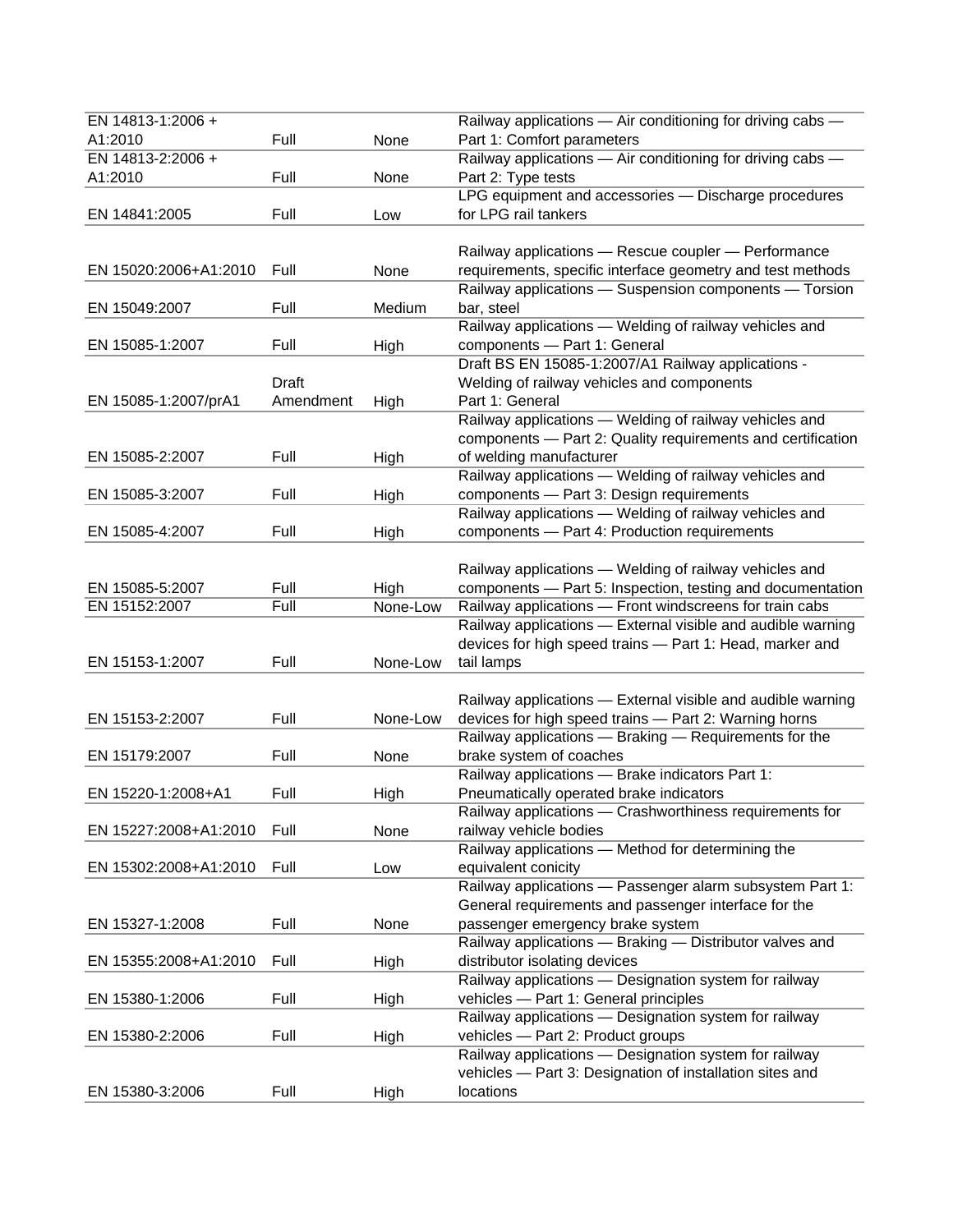| EN 14813-1:2006 +     |           |          | Railway applications - Air conditioning for driving cabs -                                                           |
|-----------------------|-----------|----------|----------------------------------------------------------------------------------------------------------------------|
| A1:2010               | Full      | None     | Part 1: Comfort parameters                                                                                           |
| EN 14813-2:2006 +     |           |          | Railway applications - Air conditioning for driving cabs -                                                           |
| A1:2010               | Full      | None     | Part 2: Type tests                                                                                                   |
|                       |           |          | LPG equipment and accessories - Discharge procedures                                                                 |
| EN 14841:2005         | Full      | Low      | for LPG rail tankers                                                                                                 |
|                       |           |          |                                                                                                                      |
|                       |           |          | Railway applications - Rescue coupler - Performance                                                                  |
| EN 15020:2006+A1:2010 | Full      | None     | requirements, specific interface geometry and test methods                                                           |
|                       |           |          | Railway applications - Suspension components - Torsion                                                               |
| EN 15049:2007         | Full      | Medium   | bar, steel                                                                                                           |
|                       |           |          | Railway applications - Welding of railway vehicles and                                                               |
| EN 15085-1:2007       | Full      | High     | components - Part 1: General                                                                                         |
|                       |           |          | Draft BS EN 15085-1:2007/A1 Railway applications -                                                                   |
|                       | Draft     |          | Welding of railway vehicles and components                                                                           |
| EN 15085-1:2007/prA1  | Amendment | High     | Part 1: General                                                                                                      |
|                       |           |          | Railway applications - Welding of railway vehicles and                                                               |
|                       |           |          | components - Part 2: Quality requirements and certification                                                          |
| EN 15085-2:2007       | Full      | High     | of welding manufacturer                                                                                              |
|                       |           |          | Railway applications - Welding of railway vehicles and                                                               |
| EN 15085-3:2007       | Full      | High     | components - Part 3: Design requirements                                                                             |
|                       | Full      |          | Railway applications - Welding of railway vehicles and                                                               |
| EN 15085-4:2007       |           | High     | components - Part 4: Production requirements                                                                         |
|                       |           |          |                                                                                                                      |
| EN 15085-5:2007       | Full      | High     | Railway applications - Welding of railway vehicles and<br>components - Part 5: Inspection, testing and documentation |
| EN 15152:2007         | Full      | None-Low | Railway applications - Front windscreens for train cabs                                                              |
|                       |           |          | Railway applications - External visible and audible warning                                                          |
|                       |           |          | devices for high speed trains - Part 1: Head, marker and                                                             |
| EN 15153-1:2007       | Full      | None-Low | tail lamps                                                                                                           |
|                       |           |          |                                                                                                                      |
|                       |           |          | Railway applications - External visible and audible warning                                                          |
| EN 15153-2:2007       | Full      | None-Low | devices for high speed trains - Part 2: Warning horns                                                                |
|                       |           |          | Railway applications - Braking - Requirements for the                                                                |
| EN 15179:2007         | Full      | None     | brake system of coaches                                                                                              |
|                       |           |          | Railway applications - Brake indicators Part 1:                                                                      |
| EN 15220-1:2008+A1    | Full      | High     | Pneumatically operated brake indicators                                                                              |
|                       |           |          | Railway applications — Crashworthiness requirements for                                                              |
| EN 15227:2008+A1:2010 | Full      | None     | railway vehicle bodies                                                                                               |
|                       |           |          | Railway applications - Method for determining the                                                                    |
| EN 15302:2008+A1:2010 | Full      | Low      | equivalent conicity                                                                                                  |
|                       |           |          | Railway applications - Passenger alarm subsystem Part 1:                                                             |
|                       |           |          | General requirements and passenger interface for the                                                                 |
| EN 15327-1:2008       | Full      | None     | passenger emergency brake system                                                                                     |
|                       |           |          | Railway applications - Braking - Distributor valves and                                                              |
| EN 15355:2008+A1:2010 | Full      | High     | distributor isolating devices                                                                                        |
|                       |           |          | Railway applications - Designation system for railway                                                                |
| EN 15380-1:2006       | Full      | High     | vehicles - Part 1: General principles                                                                                |
|                       |           |          | Railway applications - Designation system for railway                                                                |
| EN 15380-2:2006       | Full      | High     | vehicles - Part 2: Product groups                                                                                    |
|                       |           |          | Railway applications - Designation system for railway                                                                |
|                       |           |          | vehicles - Part 3: Designation of installation sites and                                                             |
| EN 15380-3:2006       | Full      | High     | locations                                                                                                            |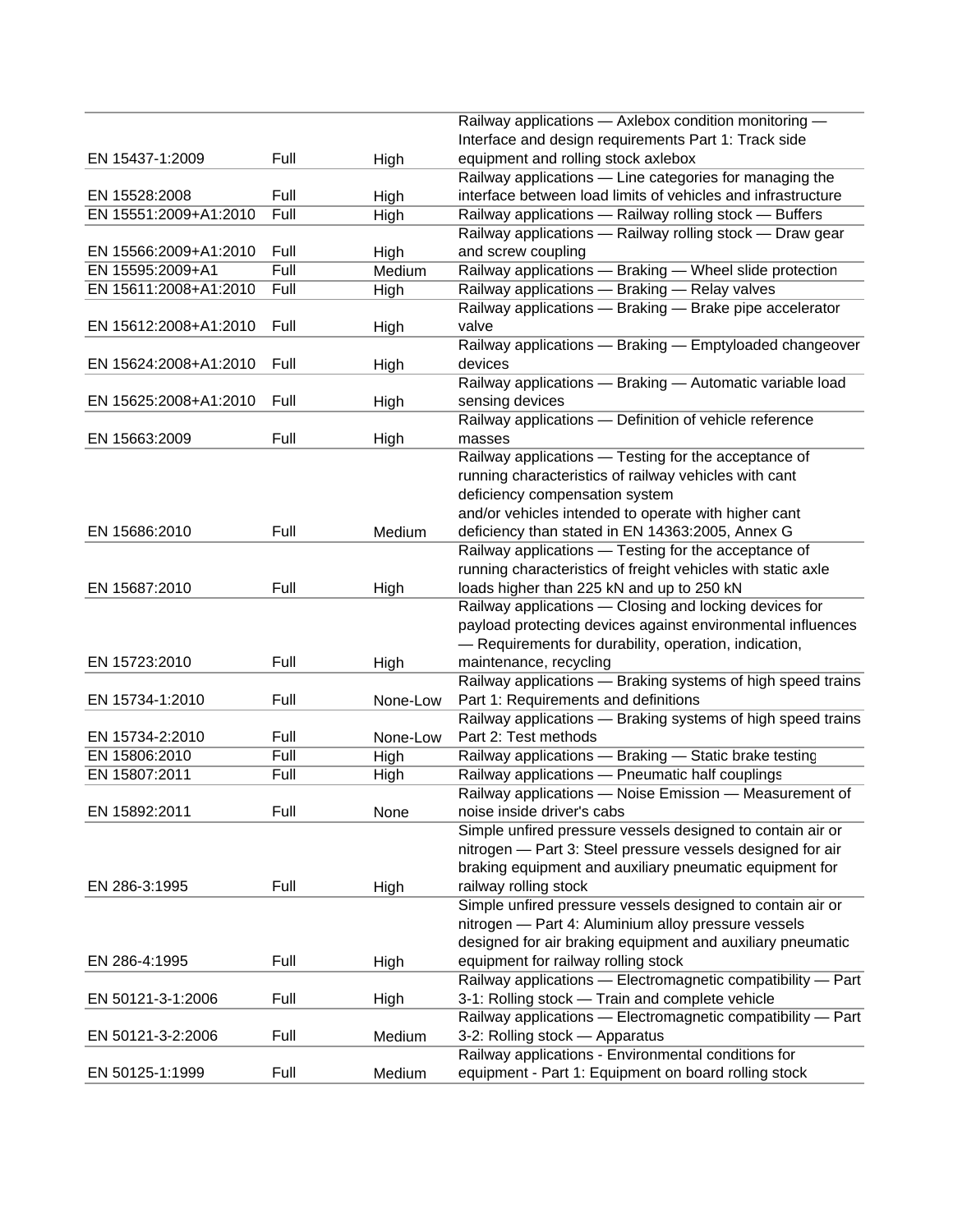|                                |      |          | Railway applications - Axlebox condition monitoring -<br>Interface and design requirements Part 1: Track side     |
|--------------------------------|------|----------|-------------------------------------------------------------------------------------------------------------------|
| EN 15437-1:2009                | Full | High     | equipment and rolling stock axlebox                                                                               |
|                                |      |          | Railway applications - Line categories for managing the                                                           |
| EN 15528:2008                  | Full | High     | interface between load limits of vehicles and infrastructure                                                      |
| EN 15551:2009+A1:2010          | Full | High     | Railway applications - Railway rolling stock - Buffers                                                            |
|                                |      |          | Railway applications - Railway rolling stock - Draw gear                                                          |
| EN 15566:2009+A1:2010          | Full | High     | and screw coupling                                                                                                |
| EN 15595:2009+A1               | Full | Medium   | Railway applications - Braking - Wheel slide protection                                                           |
| EN 15611:2008+A1:2010          | Full | High     | Railway applications - Braking - Relay valves                                                                     |
|                                |      |          | Railway applications - Braking - Brake pipe accelerator                                                           |
| EN 15612:2008+A1:2010          | Full | High     | valve                                                                                                             |
|                                |      |          | Railway applications - Braking - Emptyloaded changeover                                                           |
| EN 15624:2008+A1:2010          | Full | High     | devices                                                                                                           |
|                                |      |          | Railway applications - Braking - Automatic variable load                                                          |
| EN 15625:2008+A1:2010          | Full | High     | sensing devices                                                                                                   |
|                                |      |          | Railway applications - Definition of vehicle reference                                                            |
| EN 15663:2009                  | Full | High     | masses                                                                                                            |
|                                |      |          | Railway applications - Testing for the acceptance of                                                              |
|                                |      |          | running characteristics of railway vehicles with cant                                                             |
|                                |      |          | deficiency compensation system                                                                                    |
|                                |      |          | and/or vehicles intended to operate with higher cant                                                              |
| EN 15686:2010                  | Full | Medium   | deficiency than stated in EN 14363:2005, Annex G                                                                  |
|                                |      |          | Railway applications - Testing for the acceptance of                                                              |
|                                |      |          | running characteristics of freight vehicles with static axle                                                      |
| EN 15687:2010                  | Full | High     | loads higher than 225 kN and up to 250 kN                                                                         |
|                                |      |          | Railway applications - Closing and locking devices for                                                            |
|                                |      |          | payload protecting devices against environmental influences                                                       |
|                                |      |          | - Requirements for durability, operation, indication,                                                             |
| EN 15723:2010                  | Full | High     | maintenance, recycling                                                                                            |
|                                |      |          | Railway applications - Braking systems of high speed trains                                                       |
| EN 15734-1:2010                | Full | None-Low | Part 1: Requirements and definitions                                                                              |
|                                |      |          | Railway applications - Braking systems of high speed trains                                                       |
| EN 15734-2:2010                | Full | None-Low | Part 2: Test methods                                                                                              |
| EN 15806:2010<br>EN 15807:2011 | Full | High     | Railway applications - Braking - Static brake testing                                                             |
|                                | Full | High     | Railway applications - Pneumatic half couplings                                                                   |
| EN 15892:2011                  | Full |          | Railway applications - Noise Emission - Measurement of                                                            |
|                                |      | None     | noise inside driver's cabs<br>Simple unfired pressure vessels designed to contain air or                          |
|                                |      |          | nitrogen - Part 3: Steel pressure vessels designed for air                                                        |
|                                |      |          | braking equipment and auxiliary pneumatic equipment for                                                           |
| EN 286-3:1995                  |      |          |                                                                                                                   |
|                                | Full | High     | railway rolling stock<br>Simple unfired pressure vessels designed to contain air or                               |
|                                |      |          |                                                                                                                   |
|                                |      |          | nitrogen - Part 4: Aluminium alloy pressure vessels<br>designed for air braking equipment and auxiliary pneumatic |
| EN 286-4:1995                  | Full |          | equipment for railway rolling stock                                                                               |
|                                |      | High     | Railway applications - Electromagnetic compatibility - Part                                                       |
|                                | Full |          |                                                                                                                   |
| EN 50121-3-1:2006              |      | High     | 3-1: Rolling stock - Train and complete vehicle<br>Railway applications - Electromagnetic compatibility - Part    |
| EN 50121-3-2:2006              | Full |          | 3-2: Rolling stock - Apparatus                                                                                    |
|                                |      | Medium   |                                                                                                                   |
|                                | Full |          | Railway applications - Environmental conditions for                                                               |
| EN 50125-1:1999                |      | Medium   | equipment - Part 1: Equipment on board rolling stock                                                              |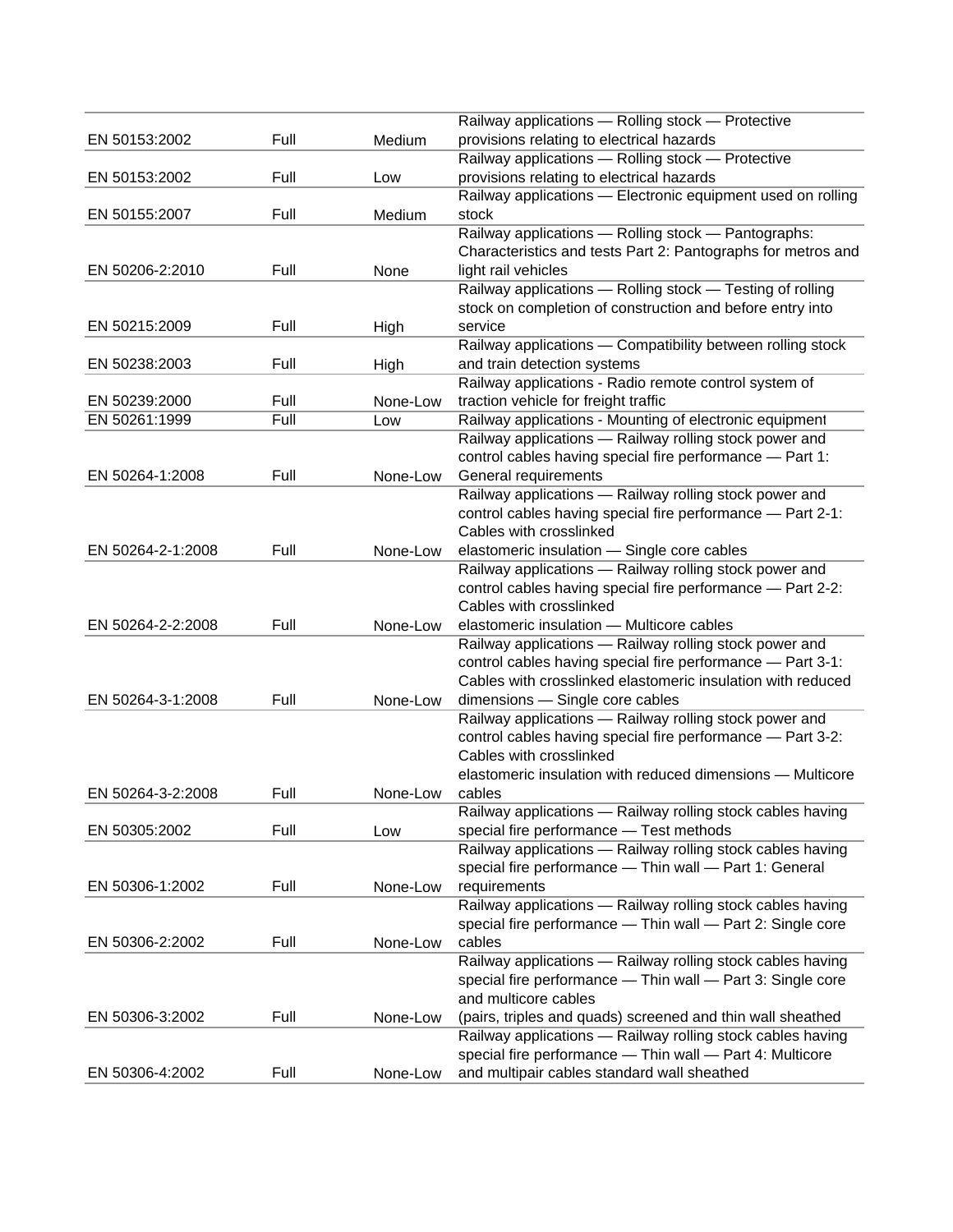|                   |      |          | Railway applications - Rolling stock - Protective                                         |
|-------------------|------|----------|-------------------------------------------------------------------------------------------|
| EN 50153:2002     | Full | Medium   | provisions relating to electrical hazards                                                 |
|                   |      |          | Railway applications - Rolling stock - Protective                                         |
| EN 50153:2002     | Full | Low      | provisions relating to electrical hazards                                                 |
|                   |      |          | Railway applications - Electronic equipment used on rolling                               |
| EN 50155:2007     | Full | Medium   | stock                                                                                     |
|                   |      |          | Railway applications - Rolling stock - Pantographs:                                       |
|                   |      |          | Characteristics and tests Part 2: Pantographs for metros and                              |
| EN 50206-2:2010   | Full | None     | light rail vehicles                                                                       |
|                   |      |          | Railway applications - Rolling stock - Testing of rolling                                 |
|                   |      |          | stock on completion of construction and before entry into                                 |
| EN 50215:2009     | Full | High     | service                                                                                   |
|                   |      |          | Railway applications - Compatibility between rolling stock                                |
| EN 50238:2003     | Full | High     | and train detection systems                                                               |
|                   |      |          | Railway applications - Radio remote control system of                                     |
| EN 50239:2000     | Full | None-Low | traction vehicle for freight traffic                                                      |
| EN 50261:1999     | Full | Low      | Railway applications - Mounting of electronic equipment                                   |
|                   |      |          | Railway applications - Railway rolling stock power and                                    |
|                   |      |          | control cables having special fire performance - Part 1:                                  |
| EN 50264-1:2008   | Full | None-Low | General requirements                                                                      |
|                   |      |          | Railway applications - Railway rolling stock power and                                    |
|                   |      |          | control cables having special fire performance - Part 2-1:                                |
|                   |      |          | Cables with crosslinked                                                                   |
| EN 50264-2-1:2008 | Full | None-Low | elastomeric insulation - Single core cables                                               |
|                   |      |          | Railway applications - Railway rolling stock power and                                    |
|                   |      |          | control cables having special fire performance - Part 2-2:                                |
|                   |      |          | Cables with crosslinked                                                                   |
| EN 50264-2-2:2008 | Full | None-Low | elastomeric insulation - Multicore cables                                                 |
|                   |      |          | Railway applications - Railway rolling stock power and                                    |
|                   |      |          | control cables having special fire performance - Part 3-1:                                |
| EN 50264-3-1:2008 | Full |          | Cables with crosslinked elastomeric insulation with reduced                               |
|                   |      | None-Low | dimensions - Single core cables<br>Railway applications - Railway rolling stock power and |
|                   |      |          | control cables having special fire performance - Part 3-2:                                |
|                   |      |          | Cables with crosslinked                                                                   |
|                   |      |          | elastomeric insulation with reduced dimensions - Multicore                                |
| EN 50264-3-2:2008 | Full | None-Low | cables                                                                                    |
|                   |      |          | Railway applications - Railway rolling stock cables having                                |
| EN 50305:2002     | Full | Low      | special fire performance - Test methods                                                   |
|                   |      |          | Railway applications - Railway rolling stock cables having                                |
|                   |      |          | special fire performance - Thin wall - Part 1: General                                    |
| EN 50306-1:2002   | Full | None-Low | requirements                                                                              |
|                   |      |          | Railway applications - Railway rolling stock cables having                                |
|                   |      |          | special fire performance - Thin wall - Part 2: Single core                                |
| EN 50306-2:2002   | Full | None-Low | cables                                                                                    |
|                   |      |          | Railway applications - Railway rolling stock cables having                                |
|                   |      |          | special fire performance - Thin wall - Part 3: Single core                                |
|                   |      |          | and multicore cables                                                                      |
| EN 50306-3:2002   | Full | None-Low | (pairs, triples and quads) screened and thin wall sheathed                                |
|                   |      |          | Railway applications - Railway rolling stock cables having                                |
|                   |      |          | special fire performance - Thin wall - Part 4: Multicore                                  |
| EN 50306-4:2002   | Full | None-Low | and multipair cables standard wall sheathed                                               |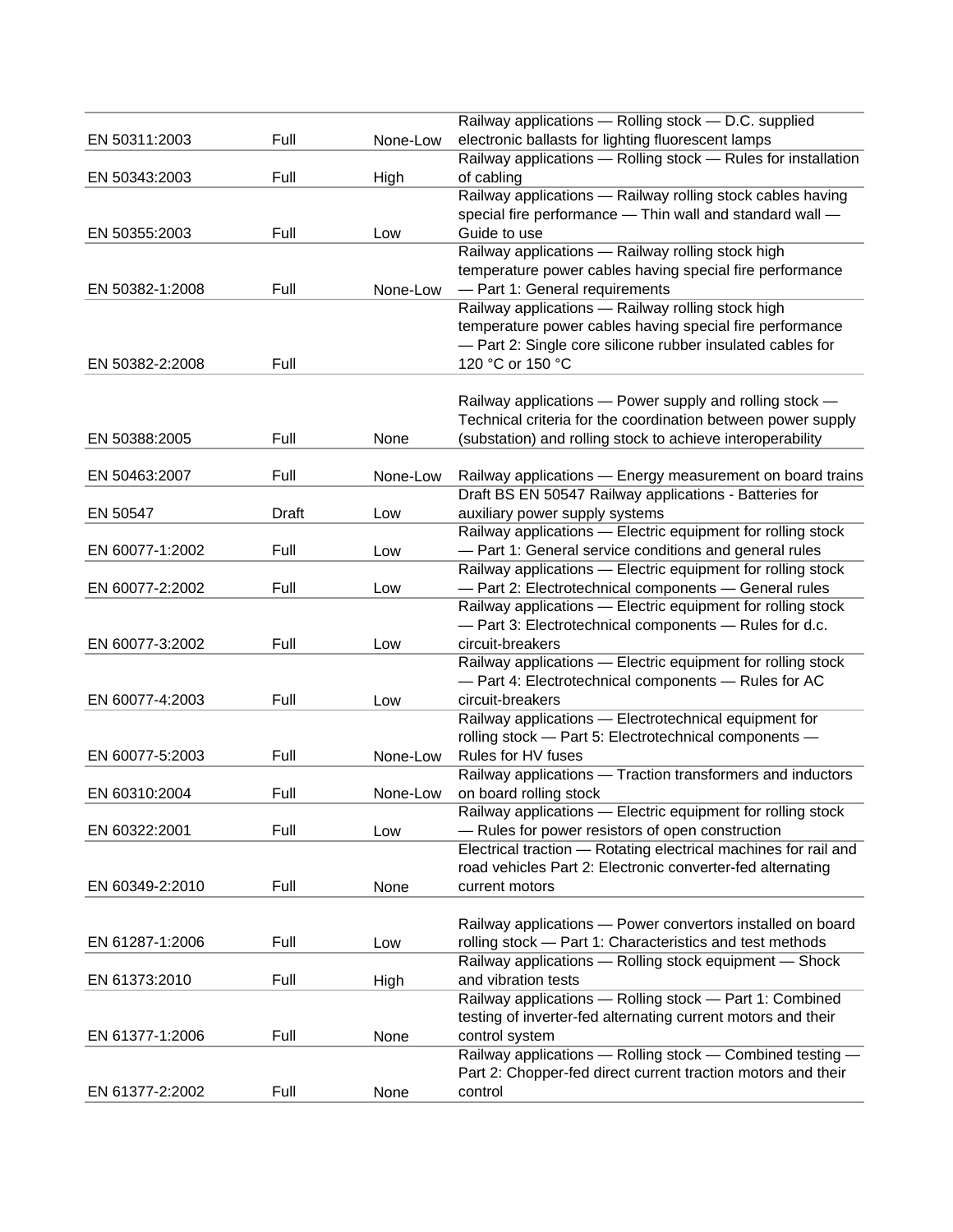|                 |       |          | Railway applications - Rolling stock - D.C. supplied                                                                |
|-----------------|-------|----------|---------------------------------------------------------------------------------------------------------------------|
| EN 50311:2003   | Full  | None-Low | electronic ballasts for lighting fluorescent lamps                                                                  |
|                 |       |          | Railway applications - Rolling stock - Rules for installation                                                       |
| EN 50343:2003   | Full  | High     | of cabling                                                                                                          |
|                 |       |          | Railway applications - Railway rolling stock cables having                                                          |
|                 |       |          | special fire performance - Thin wall and standard wall -                                                            |
| EN 50355:2003   | Full  | Low      | Guide to use                                                                                                        |
|                 |       |          | Railway applications - Railway rolling stock high                                                                   |
|                 |       |          | temperature power cables having special fire performance                                                            |
| EN 50382-1:2008 | Full  | None-Low | - Part 1: General requirements                                                                                      |
|                 |       |          | Railway applications - Railway rolling stock high                                                                   |
|                 |       |          | temperature power cables having special fire performance                                                            |
|                 | Full  |          | - Part 2: Single core silicone rubber insulated cables for                                                          |
| EN 50382-2:2008 |       |          | 120 °C or 150 °C                                                                                                    |
|                 |       |          |                                                                                                                     |
|                 |       |          | Railway applications - Power supply and rolling stock -                                                             |
|                 | Full  |          | Technical criteria for the coordination between power supply                                                        |
| EN 50388:2005   |       | None     | (substation) and rolling stock to achieve interoperability                                                          |
|                 |       |          |                                                                                                                     |
| EN 50463:2007   | Full  | None-Low | Railway applications - Energy measurement on board trains                                                           |
|                 |       |          | Draft BS EN 50547 Railway applications - Batteries for                                                              |
| EN 50547        | Draft | Low      | auxiliary power supply systems                                                                                      |
|                 |       |          | Railway applications - Electric equipment for rolling stock                                                         |
| EN 60077-1:2002 | Full  | Low      | - Part 1: General service conditions and general rules                                                              |
|                 |       |          | Railway applications - Electric equipment for rolling stock                                                         |
| EN 60077-2:2002 | Full  | Low      | - Part 2: Electrotechnical components - General rules                                                               |
|                 |       |          | Railway applications - Electric equipment for rolling stock                                                         |
|                 | Full  |          | - Part 3: Electrotechnical components - Rules for d.c.<br>circuit-breakers                                          |
| EN 60077-3:2002 |       | Low      |                                                                                                                     |
|                 |       |          | Railway applications - Electric equipment for rolling stock<br>- Part 4: Electrotechnical components - Rules for AC |
| EN 60077-4:2003 | Full  | Low      | circuit-breakers                                                                                                    |
|                 |       |          | Railway applications - Electrotechnical equipment for                                                               |
|                 |       |          | rolling stock - Part 5: Electrotechnical components -                                                               |
| EN 60077-5:2003 | Full  | None-Low | Rules for HV fuses                                                                                                  |
|                 |       |          | Railway applications - Traction transformers and inductors                                                          |
| EN 60310:2004   | Full  | None-Low | on board rolling stock                                                                                              |
|                 |       |          | Railway applications - Electric equipment for rolling stock                                                         |
| EN 60322:2001   | Full  | Low      | - Rules for power resistors of open construction                                                                    |
|                 |       |          | Electrical traction - Rotating electrical machines for rail and                                                     |
|                 |       |          | road vehicles Part 2: Electronic converter-fed alternating                                                          |
| EN 60349-2:2010 | Full  | None     | current motors                                                                                                      |
|                 |       |          |                                                                                                                     |
|                 |       |          | Railway applications - Power convertors installed on board                                                          |
| EN 61287-1:2006 | Full  | Low      | rolling stock - Part 1: Characteristics and test methods                                                            |
|                 |       |          | Railway applications - Rolling stock equipment - Shock                                                              |
| EN 61373:2010   | Full  | High     | and vibration tests                                                                                                 |
|                 |       |          | Railway applications - Rolling stock - Part 1: Combined                                                             |
|                 |       |          | testing of inverter-fed alternating current motors and their                                                        |
| EN 61377-1:2006 | Full  | None     | control system                                                                                                      |
|                 |       |          | Railway applications - Rolling stock - Combined testing -                                                           |
|                 |       |          | Part 2: Chopper-fed direct current traction motors and their                                                        |
| EN 61377-2:2002 | Full  | None     | control                                                                                                             |
|                 |       |          |                                                                                                                     |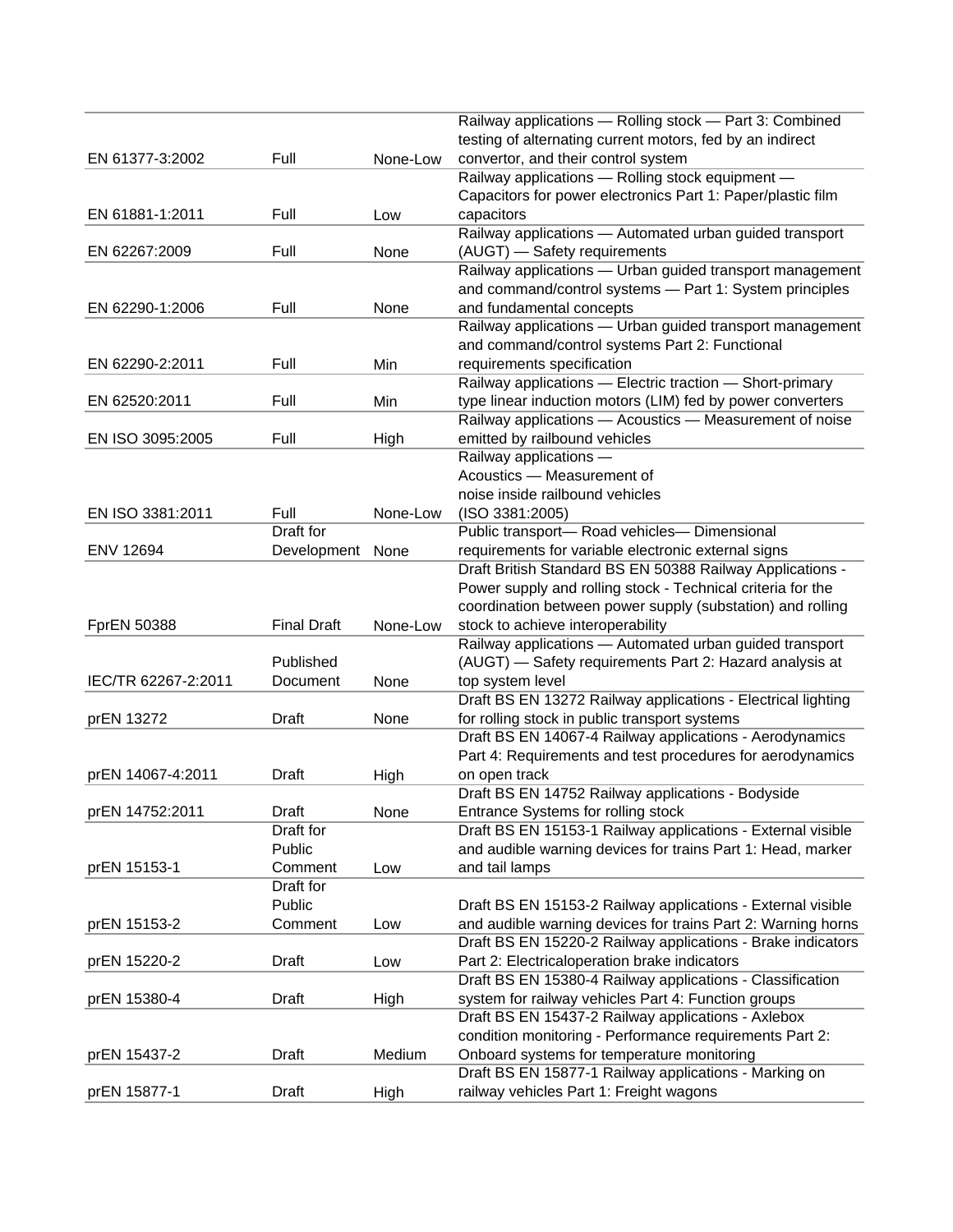|                     |                    |          | Railway applications - Rolling stock - Part 3: Combined      |
|---------------------|--------------------|----------|--------------------------------------------------------------|
|                     |                    |          | testing of alternating current motors, fed by an indirect    |
|                     |                    |          |                                                              |
| EN 61377-3:2002     | Full               | None-Low | convertor, and their control system                          |
|                     |                    |          | Railway applications - Rolling stock equipment -             |
|                     |                    |          | Capacitors for power electronics Part 1: Paper/plastic film  |
| EN 61881-1:2011     | Full               | Low      | capacitors                                                   |
|                     |                    |          | Railway applications - Automated urban guided transport      |
| EN 62267:2009       | Full               | None     | (AUGT) - Safety requirements                                 |
|                     |                    |          | Railway applications - Urban guided transport management     |
|                     |                    |          | and command/control systems - Part 1: System principles      |
| EN 62290-1:2006     | Full               | None     | and fundamental concepts                                     |
|                     |                    |          | Railway applications - Urban guided transport management     |
|                     |                    |          |                                                              |
|                     |                    |          | and command/control systems Part 2: Functional               |
| EN 62290-2:2011     | Full               | Min      | requirements specification                                   |
|                     |                    |          | Railway applications - Electric traction - Short-primary     |
| EN 62520:2011       | Full               | Min      | type linear induction motors (LIM) fed by power converters   |
|                     |                    |          | Railway applications - Acoustics - Measurement of noise      |
| EN ISO 3095:2005    | Full               | High     | emitted by railbound vehicles                                |
|                     |                    |          | Railway applications -                                       |
|                     |                    |          | Acoustics - Measurement of                                   |
|                     |                    |          | noise inside railbound vehicles                              |
| EN ISO 3381:2011    | Full               | None-Low | (ISO 3381:2005)                                              |
|                     | <b>Draft</b> for   |          | Public transport- Road vehicles- Dimensional                 |
|                     |                    |          |                                                              |
| <b>ENV 12694</b>    | Development        | None     | requirements for variable electronic external signs          |
|                     |                    |          | Draft British Standard BS EN 50388 Railway Applications -    |
|                     |                    |          | Power supply and rolling stock - Technical criteria for the  |
|                     |                    |          | coordination between power supply (substation) and rolling   |
| FprEN 50388         | <b>Final Draft</b> | None-Low | stock to achieve interoperability                            |
|                     |                    |          | Railway applications - Automated urban guided transport      |
|                     | Published          |          | (AUGT) — Safety requirements Part 2: Hazard analysis at      |
| IEC/TR 62267-2:2011 | Document           | None     | top system level                                             |
|                     |                    |          | Draft BS EN 13272 Railway applications - Electrical lighting |
| prEN 13272          | Draft              | None     | for rolling stock in public transport systems                |
|                     |                    |          | Draft BS EN 14067-4 Railway applications - Aerodynamics      |
|                     |                    |          | Part 4: Requirements and test procedures for aerodynamics    |
|                     |                    |          |                                                              |
| prEN 14067-4:2011   | Draft              | High     | on open track                                                |
|                     |                    |          | Draft BS EN 14752 Railway applications - Bodyside            |
| prEN 14752:2011     | Draft              | None     | Entrance Systems for rolling stock                           |
|                     | Draft for          |          | Draft BS EN 15153-1 Railway applications - External visible  |
|                     | Public             |          | and audible warning devices for trains Part 1: Head, marker  |
| prEN 15153-1        | Comment            | Low      | and tail lamps                                               |
|                     | <b>Draft</b> for   |          |                                                              |
|                     | Public             |          | Draft BS EN 15153-2 Railway applications - External visible  |
| prEN 15153-2        | Comment            | Low      | and audible warning devices for trains Part 2: Warning horns |
|                     |                    |          | Draft BS EN 15220-2 Railway applications - Brake indicators  |
|                     | Draft              |          | Part 2: Electricaloperation brake indicators                 |
| prEN 15220-2        |                    | Low      |                                                              |
|                     |                    |          | Draft BS EN 15380-4 Railway applications - Classification    |
| prEN 15380-4        | Draft              | High     | system for railway vehicles Part 4: Function groups          |
|                     |                    |          | Draft BS EN 15437-2 Railway applications - Axlebox           |
|                     |                    |          | condition monitoring - Performance requirements Part 2:      |
| prEN 15437-2        | Draft              | Medium   | Onboard systems for temperature monitoring                   |
|                     |                    |          | Draft BS EN 15877-1 Railway applications - Marking on        |
| prEN 15877-1        | Draft              | High     | railway vehicles Part 1: Freight wagons                      |
|                     |                    |          |                                                              |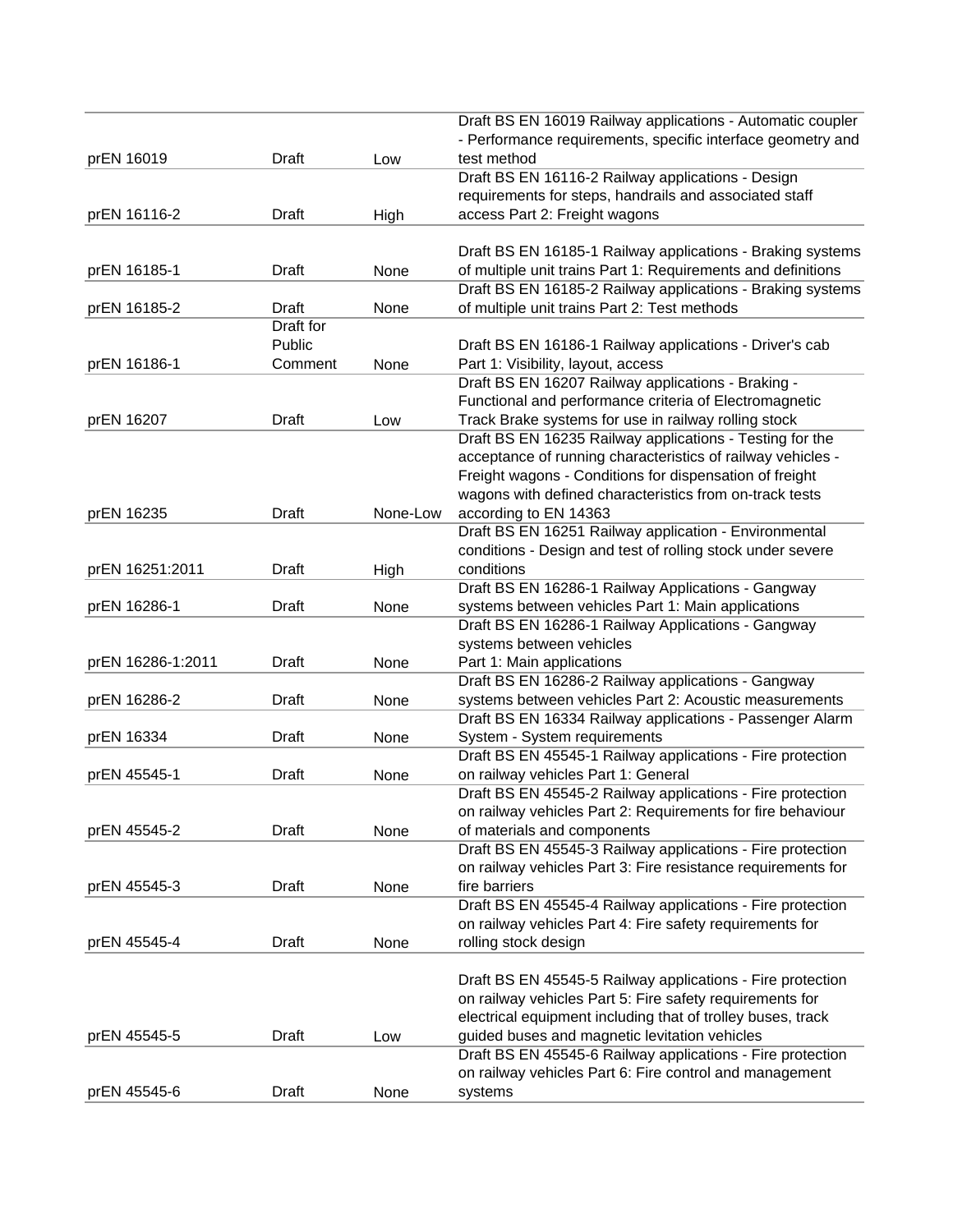|                   |              |          | Draft BS EN 16019 Railway applications - Automatic coupler                    |
|-------------------|--------------|----------|-------------------------------------------------------------------------------|
|                   |              |          | - Performance requirements, specific interface geometry and                   |
| prEN 16019        | Draft        | Low      | test method                                                                   |
|                   |              |          | Draft BS EN 16116-2 Railway applications - Design                             |
|                   |              |          | requirements for steps, handrails and associated staff                        |
| prEN 16116-2      | Draft        | High     | access Part 2: Freight wagons                                                 |
|                   |              |          | Draft BS EN 16185-1 Railway applications - Braking systems                    |
| prEN 16185-1      | Draft        | None     | of multiple unit trains Part 1: Requirements and definitions                  |
|                   |              |          | Draft BS EN 16185-2 Railway applications - Braking systems                    |
| prEN 16185-2      | Draft        | None     | of multiple unit trains Part 2: Test methods                                  |
|                   | Draft for    |          |                                                                               |
|                   | Public       |          | Draft BS EN 16186-1 Railway applications - Driver's cab                       |
| prEN 16186-1      | Comment      | None     | Part 1: Visibility, layout, access                                            |
|                   |              |          | Draft BS EN 16207 Railway applications - Braking -                            |
|                   |              |          | Functional and performance criteria of Electromagnetic                        |
| prEN 16207        | Draft        | Low      | Track Brake systems for use in railway rolling stock                          |
|                   |              |          | Draft BS EN 16235 Railway applications - Testing for the                      |
|                   |              |          | acceptance of running characteristics of railway vehicles -                   |
|                   |              |          | Freight wagons - Conditions for dispensation of freight                       |
|                   |              |          | wagons with defined characteristics from on-track tests                       |
| prEN 16235        | Draft        | None-Low | according to EN 14363                                                         |
|                   |              |          | Draft BS EN 16251 Railway application - Environmental                         |
|                   |              |          | conditions - Design and test of rolling stock under severe                    |
| prEN 16251:2011   | Draft        | High     | conditions                                                                    |
|                   |              |          | Draft BS EN 16286-1 Railway Applications - Gangway                            |
| prEN 16286-1      | Draft        | None     | systems between vehicles Part 1: Main applications                            |
|                   |              |          | Draft BS EN 16286-1 Railway Applications - Gangway                            |
|                   |              |          | systems between vehicles                                                      |
| prEN 16286-1:2011 | Draft        | None     | Part 1: Main applications                                                     |
|                   |              |          | Draft BS EN 16286-2 Railway applications - Gangway                            |
| prEN 16286-2      | Draft        | None     | systems between vehicles Part 2: Acoustic measurements                        |
|                   |              |          | Draft BS EN 16334 Railway applications - Passenger Alarm                      |
| prEN 16334        | Draft        | None     | System - System requirements                                                  |
|                   |              |          | Draft BS EN 45545-1 Railway applications - Fire protection                    |
| prEN 45545-1      | Draft        | None     | on railway vehicles Part 1: General                                           |
|                   |              |          | Draft BS EN 45545-2 Railway applications - Fire protection                    |
|                   |              |          | on railway vehicles Part 2: Requirements for fire behaviour                   |
| prEN 45545-2      | Draft        | None     | of materials and components                                                   |
|                   |              |          | Draft BS EN 45545-3 Railway applications - Fire protection                    |
|                   |              |          | on railway vehicles Part 3: Fire resistance requirements for<br>fire barriers |
| prEN 45545-3      | Draft        | None     | Draft BS EN 45545-4 Railway applications - Fire protection                    |
|                   |              |          | on railway vehicles Part 4: Fire safety requirements for                      |
| prEN 45545-4      | Draft        | None     | rolling stock design                                                          |
|                   |              |          |                                                                               |
|                   |              |          | Draft BS EN 45545-5 Railway applications - Fire protection                    |
|                   |              |          | on railway vehicles Part 5: Fire safety requirements for                      |
|                   |              |          | electrical equipment including that of trolley buses, track                   |
| prEN 45545-5      | Draft        | Low      | guided buses and magnetic levitation vehicles                                 |
|                   |              |          | Draft BS EN 45545-6 Railway applications - Fire protection                    |
|                   |              |          | on railway vehicles Part 6: Fire control and management                       |
| prEN 45545-6      | <b>Draft</b> | None     | systems                                                                       |
|                   |              |          |                                                                               |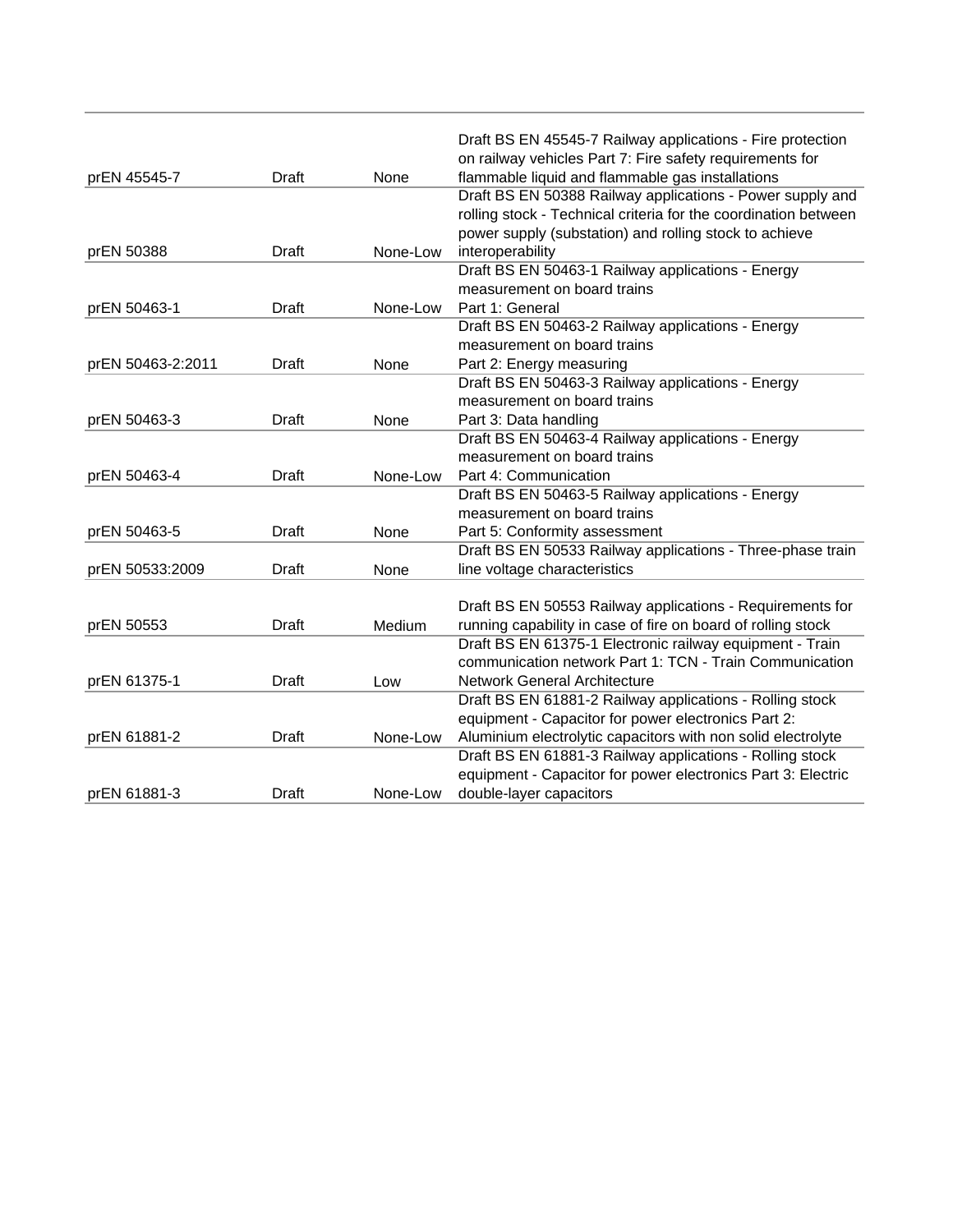|                   |              |          | Draft BS EN 45545-7 Railway applications - Fire protection      |
|-------------------|--------------|----------|-----------------------------------------------------------------|
|                   |              |          | on railway vehicles Part 7: Fire safety requirements for        |
| prEN 45545-7      | Draft        | None     | flammable liquid and flammable gas installations                |
|                   |              |          | Draft BS EN 50388 Railway applications - Power supply and       |
|                   |              |          | rolling stock - Technical criteria for the coordination between |
|                   |              |          | power supply (substation) and rolling stock to achieve          |
| prEN 50388        | Draft        | None-Low | interoperability                                                |
|                   |              |          | Draft BS EN 50463-1 Railway applications - Energy               |
|                   |              |          | measurement on board trains                                     |
| prEN 50463-1      | Draft        | None-Low | Part 1: General                                                 |
|                   |              |          | Draft BS EN 50463-2 Railway applications - Energy               |
|                   |              |          | measurement on board trains                                     |
| prEN 50463-2:2011 | Draft        | None     | Part 2: Energy measuring                                        |
|                   |              |          | Draft BS EN 50463-3 Railway applications - Energy               |
|                   |              |          | measurement on board trains                                     |
| prEN 50463-3      | <b>Draft</b> | None     | Part 3: Data handling                                           |
|                   |              |          | Draft BS EN 50463-4 Railway applications - Energy               |
|                   |              |          | measurement on board trains                                     |
| prEN 50463-4      | Draft        | None-Low | Part 4: Communication                                           |
|                   |              |          | Draft BS EN 50463-5 Railway applications - Energy               |
|                   |              |          | measurement on board trains                                     |
| prEN 50463-5      | <b>Draft</b> | None     | Part 5: Conformity assessment                                   |
|                   |              |          | Draft BS EN 50533 Railway applications - Three-phase train      |
| prEN 50533:2009   | Draft        | None     | line voltage characteristics                                    |
|                   |              |          |                                                                 |
|                   |              |          | Draft BS EN 50553 Railway applications - Requirements for       |
| prEN 50553        | Draft        | Medium   | running capability in case of fire on board of rolling stock    |
|                   |              |          | Draft BS EN 61375-1 Electronic railway equipment - Train        |
|                   |              |          | communication network Part 1: TCN - Train Communication         |
| prEN 61375-1      | Draft        | Low      | <b>Network General Architecture</b>                             |
|                   |              |          | Draft BS EN 61881-2 Railway applications - Rolling stock        |
|                   |              |          | equipment - Capacitor for power electronics Part 2:             |
| prEN 61881-2      | Draft        | None-Low | Aluminium electrolytic capacitors with non solid electrolyte    |
|                   |              |          | Draft BS EN 61881-3 Railway applications - Rolling stock        |
|                   |              |          | equipment - Capacitor for power electronics Part 3: Electric    |
| prEN 61881-3      | Draft        | None-Low | double-layer capacitors                                         |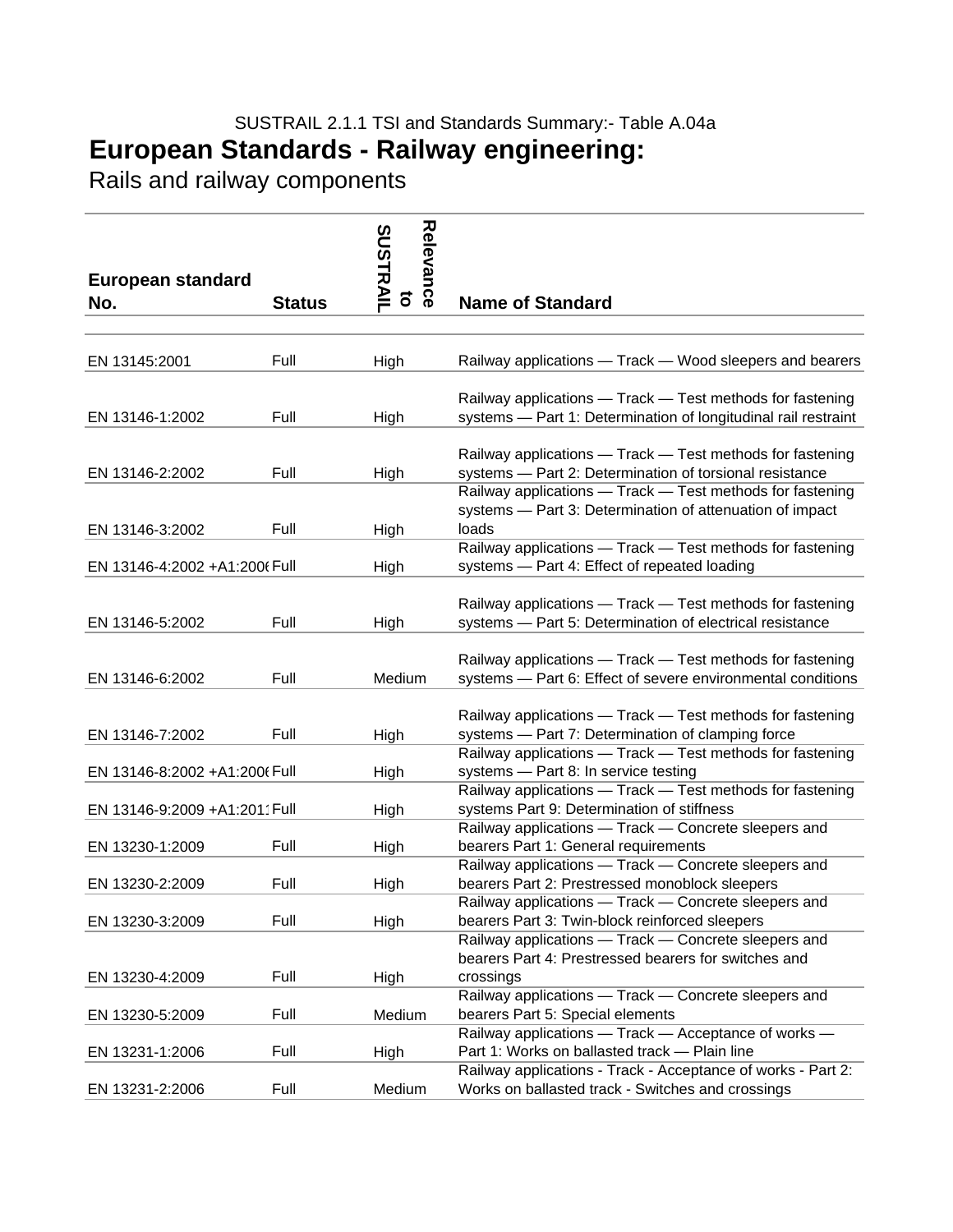## SUSTRAIL 2.1.1 TSI and Standards Summary:- Table A.04a **European Standards - Railway engineering:**

Rails and railway components

| European standard             |               | Relevance<br><b>SUSTRAIL</b> |                                                                                                                                                                |
|-------------------------------|---------------|------------------------------|----------------------------------------------------------------------------------------------------------------------------------------------------------------|
| No.                           | <b>Status</b> | ទី                           | <b>Name of Standard</b>                                                                                                                                        |
|                               |               |                              |                                                                                                                                                                |
| EN 13145:2001                 | Full          | High                         | Railway applications — Track — Wood sleepers and bearers                                                                                                       |
| EN 13146-1:2002               | Full          | High                         | Railway applications - Track - Test methods for fastening<br>systems - Part 1: Determination of longitudinal rail restraint                                    |
| EN 13146-2:2002               | Full          | High                         | Railway applications - Track - Test methods for fastening<br>systems - Part 2: Determination of torsional resistance                                           |
| EN 13146-3:2002               | Full          | High                         | Railway applications - Track - Test methods for fastening<br>systems - Part 3: Determination of attenuation of impact<br>loads                                 |
| EN 13146-4:2002 +A1:2006 Full |               | High                         | Railway applications - Track - Test methods for fastening<br>systems - Part 4: Effect of repeated loading                                                      |
| EN 13146-5:2002               | Full          | High                         | Railway applications - Track - Test methods for fastening<br>systems - Part 5: Determination of electrical resistance                                          |
| EN 13146-6:2002               | Full          | Medium                       | Railway applications - Track - Test methods for fastening<br>systems - Part 6: Effect of severe environmental conditions                                       |
| EN 13146-7:2002               | Full          | High                         | Railway applications - Track - Test methods for fastening<br>systems - Part 7: Determination of clamping force                                                 |
| EN 13146-8:2002 +A1:2006 Full |               | High                         | Railway applications - Track - Test methods for fastening<br>systems - Part 8: In service testing                                                              |
| EN 13146-9:2009 +A1:2011 Full |               | High                         | Railway applications - Track - Test methods for fastening<br>systems Part 9: Determination of stiffness                                                        |
| EN 13230-1:2009               | Full          | High                         | Railway applications - Track - Concrete sleepers and<br>bearers Part 1: General requirements                                                                   |
| EN 13230-2:2009               | Full          | High                         | Railway applications - Track - Concrete sleepers and<br>bearers Part 2: Prestressed monoblock sleepers                                                         |
| EN 13230-3:2009               | Full          | High                         | Railway applications - Track - Concrete sleepers and<br>bearers Part 3: Twin-block reinforced sleepers<br>Railway applications - Track - Concrete sleepers and |
| EN 13230-4:2009               | Full          | High                         | bearers Part 4: Prestressed bearers for switches and<br>crossings                                                                                              |
| EN 13230-5:2009               | Full          | Medium                       | Railway applications - Track - Concrete sleepers and<br>bearers Part 5: Special elements                                                                       |
| EN 13231-1:2006               | Full          | High                         | Railway applications - Track - Acceptance of works -<br>Part 1: Works on ballasted track - Plain line                                                          |
| EN 13231-2:2006               | Full          | Medium                       | Railway applications - Track - Acceptance of works - Part 2:<br>Works on ballasted track - Switches and crossings                                              |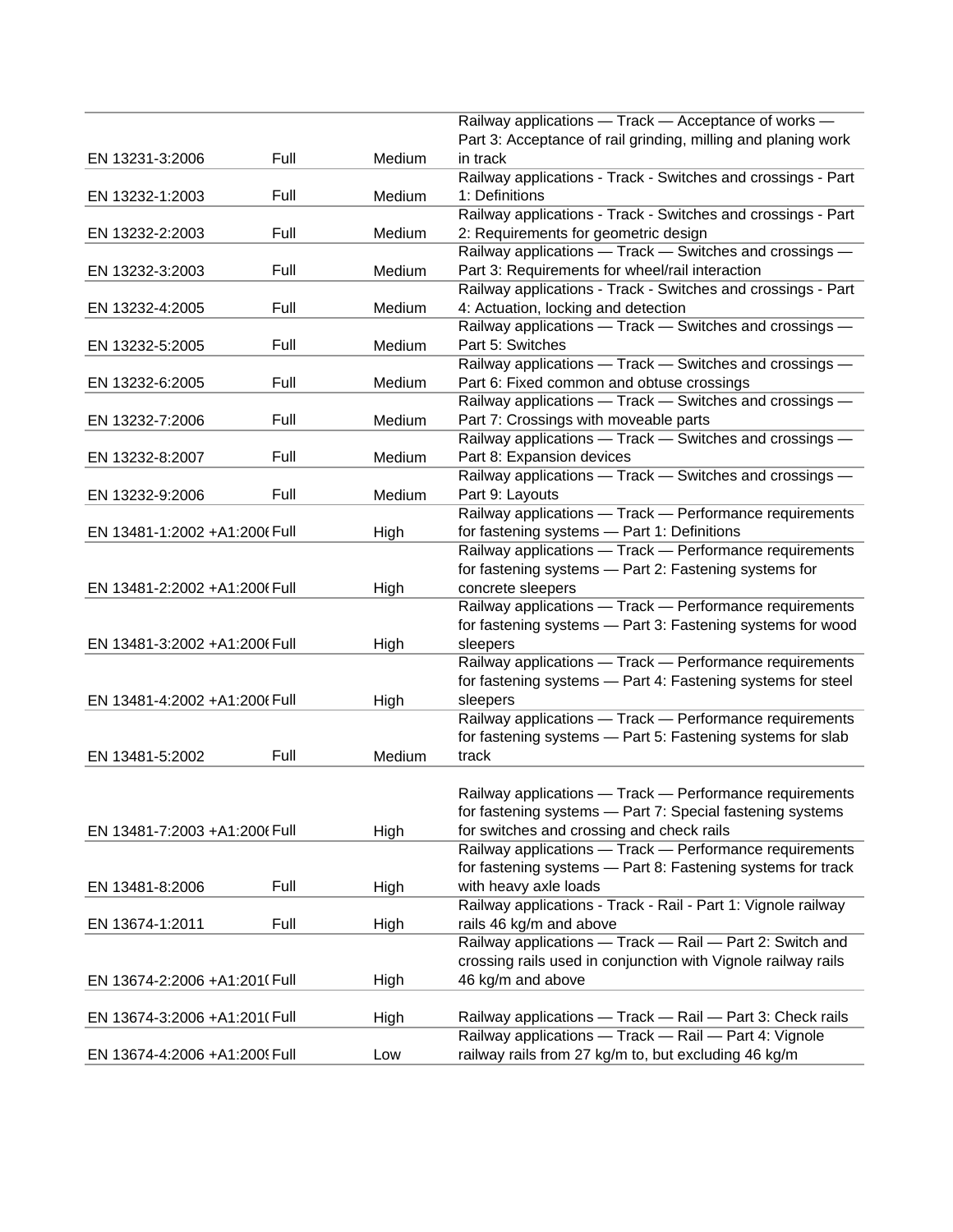|                               |      |        | Railway applications - Track - Acceptance of works -          |
|-------------------------------|------|--------|---------------------------------------------------------------|
|                               |      |        | Part 3: Acceptance of rail grinding, milling and planing work |
| EN 13231-3:2006               | Full | Medium | in track                                                      |
|                               |      |        | Railway applications - Track - Switches and crossings - Part  |
| EN 13232-1:2003               | Full | Medium | 1: Definitions                                                |
|                               |      |        | Railway applications - Track - Switches and crossings - Part  |
| EN 13232-2:2003               | Full | Medium | 2: Requirements for geometric design                          |
|                               |      |        | Railway applications - Track - Switches and crossings -       |
| EN 13232-3:2003               | Full | Medium | Part 3: Requirements for wheel/rail interaction               |
|                               |      |        | Railway applications - Track - Switches and crossings - Part  |
| EN 13232-4:2005               | Full | Medium | 4: Actuation, locking and detection                           |
|                               |      |        | Railway applications - Track - Switches and crossings -       |
| EN 13232-5:2005               | Full | Medium | Part 5: Switches                                              |
|                               |      |        | Railway applications - Track - Switches and crossings -       |
| EN 13232-6:2005               | Full | Medium | Part 6: Fixed common and obtuse crossings                     |
|                               |      |        | Railway applications - Track - Switches and crossings -       |
| EN 13232-7:2006               | Full | Medium | Part 7: Crossings with moveable parts                         |
|                               |      |        | Railway applications - Track - Switches and crossings -       |
| EN 13232-8:2007               | Full | Medium | Part 8: Expansion devices                                     |
|                               |      |        | Railway applications - Track - Switches and crossings -       |
| EN 13232-9:2006               | Full | Medium | Part 9: Layouts                                               |
|                               |      |        | Railway applications - Track - Performance requirements       |
| EN 13481-1:2002 +A1:200(Full  |      | High   | for fastening systems - Part 1: Definitions                   |
|                               |      |        | Railway applications - Track - Performance requirements       |
|                               |      |        | for fastening systems - Part 2: Fastening systems for         |
| EN 13481-2:2002 +A1:200(Full  |      | High   | concrete sleepers                                             |
|                               |      |        | Railway applications - Track - Performance requirements       |
|                               |      |        | for fastening systems - Part 3: Fastening systems for wood    |
| EN 13481-3:2002 +A1:200(Full  |      | High   | sleepers                                                      |
|                               |      |        | Railway applications - Track - Performance requirements       |
|                               |      |        | for fastening systems - Part 4: Fastening systems for steel   |
| EN 13481-4:2002 +A1:200(Full  |      | High   | sleepers                                                      |
|                               |      |        | Railway applications - Track - Performance requirements       |
|                               |      |        | for fastening systems - Part 5: Fastening systems for slab    |
| EN 13481-5:2002               | Full | Medium | track                                                         |
|                               |      |        |                                                               |
|                               |      |        | Railway applications - Track - Performance requirements       |
|                               |      |        | for fastening systems — Part 7: Special fastening systems     |
| EN 13481-7:2003 +A1:2006 Full |      | High   | for switches and crossing and check rails                     |
|                               |      |        | Railway applications - Track - Performance requirements       |
|                               |      |        | for fastening systems - Part 8: Fastening systems for track   |
| EN 13481-8:2006               | Full | High   | with heavy axle loads                                         |
|                               |      |        | Railway applications - Track - Rail - Part 1: Vignole railway |
| EN 13674-1:2011               | Full | High   | rails 46 kg/m and above                                       |
|                               |      |        | Railway applications - Track - Rail - Part 2: Switch and      |
|                               |      |        | crossing rails used in conjunction with Vignole railway rails |
|                               |      |        | 46 kg/m and above                                             |
| EN 13674-2:2006 +A1:201(Full  |      | High   |                                                               |
|                               |      |        |                                                               |
| EN 13674-3:2006 +A1:201(Full  |      | High   | Railway applications - Track - Rail - Part 3: Check rails     |
|                               |      |        | Railway applications - Track - Rail - Part 4: Vignole         |
| EN 13674-4:2006 +A1:2009 Full |      | Low    | railway rails from 27 kg/m to, but excluding 46 kg/m          |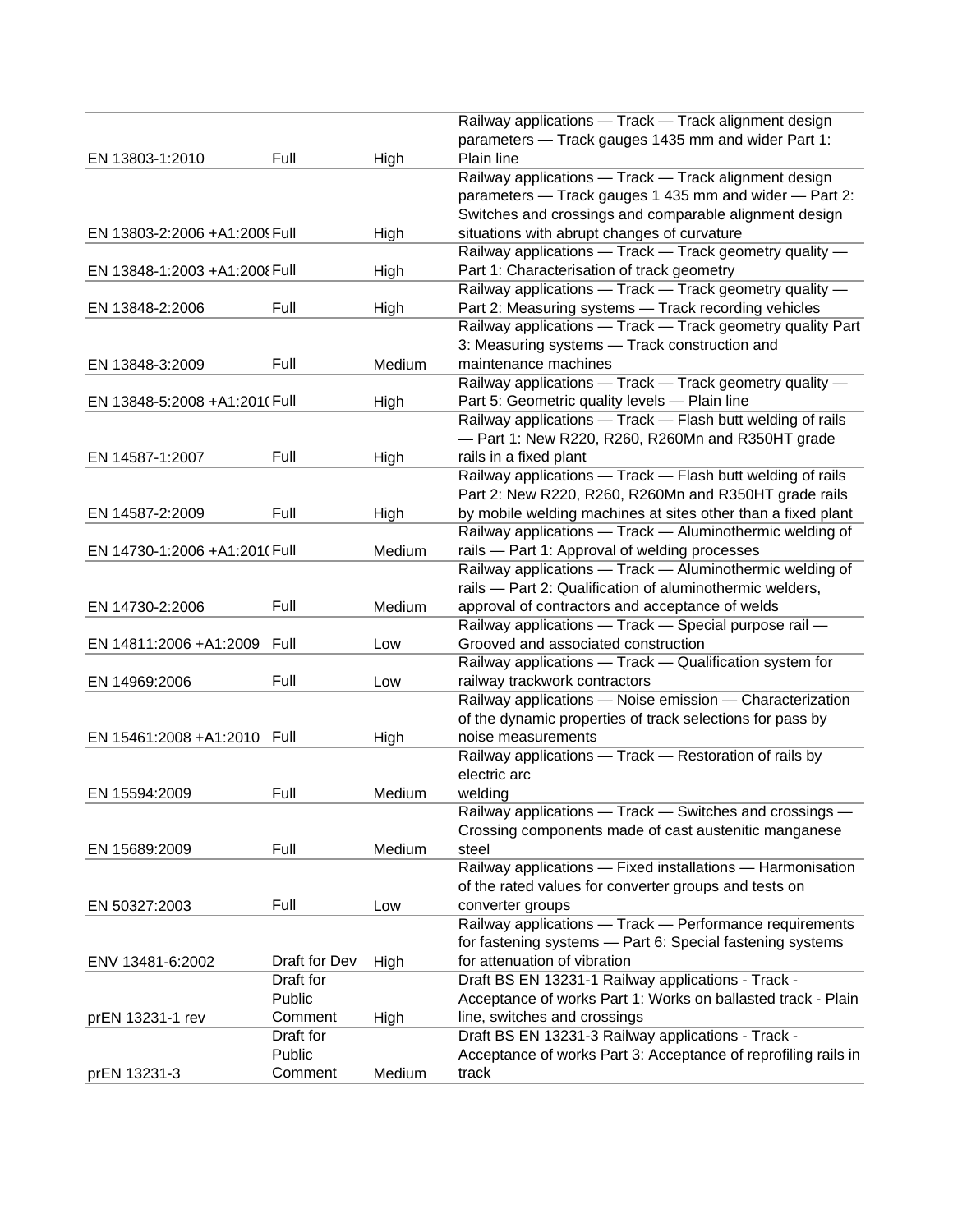|                               |                      |        | Railway applications - Track - Track alignment design                              |
|-------------------------------|----------------------|--------|------------------------------------------------------------------------------------|
|                               |                      |        | parameters - Track gauges 1435 mm and wider Part 1:                                |
| EN 13803-1:2010               | Full                 | High   | Plain line                                                                         |
|                               |                      |        | Railway applications - Track - Track alignment design                              |
|                               |                      |        | parameters - Track gauges 1 435 mm and wider - Part 2:                             |
|                               |                      |        | Switches and crossings and comparable alignment design                             |
| EN 13803-2:2006 +A1:2009 Full |                      | High   | situations with abrupt changes of curvature                                        |
|                               |                      |        | Railway applications - Track - Track geometry quality -                            |
| EN 13848-1:2003 +A1:2008 Full |                      | High   | Part 1: Characterisation of track geometry                                         |
|                               |                      |        | Railway applications - Track - Track geometry quality -                            |
| EN 13848-2:2006               | Full                 | High   | Part 2: Measuring systems - Track recording vehicles                               |
|                               |                      |        | Railway applications - Track - Track geometry quality Part                         |
|                               |                      |        | 3: Measuring systems - Track construction and                                      |
| EN 13848-3:2009               | Full                 | Medium | maintenance machines                                                               |
|                               |                      |        | Railway applications - Track - Track geometry quality -                            |
|                               |                      |        |                                                                                    |
| EN 13848-5:2008 +A1:201(Full  |                      | High   | Part 5: Geometric quality levels - Plain line                                      |
|                               |                      |        | Railway applications - Track - Flash butt welding of rails                         |
|                               |                      |        | - Part 1: New R220, R260, R260Mn and R350HT grade                                  |
| EN 14587-1:2007               | Full                 | High   | rails in a fixed plant                                                             |
|                               |                      |        | Railway applications - Track - Flash butt welding of rails                         |
|                               |                      |        | Part 2: New R220, R260, R260Mn and R350HT grade rails                              |
| EN 14587-2:2009               | Full                 | High   | by mobile welding machines at sites other than a fixed plant                       |
|                               |                      |        | Railway applications - Track - Aluminothermic welding of                           |
| EN 14730-1:2006 +A1:201(Full  |                      | Medium | rails - Part 1: Approval of welding processes                                      |
|                               |                      |        | Railway applications - Track - Aluminothermic welding of                           |
|                               |                      |        | rails - Part 2: Qualification of aluminothermic welders,                           |
| EN 14730-2:2006               | Full                 | Medium | approval of contractors and acceptance of welds                                    |
|                               |                      |        | Railway applications - Track - Special purpose rail -                              |
| EN 14811:2006 +A1:2009        | Full                 | Low    | Grooved and associated construction                                                |
|                               |                      |        | Railway applications - Track - Qualification system for                            |
| EN 14969:2006                 | Full                 | Low    | railway trackwork contractors                                                      |
|                               |                      |        | Railway applications - Noise emission - Characterization                           |
|                               |                      |        | of the dynamic properties of track selections for pass by                          |
| EN 15461:2008 +A1:2010 Full   |                      | High   | noise measurements                                                                 |
|                               |                      |        | Railway applications - Track - Restoration of rails by                             |
|                               |                      |        | electric arc                                                                       |
| EN 15594:2009                 | Full                 | Medium | welding                                                                            |
|                               |                      |        | Railway applications - Track - Switches and crossings -                            |
|                               |                      |        | Crossing components made of cast austenitic manganese                              |
| EN 15689:2009                 | Full                 | Medium | steel                                                                              |
|                               |                      |        | Railway applications - Fixed installations - Harmonisation                         |
|                               |                      |        | of the rated values for converter groups and tests on                              |
| EN 50327:2003                 | Full                 | Low    | converter groups                                                                   |
|                               |                      |        | Railway applications - Track - Performance requirements                            |
|                               |                      |        | for fastening systems - Part 6: Special fastening systems                          |
| ENV 13481-6:2002              | Draft for Dev        | High   | for attenuation of vibration                                                       |
|                               | Draft for            |        | Draft BS EN 13231-1 Railway applications - Track -                                 |
|                               | Public               |        | Acceptance of works Part 1: Works on ballasted track - Plain                       |
|                               |                      |        |                                                                                    |
| prEN 13231-1 rev              | Comment<br>Draft for | High   | line, switches and crossings<br>Draft BS EN 13231-3 Railway applications - Track - |
|                               |                      |        |                                                                                    |
|                               | Public               |        | Acceptance of works Part 3: Acceptance of reprofiling rails in                     |
| prEN 13231-3                  | Comment              | Medium | track                                                                              |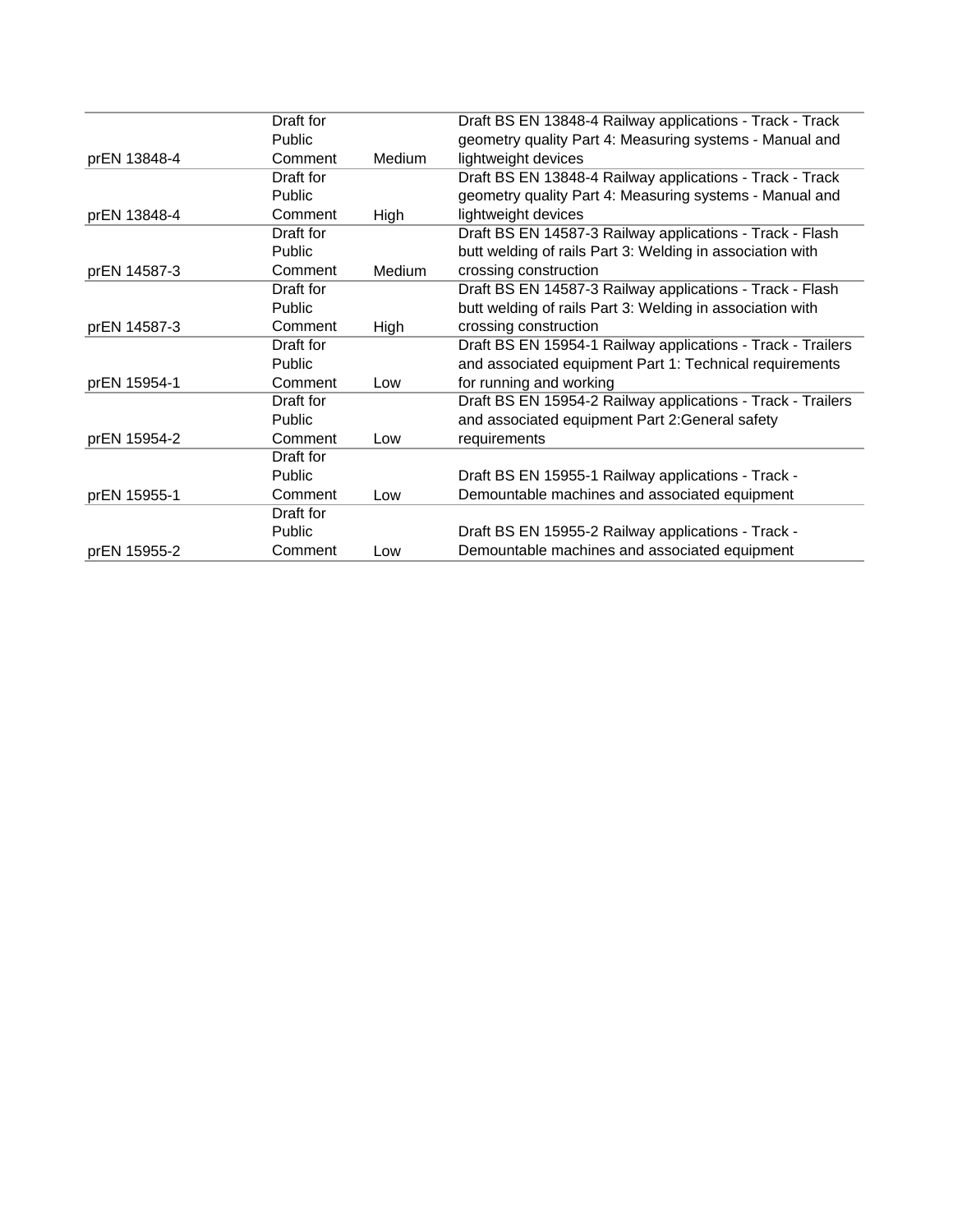|              | Draft for     |               | Draft BS EN 13848-4 Railway applications - Track - Track    |
|--------------|---------------|---------------|-------------------------------------------------------------|
|              | Public        |               | geometry quality Part 4: Measuring systems - Manual and     |
| prEN 13848-4 | Comment       | Medium        | lightweight devices                                         |
|              | Draft for     |               | Draft BS EN 13848-4 Railway applications - Track - Track    |
|              | Public        |               | geometry quality Part 4: Measuring systems - Manual and     |
| prEN 13848-4 | Comment       | High          | lightweight devices                                         |
|              | Draft for     |               | Draft BS EN 14587-3 Railway applications - Track - Flash    |
|              | Public        |               | butt welding of rails Part 3: Welding in association with   |
| prEN 14587-3 | Comment       | <b>Medium</b> | crossing construction                                       |
|              | Draft for     |               | Draft BS EN 14587-3 Railway applications - Track - Flash    |
|              | Public        |               | butt welding of rails Part 3: Welding in association with   |
| prEN 14587-3 | Comment       | High          | crossing construction                                       |
|              | Draft for     |               | Draft BS EN 15954-1 Railway applications - Track - Trailers |
|              | <b>Public</b> |               | and associated equipment Part 1: Technical requirements     |
| prEN 15954-1 | Comment       | Low           | for running and working                                     |
|              | Draft for     |               | Draft BS EN 15954-2 Railway applications - Track - Trailers |
|              | Public        |               | and associated equipment Part 2: General safety             |
| prEN 15954-2 | Comment       | Low           | requirements                                                |
|              | Draft for     |               |                                                             |
|              | Public        |               | Draft BS EN 15955-1 Railway applications - Track -          |
| prEN 15955-1 | Comment       | Low           | Demountable machines and associated equipment               |
|              | Draft for     |               |                                                             |
|              | Public        |               | Draft BS EN 15955-2 Railway applications - Track -          |
| prEN 15955-2 | Comment       | Low           | Demountable machines and associated equipment               |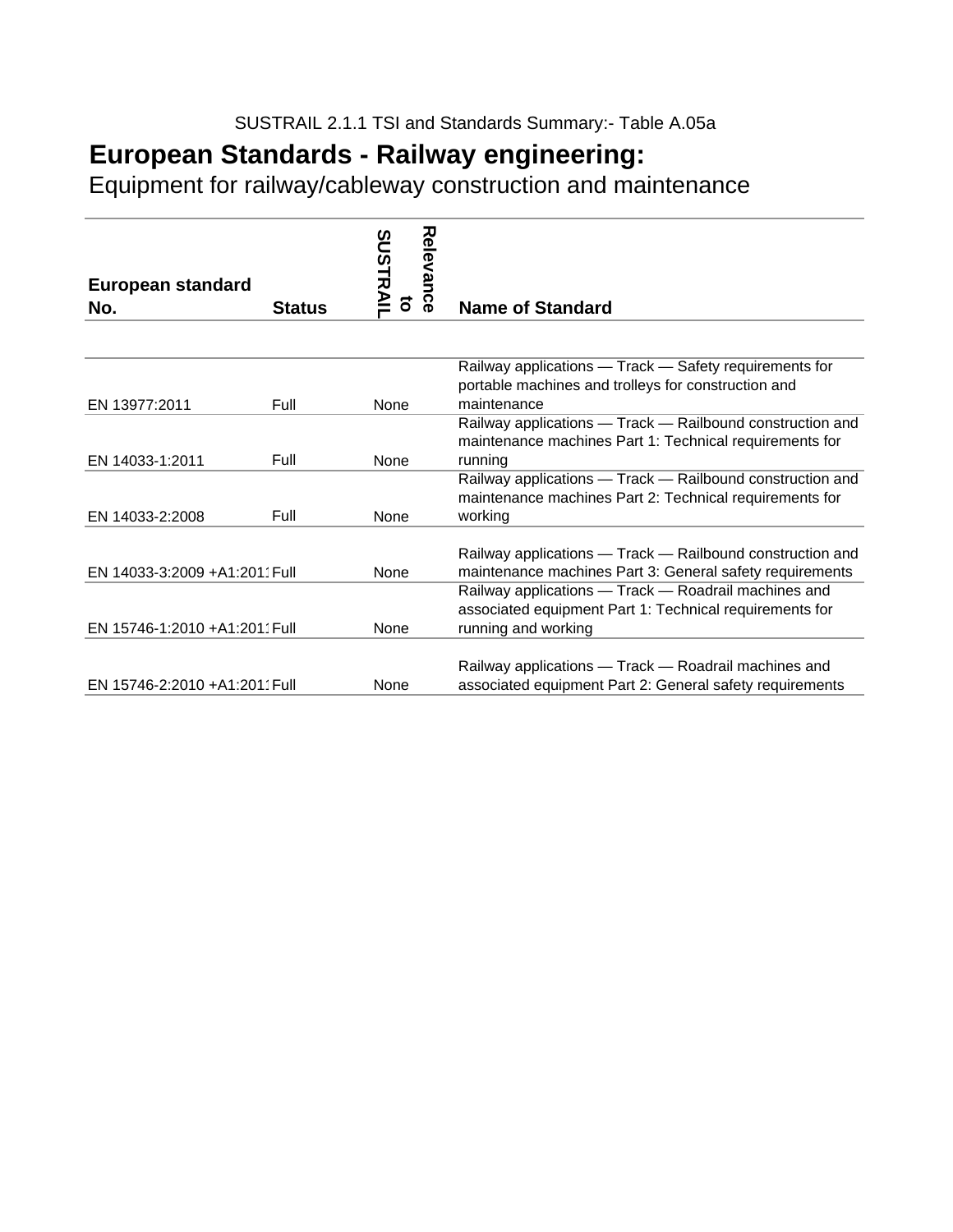Equipment for railway/cableway construction and maintenance

| European standard             |               | Relevance<br><b>SUSTRAII</b> |                                                           |
|-------------------------------|---------------|------------------------------|-----------------------------------------------------------|
| No.                           | <b>Status</b> | T                            | <b>Name of Standard</b>                                   |
|                               |               |                              |                                                           |
|                               |               |                              | Railway applications - Track - Safety requirements for    |
|                               |               |                              | portable machines and trolleys for construction and       |
| EN 13977:2011                 | Full          | None                         | maintenance                                               |
|                               |               |                              | Railway applications - Track - Railbound construction and |
|                               |               |                              | maintenance machines Part 1: Technical requirements for   |
| EN 14033-1:2011               | Full          | None                         | running                                                   |
|                               |               |                              | Railway applications - Track - Railbound construction and |
|                               |               |                              | maintenance machines Part 2: Technical requirements for   |
| EN 14033-2:2008               | Full          | None                         | working                                                   |
|                               |               |                              |                                                           |
|                               |               |                              | Railway applications - Track - Railbound construction and |
| EN 14033-3:2009 +A1:2011 Full |               | None                         | maintenance machines Part 3: General safety requirements  |
|                               |               |                              | Railway applications - Track - Roadrail machines and      |
|                               |               |                              | associated equipment Part 1: Technical requirements for   |
| EN 15746-1:2010 +A1:2011 Full |               | None                         | running and working                                       |
|                               |               |                              |                                                           |
|                               |               |                              | Railway applications - Track - Roadrail machines and      |
| EN 15746-2:2010 +A1:2011 Full |               | <b>None</b>                  | associated equipment Part 2: General safety requirements  |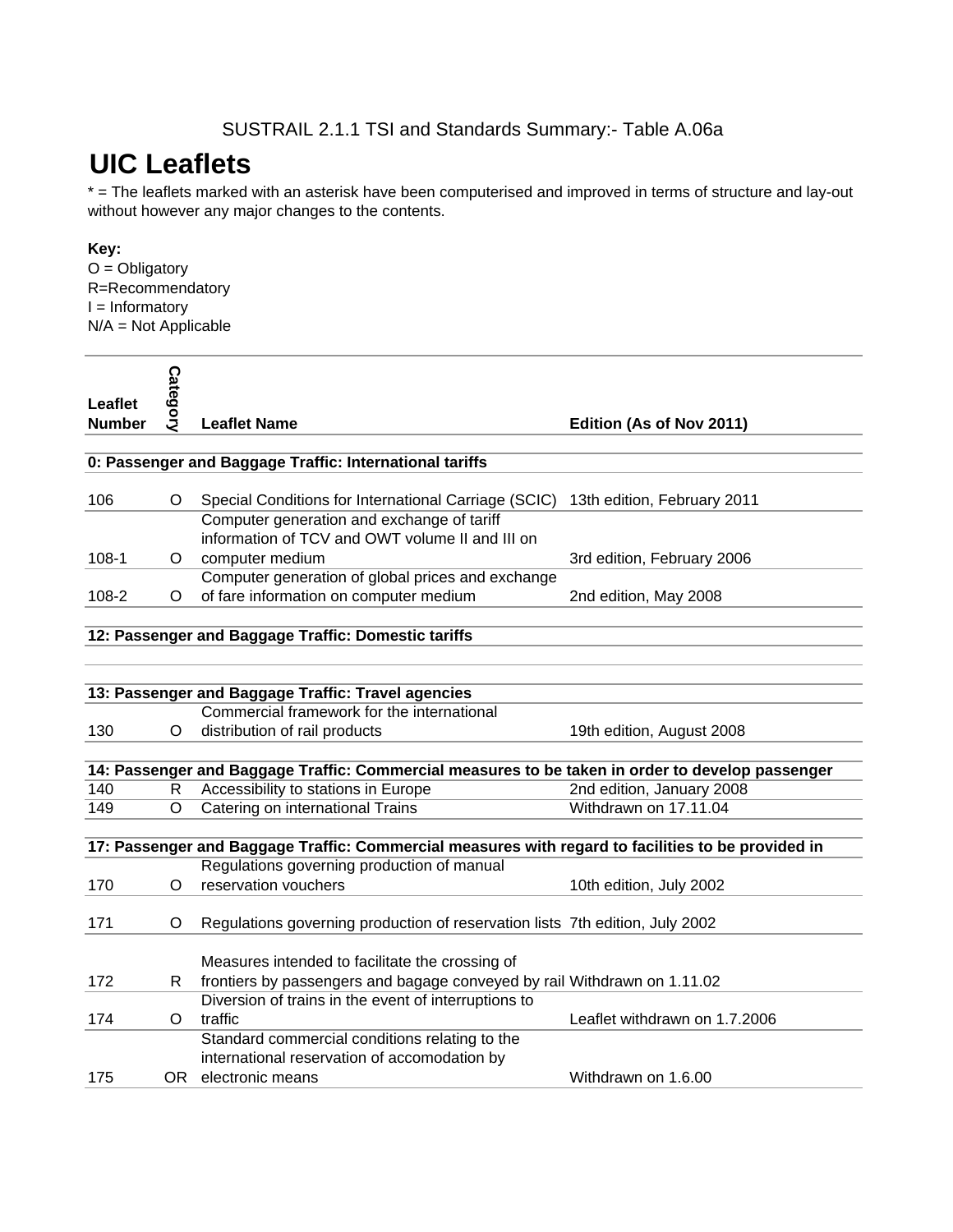#### SUSTRAIL 2.1.1 TSI and Standards Summary:- Table A.06a

# **UIC Leaflets**

\* = The leaflets marked with an asterisk have been computerised and improved in terms of structure and lay-out without however any major changes to the contents.

#### **Key:**

 $O = *Obligatory*$ R=Recommendatory I = Informatory  $N/A = Not$  Applicable

| Leaflet<br><b>Number</b> | <b>Category</b> | <b>Leaflet Name</b>                                                                                | Edition (As of Nov 2011)      |
|--------------------------|-----------------|----------------------------------------------------------------------------------------------------|-------------------------------|
|                          |                 |                                                                                                    |                               |
|                          |                 | 0: Passenger and Baggage Traffic: International tariffs                                            |                               |
|                          |                 |                                                                                                    |                               |
| 106                      | O               | Special Conditions for International Carriage (SCIC)                                               | 13th edition, February 2011   |
|                          |                 | Computer generation and exchange of tariff                                                         |                               |
|                          |                 | information of TCV and OWT volume II and III on                                                    |                               |
| $108 - 1$                | O               | computer medium                                                                                    | 3rd edition, February 2006    |
|                          |                 | Computer generation of global prices and exchange                                                  |                               |
| 108-2                    | O               | of fare information on computer medium                                                             | 2nd edition, May 2008         |
|                          |                 |                                                                                                    |                               |
|                          |                 | 12: Passenger and Baggage Traffic: Domestic tariffs                                                |                               |
|                          |                 |                                                                                                    |                               |
|                          |                 |                                                                                                    |                               |
|                          |                 | 13: Passenger and Baggage Traffic: Travel agencies<br>Commercial framework for the international   |                               |
| 130                      | O               | distribution of rail products                                                                      | 19th edition, August 2008     |
|                          |                 |                                                                                                    |                               |
|                          |                 | 14: Passenger and Baggage Traffic: Commercial measures to be taken in order to develop passenger   |                               |
| 140                      | R               | Accessibility to stations in Europe                                                                | 2nd edition, January 2008     |
| 149                      | O               | Catering on international Trains                                                                   | Withdrawn on 17.11.04         |
|                          |                 |                                                                                                    |                               |
|                          |                 | 17: Passenger and Baggage Traffic: Commercial measures with regard to facilities to be provided in |                               |
|                          |                 | Regulations governing production of manual                                                         |                               |
| 170                      | O               | reservation vouchers                                                                               | 10th edition, July 2002       |
|                          |                 |                                                                                                    |                               |
| 171                      | O               | Regulations governing production of reservation lists 7th edition, July 2002                       |                               |
|                          |                 |                                                                                                    |                               |
|                          |                 | Measures intended to facilitate the crossing of                                                    |                               |
| 172                      | R               | frontiers by passengers and bagage conveyed by rail Withdrawn on 1.11.02                           |                               |
|                          |                 | Diversion of trains in the event of interruptions to                                               |                               |
| 174                      | O               | traffic                                                                                            | Leaflet withdrawn on 1.7.2006 |
|                          |                 | Standard commercial conditions relating to the                                                     |                               |
|                          |                 | international reservation of accomodation by                                                       |                               |
| 175                      |                 | OR electronic means                                                                                | Withdrawn on 1.6.00           |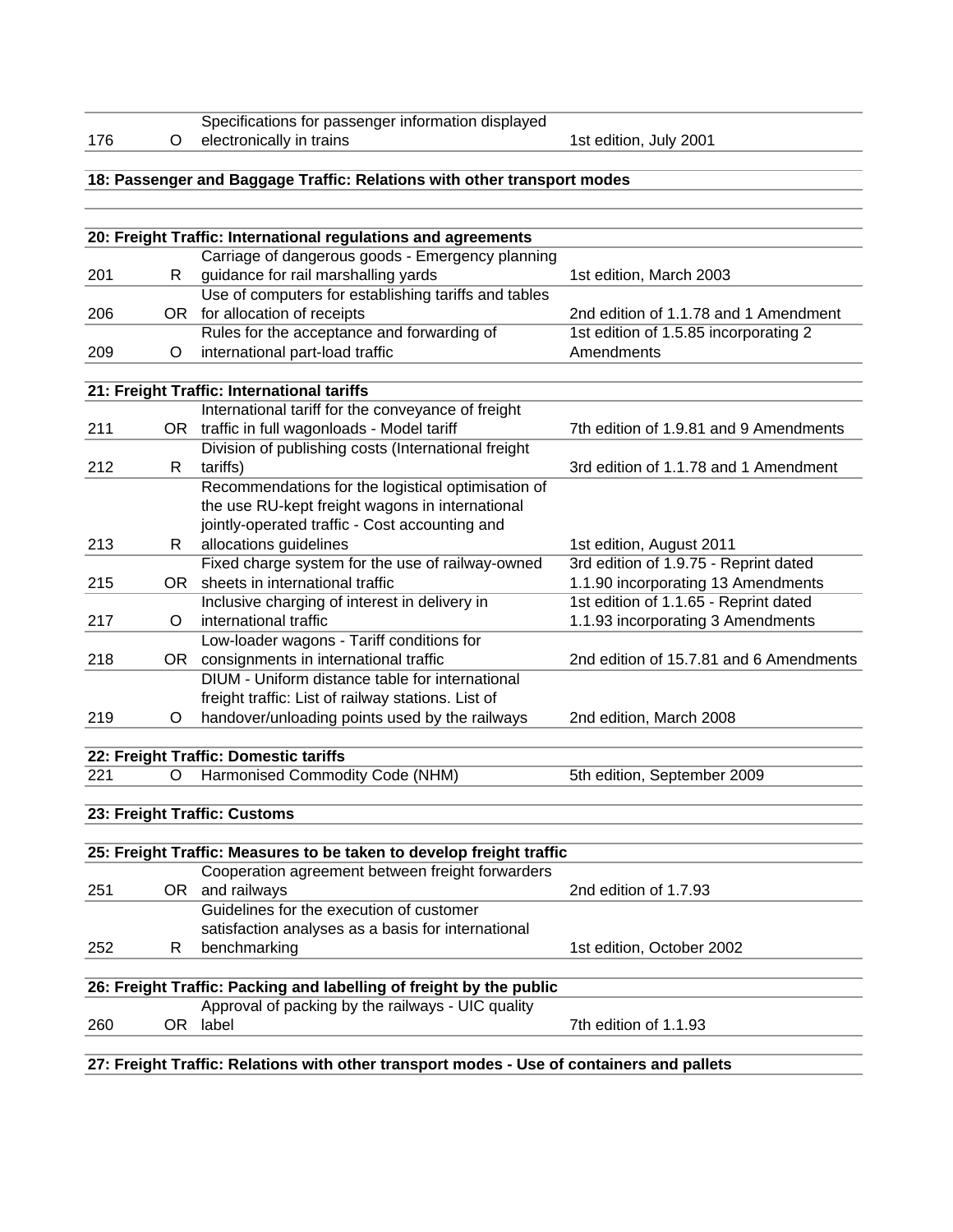|     |     | Specifications for passenger information displayed                                        |                                         |
|-----|-----|-------------------------------------------------------------------------------------------|-----------------------------------------|
| 176 | O   | electronically in trains                                                                  | 1st edition, July 2001                  |
|     |     |                                                                                           |                                         |
|     |     | 18: Passenger and Baggage Traffic: Relations with other transport modes                   |                                         |
|     |     |                                                                                           |                                         |
|     |     |                                                                                           |                                         |
|     |     | 20: Freight Traffic: International regulations and agreements                             |                                         |
|     |     | Carriage of dangerous goods - Emergency planning                                          |                                         |
| 201 | R   | guidance for rail marshalling yards                                                       | 1st edition, March 2003                 |
|     |     | Use of computers for establishing tariffs and tables                                      |                                         |
| 206 |     | OR for allocation of receipts                                                             | 2nd edition of 1.1.78 and 1 Amendment   |
|     |     | Rules for the acceptance and forwarding of                                                | 1st edition of 1.5.85 incorporating 2   |
| 209 | O   | international part-load traffic                                                           | Amendments                              |
|     |     |                                                                                           |                                         |
|     |     | 21: Freight Traffic: International tariffs                                                |                                         |
|     |     | International tariff for the conveyance of freight                                        |                                         |
| 211 |     | OR traffic in full wagonloads - Model tariff                                              | 7th edition of 1.9.81 and 9 Amendments  |
|     |     | Division of publishing costs (International freight                                       |                                         |
| 212 | R   | tariffs)                                                                                  | 3rd edition of 1.1.78 and 1 Amendment   |
|     |     | Recommendations for the logistical optimisation of                                        |                                         |
|     |     | the use RU-kept freight wagons in international                                           |                                         |
|     |     | jointly-operated traffic - Cost accounting and                                            |                                         |
| 213 | R.  | allocations guidelines                                                                    | 1st edition, August 2011                |
|     |     | Fixed charge system for the use of railway-owned                                          | 3rd edition of 1.9.75 - Reprint dated   |
| 215 | 0R  | sheets in international traffic                                                           | 1.1.90 incorporating 13 Amendments      |
|     |     | Inclusive charging of interest in delivery in                                             | 1st edition of 1.1.65 - Reprint dated   |
| 217 | O   | international traffic                                                                     | 1.1.93 incorporating 3 Amendments       |
|     |     | Low-loader wagons - Tariff conditions for                                                 |                                         |
| 218 | OR. | consignments in international traffic                                                     | 2nd edition of 15.7.81 and 6 Amendments |
|     |     | DIUM - Uniform distance table for international                                           |                                         |
|     |     | freight traffic: List of railway stations. List of                                        |                                         |
| 219 | O   | handover/unloading points used by the railways                                            | 2nd edition, March 2008                 |
|     |     |                                                                                           |                                         |
|     |     | 22: Freight Traffic: Domestic tariffs                                                     |                                         |
| 221 | O   | Harmonised Commodity Code (NHM)                                                           | 5th edition, September 2009             |
|     |     |                                                                                           |                                         |
|     |     | 23: Freight Traffic: Customs                                                              |                                         |
|     |     |                                                                                           |                                         |
|     |     | 25: Freight Traffic: Measures to be taken to develop freight traffic                      |                                         |
|     |     | Cooperation agreement between freight forwarders                                          |                                         |
| 251 |     | OR and railways                                                                           | 2nd edition of 1.7.93                   |
|     |     | Guidelines for the execution of customer                                                  |                                         |
|     |     | satisfaction analyses as a basis for international                                        |                                         |
| 252 | R   | benchmarking                                                                              | 1st edition, October 2002               |
|     |     |                                                                                           |                                         |
|     |     | 26: Freight Traffic: Packing and labelling of freight by the public                       |                                         |
|     |     | Approval of packing by the railways - UIC quality                                         |                                         |
| 260 | OR. | label                                                                                     | 7th edition of 1.1.93                   |
|     |     |                                                                                           |                                         |
|     |     | 27: Freight Traffic: Relations with other transport modes - Use of containers and pallets |                                         |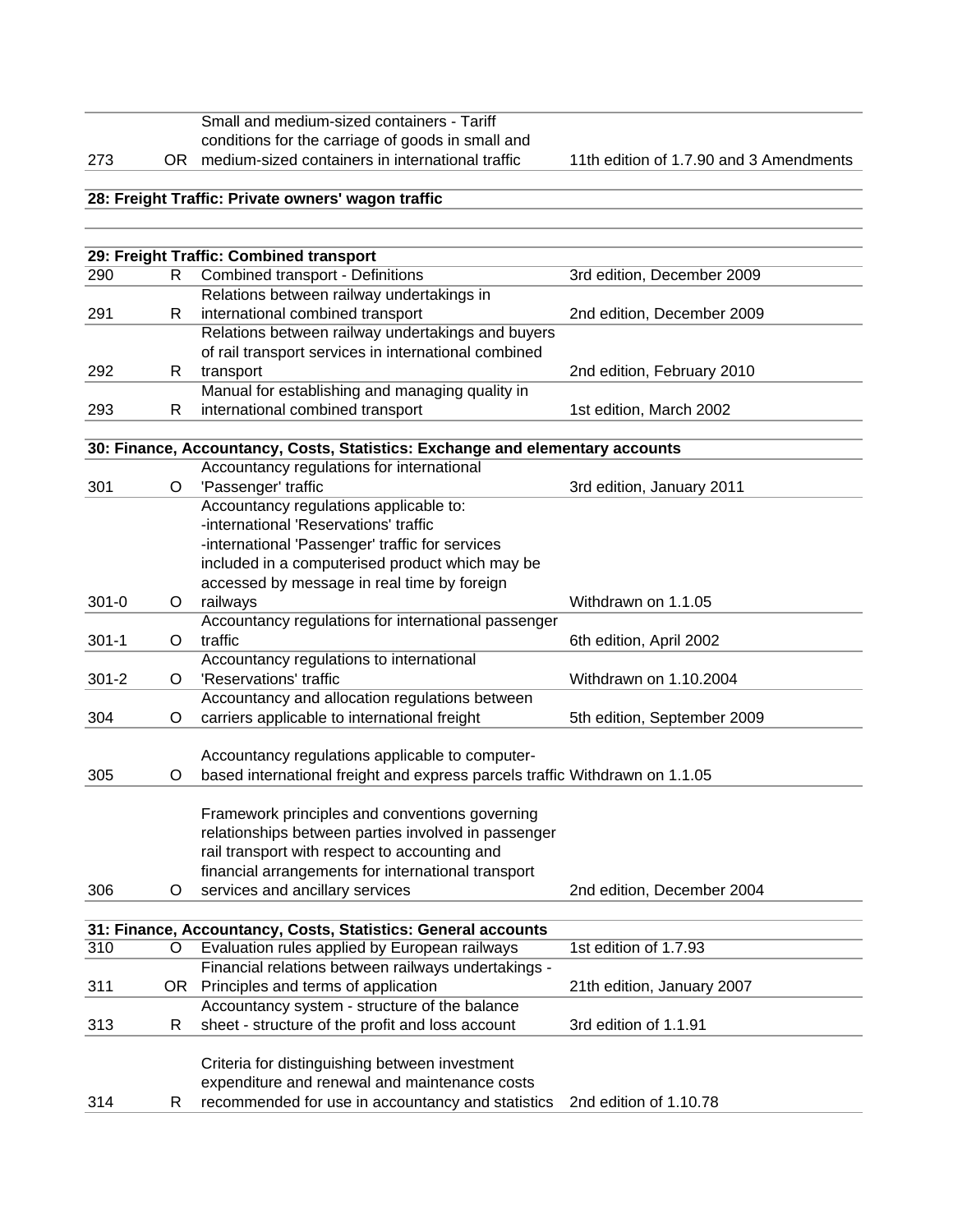|     | Small and medium-sized containers - Tariff          |
|-----|-----------------------------------------------------|
|     | conditions for the carriage of goods in small and   |
| 273 | OR medium-sized containers in international traffic |

11th edition of 1.7.90 and 3 Amendments

#### **28: Freight Traffic: Private owners' wagon traffic**

|           |    | 29: Freight Traffic: Combined transport                                       |                             |
|-----------|----|-------------------------------------------------------------------------------|-----------------------------|
| 290       | R. | Combined transport - Definitions                                              | 3rd edition, December 2009  |
|           |    | Relations between railway undertakings in                                     |                             |
| 291       | R  | international combined transport                                              | 2nd edition, December 2009  |
|           |    | Relations between railway undertakings and buyers                             |                             |
|           |    | of rail transport services in international combined                          |                             |
| 292       | R. | transport                                                                     | 2nd edition, February 2010  |
|           |    | Manual for establishing and managing quality in                               |                             |
| 293       | R  | international combined transport                                              | 1st edition, March 2002     |
|           |    |                                                                               |                             |
|           |    | 30: Finance, Accountancy, Costs, Statistics: Exchange and elementary accounts |                             |
|           |    | Accountancy regulations for international                                     |                             |
| 301       | O  | 'Passenger' traffic                                                           | 3rd edition, January 2011   |
|           |    | Accountancy regulations applicable to:                                        |                             |
|           |    | -international 'Reservations' traffic                                         |                             |
|           |    | -international 'Passenger' traffic for services                               |                             |
|           |    | included in a computerised product which may be                               |                             |
|           |    | accessed by message in real time by foreign                                   |                             |
| $301 - 0$ | O  | railways                                                                      | Withdrawn on 1.1.05         |
|           |    | Accountancy regulations for international passenger                           |                             |
| $301 - 1$ | O  | traffic                                                                       | 6th edition, April 2002     |
|           |    | Accountancy regulations to international                                      |                             |
| $301 - 2$ | O  | 'Reservations' traffic                                                        | Withdrawn on 1.10.2004      |
|           |    | Accountancy and allocation regulations between                                |                             |
| 304       | O  | carriers applicable to international freight                                  | 5th edition, September 2009 |
|           |    |                                                                               |                             |
|           |    | Accountancy regulations applicable to computer-                               |                             |
| 305       | O  | based international freight and express parcels traffic Withdrawn on 1.1.05   |                             |
|           |    |                                                                               |                             |
|           |    | Framework principles and conventions governing                                |                             |
|           |    | relationships between parties involved in passenger                           |                             |
|           |    | rail transport with respect to accounting and                                 |                             |
|           |    | financial arrangements for international transport                            |                             |
| 306       | O  | services and ancillary services                                               | 2nd edition, December 2004  |
|           |    |                                                                               |                             |
|           |    | 31: Finance, Accountancy, Costs, Statistics: General accounts                 |                             |
| 310       | O  | Evaluation rules applied by European railways                                 | 1st edition of 1.7.93       |
|           |    | Financial relations between railways undertakings -                           |                             |
| 311       |    | OR Principles and terms of application                                        | 21th edition, January 2007  |
|           |    | Accountancy system - structure of the balance                                 |                             |
| 313       | R  | sheet - structure of the profit and loss account                              | 3rd edition of 1.1.91       |
|           |    |                                                                               |                             |
|           |    | Criteria for distinguishing between investment                                |                             |
|           |    | expenditure and renewal and maintenance costs                                 |                             |
| 314       | R. | recommended for use in accountancy and statistics                             | 2nd edition of 1.10.78      |
|           |    |                                                                               |                             |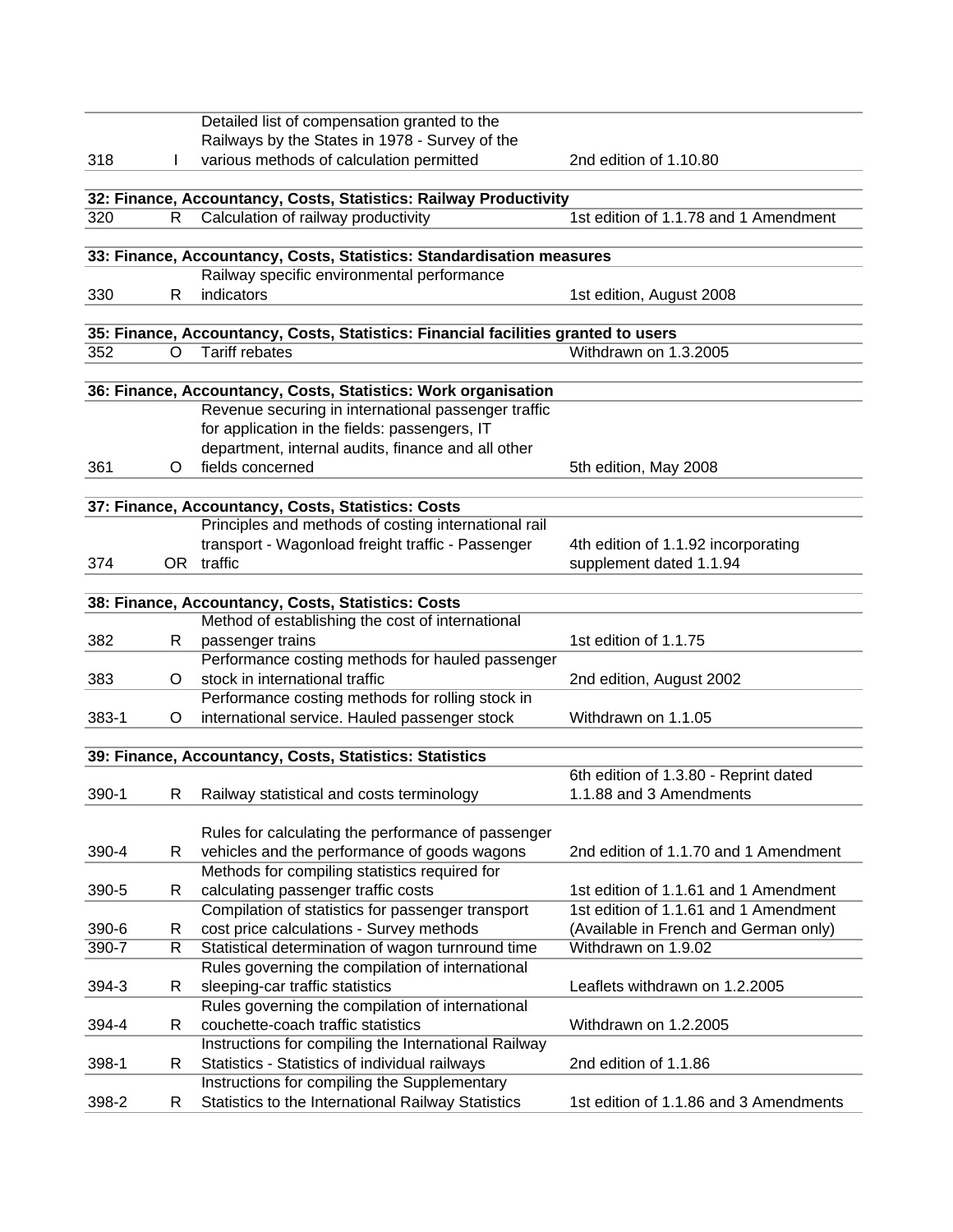|           |    | Detailed list of compensation granted to the                                       |                                        |
|-----------|----|------------------------------------------------------------------------------------|----------------------------------------|
|           |    | Railways by the States in 1978 - Survey of the                                     |                                        |
| 318       |    | various methods of calculation permitted                                           | 2nd edition of 1.10.80                 |
|           |    |                                                                                    |                                        |
|           |    | 32: Finance, Accountancy, Costs, Statistics: Railway Productivity                  |                                        |
| 320       | R. | Calculation of railway productivity                                                | 1st edition of 1.1.78 and 1 Amendment  |
|           |    |                                                                                    |                                        |
|           |    | 33: Finance, Accountancy, Costs, Statistics: Standardisation measures              |                                        |
|           |    | Railway specific environmental performance                                         |                                        |
| 330       | R  | indicators                                                                         | 1st edition, August 2008               |
|           |    |                                                                                    |                                        |
|           |    | 35: Finance, Accountancy, Costs, Statistics: Financial facilities granted to users |                                        |
| 352       | O  | <b>Tariff rebates</b>                                                              | Withdrawn on 1.3.2005                  |
|           |    |                                                                                    |                                        |
|           |    | 36: Finance, Accountancy, Costs, Statistics: Work organisation                     |                                        |
|           |    | Revenue securing in international passenger traffic                                |                                        |
|           |    | for application in the fields: passengers, IT                                      |                                        |
|           |    | department, internal audits, finance and all other                                 |                                        |
| 361       | O  | fields concerned                                                                   | 5th edition, May 2008                  |
|           |    |                                                                                    |                                        |
|           |    | 37: Finance, Accountancy, Costs, Statistics: Costs                                 |                                        |
|           |    | Principles and methods of costing international rail                               |                                        |
|           |    | transport - Wagonload freight traffic - Passenger                                  | 4th edition of 1.1.92 incorporating    |
| 374       |    | OR traffic                                                                         | supplement dated 1.1.94                |
|           |    |                                                                                    |                                        |
|           |    | 38: Finance, Accountancy, Costs, Statistics: Costs                                 |                                        |
|           |    | Method of establishing the cost of international                                   |                                        |
| 382       | R  | passenger trains                                                                   | 1st edition of 1.1.75                  |
|           |    | Performance costing methods for hauled passenger                                   |                                        |
| 383       |    | stock in international traffic                                                     |                                        |
|           | O  |                                                                                    | 2nd edition, August 2002               |
|           |    | Performance costing methods for rolling stock in                                   |                                        |
| $383 - 1$ | O  | international service. Hauled passenger stock                                      | Withdrawn on 1.1.05                    |
|           |    |                                                                                    |                                        |
|           |    | 39: Finance, Accountancy, Costs, Statistics: Statistics                            |                                        |
|           |    |                                                                                    | 6th edition of 1.3.80 - Reprint dated  |
| $390-1$   | R  | Railway statistical and costs terminology                                          | 1.1.88 and 3 Amendments                |
|           |    |                                                                                    |                                        |
|           |    | Rules for calculating the performance of passenger                                 |                                        |
| 390-4     | R. | vehicles and the performance of goods wagons                                       | 2nd edition of 1.1.70 and 1 Amendment  |
|           |    | Methods for compiling statistics required for                                      |                                        |
| 390-5     | R  | calculating passenger traffic costs                                                | 1st edition of 1.1.61 and 1 Amendment  |
|           |    | Compilation of statistics for passenger transport                                  | 1st edition of 1.1.61 and 1 Amendment  |
| 390-6     | R  | cost price calculations - Survey methods                                           | (Available in French and German only)  |
| 390-7     | R  | Statistical determination of wagon turnround time                                  | Withdrawn on 1.9.02                    |
|           |    | Rules governing the compilation of international                                   |                                        |
| 394-3     | R  | sleeping-car traffic statistics                                                    | Leaflets withdrawn on 1.2.2005         |
|           |    | Rules governing the compilation of international                                   |                                        |
| 394-4     | R  | couchette-coach traffic statistics                                                 | Withdrawn on 1.2.2005                  |
|           |    | Instructions for compiling the International Railway                               |                                        |
| 398-1     | R  | Statistics - Statistics of individual railways                                     | 2nd edition of 1.1.86                  |
|           |    | Instructions for compiling the Supplementary                                       |                                        |
| 398-2     | R  | Statistics to the International Railway Statistics                                 | 1st edition of 1.1.86 and 3 Amendments |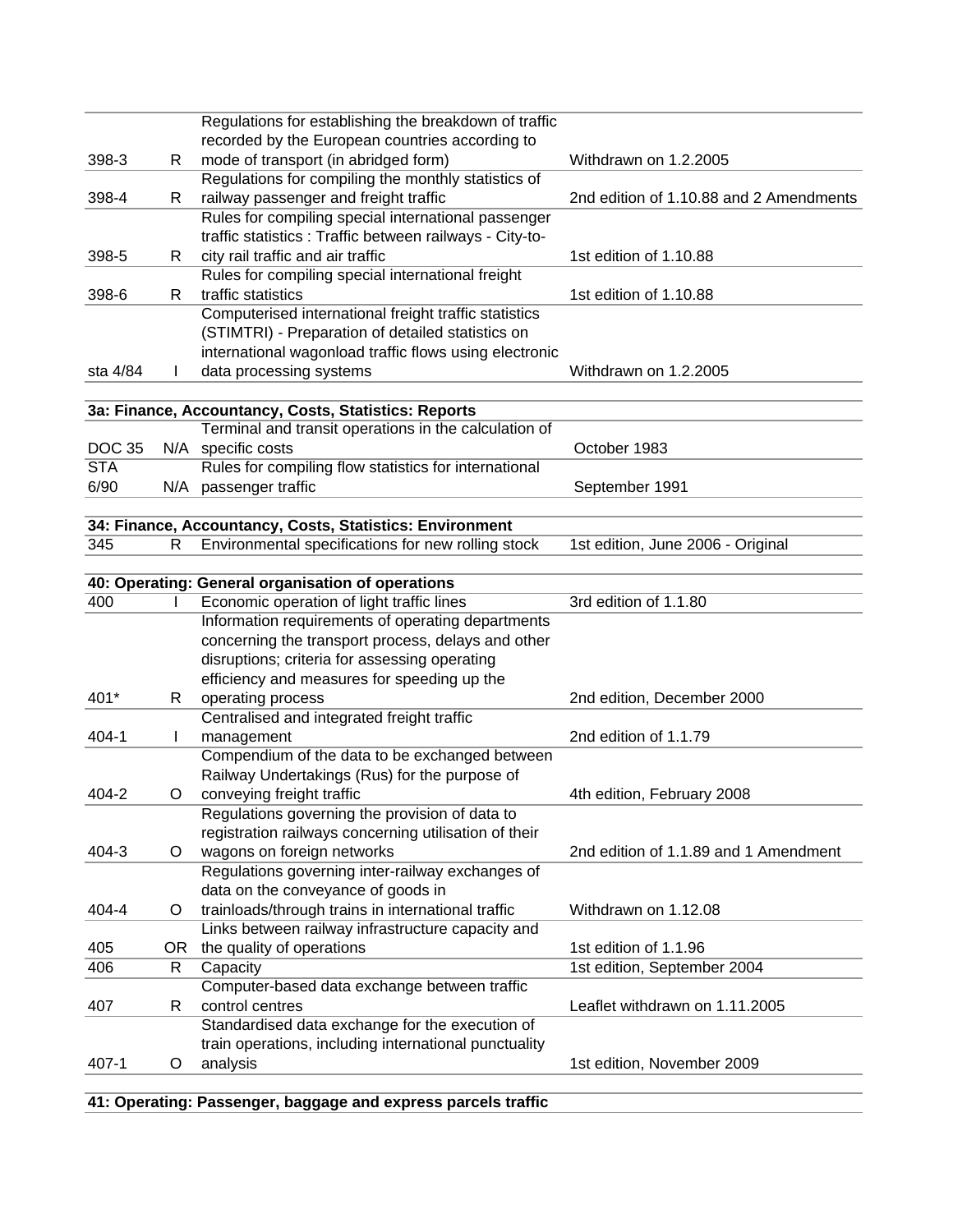|               |    | Regulations for establishing the breakdown of traffic                                                         |                                         |
|---------------|----|---------------------------------------------------------------------------------------------------------------|-----------------------------------------|
|               |    | recorded by the European countries according to                                                               |                                         |
| 398-3         | R  | mode of transport (in abridged form)                                                                          | Withdrawn on 1.2.2005                   |
|               |    | Regulations for compiling the monthly statistics of                                                           |                                         |
| 398-4         | R. | railway passenger and freight traffic                                                                         | 2nd edition of 1.10.88 and 2 Amendments |
|               |    | Rules for compiling special international passenger                                                           |                                         |
|               |    | traffic statistics : Traffic between railways - City-to-                                                      |                                         |
| 398-5         | R  | city rail traffic and air traffic                                                                             | 1st edition of 1.10.88                  |
|               |    | Rules for compiling special international freight                                                             |                                         |
| 398-6         | R. | traffic statistics                                                                                            | 1st edition of 1.10.88                  |
|               |    | Computerised international freight traffic statistics                                                         |                                         |
|               |    | (STIMTRI) - Preparation of detailed statistics on                                                             |                                         |
| sta 4/84      |    | international wagonload traffic flows using electronic                                                        | Withdrawn on 1.2.2005                   |
|               |    | data processing systems                                                                                       |                                         |
|               |    |                                                                                                               |                                         |
|               |    | 3a: Finance, Accountancy, Costs, Statistics: Reports<br>Terminal and transit operations in the calculation of |                                         |
| <b>DOC 35</b> |    | N/A specific costs                                                                                            | October 1983                            |
| <b>STA</b>    |    | Rules for compiling flow statistics for international                                                         |                                         |
| 6/90          |    | N/A passenger traffic                                                                                         | September 1991                          |
|               |    |                                                                                                               |                                         |
|               |    | 34: Finance, Accountancy, Costs, Statistics: Environment                                                      |                                         |
| 345           | R. | Environmental specifications for new rolling stock                                                            | 1st edition, June 2006 - Original       |
|               |    |                                                                                                               |                                         |
|               |    | 40: Operating: General organisation of operations                                                             |                                         |
| 400           |    | Economic operation of light traffic lines                                                                     | 3rd edition of 1.1.80                   |
|               |    | Information requirements of operating departments                                                             |                                         |
|               |    | concerning the transport process, delays and other                                                            |                                         |
|               |    | disruptions; criteria for assessing operating                                                                 |                                         |
|               |    | efficiency and measures for speeding up the                                                                   |                                         |
| 401*          | R. | operating process                                                                                             | 2nd edition, December 2000              |
|               |    | Centralised and integrated freight traffic                                                                    |                                         |
| $404 - 1$     | L  | management                                                                                                    | 2nd edition of 1.1.79                   |
|               |    | Compendium of the data to be exchanged between                                                                |                                         |
|               |    | Railway Undertakings (Rus) for the purpose of                                                                 |                                         |
| 404-2         | O  | conveying freight traffic                                                                                     | 4th edition, February 2008              |
|               |    | Regulations governing the provision of data to                                                                |                                         |
|               |    | registration railways concerning utilisation of their                                                         |                                         |
| $404 - 3$     | O  | wagons on foreign networks                                                                                    | 2nd edition of 1.1.89 and 1 Amendment   |
|               |    | Regulations governing inter-railway exchanges of                                                              |                                         |
|               |    | data on the conveyance of goods in                                                                            |                                         |
| $404 - 4$     | O  | trainloads/through trains in international traffic                                                            | Withdrawn on 1.12.08                    |
|               |    | Links between railway infrastructure capacity and                                                             |                                         |
| 405           | OR | the quality of operations                                                                                     | 1st edition of 1.1.96                   |
| 406           | R  | Capacity                                                                                                      | 1st edition, September 2004             |
|               |    | Computer-based data exchange between traffic                                                                  |                                         |
| 407           | R  | control centres                                                                                               | Leaflet withdrawn on 1.11.2005          |
|               |    | Standardised data exchange for the execution of                                                               |                                         |
|               |    | train operations, including international punctuality                                                         |                                         |
| $407 - 1$     | O  | analysis                                                                                                      | 1st edition, November 2009              |
|               |    |                                                                                                               |                                         |

**41: Operating: Passenger, baggage and express parcels traffic**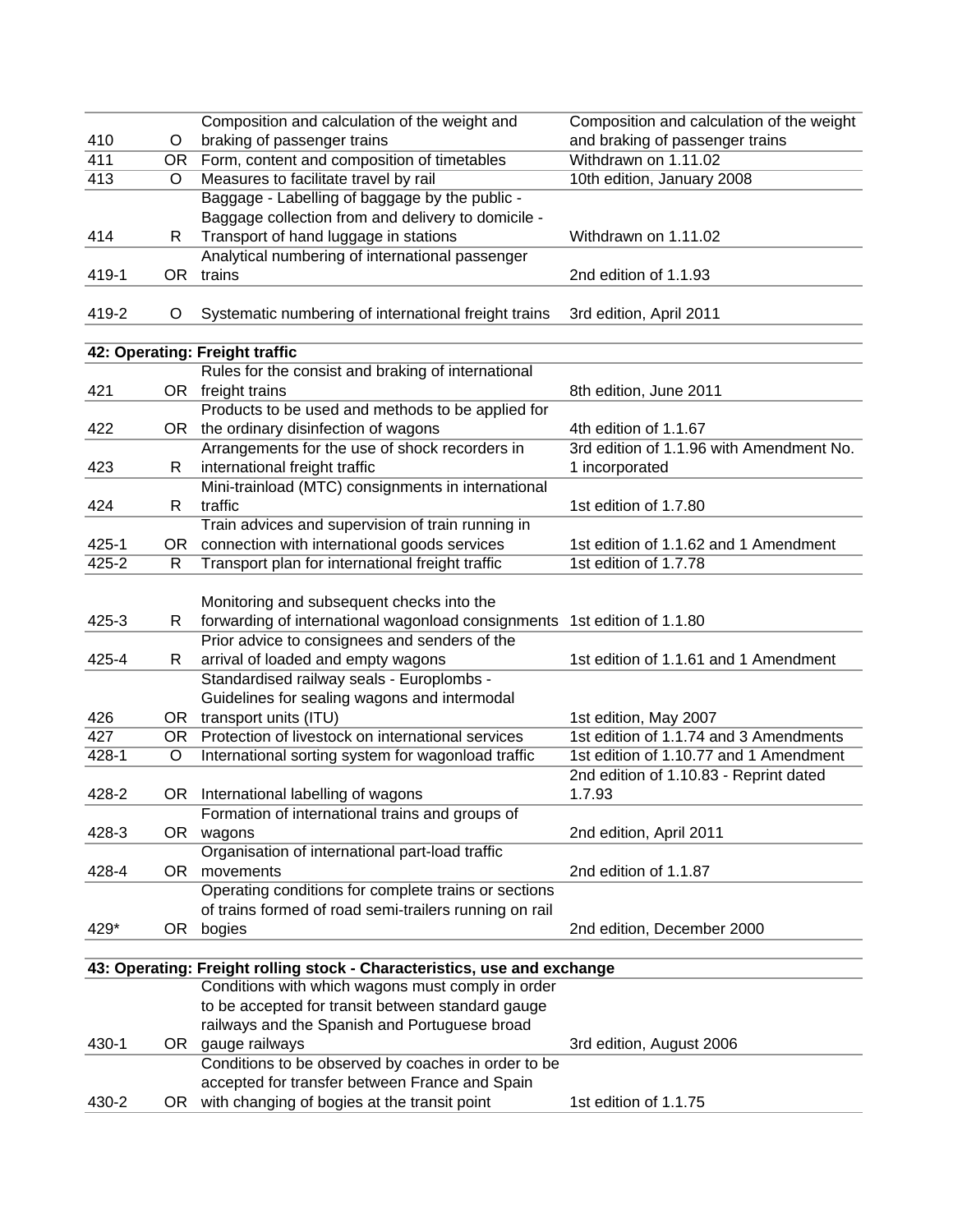|           |     | Composition and calculation of the weight and                                   | Composition and calculation of the weight                       |
|-----------|-----|---------------------------------------------------------------------------------|-----------------------------------------------------------------|
| 410       | Ő   | braking of passenger trains                                                     | and braking of passenger trains                                 |
| 411       | OR. | Form, content and composition of timetables                                     | Withdrawn on 1.11.02                                            |
| 413       | O   | Measures to facilitate travel by rail                                           | 10th edition, January 2008                                      |
|           |     | Baggage - Labelling of baggage by the public -                                  |                                                                 |
|           |     | Baggage collection from and delivery to domicile -                              |                                                                 |
| 414       | R   | Transport of hand luggage in stations                                           | Withdrawn on 1.11.02                                            |
|           |     | Analytical numbering of international passenger                                 |                                                                 |
| 419-1     | OR  | trains                                                                          | 2nd edition of 1.1.93                                           |
| 419-2     | O   | Systematic numbering of international freight trains                            | 3rd edition, April 2011                                         |
|           |     |                                                                                 |                                                                 |
|           |     | 42: Operating: Freight traffic                                                  |                                                                 |
|           |     | Rules for the consist and braking of international                              |                                                                 |
| 421       |     | OR freight trains                                                               | 8th edition, June 2011                                          |
|           |     | Products to be used and methods to be applied for                               |                                                                 |
| 422       |     | OR the ordinary disinfection of wagons                                          | 4th edition of 1.1.67                                           |
|           |     | Arrangements for the use of shock recorders in                                  | 3rd edition of 1.1.96 with Amendment No.                        |
| 423       | R   | international freight traffic                                                   | 1 incorporated                                                  |
|           |     | Mini-trainload (MTC) consignments in international                              |                                                                 |
| 424       | R   | traffic                                                                         | 1st edition of 1.7.80                                           |
|           |     | Train advices and supervision of train running in                               |                                                                 |
| $425 - 1$ | OR. | connection with international goods services                                    | 1st edition of 1.1.62 and 1 Amendment                           |
| $425 - 2$ | R   | Transport plan for international freight traffic                                | 1st edition of 1.7.78                                           |
|           |     |                                                                                 |                                                                 |
|           |     | Monitoring and subsequent checks into the                                       |                                                                 |
| $425 - 3$ | R   | forwarding of international wagonload consignments                              | 1st edition of 1.1.80                                           |
|           |     | Prior advice to consignees and senders of the                                   |                                                                 |
| 425-4     | R   | arrival of loaded and empty wagons<br>Standardised railway seals - Europlombs - | 1st edition of 1.1.61 and 1 Amendment                           |
|           |     |                                                                                 |                                                                 |
| 426       |     | Guidelines for sealing wagons and intermodal<br>OR transport units (ITU)        |                                                                 |
| 427       | OR  | Protection of livestock on international services                               | 1st edition, May 2007<br>1st edition of 1.1.74 and 3 Amendments |
| 428-1     | O   | International sorting system for wagonload traffic                              | 1st edition of 1.10.77 and 1 Amendment                          |
|           |     |                                                                                 | 2nd edition of 1.10.83 - Reprint dated                          |
| 428-2     |     | OR International labelling of wagons                                            | 1.7.93                                                          |
|           |     | Formation of international trains and groups of                                 |                                                                 |
| 428-3     |     | OR wagons                                                                       | 2nd edition, April 2011                                         |
|           |     | Organisation of international part-load traffic                                 |                                                                 |
| 428-4     |     | OR movements                                                                    | 2nd edition of 1.1.87                                           |
|           |     | Operating conditions for complete trains or sections                            |                                                                 |
|           |     | of trains formed of road semi-trailers running on rail                          |                                                                 |
| 429*      | OR  | bogies                                                                          | 2nd edition, December 2000                                      |
|           |     |                                                                                 |                                                                 |
|           |     | 43: Operating: Freight rolling stock - Characteristics, use and exchange        |                                                                 |
|           |     | Conditions with which wagons must comply in order                               |                                                                 |
|           |     | to be accepted for transit between standard gauge                               |                                                                 |
|           |     | railways and the Spanish and Portuguese broad                                   |                                                                 |
| 430-1     |     | OR gauge railways                                                               | 3rd edition, August 2006                                        |
|           |     | Conditions to be observed by coaches in order to be                             |                                                                 |
|           |     | accepted for transfer between France and Spain                                  |                                                                 |
| 430-2     |     | OR with changing of bogies at the transit point                                 | 1st edition of 1.1.75                                           |
|           |     |                                                                                 |                                                                 |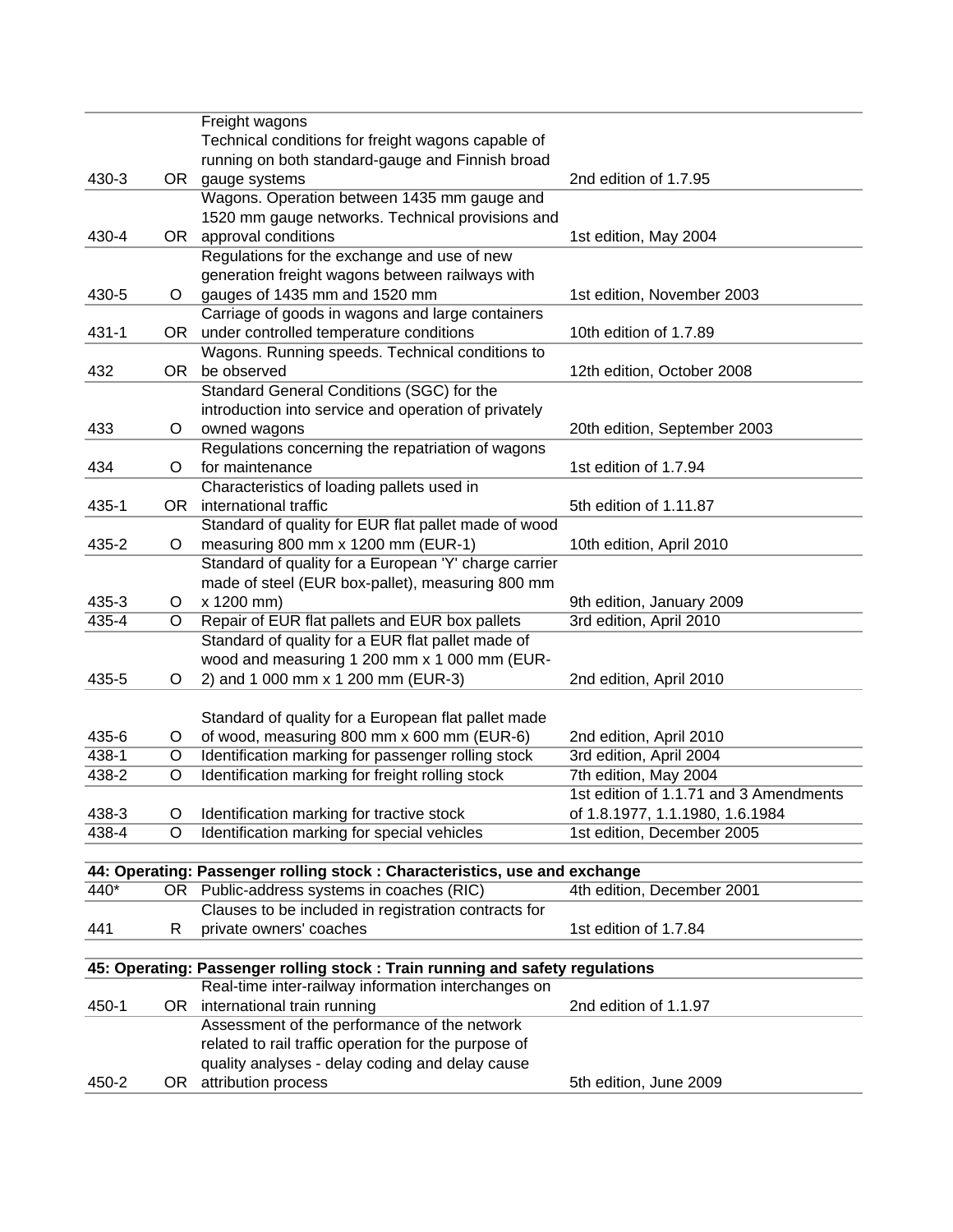|           |         | Freight wagons                                                                |                                        |
|-----------|---------|-------------------------------------------------------------------------------|----------------------------------------|
|           |         | Technical conditions for freight wagons capable of                            |                                        |
|           |         | running on both standard-gauge and Finnish broad                              |                                        |
| 430-3     |         | OR gauge systems                                                              | 2nd edition of 1.7.95                  |
|           |         | Wagons. Operation between 1435 mm gauge and                                   |                                        |
|           |         | 1520 mm gauge networks. Technical provisions and                              |                                        |
| 430-4     | OR      | approval conditions                                                           | 1st edition, May 2004                  |
|           |         | Regulations for the exchange and use of new                                   |                                        |
|           |         | generation freight wagons between railways with                               |                                        |
| 430-5     | O       | gauges of 1435 mm and 1520 mm                                                 | 1st edition, November 2003             |
|           |         | Carriage of goods in wagons and large containers                              |                                        |
| $431 - 1$ |         | OR under controlled temperature conditions                                    | 10th edition of 1.7.89                 |
|           |         | Wagons. Running speeds. Technical conditions to                               |                                        |
| 432       | OR      | be observed                                                                   | 12th edition, October 2008             |
|           |         | Standard General Conditions (SGC) for the                                     |                                        |
|           |         | introduction into service and operation of privately                          |                                        |
| 433       | O       | owned wagons                                                                  | 20th edition, September 2003           |
|           |         | Regulations concerning the repatriation of wagons                             |                                        |
| 434       | O       | for maintenance                                                               | 1st edition of 1.7.94                  |
|           |         | Characteristics of loading pallets used in                                    |                                        |
| 435-1     | OR      | international traffic                                                         | 5th edition of 1.11.87                 |
|           |         | Standard of quality for EUR flat pallet made of wood                          |                                        |
| 435-2     | O       | measuring 800 mm x 1200 mm (EUR-1)                                            | 10th edition, April 2010               |
|           |         | Standard of quality for a European 'Y' charge carrier                         |                                        |
|           |         |                                                                               |                                        |
|           |         | made of steel (EUR box-pallet), measuring 800 mm                              |                                        |
| 435-3     | $\circ$ | x 1200 mm)                                                                    | 9th edition, January 2009              |
| 435-4     | O       | Repair of EUR flat pallets and EUR box pallets                                | 3rd edition, April 2010                |
|           |         | Standard of quality for a EUR flat pallet made of                             |                                        |
|           |         | wood and measuring 1 200 mm x 1 000 mm (EUR-                                  |                                        |
| 435-5     | O       | 2) and 1 000 mm x 1 200 mm (EUR-3)                                            | 2nd edition, April 2010                |
|           |         |                                                                               |                                        |
|           |         | Standard of quality for a European flat pallet made                           |                                        |
| 435-6     | O       | of wood, measuring 800 mm x 600 mm (EUR-6)                                    | 2nd edition, April 2010                |
| 438-1     | O       | Identification marking for passenger rolling stock                            | 3rd edition, April 2004                |
| 438-2     | O       | Identification marking for freight rolling stock                              | 7th edition, May 2004                  |
|           |         |                                                                               | 1st edition of 1.1.71 and 3 Amendments |
| 438-3     | O       | Identification marking for tractive stock                                     | of 1.8.1977, 1.1.1980, 1.6.1984        |
| 438-4     | O       | Identification marking for special vehicles                                   | 1st edition, December 2005             |
|           |         |                                                                               |                                        |
|           |         | 44: Operating: Passenger rolling stock : Characteristics, use and exchange    |                                        |
| 440*      |         | OR Public-address systems in coaches (RIC)                                    | 4th edition, December 2001             |
|           |         | Clauses to be included in registration contracts for                          |                                        |
| 441       | R       | private owners' coaches                                                       | 1st edition of 1.7.84                  |
|           |         |                                                                               |                                        |
|           |         | 45: Operating: Passenger rolling stock : Train running and safety regulations |                                        |
|           |         | Real-time inter-railway information interchanges on                           |                                        |
| 450-1     |         | OR international train running                                                | 2nd edition of 1.1.97                  |
|           |         | Assessment of the performance of the network                                  |                                        |
|           |         | related to rail traffic operation for the purpose of                          |                                        |
|           |         | quality analyses - delay coding and delay cause                               |                                        |
| 450-2     |         | OR attribution process                                                        | 5th edition, June 2009                 |
|           |         |                                                                               |                                        |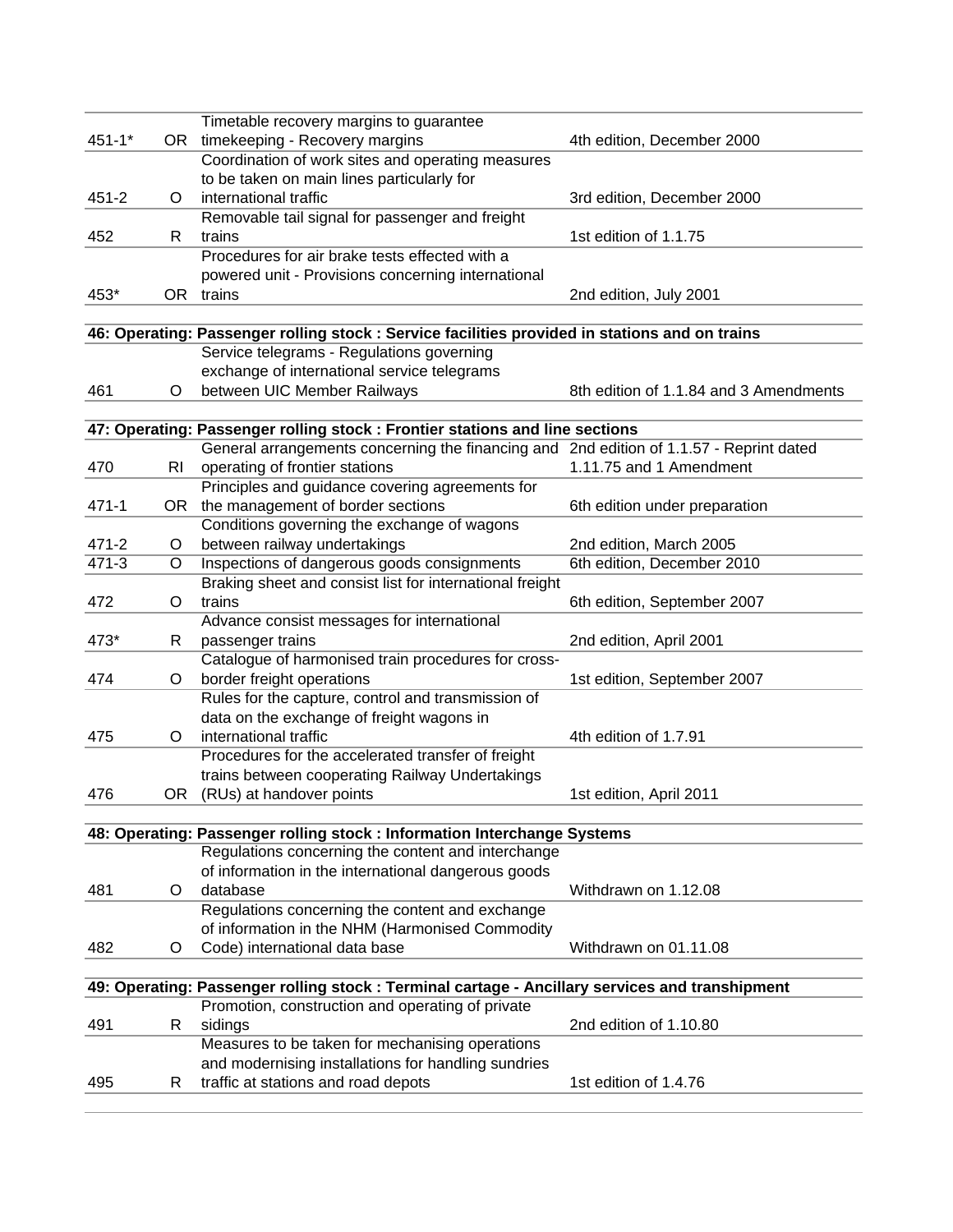|            |    | Timetable recovery margins to guarantee                                                         |                                        |  |  |  |
|------------|----|-------------------------------------------------------------------------------------------------|----------------------------------------|--|--|--|
| $451 - 1*$ |    | OR timekeeping - Recovery margins                                                               | 4th edition, December 2000             |  |  |  |
|            |    | Coordination of work sites and operating measures                                               |                                        |  |  |  |
|            |    | to be taken on main lines particularly for                                                      |                                        |  |  |  |
| 451-2      | O  | international traffic                                                                           | 3rd edition, December 2000             |  |  |  |
|            |    | Removable tail signal for passenger and freight                                                 |                                        |  |  |  |
| 452        | R  | trains                                                                                          | 1st edition of 1.1.75                  |  |  |  |
|            |    | Procedures for air brake tests effected with a                                                  |                                        |  |  |  |
|            |    | powered unit - Provisions concerning international                                              |                                        |  |  |  |
| 453*       |    | OR trains                                                                                       | 2nd edition, July 2001                 |  |  |  |
|            |    |                                                                                                 |                                        |  |  |  |
|            |    | 46: Operating: Passenger rolling stock : Service facilities provided in stations and on trains  |                                        |  |  |  |
|            |    | Service telegrams - Regulations governing                                                       |                                        |  |  |  |
|            |    | exchange of international service telegrams                                                     |                                        |  |  |  |
| 461        | O  | between UIC Member Railways                                                                     | 8th edition of 1.1.84 and 3 Amendments |  |  |  |
|            |    |                                                                                                 |                                        |  |  |  |
|            |    | 47: Operating: Passenger rolling stock : Frontier stations and line sections                    |                                        |  |  |  |
|            |    | General arrangements concerning the financing and 2nd edition of 1.1.57 - Reprint dated         |                                        |  |  |  |
| 470        | RI | operating of frontier stations                                                                  | 1.11.75 and 1 Amendment                |  |  |  |
|            |    | Principles and guidance covering agreements for                                                 |                                        |  |  |  |
| $471 - 1$  |    | OR the management of border sections                                                            | 6th edition under preparation          |  |  |  |
|            |    | Conditions governing the exchange of wagons                                                     |                                        |  |  |  |
| $471 - 2$  | O  | between railway undertakings                                                                    | 2nd edition, March 2005                |  |  |  |
| $471 - 3$  | O  | Inspections of dangerous goods consignments                                                     | 6th edition, December 2010             |  |  |  |
|            |    | Braking sheet and consist list for international freight                                        |                                        |  |  |  |
| 472        | O  | trains                                                                                          | 6th edition, September 2007            |  |  |  |
|            |    | Advance consist messages for international                                                      |                                        |  |  |  |
| 473*       | R  | passenger trains                                                                                | 2nd edition, April 2001                |  |  |  |
|            |    | Catalogue of harmonised train procedures for cross-                                             |                                        |  |  |  |
| 474        | O  | border freight operations                                                                       | 1st edition, September 2007            |  |  |  |
|            |    | Rules for the capture, control and transmission of                                              |                                        |  |  |  |
|            |    | data on the exchange of freight wagons in                                                       |                                        |  |  |  |
| 475        | O  | international traffic                                                                           | 4th edition of 1.7.91                  |  |  |  |
|            |    | Procedures for the accelerated transfer of freight                                              |                                        |  |  |  |
|            |    | trains between cooperating Railway Undertakings<br>OR (RUs) at handover points                  |                                        |  |  |  |
| 476        |    |                                                                                                 | 1st edition, April 2011                |  |  |  |
|            |    | 48: Operating: Passenger rolling stock : Information Interchange Systems                        |                                        |  |  |  |
|            |    | Regulations concerning the content and interchange                                              |                                        |  |  |  |
|            |    | of information in the international dangerous goods                                             |                                        |  |  |  |
| 481        | O  | database                                                                                        | Withdrawn on 1.12.08                   |  |  |  |
|            |    | Regulations concerning the content and exchange                                                 |                                        |  |  |  |
|            |    | of information in the NHM (Harmonised Commodity                                                 |                                        |  |  |  |
| 482        | O  | Code) international data base                                                                   | Withdrawn on 01.11.08                  |  |  |  |
|            |    |                                                                                                 |                                        |  |  |  |
|            |    | 49: Operating: Passenger rolling stock : Terminal cartage - Ancillary services and transhipment |                                        |  |  |  |
|            |    | Promotion, construction and operating of private                                                |                                        |  |  |  |
| 491        | R  | sidings                                                                                         | 2nd edition of 1.10.80                 |  |  |  |
|            |    | Measures to be taken for mechanising operations                                                 |                                        |  |  |  |
|            |    | and modernising installations for handling sundries                                             |                                        |  |  |  |
| 495        | R  | traffic at stations and road depots                                                             | 1st edition of 1.4.76                  |  |  |  |
|            |    |                                                                                                 |                                        |  |  |  |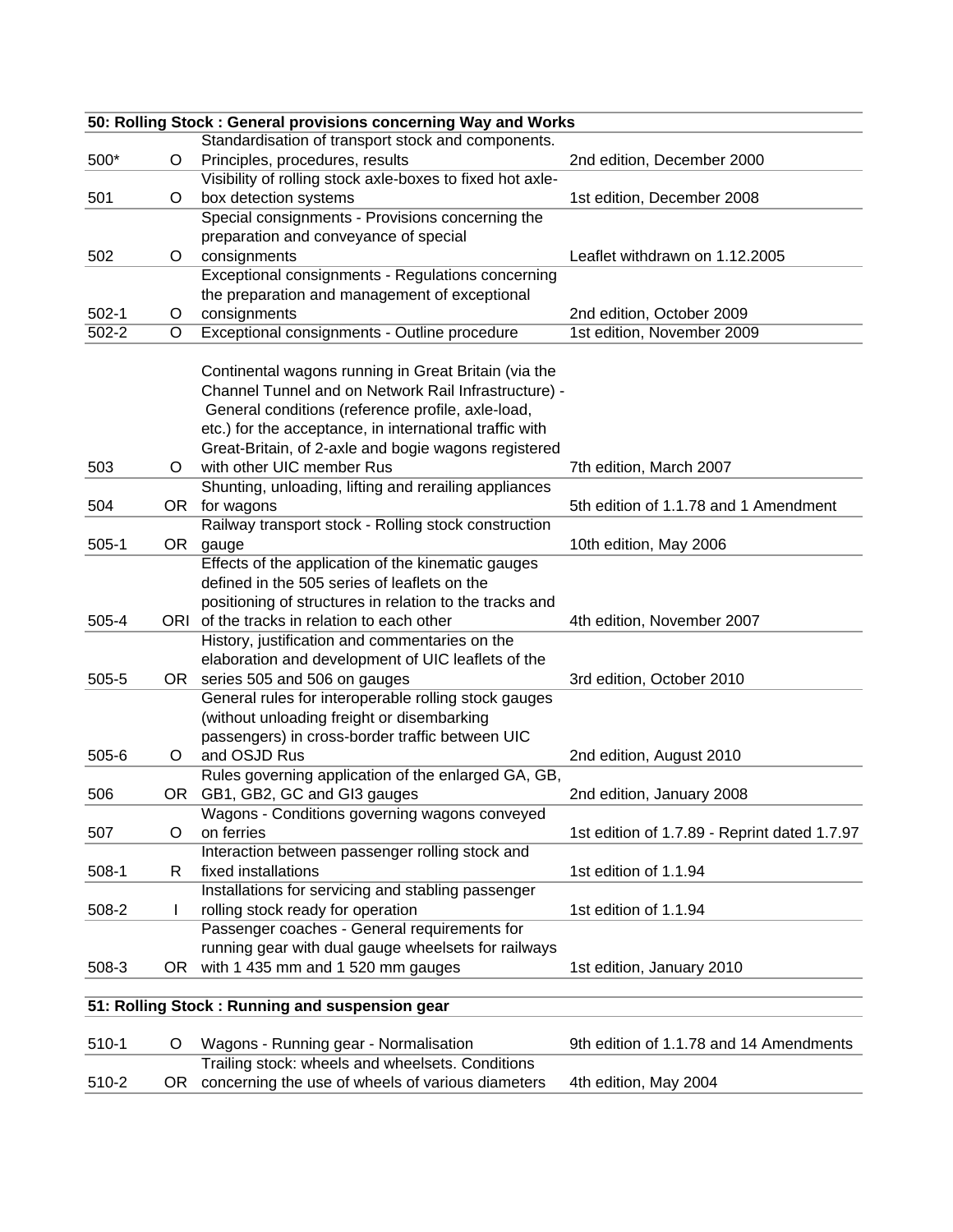|           |    | 50: Rolling Stock: General provisions concerning Way and Works |                                              |
|-----------|----|----------------------------------------------------------------|----------------------------------------------|
|           |    | Standardisation of transport stock and components.             |                                              |
| 500*      | O  | Principles, procedures, results                                | 2nd edition, December 2000                   |
|           |    | Visibility of rolling stock axle-boxes to fixed hot axle-      |                                              |
| 501       | O  | box detection systems                                          | 1st edition, December 2008                   |
|           |    | Special consignments - Provisions concerning the               |                                              |
|           |    | preparation and conveyance of special                          |                                              |
| 502       | O  | consignments                                                   | Leaflet withdrawn on 1.12.2005               |
|           |    | Exceptional consignments - Regulations concerning              |                                              |
|           |    | the preparation and management of exceptional                  |                                              |
| $502-1$   | O  | consignments                                                   | 2nd edition, October 2009                    |
| $502 - 2$ | O  | Exceptional consignments - Outline procedure                   | 1st edition, November 2009                   |
|           |    |                                                                |                                              |
|           |    | Continental wagons running in Great Britain (via the           |                                              |
|           |    | Channel Tunnel and on Network Rail Infrastructure) -           |                                              |
|           |    | General conditions (reference profile, axle-load,              |                                              |
|           |    | etc.) for the acceptance, in international traffic with        |                                              |
|           |    | Great-Britain, of 2-axle and bogie wagons registered           |                                              |
| 503       | O  | with other UIC member Rus                                      | 7th edition, March 2007                      |
|           |    | Shunting, unloading, lifting and rerailing appliances          |                                              |
| 504       |    | OR for wagons                                                  | 5th edition of 1.1.78 and 1 Amendment        |
|           |    | Railway transport stock - Rolling stock construction           |                                              |
| $505-1$   |    | OR gauge                                                       | 10th edition, May 2006                       |
|           |    | Effects of the application of the kinematic gauges             |                                              |
|           |    | defined in the 505 series of leaflets on the                   |                                              |
|           |    | positioning of structures in relation to the tracks and        |                                              |
| 505-4     |    | ORI of the tracks in relation to each other                    | 4th edition, November 2007                   |
|           |    | History, justification and commentaries on the                 |                                              |
|           |    | elaboration and development of UIC leaflets of the             |                                              |
| 505-5     |    | OR series 505 and 506 on gauges                                | 3rd edition, October 2010                    |
|           |    | General rules for interoperable rolling stock gauges           |                                              |
|           |    | (without unloading freight or disembarking                     |                                              |
|           |    | passengers) in cross-border traffic between UIC                |                                              |
| $505 - 6$ | O  | and OSJD Rus                                                   | 2nd edition, August 2010                     |
|           |    | Rules governing application of the enlarged GA, GB,            |                                              |
| 506       |    | OR GB1, GB2, GC and GI3 gauges                                 | 2nd edition, January 2008                    |
|           |    | Wagons - Conditions governing wagons conveyed                  |                                              |
| 507       | O  | on ferries                                                     | 1st edition of 1.7.89 - Reprint dated 1.7.97 |
|           |    | Interaction between passenger rolling stock and                |                                              |
| $508-1$   | R. | fixed installations                                            | 1st edition of 1.1.94                        |
|           |    | Installations for servicing and stabling passenger             |                                              |
| 508-2     | L  | rolling stock ready for operation                              | 1st edition of 1.1.94                        |
|           |    | Passenger coaches - General requirements for                   |                                              |
|           |    | running gear with dual gauge wheelsets for railways            |                                              |
| 508-3     |    | OR with 1 435 mm and 1 520 mm gauges                           | 1st edition, January 2010                    |
|           |    |                                                                |                                              |
|           |    | 51: Rolling Stock: Running and suspension gear                 |                                              |
|           |    |                                                                |                                              |

| $510-1$ | Wagons - Running gear - Normalisation                | 9th edition of 1.1.78 and 14 Amendments |
|---------|------------------------------------------------------|-----------------------------------------|
|         | Trailing stock: wheels and wheelsets. Conditions     |                                         |
| 510-2   | OR concerning the use of wheels of various diameters | 4th edition, May 2004                   |
|         |                                                      |                                         |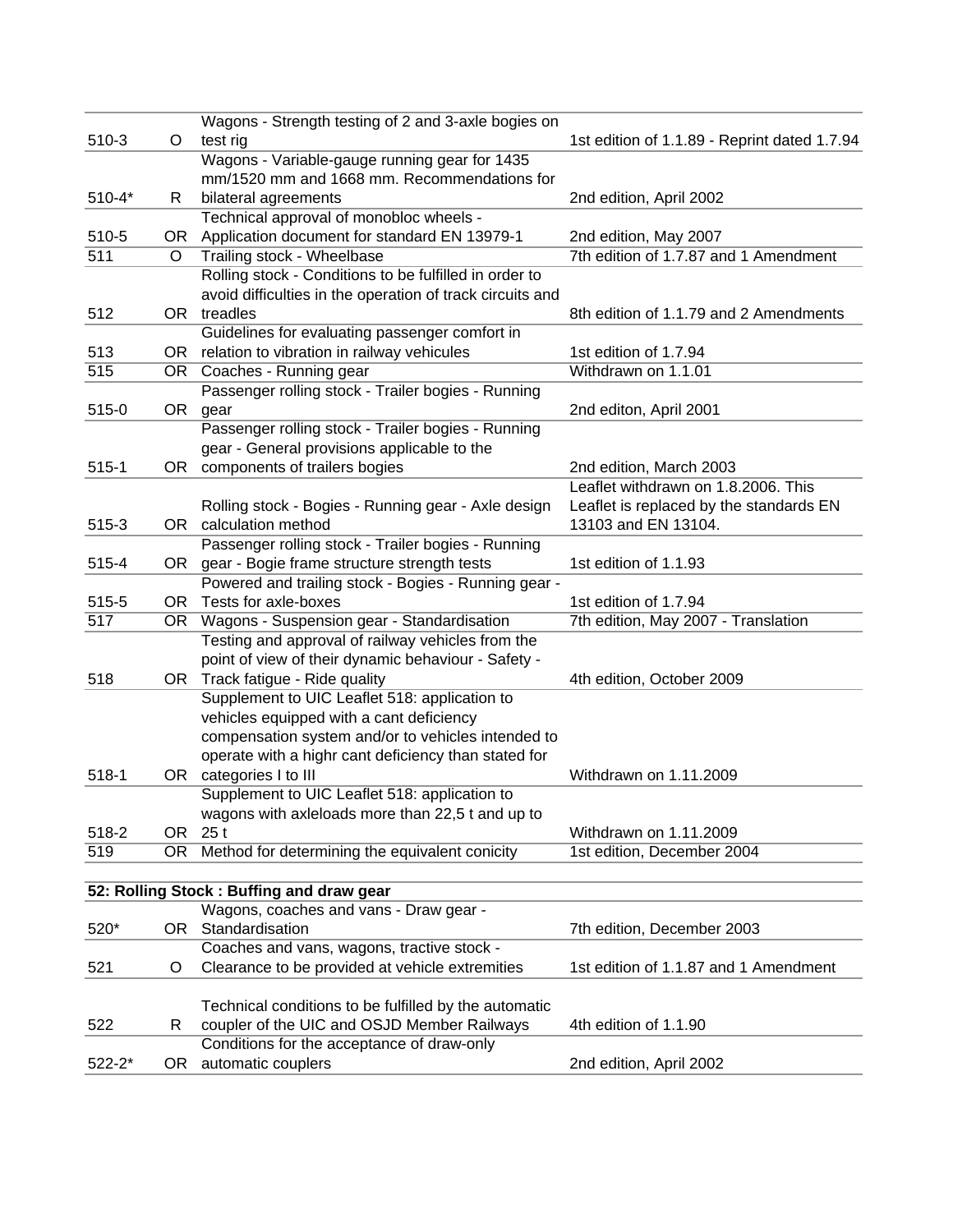|            |         | Wagons - Strength testing of 2 and 3-axle bogies on       |                                              |
|------------|---------|-----------------------------------------------------------|----------------------------------------------|
| $510-3$    | O       | test rig                                                  | 1st edition of 1.1.89 - Reprint dated 1.7.94 |
|            |         | Wagons - Variable-gauge running gear for 1435             |                                              |
|            |         | mm/1520 mm and 1668 mm. Recommendations for               |                                              |
| $510 - 4*$ | R       | bilateral agreements                                      | 2nd edition, April 2002                      |
|            |         | Technical approval of monobloc wheels -                   |                                              |
| 510-5      |         | OR Application document for standard EN 13979-1           | 2nd edition, May 2007                        |
| 511        | $\circ$ | Trailing stock - Wheelbase                                | 7th edition of 1.7.87 and 1 Amendment        |
|            |         | Rolling stock - Conditions to be fulfilled in order to    |                                              |
|            |         | avoid difficulties in the operation of track circuits and |                                              |
| 512        |         | OR treadles                                               | 8th edition of 1.1.79 and 2 Amendments       |
|            |         | Guidelines for evaluating passenger comfort in            |                                              |
| 513        |         | OR relation to vibration in railway vehicules             | 1st edition of 1.7.94                        |
| 515        |         | OR Coaches - Running gear                                 | Withdrawn on 1.1.01                          |
|            |         | Passenger rolling stock - Trailer bogies - Running        |                                              |
| 515-0      |         | OR gear                                                   | 2nd editon, April 2001                       |
|            |         | Passenger rolling stock - Trailer bogies - Running        |                                              |
|            |         | gear - General provisions applicable to the               |                                              |
| $515-1$    | OR      | components of trailers bogies                             | 2nd edition, March 2003                      |
|            |         |                                                           | Leaflet withdrawn on 1.8.2006. This          |
|            |         | Rolling stock - Bogies - Running gear - Axle design       | Leaflet is replaced by the standards EN      |
| $515-3$    |         | OR calculation method                                     | 13103 and EN 13104.                          |
|            |         | Passenger rolling stock - Trailer bogies - Running        |                                              |
| 515-4      |         | OR gear - Bogie frame structure strength tests            | 1st edition of 1.1.93                        |
|            |         | Powered and trailing stock - Bogies - Running gear -      |                                              |
| 515-5      |         | OR Tests for axle-boxes                                   | 1st edition of 1.7.94                        |
| 517        |         | OR Wagons - Suspension gear - Standardisation             | 7th edition, May 2007 - Translation          |
|            |         | Testing and approval of railway vehicles from the         |                                              |
|            |         | point of view of their dynamic behaviour - Safety -       |                                              |
| 518        |         | OR Track fatigue - Ride quality                           | 4th edition, October 2009                    |
|            |         | Supplement to UIC Leaflet 518: application to             |                                              |
|            |         | vehicles equipped with a cant deficiency                  |                                              |
|            |         | compensation system and/or to vehicles intended to        |                                              |
|            |         | operate with a highr cant deficiency than stated for      |                                              |
| 518-1      |         | OR categories I to III                                    | Withdrawn on 1.11.2009                       |
|            |         | Supplement to UIC Leaflet 518: application to             |                                              |
|            |         | wagons with axleloads more than 22,5 t and up to          |                                              |
| 518-2      | OR      | 25t                                                       | Withdrawn on 1.11.2009                       |
| 519        | OR      | Method for determining the equivalent conicity            | 1st edition, December 2004                   |
|            |         |                                                           |                                              |
|            |         | 52: Rolling Stock: Buffing and draw gear                  |                                              |
|            |         | Wagons, coaches and vans - Draw gear -                    |                                              |
| 520*       |         | OR Standardisation                                        | 7th edition, December 2003                   |
|            |         | Coaches and vans, wagons, tractive stock -                |                                              |
| 521        | O       | Clearance to be provided at vehicle extremities           | 1st edition of 1.1.87 and 1 Amendment        |
|            |         |                                                           |                                              |
|            |         | Technical conditions to be fulfilled by the automatic     |                                              |
| 522        | R       | coupler of the UIC and OSJD Member Railways               | 4th edition of 1.1.90                        |
|            |         | Conditions for the acceptance of draw-only                |                                              |
| $522 - 2*$ | OR.     | automatic couplers                                        | 2nd edition, April 2002                      |
|            |         |                                                           |                                              |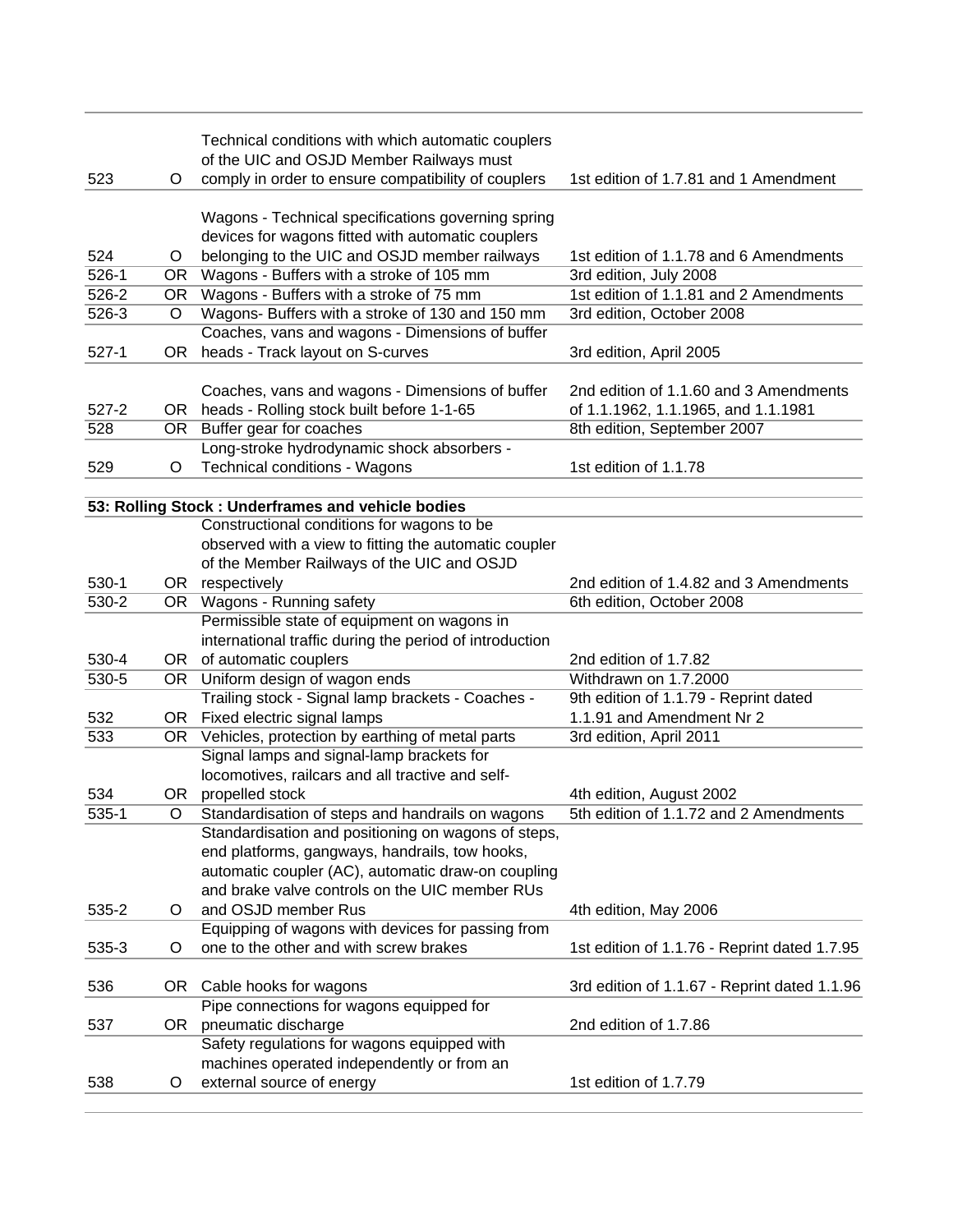|           |         | Technical conditions with which automatic couplers                                              |                                              |
|-----------|---------|-------------------------------------------------------------------------------------------------|----------------------------------------------|
| 523       | O       | of the UIC and OSJD Member Railways must<br>comply in order to ensure compatibility of couplers | 1st edition of 1.7.81 and 1 Amendment        |
|           |         |                                                                                                 |                                              |
|           |         | Wagons - Technical specifications governing spring                                              |                                              |
|           |         | devices for wagons fitted with automatic couplers                                               |                                              |
| 524       | O       | belonging to the UIC and OSJD member railways                                                   | 1st edition of 1.1.78 and 6 Amendments       |
| $526-1$   |         | OR Wagons - Buffers with a stroke of 105 mm                                                     | 3rd edition, July 2008                       |
| 526-2     | OR      | Wagons - Buffers with a stroke of 75 mm                                                         | 1st edition of 1.1.81 and 2 Amendments       |
| 526-3     | O       | Wagons- Buffers with a stroke of 130 and 150 mm                                                 | 3rd edition, October 2008                    |
|           |         | Coaches, vans and wagons - Dimensions of buffer                                                 |                                              |
| $527-1$   | OR.     | heads - Track layout on S-curves                                                                | 3rd edition, April 2005                      |
|           |         |                                                                                                 |                                              |
|           |         | Coaches, vans and wagons - Dimensions of buffer                                                 | 2nd edition of 1.1.60 and 3 Amendments       |
| $527 - 2$ |         | OR heads - Rolling stock built before 1-1-65                                                    | of 1.1.1962, 1.1.1965, and 1.1.1981          |
| 528       |         | OR Buffer gear for coaches                                                                      | 8th edition, September 2007                  |
|           |         | Long-stroke hydrodynamic shock absorbers -                                                      |                                              |
| 529       | O       | Technical conditions - Wagons                                                                   | 1st edition of 1.1.78                        |
|           |         |                                                                                                 |                                              |
|           |         | 53: Rolling Stock : Underframes and vehicle bodies                                              |                                              |
|           |         | Constructional conditions for wagons to be                                                      |                                              |
|           |         | observed with a view to fitting the automatic coupler                                           |                                              |
|           |         | of the Member Railways of the UIC and OSJD                                                      |                                              |
| $530-1$   |         | OR respectively                                                                                 | 2nd edition of 1.4.82 and 3 Amendments       |
| $530 - 2$ |         | OR Wagons - Running safety                                                                      | 6th edition, October 2008                    |
|           |         | Permissible state of equipment on wagons in                                                     |                                              |
|           |         | international traffic during the period of introduction                                         |                                              |
| 530-4     |         | OR of automatic couplers                                                                        | 2nd edition of 1.7.82                        |
| $530 - 5$ |         | OR Uniform design of wagon ends                                                                 | Withdrawn on 1.7.2000                        |
|           |         | Trailing stock - Signal lamp brackets - Coaches -                                               | 9th edition of 1.1.79 - Reprint dated        |
| 532       |         | OR Fixed electric signal lamps                                                                  | 1.1.91 and Amendment Nr 2                    |
| 533       |         | OR Vehicles, protection by earthing of metal parts                                              | 3rd edition, April 2011                      |
|           |         | Signal lamps and signal-lamp brackets for                                                       |                                              |
|           |         | locomotives, railcars and all tractive and self-                                                |                                              |
| 534       |         | OR propelled stock                                                                              | 4th edition, August 2002                     |
| 535-1     | O       | Standardisation of steps and handrails on wagons                                                | 5th edition of 1.1.72 and 2 Amendments       |
|           |         | Standardisation and positioning on wagons of steps,                                             |                                              |
|           |         | end platforms, gangways, handrails, tow hooks,                                                  |                                              |
|           |         | automatic coupler (AC), automatic draw-on coupling                                              |                                              |
|           |         | and brake valve controls on the UIC member RUs                                                  |                                              |
| 535-2     | O       | and OSJD member Rus                                                                             | 4th edition, May 2006                        |
|           |         | Equipping of wagons with devices for passing from                                               |                                              |
| 535-3     | O       | one to the other and with screw brakes                                                          | 1st edition of 1.1.76 - Reprint dated 1.7.95 |
|           |         |                                                                                                 |                                              |
| 536       |         | OR Cable hooks for wagons                                                                       | 3rd edition of 1.1.67 - Reprint dated 1.1.96 |
|           |         | Pipe connections for wagons equipped for                                                        |                                              |
| 537       | OR      | pneumatic discharge                                                                             | 2nd edition of 1.7.86                        |
|           |         | Safety regulations for wagons equipped with                                                     |                                              |
|           |         | machines operated independently or from an                                                      |                                              |
| 538       | $\circ$ | external source of energy                                                                       | 1st edition of 1.7.79                        |
|           |         |                                                                                                 |                                              |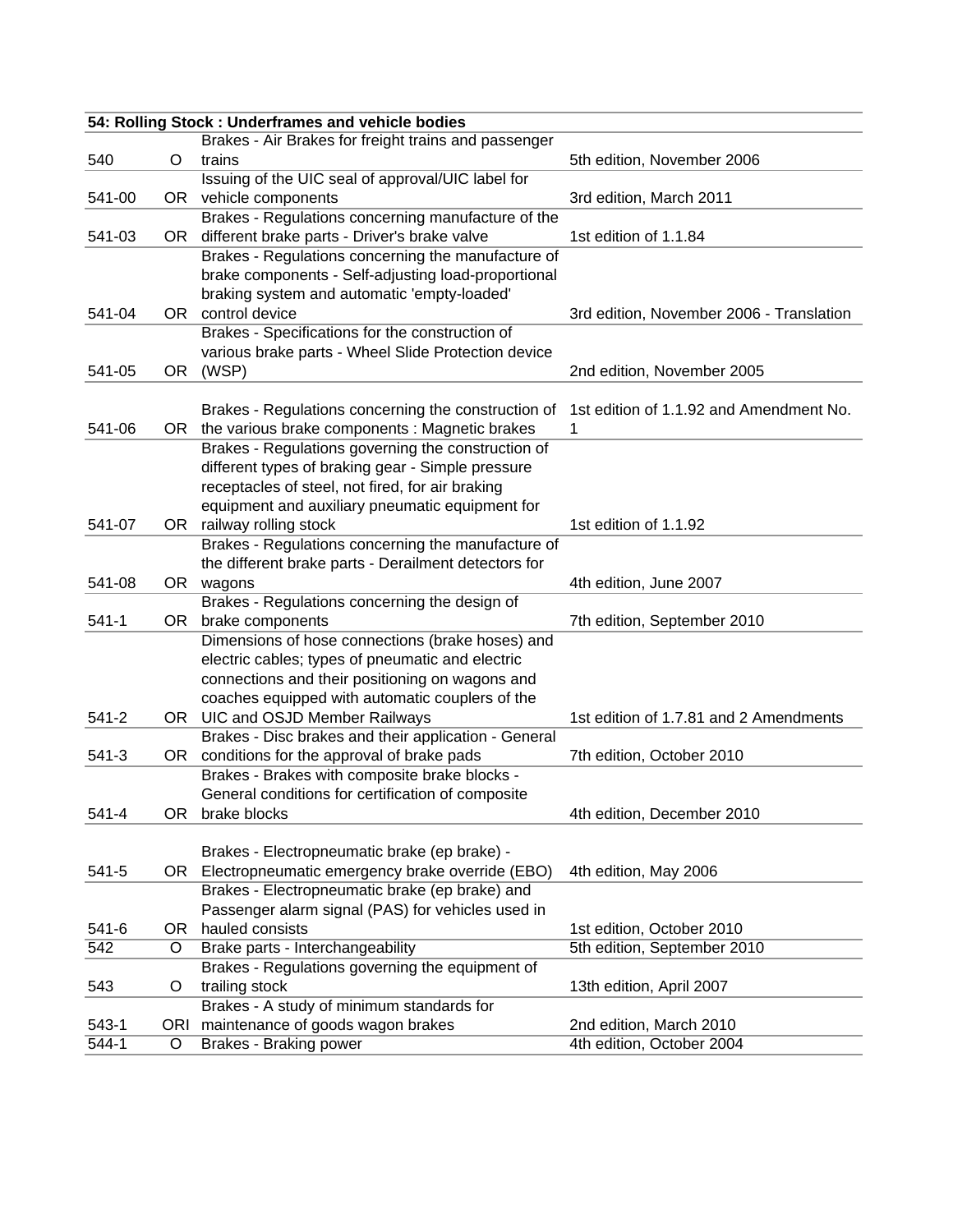| 54: Rolling Stock : Underframes and vehicle bodies |         |                                                                   |                                          |
|----------------------------------------------------|---------|-------------------------------------------------------------------|------------------------------------------|
|                                                    |         | Brakes - Air Brakes for freight trains and passenger              |                                          |
| 540                                                | O       | trains                                                            | 5th edition, November 2006               |
|                                                    |         | Issuing of the UIC seal of approval/UIC label for                 |                                          |
| 541-00                                             |         | OR vehicle components                                             | 3rd edition, March 2011                  |
|                                                    |         | Brakes - Regulations concerning manufacture of the                |                                          |
| 541-03                                             | OR.     | different brake parts - Driver's brake valve                      | 1st edition of 1.1.84                    |
|                                                    |         | Brakes - Regulations concerning the manufacture of                |                                          |
|                                                    |         | brake components - Self-adjusting load-proportional               |                                          |
|                                                    |         | braking system and automatic 'empty-loaded'                       |                                          |
| 541-04                                             | OR .    | control device                                                    | 3rd edition, November 2006 - Translation |
|                                                    |         | Brakes - Specifications for the construction of                   |                                          |
|                                                    |         | various brake parts - Wheel Slide Protection device               |                                          |
| 541-05                                             | OR.     | (WSP)                                                             | 2nd edition, November 2005               |
|                                                    |         |                                                                   |                                          |
|                                                    |         | Brakes - Regulations concerning the construction of               | 1st edition of 1.1.92 and Amendment No.  |
| 541-06                                             |         | OR the various brake components : Magnetic brakes                 | 1                                        |
|                                                    |         | Brakes - Regulations governing the construction of                |                                          |
|                                                    |         | different types of braking gear - Simple pressure                 |                                          |
|                                                    |         | receptacles of steel, not fired, for air braking                  |                                          |
|                                                    |         | equipment and auxiliary pneumatic equipment for                   |                                          |
| 541-07                                             |         | OR railway rolling stock                                          | 1st edition of 1.1.92                    |
|                                                    |         | Brakes - Regulations concerning the manufacture of                |                                          |
|                                                    |         | the different brake parts - Derailment detectors for              |                                          |
| 541-08                                             |         | OR wagons                                                         | 4th edition, June 2007                   |
|                                                    |         | Brakes - Regulations concerning the design of                     |                                          |
| $541-1$                                            | OR      | brake components                                                  | 7th edition, September 2010              |
|                                                    |         | Dimensions of hose connections (brake hoses) and                  |                                          |
|                                                    |         | electric cables; types of pneumatic and electric                  |                                          |
|                                                    |         | connections and their positioning on wagons and                   |                                          |
|                                                    |         | coaches equipped with automatic couplers of the                   |                                          |
| $541 - 2$                                          |         | OR UIC and OSJD Member Railways                                   | 1st edition of 1.7.81 and 2 Amendments   |
|                                                    |         | Brakes - Disc brakes and their application - General              |                                          |
| $541-3$                                            |         | OR conditions for the approval of brake pads                      | 7th edition, October 2010                |
|                                                    |         | Brakes - Brakes with composite brake blocks -                     |                                          |
|                                                    |         | General conditions for certification of composite                 |                                          |
| 541-4                                              |         | OR brake blocks                                                   | 4th edition, December 2010               |
|                                                    |         |                                                                   |                                          |
|                                                    |         | Brakes - Electropneumatic brake (ep brake) -                      |                                          |
| 541-5                                              |         | OR Electropneumatic emergency brake override (EBO)                | 4th edition, May 2006                    |
|                                                    |         | Brakes - Electropneumatic brake (ep brake) and                    |                                          |
|                                                    |         | Passenger alarm signal (PAS) for vehicles used in                 |                                          |
| $541 - 6$                                          | OR      | hauled consists                                                   | 1st edition, October 2010                |
| 542                                                | $\circ$ | Brake parts - Interchangeability                                  | 5th edition, September 2010              |
| 543                                                | O       | Brakes - Regulations governing the equipment of<br>trailing stock | 13th edition, April 2007                 |
|                                                    |         | Brakes - A study of minimum standards for                         |                                          |
| $543-1$                                            |         | ORI maintenance of goods wagon brakes                             | 2nd edition, March 2010                  |
| 544-1                                              | O       | <b>Brakes - Braking power</b>                                     | 4th edition, October 2004                |
|                                                    |         |                                                                   |                                          |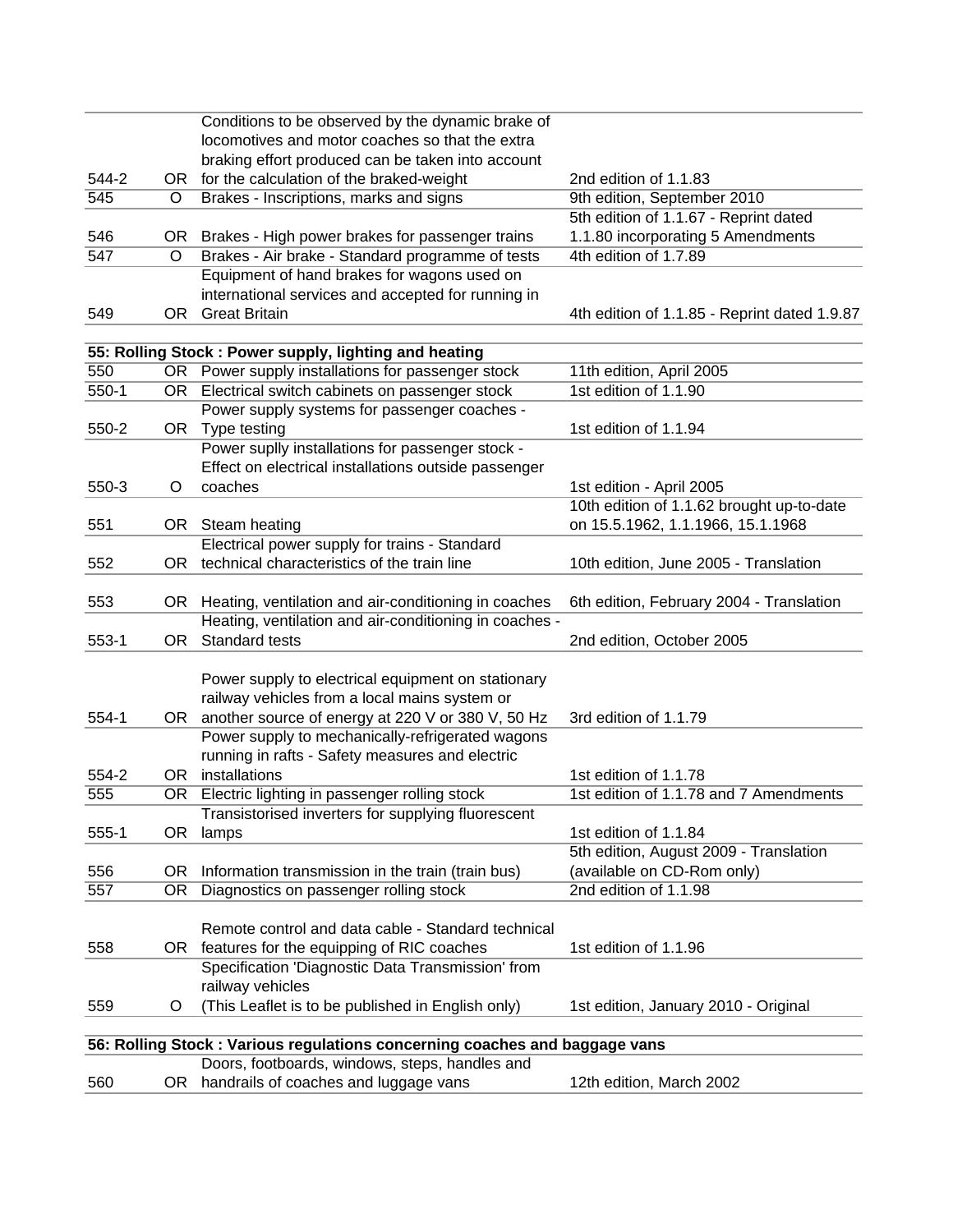|         |           | Conditions to be observed by the dynamic brake of                          |                                              |
|---------|-----------|----------------------------------------------------------------------------|----------------------------------------------|
|         |           | locomotives and motor coaches so that the extra                            |                                              |
|         |           | braking effort produced can be taken into account                          |                                              |
| 544-2   |           | OR for the calculation of the braked-weight                                | 2nd edition of 1.1.83                        |
| 545     | $\circ$   | Brakes - Inscriptions, marks and signs                                     | 9th edition, September 2010                  |
|         |           |                                                                            | 5th edition of 1.1.67 - Reprint dated        |
| 546     |           | OR Brakes - High power brakes for passenger trains                         | 1.1.80 incorporating 5 Amendments            |
| 547     | O         | Brakes - Air brake - Standard programme of tests                           | 4th edition of 1.7.89                        |
|         |           | Equipment of hand brakes for wagons used on                                |                                              |
|         |           | international services and accepted for running in                         |                                              |
| 549     | OR.       | <b>Great Britain</b>                                                       | 4th edition of 1.1.85 - Reprint dated 1.9.87 |
|         |           |                                                                            |                                              |
|         |           | 55: Rolling Stock: Power supply, lighting and heating                      |                                              |
| 550     |           | OR Power supply installations for passenger stock                          | 11th edition, April 2005                     |
| $550-1$ |           | OR Electrical switch cabinets on passenger stock                           | 1st edition of 1.1.90                        |
|         |           | Power supply systems for passenger coaches -                               |                                              |
| 550-2   |           | OR Type testing                                                            | 1st edition of 1.1.94                        |
|         |           | Power suplly installations for passenger stock -                           |                                              |
|         |           | Effect on electrical installations outside passenger                       |                                              |
| 550-3   | O         | coaches                                                                    | 1st edition - April 2005                     |
|         |           |                                                                            | 10th edition of 1.1.62 brought up-to-date    |
| 551     |           | OR Steam heating                                                           | on 15.5.1962, 1.1.1966, 15.1.1968            |
|         |           | Electrical power supply for trains - Standard                              |                                              |
| 552     |           | OR technical characteristics of the train line                             | 10th edition, June 2005 - Translation        |
|         |           |                                                                            |                                              |
| 553     |           | OR Heating, ventilation and air-conditioning in coaches                    | 6th edition, February 2004 - Translation     |
|         |           | Heating, ventilation and air-conditioning in coaches -                     |                                              |
| $553-1$ | OR I      | Standard tests                                                             | 2nd edition, October 2005                    |
|         |           |                                                                            |                                              |
|         |           | Power supply to electrical equipment on stationary                         |                                              |
|         |           | railway vehicles from a local mains system or                              |                                              |
| 554-1   |           | OR another source of energy at 220 V or 380 V, 50 Hz                       | 3rd edition of 1.1.79                        |
|         |           | Power supply to mechanically-refrigerated wagons                           |                                              |
|         |           | running in rafts - Safety measures and electric                            |                                              |
| 554-2   |           | OR installations                                                           | 1st edition of 1.1.78                        |
| 555     | OR        | Electric lighting in passenger rolling stock                               | 1st edition of 1.1.78 and 7 Amendments       |
|         |           | Transistorised inverters for supplying fluorescent                         |                                              |
| $555-1$ | 0R        | lamps                                                                      | 1st edition of 1.1.84                        |
|         |           |                                                                            | 5th edition, August 2009 - Translation       |
| 556     | <b>OR</b> | Information transmission in the train (train bus)                          | (available on CD-Rom only)                   |
| 557     | OR        | Diagnostics on passenger rolling stock                                     | 2nd edition of 1.1.98                        |
|         |           |                                                                            |                                              |
|         |           | Remote control and data cable - Standard technical                         |                                              |
| 558     |           | OR features for the equipping of RIC coaches                               | 1st edition of 1.1.96                        |
|         |           | Specification 'Diagnostic Data Transmission' from                          |                                              |
|         |           | railway vehicles                                                           |                                              |
| 559     | O         | (This Leaflet is to be published in English only)                          | 1st edition, January 2010 - Original         |
|         |           |                                                                            |                                              |
|         |           | 56: Rolling Stock: Various regulations concerning coaches and baggage vans |                                              |
|         |           | Doors, footboards, windows, steps, handles and                             |                                              |
| 560     |           | OR handrails of coaches and luggage vans                                   | 12th edition, March 2002                     |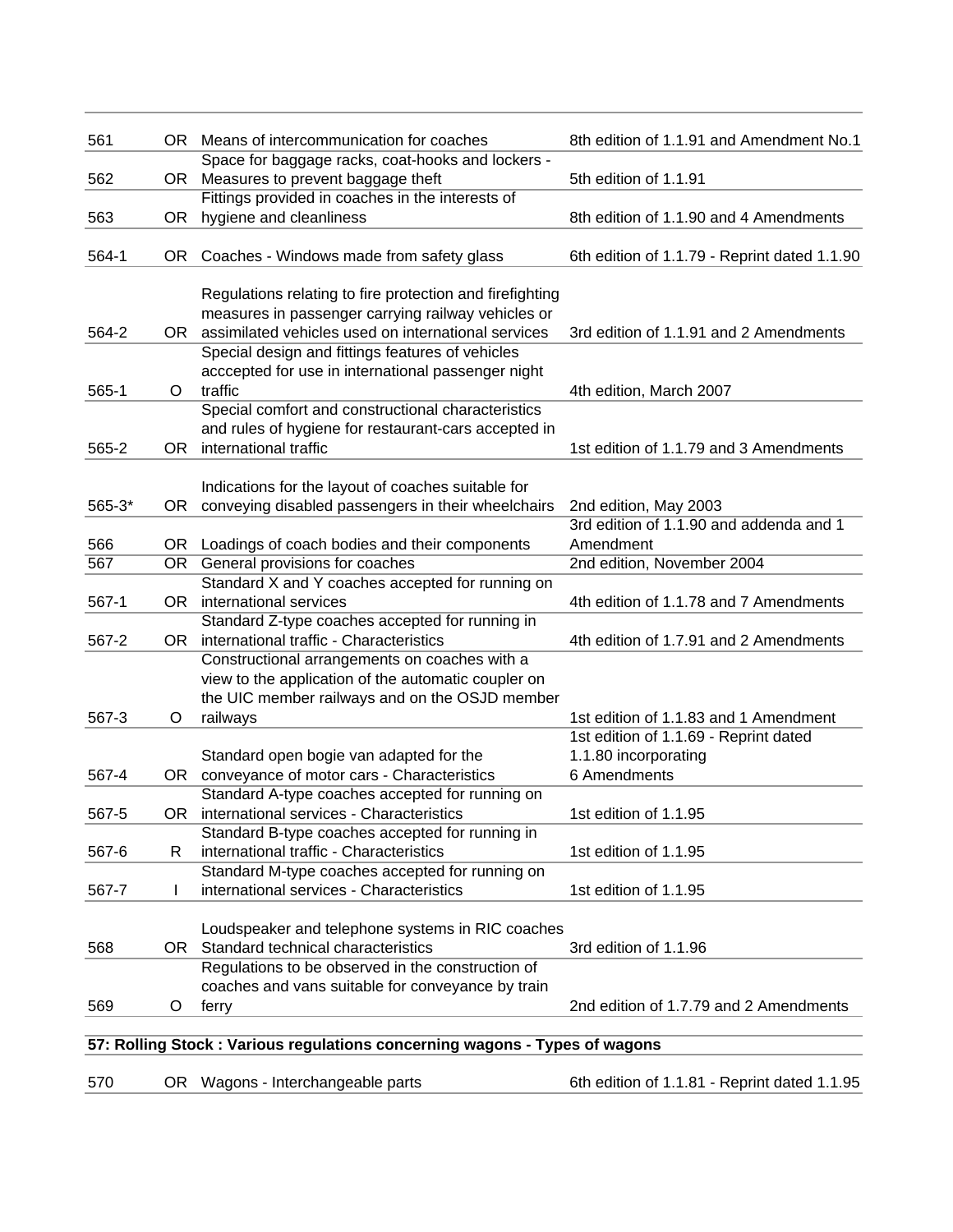| 561        |      | OR Means of intercommunication for coaches                                                | 8th edition of 1.1.91 and Amendment No.1                         |
|------------|------|-------------------------------------------------------------------------------------------|------------------------------------------------------------------|
| 562        |      | Space for baggage racks, coat-hooks and lockers -<br>OR Measures to prevent baggage theft | 5th edition of 1.1.91                                            |
|            |      | Fittings provided in coaches in the interests of                                          |                                                                  |
| 563        | OR   | hygiene and cleanliness                                                                   | 8th edition of 1.1.90 and 4 Amendments                           |
| 564-1      | OR   | Coaches - Windows made from safety glass                                                  | 6th edition of 1.1.79 - Reprint dated 1.1.90                     |
|            |      | Regulations relating to fire protection and firefighting                                  |                                                                  |
|            |      | measures in passenger carrying railway vehicles or                                        |                                                                  |
| 564-2      |      | OR assimilated vehicles used on international services                                    | 3rd edition of 1.1.91 and 2 Amendments                           |
|            |      | Special design and fittings features of vehicles                                          |                                                                  |
|            |      | acccepted for use in international passenger night                                        |                                                                  |
| $565-1$    | O    | traffic                                                                                   | 4th edition, March 2007                                          |
|            |      | Special comfort and constructional characteristics                                        |                                                                  |
|            |      | and rules of hygiene for restaurant-cars accepted in                                      |                                                                  |
| 565-2      |      | OR international traffic                                                                  | 1st edition of 1.1.79 and 3 Amendments                           |
|            |      |                                                                                           |                                                                  |
|            |      | Indications for the layout of coaches suitable for                                        |                                                                  |
| $565 - 3*$ |      | OR conveying disabled passengers in their wheelchairs                                     |                                                                  |
|            |      |                                                                                           | 2nd edition, May 2003<br>3rd edition of 1.1.90 and addenda and 1 |
|            |      |                                                                                           | Amendment                                                        |
| 566        |      | OR Loadings of coach bodies and their components                                          |                                                                  |
| 567        | OR   | General provisions for coaches                                                            | 2nd edition, November 2004                                       |
|            |      | Standard X and Y coaches accepted for running on                                          |                                                                  |
| $567-1$    | OR I | international services                                                                    | 4th edition of 1.1.78 and 7 Amendments                           |
|            |      | Standard Z-type coaches accepted for running in                                           |                                                                  |
| 567-2      | OR I | international traffic - Characteristics                                                   | 4th edition of 1.7.91 and 2 Amendments                           |
|            |      | Constructional arrangements on coaches with a                                             |                                                                  |
|            |      | view to the application of the automatic coupler on                                       |                                                                  |
|            |      | the UIC member railways and on the OSJD member                                            |                                                                  |
| 567-3      | O    | railways                                                                                  | 1st edition of 1.1.83 and 1 Amendment                            |
|            |      |                                                                                           | 1st edition of 1.1.69 - Reprint dated                            |
|            |      | Standard open bogie van adapted for the                                                   | 1.1.80 incorporating                                             |
| 567-4      |      | OR conveyance of motor cars - Characteristics                                             | 6 Amendments                                                     |
|            |      | Standard A-type coaches accepted for running on                                           |                                                                  |
| 567-5      | OR   | international services - Characteristics                                                  | 1st edition of 1.1.95                                            |
|            |      | Standard B-type coaches accepted for running in                                           |                                                                  |
| 567-6      | R    | international traffic - Characteristics                                                   | 1st edition of 1.1.95                                            |
|            |      | Standard M-type coaches accepted for running on                                           |                                                                  |
| 567-7      |      | international services - Characteristics                                                  | 1st edition of 1.1.95                                            |
|            |      |                                                                                           |                                                                  |
|            |      | Loudspeaker and telephone systems in RIC coaches                                          |                                                                  |
| 568        | OR.  | Standard technical characteristics                                                        | 3rd edition of 1.1.96                                            |
|            |      | Regulations to be observed in the construction of                                         |                                                                  |
|            |      | coaches and vans suitable for conveyance by train                                         |                                                                  |
| 569        | Ő    | ferry                                                                                     | 2nd edition of 1.7.79 and 2 Amendments                           |
|            |      |                                                                                           |                                                                  |
|            |      | 57: Rolling Stock: Various regulations concerning wagons - Types of wagons                |                                                                  |
|            |      |                                                                                           |                                                                  |
| 570        |      | OR Wagons - Interchangeable parts                                                         | 6th edition of 1.1.81 - Reprint dated 1.1.95                     |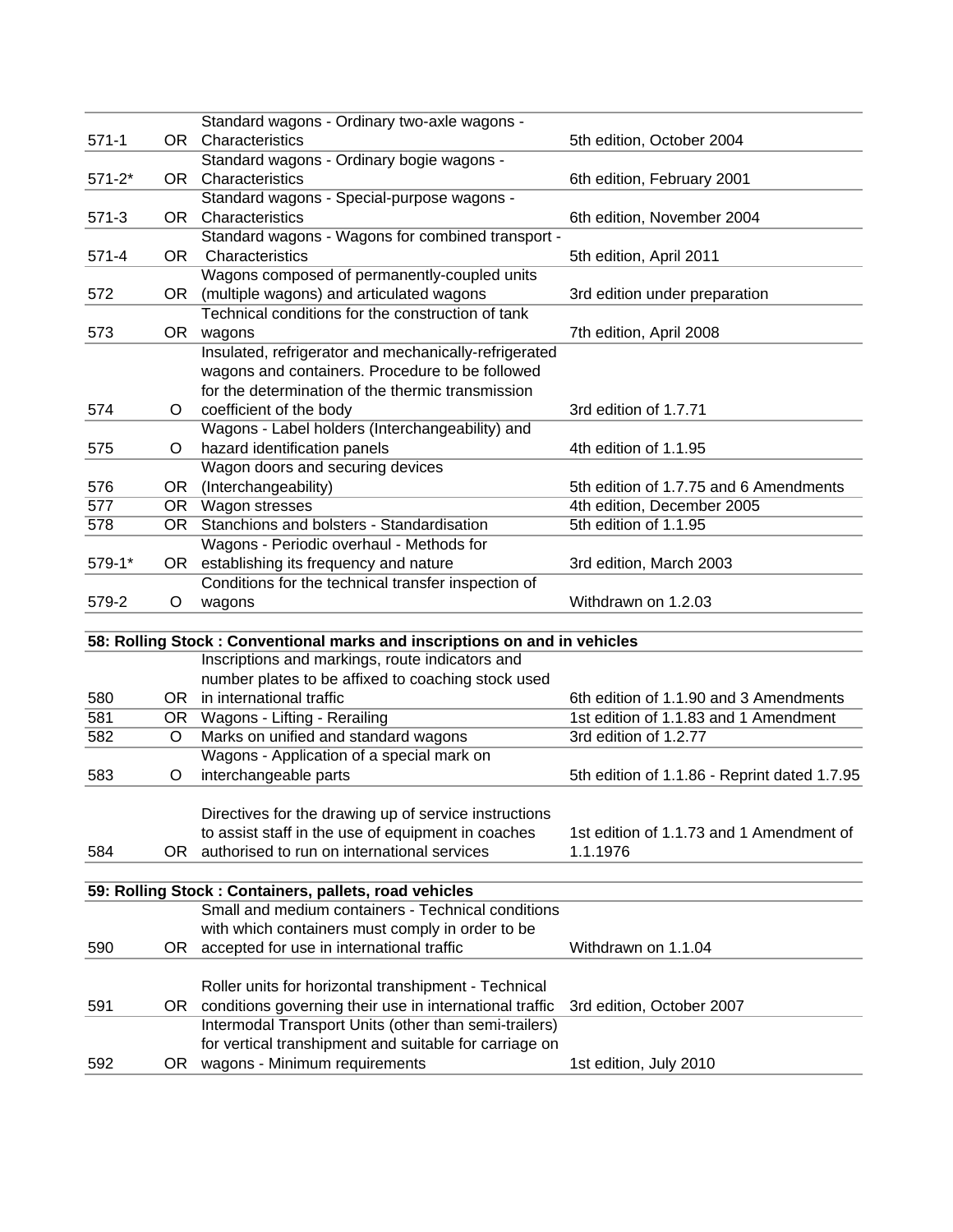|            |      | Standard wagons - Ordinary two-axle wagons -                                      |                                              |
|------------|------|-----------------------------------------------------------------------------------|----------------------------------------------|
| $571-1$    |      | OR Characteristics                                                                | 5th edition, October 2004                    |
|            |      | Standard wagons - Ordinary bogie wagons -                                         |                                              |
| $571 - 2*$ |      | OR Characteristics                                                                | 6th edition, February 2001                   |
|            |      | Standard wagons - Special-purpose wagons -                                        |                                              |
| $571-3$    |      | OR Characteristics                                                                | 6th edition, November 2004                   |
|            |      | Standard wagons - Wagons for combined transport -                                 |                                              |
| $571 - 4$  | OR.  | Characteristics                                                                   | 5th edition, April 2011                      |
|            |      | Wagons composed of permanently-coupled units                                      |                                              |
| 572        | OR.  | (multiple wagons) and articulated wagons                                          | 3rd edition under preparation                |
|            |      | Technical conditions for the construction of tank                                 |                                              |
| 573        |      | OR wagons                                                                         | 7th edition, April 2008                      |
|            |      | Insulated, refrigerator and mechanically-refrigerated                             |                                              |
|            |      | wagons and containers. Procedure to be followed                                   |                                              |
|            |      | for the determination of the thermic transmission                                 |                                              |
| 574        | O    | coefficient of the body                                                           | 3rd edition of 1.7.71                        |
|            |      | Wagons - Label holders (Interchangeability) and                                   |                                              |
| 575        | O    | hazard identification panels                                                      | 4th edition of 1.1.95                        |
|            |      | Wagon doors and securing devices                                                  |                                              |
| 576        | OR   | (Interchangeability)                                                              | 5th edition of 1.7.75 and 6 Amendments       |
| 577        |      | OR Wagon stresses                                                                 | 4th edition, December 2005                   |
| 578        |      | OR Stanchions and bolsters - Standardisation                                      | 5th edition of 1.1.95                        |
|            |      | Wagons - Periodic overhaul - Methods for                                          |                                              |
| 579-1*     |      | OR establishing its frequency and nature                                          | 3rd edition, March 2003                      |
|            |      | Conditions for the technical transfer inspection of                               |                                              |
| 579-2      | O    | wagons                                                                            | Withdrawn on 1.2.03                          |
|            |      |                                                                                   |                                              |
|            |      | 58: Rolling Stock: Conventional marks and inscriptions on and in vehicles         |                                              |
|            |      | Inscriptions and markings, route indicators and                                   |                                              |
| 580        |      | number plates to be affixed to coaching stock used<br>OR in international traffic | 6th edition of 1.1.90 and 3 Amendments       |
| 581        |      |                                                                                   | 1st edition of 1.1.83 and 1 Amendment        |
|            | O    | OR Wagons - Lifting - Rerailing<br>Marks on unified and standard wagons           | 3rd edition of 1.2.77                        |
| 582        |      | Wagons - Application of a special mark on                                         |                                              |
| 583        |      |                                                                                   |                                              |
|            | O    | interchangeable parts                                                             | 5th edition of 1.1.86 - Reprint dated 1.7.95 |
|            |      | Directives for the drawing up of service instructions                             |                                              |
|            |      | to assist staff in the use of equipment in coaches                                | 1st edition of 1.1.73 and 1 Amendment of     |
| 584        | OR I | authorised to run on international services                                       | 1.1.1976                                     |
|            |      |                                                                                   |                                              |
|            |      | 59: Rolling Stock : Containers, pallets, road vehicles                            |                                              |
|            |      | Small and medium containers - Technical conditions                                |                                              |
|            |      | with which containers must comply in order to be                                  |                                              |
| 590        | OR   | accepted for use in international traffic                                         | Withdrawn on 1.1.04                          |
|            |      |                                                                                   |                                              |
|            |      | Roller units for horizontal transhipment - Technical                              |                                              |
| 591        |      | OR conditions governing their use in international traffic                        | 3rd edition, October 2007                    |
|            |      | Intermodal Transport Units (other than semi-trailers)                             |                                              |
|            |      | for vertical transhipment and suitable for carriage on                            |                                              |
| 592        |      | OR wagons - Minimum requirements                                                  | 1st edition, July 2010                       |
|            |      |                                                                                   |                                              |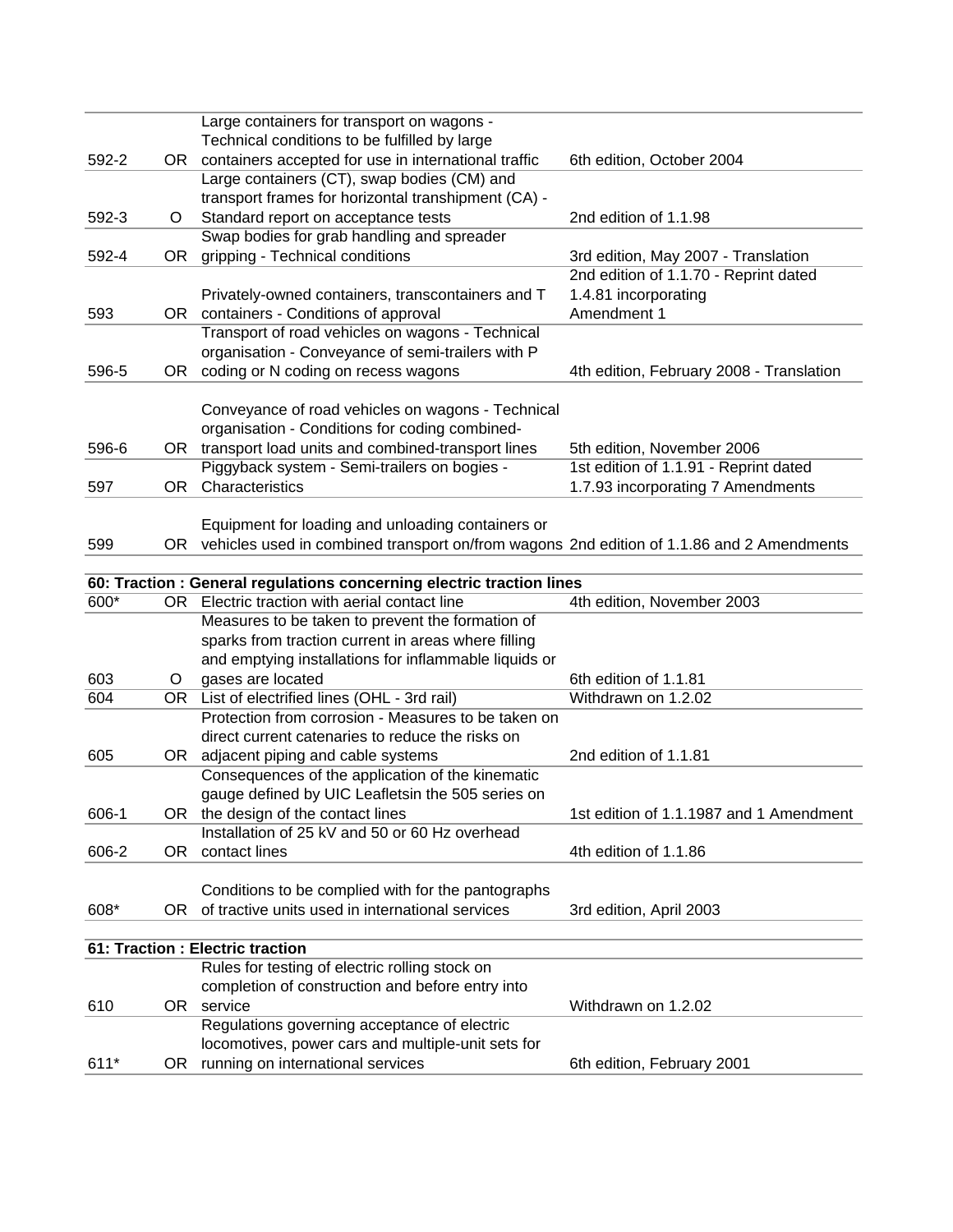|       |      | Large containers for transport on wagons -                                                   |                                          |
|-------|------|----------------------------------------------------------------------------------------------|------------------------------------------|
|       |      | Technical conditions to be fulfilled by large                                                |                                          |
| 592-2 |      | OR containers accepted for use in international traffic                                      | 6th edition, October 2004                |
|       |      | Large containers (CT), swap bodies (CM) and                                                  |                                          |
|       |      | transport frames for horizontal transhipment (CA) -                                          |                                          |
| 592-3 | O    | Standard report on acceptance tests                                                          | 2nd edition of 1.1.98                    |
|       |      | Swap bodies for grab handling and spreader                                                   |                                          |
| 592-4 | OR.  | gripping - Technical conditions                                                              | 3rd edition, May 2007 - Translation      |
|       |      |                                                                                              | 2nd edition of 1.1.70 - Reprint dated    |
|       |      | Privately-owned containers, transcontainers and T                                            | 1.4.81 incorporating                     |
| 593   |      | OR containers - Conditions of approval                                                       | Amendment 1                              |
|       |      | Transport of road vehicles on wagons - Technical                                             |                                          |
|       |      | organisation - Conveyance of semi-trailers with P                                            |                                          |
| 596-5 | OR.  | coding or N coding on recess wagons                                                          | 4th edition, February 2008 - Translation |
|       |      |                                                                                              |                                          |
|       |      | Conveyance of road vehicles on wagons - Technical                                            |                                          |
|       |      | organisation - Conditions for coding combined-                                               |                                          |
| 596-6 | OR   | transport load units and combined-transport lines                                            | 5th edition, November 2006               |
|       |      | Piggyback system - Semi-trailers on bogies -                                                 | 1st edition of 1.1.91 - Reprint dated    |
| 597   | OR   | Characteristics                                                                              | 1.7.93 incorporating 7 Amendments        |
|       |      |                                                                                              |                                          |
|       |      | Equipment for loading and unloading containers or                                            |                                          |
| 599   |      | OR vehicles used in combined transport on/from wagons 2nd edition of 1.1.86 and 2 Amendments |                                          |
|       |      | 60: Traction : General regulations concerning electric traction lines                        |                                          |
| 600*  |      | OR Electric traction with aerial contact line                                                | 4th edition, November 2003               |
|       |      | Measures to be taken to prevent the formation of                                             |                                          |
|       |      | sparks from traction current in areas where filling                                          |                                          |
|       |      | and emptying installations for inflammable liquids or                                        |                                          |
| 603   | O    | gases are located                                                                            | 6th edition of 1.1.81                    |
| 604   |      | OR List of electrified lines (OHL - 3rd rail)                                                | Withdrawn on 1.2.02                      |
|       |      | Protection from corrosion - Measures to be taken on                                          |                                          |
|       |      | direct current catenaries to reduce the risks on                                             |                                          |
| 605   |      | OR adjacent piping and cable systems                                                         | 2nd edition of 1.1.81                    |
|       |      | Consequences of the application of the kinematic                                             |                                          |
|       |      | gauge defined by UIC Leafletsin the 505 series on                                            |                                          |
| 606-1 |      | OR the design of the contact lines                                                           | 1st edition of 1.1.1987 and 1 Amendment  |
|       |      | Installation of 25 kV and 50 or 60 Hz overhead                                               |                                          |
| 606-2 | OR.  | contact lines                                                                                | 4th edition of 1.1.86                    |
|       |      |                                                                                              |                                          |
|       |      | Conditions to be complied with for the pantographs                                           |                                          |
| 608*  | OR.  | of tractive units used in international services                                             | 3rd edition, April 2003                  |
|       |      |                                                                                              |                                          |
|       |      | 61: Traction : Electric traction                                                             |                                          |
|       |      | Rules for testing of electric rolling stock on                                               |                                          |
|       |      | completion of construction and before entry into                                             |                                          |
| 610   | OR . | service                                                                                      | Withdrawn on 1.2.02                      |
|       |      | Regulations governing acceptance of electric                                                 |                                          |
|       |      | locomotives, power cars and multiple-unit sets for                                           |                                          |
| 611*  | OR.  | running on international services                                                            | 6th edition, February 2001               |
|       |      |                                                                                              |                                          |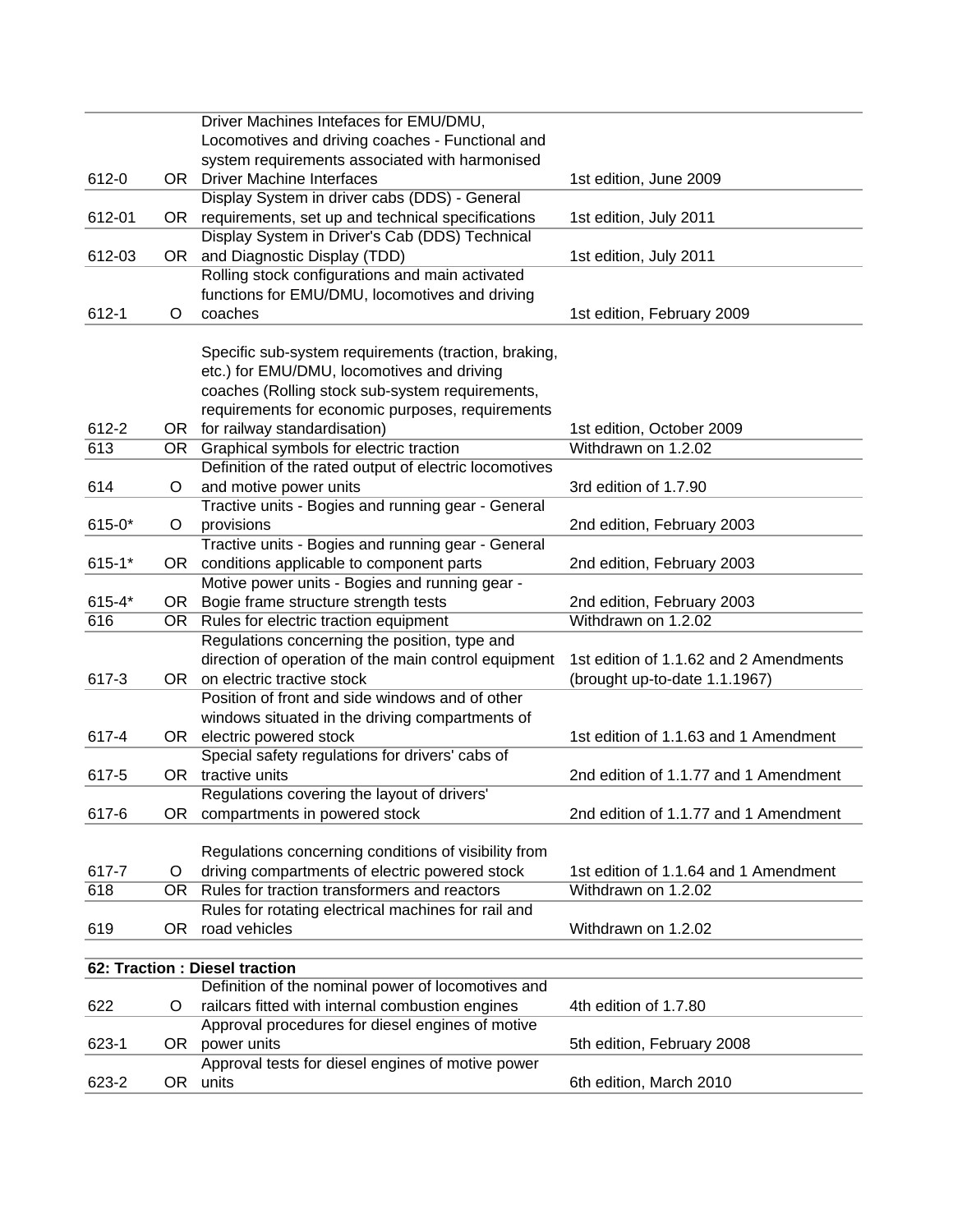|     |                                                               | 1st edition, June 2009                                                                                                                                                                                                                                                                                                                                                                                                                                                                                                                                                                                                                                                                                                                                                                                                                                                                                                                                                                                                                                                                                                                                                                                                                                                                                                                                                                                                                                                                                                                                                                                                                                                               |
|-----|---------------------------------------------------------------|--------------------------------------------------------------------------------------------------------------------------------------------------------------------------------------------------------------------------------------------------------------------------------------------------------------------------------------------------------------------------------------------------------------------------------------------------------------------------------------------------------------------------------------------------------------------------------------------------------------------------------------------------------------------------------------------------------------------------------------------------------------------------------------------------------------------------------------------------------------------------------------------------------------------------------------------------------------------------------------------------------------------------------------------------------------------------------------------------------------------------------------------------------------------------------------------------------------------------------------------------------------------------------------------------------------------------------------------------------------------------------------------------------------------------------------------------------------------------------------------------------------------------------------------------------------------------------------------------------------------------------------------------------------------------------------|
|     |                                                               |                                                                                                                                                                                                                                                                                                                                                                                                                                                                                                                                                                                                                                                                                                                                                                                                                                                                                                                                                                                                                                                                                                                                                                                                                                                                                                                                                                                                                                                                                                                                                                                                                                                                                      |
|     |                                                               |                                                                                                                                                                                                                                                                                                                                                                                                                                                                                                                                                                                                                                                                                                                                                                                                                                                                                                                                                                                                                                                                                                                                                                                                                                                                                                                                                                                                                                                                                                                                                                                                                                                                                      |
|     |                                                               | 1st edition, July 2011                                                                                                                                                                                                                                                                                                                                                                                                                                                                                                                                                                                                                                                                                                                                                                                                                                                                                                                                                                                                                                                                                                                                                                                                                                                                                                                                                                                                                                                                                                                                                                                                                                                               |
|     |                                                               |                                                                                                                                                                                                                                                                                                                                                                                                                                                                                                                                                                                                                                                                                                                                                                                                                                                                                                                                                                                                                                                                                                                                                                                                                                                                                                                                                                                                                                                                                                                                                                                                                                                                                      |
|     |                                                               | 1st edition, July 2011                                                                                                                                                                                                                                                                                                                                                                                                                                                                                                                                                                                                                                                                                                                                                                                                                                                                                                                                                                                                                                                                                                                                                                                                                                                                                                                                                                                                                                                                                                                                                                                                                                                               |
|     |                                                               |                                                                                                                                                                                                                                                                                                                                                                                                                                                                                                                                                                                                                                                                                                                                                                                                                                                                                                                                                                                                                                                                                                                                                                                                                                                                                                                                                                                                                                                                                                                                                                                                                                                                                      |
|     |                                                               |                                                                                                                                                                                                                                                                                                                                                                                                                                                                                                                                                                                                                                                                                                                                                                                                                                                                                                                                                                                                                                                                                                                                                                                                                                                                                                                                                                                                                                                                                                                                                                                                                                                                                      |
|     |                                                               | 1st edition, February 2009                                                                                                                                                                                                                                                                                                                                                                                                                                                                                                                                                                                                                                                                                                                                                                                                                                                                                                                                                                                                                                                                                                                                                                                                                                                                                                                                                                                                                                                                                                                                                                                                                                                           |
|     |                                                               |                                                                                                                                                                                                                                                                                                                                                                                                                                                                                                                                                                                                                                                                                                                                                                                                                                                                                                                                                                                                                                                                                                                                                                                                                                                                                                                                                                                                                                                                                                                                                                                                                                                                                      |
|     |                                                               |                                                                                                                                                                                                                                                                                                                                                                                                                                                                                                                                                                                                                                                                                                                                                                                                                                                                                                                                                                                                                                                                                                                                                                                                                                                                                                                                                                                                                                                                                                                                                                                                                                                                                      |
|     |                                                               |                                                                                                                                                                                                                                                                                                                                                                                                                                                                                                                                                                                                                                                                                                                                                                                                                                                                                                                                                                                                                                                                                                                                                                                                                                                                                                                                                                                                                                                                                                                                                                                                                                                                                      |
|     |                                                               |                                                                                                                                                                                                                                                                                                                                                                                                                                                                                                                                                                                                                                                                                                                                                                                                                                                                                                                                                                                                                                                                                                                                                                                                                                                                                                                                                                                                                                                                                                                                                                                                                                                                                      |
|     |                                                               |                                                                                                                                                                                                                                                                                                                                                                                                                                                                                                                                                                                                                                                                                                                                                                                                                                                                                                                                                                                                                                                                                                                                                                                                                                                                                                                                                                                                                                                                                                                                                                                                                                                                                      |
|     |                                                               | 1st edition, October 2009                                                                                                                                                                                                                                                                                                                                                                                                                                                                                                                                                                                                                                                                                                                                                                                                                                                                                                                                                                                                                                                                                                                                                                                                                                                                                                                                                                                                                                                                                                                                                                                                                                                            |
|     |                                                               | Withdrawn on 1.2.02                                                                                                                                                                                                                                                                                                                                                                                                                                                                                                                                                                                                                                                                                                                                                                                                                                                                                                                                                                                                                                                                                                                                                                                                                                                                                                                                                                                                                                                                                                                                                                                                                                                                  |
|     |                                                               |                                                                                                                                                                                                                                                                                                                                                                                                                                                                                                                                                                                                                                                                                                                                                                                                                                                                                                                                                                                                                                                                                                                                                                                                                                                                                                                                                                                                                                                                                                                                                                                                                                                                                      |
| O   | and motive power units                                        | 3rd edition of 1.7.90                                                                                                                                                                                                                                                                                                                                                                                                                                                                                                                                                                                                                                                                                                                                                                                                                                                                                                                                                                                                                                                                                                                                                                                                                                                                                                                                                                                                                                                                                                                                                                                                                                                                |
|     |                                                               |                                                                                                                                                                                                                                                                                                                                                                                                                                                                                                                                                                                                                                                                                                                                                                                                                                                                                                                                                                                                                                                                                                                                                                                                                                                                                                                                                                                                                                                                                                                                                                                                                                                                                      |
| O   | provisions                                                    | 2nd edition, February 2003                                                                                                                                                                                                                                                                                                                                                                                                                                                                                                                                                                                                                                                                                                                                                                                                                                                                                                                                                                                                                                                                                                                                                                                                                                                                                                                                                                                                                                                                                                                                                                                                                                                           |
|     |                                                               |                                                                                                                                                                                                                                                                                                                                                                                                                                                                                                                                                                                                                                                                                                                                                                                                                                                                                                                                                                                                                                                                                                                                                                                                                                                                                                                                                                                                                                                                                                                                                                                                                                                                                      |
| OR. | conditions applicable to component parts                      | 2nd edition, February 2003                                                                                                                                                                                                                                                                                                                                                                                                                                                                                                                                                                                                                                                                                                                                                                                                                                                                                                                                                                                                                                                                                                                                                                                                                                                                                                                                                                                                                                                                                                                                                                                                                                                           |
|     | Motive power units - Bogies and running gear -                |                                                                                                                                                                                                                                                                                                                                                                                                                                                                                                                                                                                                                                                                                                                                                                                                                                                                                                                                                                                                                                                                                                                                                                                                                                                                                                                                                                                                                                                                                                                                                                                                                                                                                      |
| OR. | Bogie frame structure strength tests                          | 2nd edition, February 2003                                                                                                                                                                                                                                                                                                                                                                                                                                                                                                                                                                                                                                                                                                                                                                                                                                                                                                                                                                                                                                                                                                                                                                                                                                                                                                                                                                                                                                                                                                                                                                                                                                                           |
| OR. | Rules for electric traction equipment                         | Withdrawn on 1.2.02                                                                                                                                                                                                                                                                                                                                                                                                                                                                                                                                                                                                                                                                                                                                                                                                                                                                                                                                                                                                                                                                                                                                                                                                                                                                                                                                                                                                                                                                                                                                                                                                                                                                  |
|     | Regulations concerning the position, type and                 |                                                                                                                                                                                                                                                                                                                                                                                                                                                                                                                                                                                                                                                                                                                                                                                                                                                                                                                                                                                                                                                                                                                                                                                                                                                                                                                                                                                                                                                                                                                                                                                                                                                                                      |
|     |                                                               | 1st edition of 1.1.62 and 2 Amendments                                                                                                                                                                                                                                                                                                                                                                                                                                                                                                                                                                                                                                                                                                                                                                                                                                                                                                                                                                                                                                                                                                                                                                                                                                                                                                                                                                                                                                                                                                                                                                                                                                               |
|     |                                                               | (brought up-to-date 1.1.1967)                                                                                                                                                                                                                                                                                                                                                                                                                                                                                                                                                                                                                                                                                                                                                                                                                                                                                                                                                                                                                                                                                                                                                                                                                                                                                                                                                                                                                                                                                                                                                                                                                                                        |
|     | Position of front and side windows and of other               |                                                                                                                                                                                                                                                                                                                                                                                                                                                                                                                                                                                                                                                                                                                                                                                                                                                                                                                                                                                                                                                                                                                                                                                                                                                                                                                                                                                                                                                                                                                                                                                                                                                                                      |
|     |                                                               |                                                                                                                                                                                                                                                                                                                                                                                                                                                                                                                                                                                                                                                                                                                                                                                                                                                                                                                                                                                                                                                                                                                                                                                                                                                                                                                                                                                                                                                                                                                                                                                                                                                                                      |
|     |                                                               | 1st edition of 1.1.63 and 1 Amendment                                                                                                                                                                                                                                                                                                                                                                                                                                                                                                                                                                                                                                                                                                                                                                                                                                                                                                                                                                                                                                                                                                                                                                                                                                                                                                                                                                                                                                                                                                                                                                                                                                                |
|     |                                                               |                                                                                                                                                                                                                                                                                                                                                                                                                                                                                                                                                                                                                                                                                                                                                                                                                                                                                                                                                                                                                                                                                                                                                                                                                                                                                                                                                                                                                                                                                                                                                                                                                                                                                      |
|     |                                                               | 2nd edition of 1.1.77 and 1 Amendment                                                                                                                                                                                                                                                                                                                                                                                                                                                                                                                                                                                                                                                                                                                                                                                                                                                                                                                                                                                                                                                                                                                                                                                                                                                                                                                                                                                                                                                                                                                                                                                                                                                |
|     |                                                               |                                                                                                                                                                                                                                                                                                                                                                                                                                                                                                                                                                                                                                                                                                                                                                                                                                                                                                                                                                                                                                                                                                                                                                                                                                                                                                                                                                                                                                                                                                                                                                                                                                                                                      |
|     |                                                               | 2nd edition of 1.1.77 and 1 Amendment                                                                                                                                                                                                                                                                                                                                                                                                                                                                                                                                                                                                                                                                                                                                                                                                                                                                                                                                                                                                                                                                                                                                                                                                                                                                                                                                                                                                                                                                                                                                                                                                                                                |
|     |                                                               |                                                                                                                                                                                                                                                                                                                                                                                                                                                                                                                                                                                                                                                                                                                                                                                                                                                                                                                                                                                                                                                                                                                                                                                                                                                                                                                                                                                                                                                                                                                                                                                                                                                                                      |
|     |                                                               |                                                                                                                                                                                                                                                                                                                                                                                                                                                                                                                                                                                                                                                                                                                                                                                                                                                                                                                                                                                                                                                                                                                                                                                                                                                                                                                                                                                                                                                                                                                                                                                                                                                                                      |
|     |                                                               | 1st edition of 1.1.64 and 1 Amendment                                                                                                                                                                                                                                                                                                                                                                                                                                                                                                                                                                                                                                                                                                                                                                                                                                                                                                                                                                                                                                                                                                                                                                                                                                                                                                                                                                                                                                                                                                                                                                                                                                                |
|     |                                                               | Withdrawn on 1.2.02                                                                                                                                                                                                                                                                                                                                                                                                                                                                                                                                                                                                                                                                                                                                                                                                                                                                                                                                                                                                                                                                                                                                                                                                                                                                                                                                                                                                                                                                                                                                                                                                                                                                  |
|     |                                                               |                                                                                                                                                                                                                                                                                                                                                                                                                                                                                                                                                                                                                                                                                                                                                                                                                                                                                                                                                                                                                                                                                                                                                                                                                                                                                                                                                                                                                                                                                                                                                                                                                                                                                      |
|     |                                                               | Withdrawn on 1.2.02                                                                                                                                                                                                                                                                                                                                                                                                                                                                                                                                                                                                                                                                                                                                                                                                                                                                                                                                                                                                                                                                                                                                                                                                                                                                                                                                                                                                                                                                                                                                                                                                                                                                  |
|     |                                                               |                                                                                                                                                                                                                                                                                                                                                                                                                                                                                                                                                                                                                                                                                                                                                                                                                                                                                                                                                                                                                                                                                                                                                                                                                                                                                                                                                                                                                                                                                                                                                                                                                                                                                      |
|     |                                                               |                                                                                                                                                                                                                                                                                                                                                                                                                                                                                                                                                                                                                                                                                                                                                                                                                                                                                                                                                                                                                                                                                                                                                                                                                                                                                                                                                                                                                                                                                                                                                                                                                                                                                      |
|     |                                                               |                                                                                                                                                                                                                                                                                                                                                                                                                                                                                                                                                                                                                                                                                                                                                                                                                                                                                                                                                                                                                                                                                                                                                                                                                                                                                                                                                                                                                                                                                                                                                                                                                                                                                      |
|     |                                                               |                                                                                                                                                                                                                                                                                                                                                                                                                                                                                                                                                                                                                                                                                                                                                                                                                                                                                                                                                                                                                                                                                                                                                                                                                                                                                                                                                                                                                                                                                                                                                                                                                                                                                      |
|     |                                                               | 4th edition of 1.7.80                                                                                                                                                                                                                                                                                                                                                                                                                                                                                                                                                                                                                                                                                                                                                                                                                                                                                                                                                                                                                                                                                                                                                                                                                                                                                                                                                                                                                                                                                                                                                                                                                                                                |
|     | Approval procedures for diesel engines of motive              |                                                                                                                                                                                                                                                                                                                                                                                                                                                                                                                                                                                                                                                                                                                                                                                                                                                                                                                                                                                                                                                                                                                                                                                                                                                                                                                                                                                                                                                                                                                                                                                                                                                                                      |
|     |                                                               |                                                                                                                                                                                                                                                                                                                                                                                                                                                                                                                                                                                                                                                                                                                                                                                                                                                                                                                                                                                                                                                                                                                                                                                                                                                                                                                                                                                                                                                                                                                                                                                                                                                                                      |
|     | OR power units                                                | 5th edition, February 2008                                                                                                                                                                                                                                                                                                                                                                                                                                                                                                                                                                                                                                                                                                                                                                                                                                                                                                                                                                                                                                                                                                                                                                                                                                                                                                                                                                                                                                                                                                                                                                                                                                                           |
|     | Approval tests for diesel engines of motive power<br>OR units | 6th edition, March 2010                                                                                                                                                                                                                                                                                                                                                                                                                                                                                                                                                                                                                                                                                                                                                                                                                                                                                                                                                                                                                                                                                                                                                                                                                                                                                                                                                                                                                                                                                                                                                                                                                                                              |
|     | OR.<br>O<br>O<br>OR.<br>OR.<br>O                              | Driver Machines Intefaces for EMU/DMU,<br>Locomotives and driving coaches - Functional and<br>system requirements associated with harmonised<br>OR Driver Machine Interfaces<br>Display System in driver cabs (DDS) - General<br>requirements, set up and technical specifications<br>OR.<br>Display System in Driver's Cab (DDS) Technical<br>and Diagnostic Display (TDD)<br>Rolling stock configurations and main activated<br>functions for EMU/DMU, locomotives and driving<br>coaches<br>Specific sub-system requirements (traction, braking,<br>etc.) for EMU/DMU, locomotives and driving<br>coaches (Rolling stock sub-system requirements,<br>requirements for economic purposes, requirements<br>OR for railway standardisation)<br>Graphical symbols for electric traction<br>OR<br>Definition of the rated output of electric locomotives<br>Tractive units - Bogies and running gear - General<br>Tractive units - Bogies and running gear - General<br>direction of operation of the main control equipment<br>OR on electric tractive stock<br>windows situated in the driving compartments of<br>OR electric powered stock<br>Special safety regulations for drivers' cabs of<br>OR tractive units<br>Regulations covering the layout of drivers'<br>OR compartments in powered stock<br>Regulations concerning conditions of visibility from<br>driving compartments of electric powered stock<br>Rules for traction transformers and reactors<br>Rules for rotating electrical machines for rail and<br>road vehicles<br>62: Traction : Diesel traction<br>Definition of the nominal power of locomotives and<br>railcars fitted with internal combustion engines |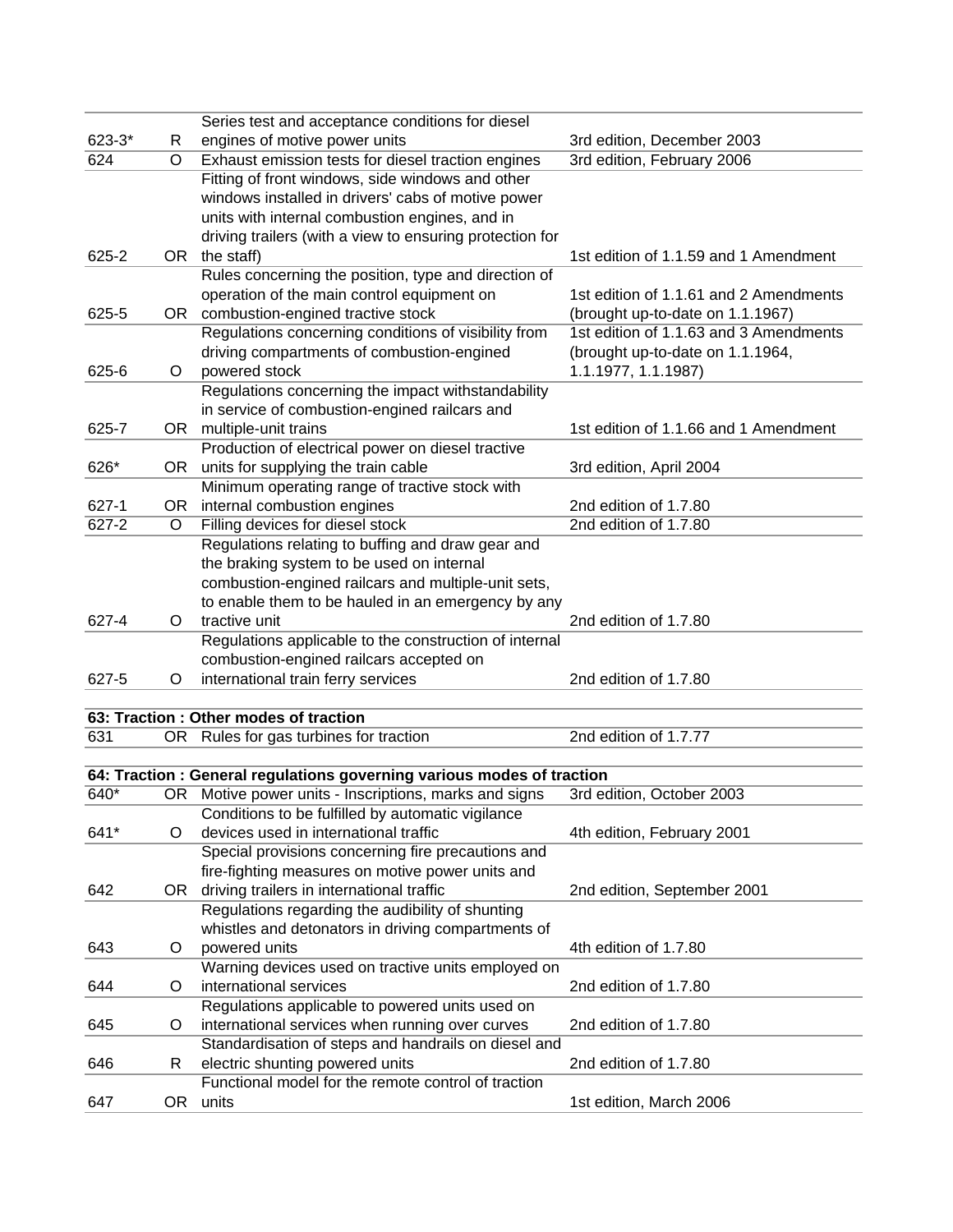|            |         | Series test and acceptance conditions for diesel                       |                                        |
|------------|---------|------------------------------------------------------------------------|----------------------------------------|
| $623 - 3*$ | R       | engines of motive power units                                          | 3rd edition, December 2003             |
| 624        | O       | Exhaust emission tests for diesel traction engines                     | 3rd edition, February 2006             |
|            |         | Fitting of front windows, side windows and other                       |                                        |
|            |         | windows installed in drivers' cabs of motive power                     |                                        |
|            |         | units with internal combustion engines, and in                         |                                        |
|            |         | driving trailers (with a view to ensuring protection for               |                                        |
| 625-2      |         | OR the staff)                                                          | 1st edition of 1.1.59 and 1 Amendment  |
|            |         | Rules concerning the position, type and direction of                   |                                        |
|            |         | operation of the main control equipment on                             | 1st edition of 1.1.61 and 2 Amendments |
| 625-5      |         | OR combustion-engined tractive stock                                   | (brought up-to-date on 1.1.1967)       |
|            |         | Regulations concerning conditions of visibility from                   | 1st edition of 1.1.63 and 3 Amendments |
|            |         | driving compartments of combustion-engined                             | (brought up-to-date on 1.1.1964,       |
| 625-6      | O       | powered stock                                                          | 1.1.1977, 1.1.1987)                    |
|            |         | Regulations concerning the impact withstandability                     |                                        |
|            |         | in service of combustion-engined railcars and                          |                                        |
| 625-7      |         | OR multiple-unit trains                                                | 1st edition of 1.1.66 and 1 Amendment  |
|            |         | Production of electrical power on diesel tractive                      |                                        |
| 626*       |         | OR units for supplying the train cable                                 | 3rd edition, April 2004                |
|            |         | Minimum operating range of tractive stock with                         |                                        |
| 627-1      |         | OR internal combustion engines                                         | 2nd edition of 1.7.80                  |
| 627-2      | O       | Filling devices for diesel stock                                       | 2nd edition of 1.7.80                  |
|            |         | Regulations relating to buffing and draw gear and                      |                                        |
|            |         | the braking system to be used on internal                              |                                        |
|            |         | combustion-engined railcars and multiple-unit sets,                    |                                        |
|            |         |                                                                        |                                        |
|            |         | to enable them to be hauled in an emergency by any                     |                                        |
| 627-4      | $\circ$ | tractive unit                                                          | 2nd edition of 1.7.80                  |
|            |         | Regulations applicable to the construction of internal                 |                                        |
|            |         | combustion-engined railcars accepted on                                |                                        |
| 627-5      | O       | international train ferry services                                     | 2nd edition of 1.7.80                  |
|            |         |                                                                        |                                        |
|            |         | 63: Traction : Other modes of traction                                 |                                        |
| 631        |         | OR Rules for gas turbines for traction                                 | 2nd edition of 1.7.77                  |
|            |         |                                                                        |                                        |
|            |         | 64: Traction : General regulations governing various modes of traction |                                        |
| 640*       |         | OR Motive power units - Inscriptions, marks and signs                  | 3rd edition, October 2003              |
|            |         | Conditions to be fulfilled by automatic vigilance                      |                                        |
| 641*       | O       | devices used in international traffic                                  | 4th edition, February 2001             |
|            |         | Special provisions concerning fire precautions and                     |                                        |
|            |         | fire-fighting measures on motive power units and                       |                                        |
| 642        | OR      | driving trailers in international traffic                              | 2nd edition, September 2001            |
|            |         | Regulations regarding the audibility of shunting                       |                                        |
|            |         | whistles and detonators in driving compartments of                     |                                        |
| 643        | O       | powered units                                                          | 4th edition of 1.7.80                  |
|            |         | Warning devices used on tractive units employed on                     |                                        |
| 644        | $\circ$ | international services                                                 | 2nd edition of 1.7.80                  |
|            |         | Regulations applicable to powered units used on                        |                                        |
| 645        | O       | international services when running over curves                        | 2nd edition of 1.7.80                  |
|            |         | Standardisation of steps and handrails on diesel and                   |                                        |
| 646        | R       | electric shunting powered units                                        | 2nd edition of 1.7.80                  |
|            |         | Functional model for the remote control of traction                    |                                        |
| 647        |         | OR units                                                               | 1st edition, March 2006                |
|            |         |                                                                        |                                        |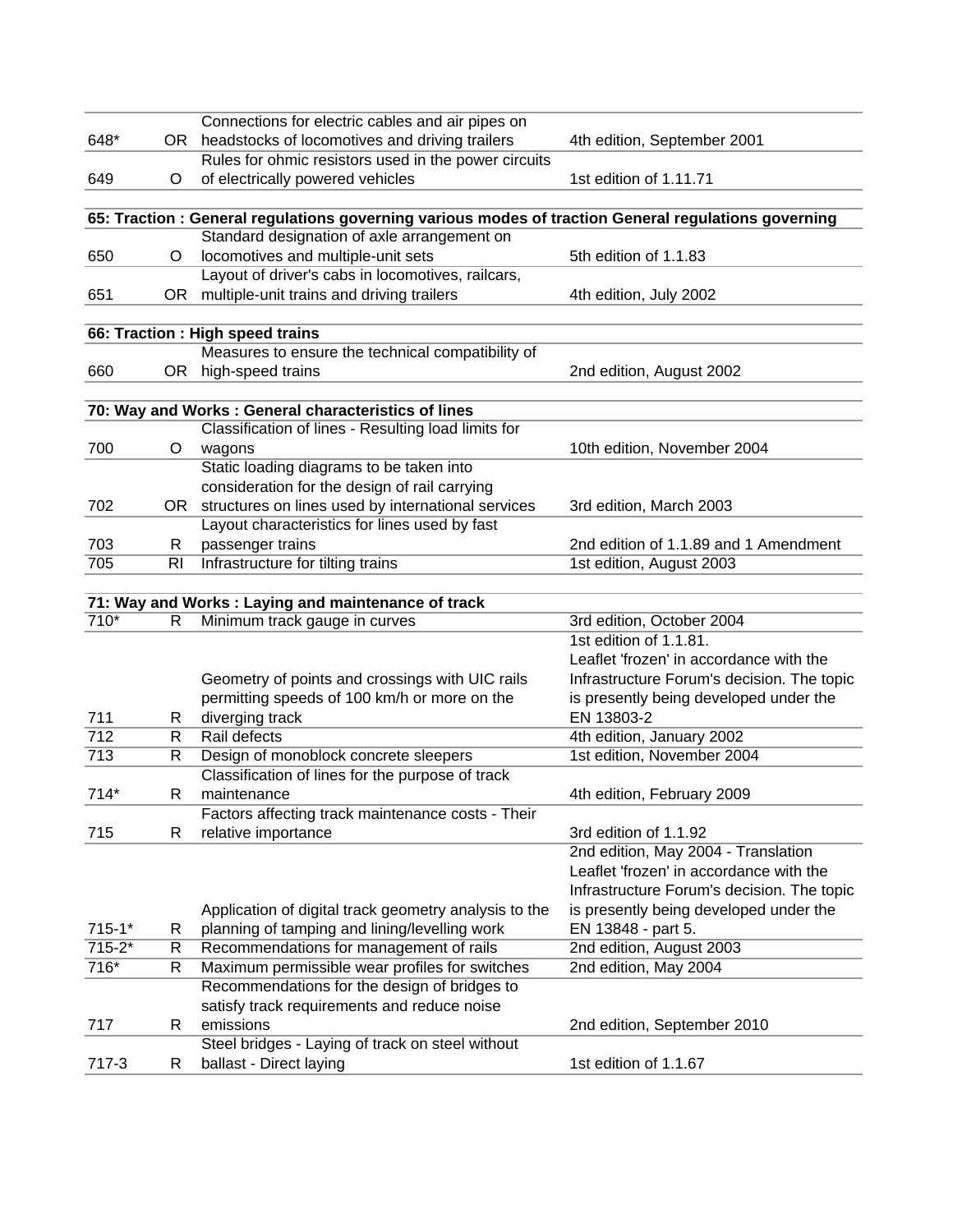| 648*       |        | Connections for electric cables and air pipes on<br>OR headstocks of locomotives and driving trailers | 4th edition, September 2001                          |
|------------|--------|-------------------------------------------------------------------------------------------------------|------------------------------------------------------|
|            |        | Rules for ohmic resistors used in the power circuits                                                  |                                                      |
| 649        | O      | of electrically powered vehicles                                                                      | 1st edition of 1.11.71                               |
|            |        |                                                                                                       |                                                      |
|            |        | 65: Traction : General regulations governing various modes of traction General regulations governing  |                                                      |
|            |        | Standard designation of axle arrangement on                                                           |                                                      |
| 650        | O      | locomotives and multiple-unit sets                                                                    | 5th edition of 1.1.83                                |
|            |        | Layout of driver's cabs in locomotives, railcars,                                                     |                                                      |
| 651        | OR     | multiple-unit trains and driving trailers                                                             | 4th edition, July 2002                               |
|            |        |                                                                                                       |                                                      |
|            |        | 66: Traction : High speed trains                                                                      |                                                      |
|            |        | Measures to ensure the technical compatibility of                                                     |                                                      |
| 660        | OR     | high-speed trains                                                                                     | 2nd edition, August 2002                             |
|            |        |                                                                                                       |                                                      |
|            |        | 70: Way and Works: General characteristics of lines                                                   |                                                      |
|            |        | Classification of lines - Resulting load limits for                                                   |                                                      |
| 700        | O      | wagons                                                                                                | 10th edition, November 2004                          |
|            |        | Static loading diagrams to be taken into                                                              |                                                      |
|            |        | consideration for the design of rail carrying                                                         |                                                      |
| 702        |        | OR structures on lines used by international services                                                 | 3rd edition, March 2003                              |
|            |        | Layout characteristics for lines used by fast                                                         |                                                      |
| 703        | R      | passenger trains                                                                                      | 2nd edition of 1.1.89 and 1 Amendment                |
| 705        | RI     | Infrastructure for tilting trains                                                                     | 1st edition, August 2003                             |
|            |        |                                                                                                       |                                                      |
|            |        | 71: Way and Works : Laying and maintenance of track                                                   |                                                      |
| $710*$     | R      | Minimum track gauge in curves                                                                         | 3rd edition, October 2004                            |
|            |        |                                                                                                       | 1st edition of 1.1.81.                               |
|            |        |                                                                                                       | Leaflet 'frozen' in accordance with the              |
|            |        | Geometry of points and crossings with UIC rails                                                       | Infrastructure Forum's decision. The topic           |
| 711        |        | permitting speeds of 100 km/h or more on the<br>diverging track                                       | is presently being developed under the<br>EN 13803-2 |
| 712        | R<br>R | Rail defects                                                                                          | 4th edition, January 2002                            |
| 713        | R      | Design of monoblock concrete sleepers                                                                 | 1st edition, November 2004                           |
|            |        | Classification of lines for the purpose of track                                                      |                                                      |
| $714*$     | R      | maintenance                                                                                           | 4th edition, February 2009                           |
|            |        | Factors affecting track maintenance costs - Their                                                     |                                                      |
| 715        | R      | relative importance                                                                                   | 3rd edition of 1.1.92                                |
|            |        |                                                                                                       | 2nd edition, May 2004 - Translation                  |
|            |        |                                                                                                       | Leaflet 'frozen' in accordance with the              |
|            |        |                                                                                                       | Infrastructure Forum's decision. The topic           |
|            |        | Application of digital track geometry analysis to the                                                 | is presently being developed under the               |
| $715 - 1*$ | R      | planning of tamping and lining/levelling work                                                         | EN 13848 - part 5.                                   |
| $715 - 2*$ | R      | Recommendations for management of rails                                                               | 2nd edition, August 2003                             |
| 716*       | R      | Maximum permissible wear profiles for switches                                                        | 2nd edition, May 2004                                |
|            |        | Recommendations for the design of bridges to                                                          |                                                      |
|            |        | satisfy track requirements and reduce noise                                                           |                                                      |
| 717        | R      | emissions                                                                                             | 2nd edition, September 2010                          |
|            |        | Steel bridges - Laying of track on steel without                                                      |                                                      |
| 717-3      | R      | ballast - Direct laying                                                                               | 1st edition of 1.1.67                                |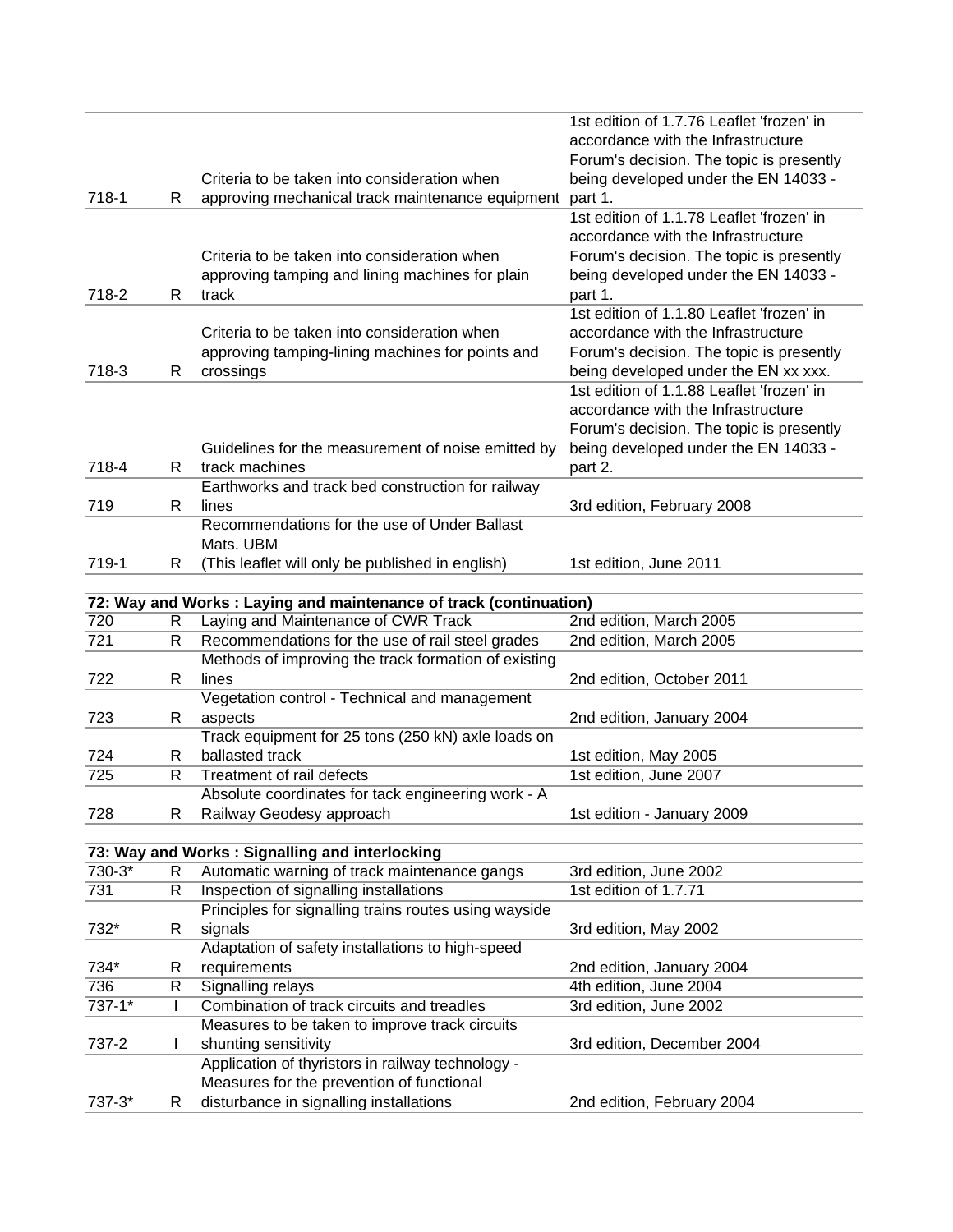|            |    |                                                                    | 1st edition of 1.7.76 Leaflet 'frozen' in |
|------------|----|--------------------------------------------------------------------|-------------------------------------------|
|            |    |                                                                    | accordance with the Infrastructure        |
|            |    |                                                                    | Forum's decision. The topic is presently  |
|            |    | Criteria to be taken into consideration when                       | being developed under the EN 14033 -      |
| 718-1      | R  | approving mechanical track maintenance equipment                   | part 1.                                   |
|            |    |                                                                    | 1st edition of 1.1.78 Leaflet 'frozen' in |
|            |    |                                                                    | accordance with the Infrastructure        |
|            |    | Criteria to be taken into consideration when                       | Forum's decision. The topic is presently  |
|            |    | approving tamping and lining machines for plain                    | being developed under the EN 14033 -      |
| 718-2      | R  | track                                                              | part 1.                                   |
|            |    |                                                                    | 1st edition of 1.1.80 Leaflet 'frozen' in |
|            |    | Criteria to be taken into consideration when                       | accordance with the Infrastructure        |
|            |    | approving tamping-lining machines for points and                   | Forum's decision. The topic is presently  |
| 718-3      | R  | crossings                                                          | being developed under the EN xx xxx.      |
|            |    |                                                                    | 1st edition of 1.1.88 Leaflet 'frozen' in |
|            |    |                                                                    | accordance with the Infrastructure        |
|            |    |                                                                    | Forum's decision. The topic is presently  |
|            |    | Guidelines for the measurement of noise emitted by                 | being developed under the EN 14033 -      |
| 718-4      | R. | track machines                                                     | part 2.                                   |
|            |    | Earthworks and track bed construction for railway                  |                                           |
| 719        | R. | lines                                                              | 3rd edition, February 2008                |
|            |    | Recommendations for the use of Under Ballast                       |                                           |
|            |    | Mats. UBM                                                          |                                           |
| 719-1      | R. | (This leaflet will only be published in english)                   | 1st edition, June 2011                    |
|            |    | 72: Way and Works : Laying and maintenance of track (continuation) |                                           |
| 720        | R  | Laying and Maintenance of CWR Track                                | 2nd edition, March 2005                   |
| 721        | R  | Recommendations for the use of rail steel grades                   | 2nd edition, March 2005                   |
|            |    | Methods of improving the track formation of existing               |                                           |
| 722        | R  | lines                                                              | 2nd edition, October 2011                 |
|            |    | Vegetation control - Technical and management                      |                                           |
| 723        | R  | aspects                                                            | 2nd edition, January 2004                 |
|            |    | Track equipment for 25 tons (250 kN) axle loads on                 |                                           |
| 724        | R  | ballasted track                                                    | 1st edition, May 2005                     |
| 725        | R  | Treatment of rail defects                                          | 1st edition, June 2007                    |
|            |    | Absolute coordinates for tack engineering work - A                 |                                           |
| 728        | R  | Railway Geodesy approach                                           | 1st edition - January 2009                |
|            |    |                                                                    |                                           |
|            |    | 73: Way and Works: Signalling and interlocking                     |                                           |
| 730-3*     | R  | Automatic warning of track maintenance gangs                       | 3rd edition, June 2002                    |
| 731        | R  | Inspection of signalling installations                             | 1st edition of 1.7.71                     |
|            |    | Principles for signalling trains routes using wayside              |                                           |
| 732*       | R  | signals                                                            | 3rd edition, May 2002                     |
|            |    | Adaptation of safety installations to high-speed                   |                                           |
| 734*       | R  | requirements                                                       | 2nd edition, January 2004                 |
| 736        | R  | Signalling relays                                                  | 4th edition, June 2004                    |
| $737 - 1*$ |    | Combination of track circuits and treadles                         | 3rd edition, June 2002                    |
|            |    | Measures to be taken to improve track circuits                     |                                           |
| 737-2      | L  | shunting sensitivity                                               | 3rd edition, December 2004                |
|            |    | Application of thyristors in railway technology -                  |                                           |
|            |    | Measures for the prevention of functional                          |                                           |
| 737-3*     | R  | disturbance in signalling installations                            | 2nd edition, February 2004                |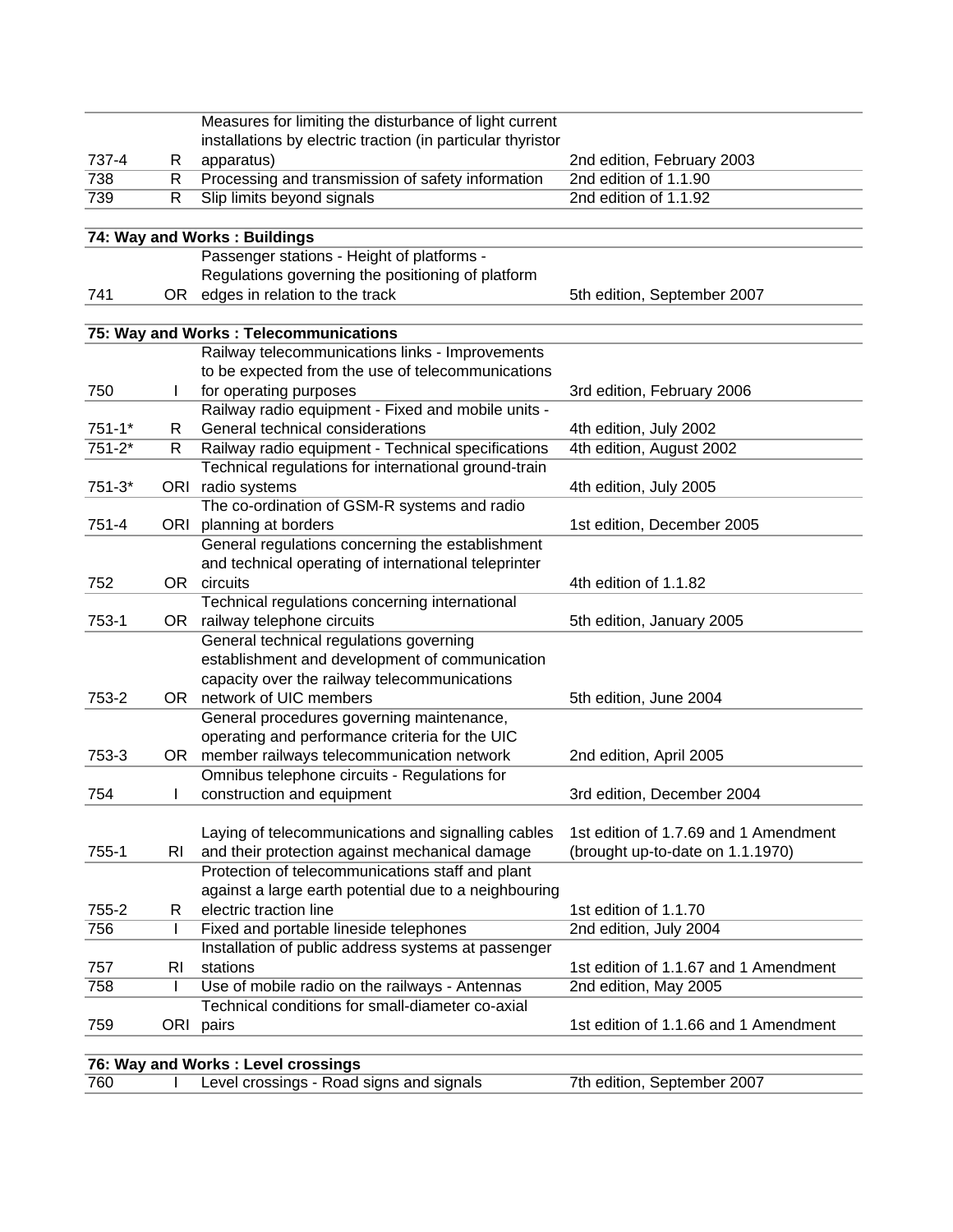|            |    | Measures for limiting the disturbance of light current                                               |                                       |
|------------|----|------------------------------------------------------------------------------------------------------|---------------------------------------|
|            |    | installations by electric traction (in particular thyristor                                          |                                       |
| 737-4      | R  | apparatus)                                                                                           | 2nd edition, February 2003            |
| 738        | R  | Processing and transmission of safety information                                                    | 2nd edition of 1.1.90                 |
| 739        | R  | Slip limits beyond signals                                                                           | 2nd edition of 1.1.92                 |
|            |    |                                                                                                      |                                       |
|            |    | 74: Way and Works: Buildings                                                                         |                                       |
|            |    | Passenger stations - Height of platforms -                                                           |                                       |
|            |    | Regulations governing the positioning of platform                                                    |                                       |
| 741        | OR | edges in relation to the track                                                                       | 5th edition, September 2007           |
|            |    |                                                                                                      |                                       |
|            |    | 75: Way and Works : Telecommunications                                                               |                                       |
|            |    | Railway telecommunications links - Improvements                                                      |                                       |
|            |    | to be expected from the use of telecommunications                                                    |                                       |
| 750        |    | for operating purposes                                                                               | 3rd edition, February 2006            |
|            |    | Railway radio equipment - Fixed and mobile units -                                                   |                                       |
| $751 - 1*$ | R  | General technical considerations                                                                     | 4th edition, July 2002                |
| $751 - 2*$ | R  | Railway radio equipment - Technical specifications                                                   | 4th edition, August 2002              |
|            |    | Technical regulations for international ground-train                                                 |                                       |
| $751 - 3*$ |    | ORI radio systems                                                                                    | 4th edition, July 2005                |
|            |    | The co-ordination of GSM-R systems and radio                                                         |                                       |
| 751-4      |    | ORI planning at borders                                                                              | 1st edition, December 2005            |
|            |    | General regulations concerning the establishment                                                     |                                       |
|            |    | and technical operating of international teleprinter                                                 |                                       |
| 752        | OR | circuits                                                                                             | 4th edition of 1.1.82                 |
|            |    | Technical regulations concerning international                                                       |                                       |
| 753-1      | OR | railway telephone circuits                                                                           | 5th edition, January 2005             |
|            |    | General technical regulations governing                                                              |                                       |
|            |    | establishment and development of communication                                                       |                                       |
|            |    | capacity over the railway telecommunications                                                         |                                       |
| 753-2      |    | OR network of UIC members                                                                            | 5th edition, June 2004                |
|            |    | General procedures governing maintenance,                                                            |                                       |
|            |    |                                                                                                      |                                       |
|            |    | operating and performance criteria for the UIC                                                       |                                       |
| 753-3      | OR | member railways telecommunication network                                                            | 2nd edition, April 2005               |
|            |    | Omnibus telephone circuits - Regulations for                                                         |                                       |
| 754        |    | construction and equipment                                                                           | 3rd edition, December 2004            |
|            |    |                                                                                                      |                                       |
| $755 - 1$  |    | Laying of telecommunications and signalling cables<br>and their protection against mechanical damage | 1st edition of 1.7.69 and 1 Amendment |
|            | RI |                                                                                                      | (brought up-to-date on 1.1.1970)      |
|            |    | Protection of telecommunications staff and plant                                                     |                                       |
|            |    | against a large earth potential due to a neighbouring                                                |                                       |
| 755-2      | R. | electric traction line                                                                               | 1st edition of 1.1.70                 |
| 756        | L  | Fixed and portable lineside telephones                                                               | 2nd edition, July 2004                |
|            |    | Installation of public address systems at passenger                                                  |                                       |
| 757        | RI | stations                                                                                             | 1st edition of 1.1.67 and 1 Amendment |
| 758        | I  | Use of mobile radio on the railways - Antennas                                                       | 2nd edition, May 2005                 |
|            |    | Technical conditions for small-diameter co-axial                                                     |                                       |
| 759        |    | ORI pairs                                                                                            | 1st edition of 1.1.66 and 1 Amendment |
|            |    |                                                                                                      |                                       |
|            |    | 76: Way and Works: Level crossings                                                                   |                                       |
| 760        |    | Level crossings - Road signs and signals                                                             | 7th edition, September 2007           |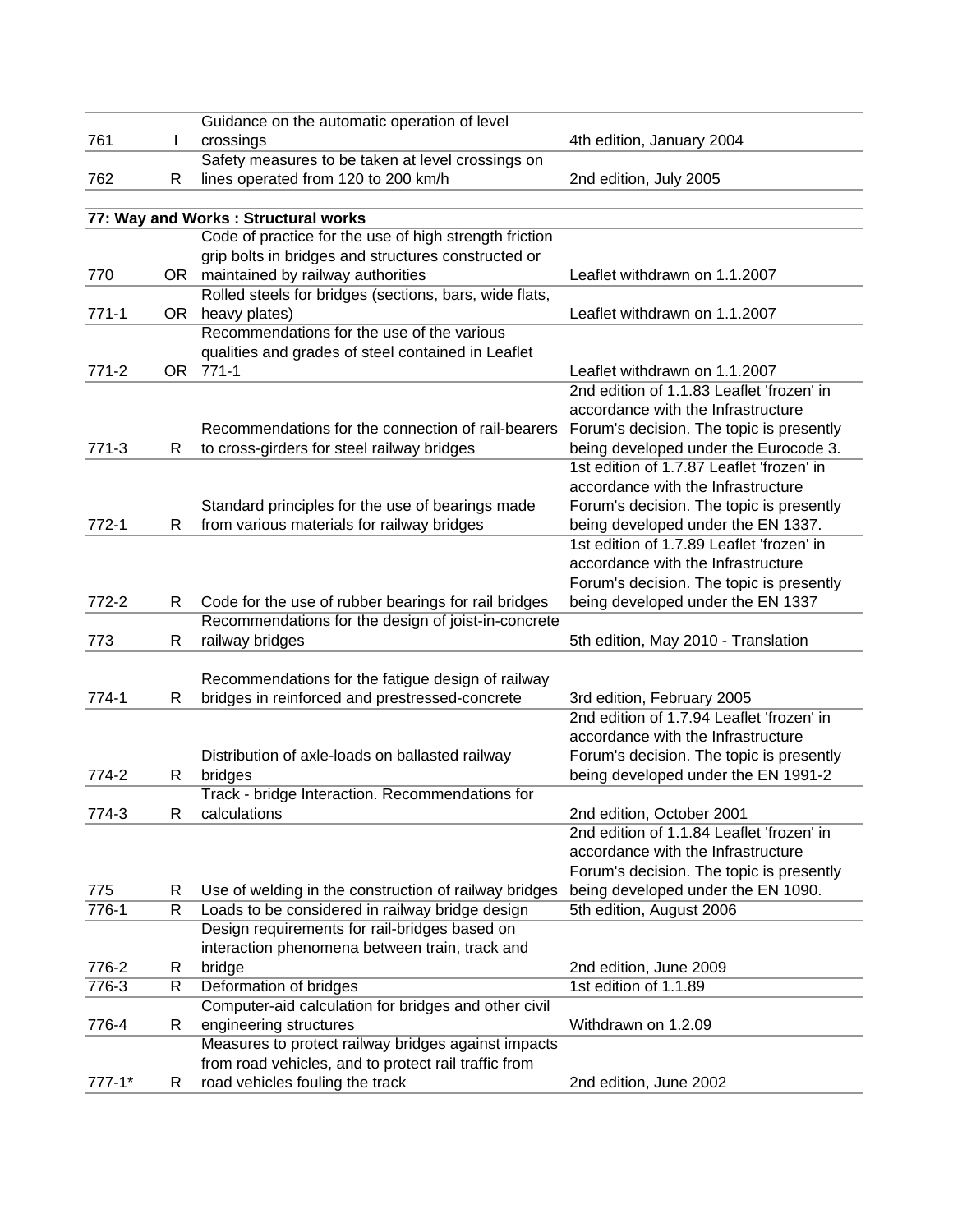|            |    | Guidance on the automatic operation of level           |                                           |
|------------|----|--------------------------------------------------------|-------------------------------------------|
| 761        | L  | crossings                                              | 4th edition, January 2004                 |
|            |    | Safety measures to be taken at level crossings on      |                                           |
| 762        | R  | lines operated from 120 to 200 km/h                    | 2nd edition, July 2005                    |
|            |    |                                                        |                                           |
|            |    | 77: Way and Works: Structural works                    |                                           |
|            |    | Code of practice for the use of high strength friction |                                           |
|            |    | grip bolts in bridges and structures constructed or    |                                           |
| 770        | OR | maintained by railway authorities                      | Leaflet withdrawn on 1.1.2007             |
|            |    | Rolled steels for bridges (sections, bars, wide flats, |                                           |
| $771-1$    | OR | heavy plates)                                          | Leaflet withdrawn on 1.1.2007             |
|            |    | Recommendations for the use of the various             |                                           |
|            |    | qualities and grades of steel contained in Leaflet     |                                           |
| $771 - 2$  |    | OR 771-1                                               | Leaflet withdrawn on 1.1.2007             |
|            |    |                                                        | 2nd edition of 1.1.83 Leaflet 'frozen' in |
|            |    |                                                        | accordance with the Infrastructure        |
|            |    | Recommendations for the connection of rail-bearers     | Forum's decision. The topic is presently  |
| $771-3$    | R  | to cross-girders for steel railway bridges             | being developed under the Eurocode 3.     |
|            |    |                                                        | 1st edition of 1.7.87 Leaflet 'frozen' in |
|            |    |                                                        | accordance with the Infrastructure        |
|            |    | Standard principles for the use of bearings made       | Forum's decision. The topic is presently  |
| $772-1$    | R  | from various materials for railway bridges             | being developed under the EN 1337.        |
|            |    |                                                        | 1st edition of 1.7.89 Leaflet 'frozen' in |
|            |    |                                                        | accordance with the Infrastructure        |
|            |    |                                                        | Forum's decision. The topic is presently  |
| 772-2      | R. | Code for the use of rubber bearings for rail bridges   | being developed under the EN 1337         |
|            |    | Recommendations for the design of joist-in-concrete    |                                           |
| 773        | R  | railway bridges                                        | 5th edition, May 2010 - Translation       |
|            |    |                                                        |                                           |
|            |    | Recommendations for the fatigue design of railway      |                                           |
| 774-1      | R  | bridges in reinforced and prestressed-concrete         | 3rd edition, February 2005                |
|            |    |                                                        | 2nd edition of 1.7.94 Leaflet 'frozen' in |
|            |    |                                                        | accordance with the Infrastructure        |
|            |    | Distribution of axle-loads on ballasted railway        | Forum's decision. The topic is presently  |
| 774-2      | R  | bridges                                                | being developed under the EN 1991-2       |
|            |    | Track - bridge Interaction. Recommendations for        |                                           |
| 774-3      | R  | calculations                                           | 2nd edition, October 2001                 |
|            |    |                                                        | 2nd edition of 1.1.84 Leaflet 'frozen' in |
|            |    |                                                        | accordance with the Infrastructure        |
|            |    |                                                        | Forum's decision. The topic is presently  |
| 775        | R  | Use of welding in the construction of railway bridges  | being developed under the EN 1090.        |
| 776-1      | R  | Loads to be considered in railway bridge design        | 5th edition, August 2006                  |
|            |    | Design requirements for rail-bridges based on          |                                           |
|            |    | interaction phenomena between train, track and         |                                           |
| 776-2      | R  | bridge                                                 | 2nd edition, June 2009                    |
| 776-3      | R  | Deformation of bridges                                 | 1st edition of 1.1.89                     |
|            |    | Computer-aid calculation for bridges and other civil   |                                           |
| 776-4      | R  | engineering structures                                 | Withdrawn on 1.2.09                       |
|            |    | Measures to protect railway bridges against impacts    |                                           |
|            |    | from road vehicles, and to protect rail traffic from   |                                           |
| $777 - 1*$ | R  | road vehicles fouling the track                        | 2nd edition, June 2002                    |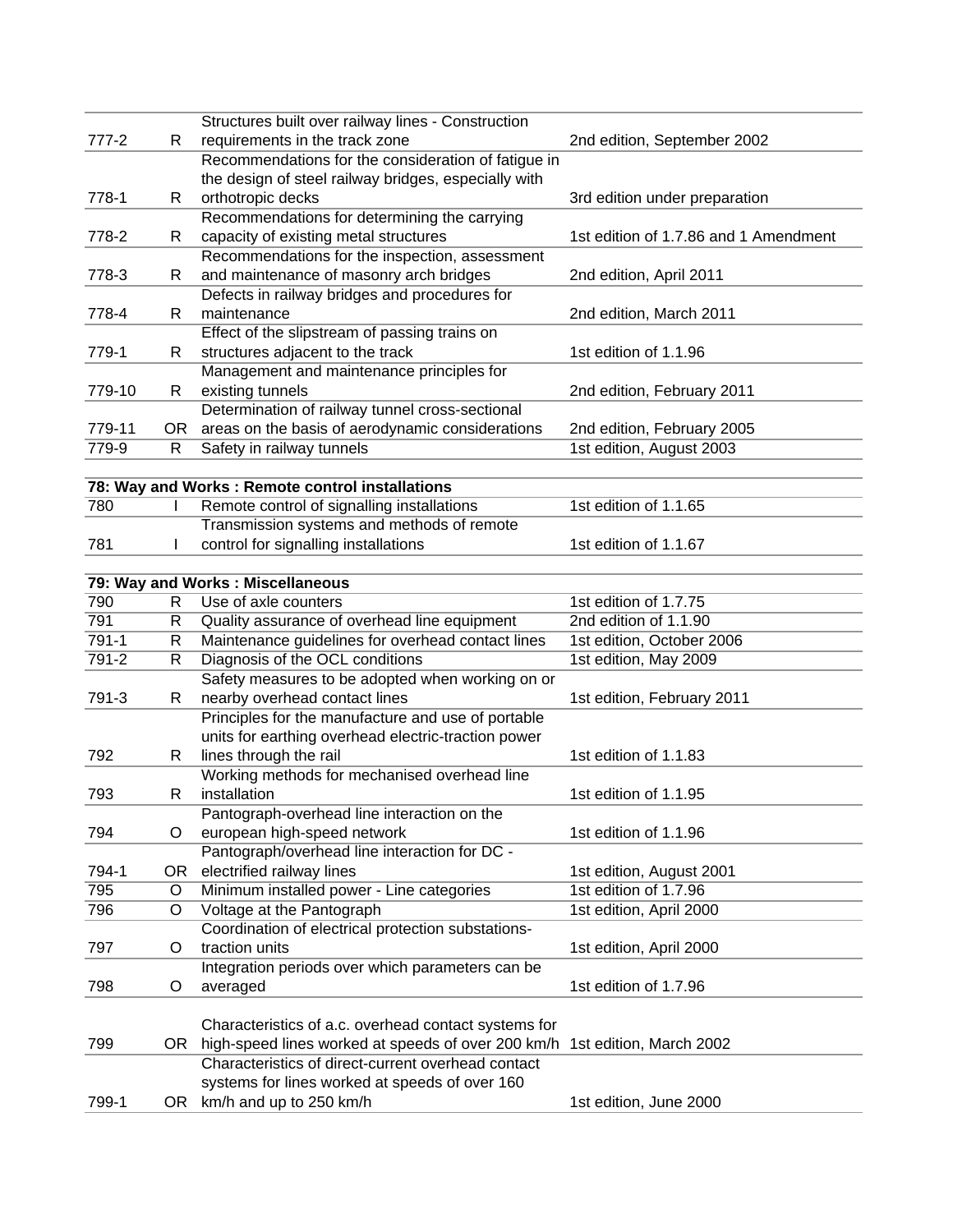|           |     | Structures built over railway lines - Construction   |                                                   |
|-----------|-----|------------------------------------------------------|---------------------------------------------------|
| $777 - 2$ | R   | requirements in the track zone                       | 2nd edition, September 2002                       |
|           |     | Recommendations for the consideration of fatigue in  |                                                   |
|           |     | the design of steel railway bridges, especially with |                                                   |
| 778-1     | R   | orthotropic decks                                    | 3rd edition under preparation                     |
|           |     | Recommendations for determining the carrying         |                                                   |
| 778-2     | R   | capacity of existing metal structures                | 1st edition of 1.7.86 and 1 Amendment             |
|           |     | Recommendations for the inspection, assessment       |                                                   |
| 778-3     | R   | and maintenance of masonry arch bridges              | 2nd edition, April 2011                           |
|           |     | Defects in railway bridges and procedures for        |                                                   |
| 778-4     | R   | maintenance                                          | 2nd edition, March 2011                           |
|           |     | Effect of the slipstream of passing trains on        |                                                   |
| 779-1     | R   | structures adjacent to the track                     | 1st edition of 1.1.96                             |
|           |     | Management and maintenance principles for            |                                                   |
| 779-10    | R   | existing tunnels                                     | 2nd edition, February 2011                        |
|           |     | Determination of railway tunnel cross-sectional      |                                                   |
| 779-11    | OR  | areas on the basis of aerodynamic considerations     | 2nd edition, February 2005                        |
| 779-9     | R   | Safety in railway tunnels                            | 1st edition, August 2003                          |
|           |     |                                                      |                                                   |
|           |     | 78: Way and Works : Remote control installations     |                                                   |
| 780       |     | Remote control of signalling installations           | 1st edition of 1.1.65                             |
|           |     | Transmission systems and methods of remote           |                                                   |
| 781       |     | control for signalling installations                 | 1st edition of 1.1.67                             |
|           |     |                                                      |                                                   |
|           |     | 79: Way and Works : Miscellaneous                    |                                                   |
| 790       | R.  | Use of axle counters                                 | 1st edition of 1.7.75                             |
| 791       | R   | Quality assurance of overhead line equipment         | 2nd edition of 1.1.90                             |
| $791 - 1$ | R   | Maintenance guidelines for overhead contact lines    | 1st edition, October 2006                         |
| $791 - 2$ | R   | Diagnosis of the OCL conditions                      | 1st edition, May 2009                             |
|           |     | Safety measures to be adopted when working on or     |                                                   |
| 791-3     | R   | nearby overhead contact lines                        | 1st edition, February 2011                        |
|           |     | Principles for the manufacture and use of portable   |                                                   |
|           |     | units for earthing overhead electric-traction power  |                                                   |
| 792       | R   | lines through the rail                               | 1st edition of 1.1.83                             |
|           |     | Working methods for mechanised overhead line         |                                                   |
| 793       | R   | installation                                         | 1st edition of 1.1.95                             |
|           |     | Pantograph-overhead line interaction on the          |                                                   |
| 794       | O   | european high-speed network                          | 1st edition of 1.1.96                             |
|           |     | Pantograph/overhead line interaction for DC -        |                                                   |
| 794-1     |     | electrified railway lines                            |                                                   |
| 795       | OR. |                                                      | 1st edition, August 2001<br>1st edition of 1.7.96 |
|           | O   | Minimum installed power - Line categories            |                                                   |
| 796       | O   | Voltage at the Pantograph                            | 1st edition, April 2000                           |
|           |     | Coordination of electrical protection substations-   |                                                   |
| 797       | O   | traction units                                       | 1st edition, April 2000                           |
|           |     | Integration periods over which parameters can be     |                                                   |
| 798       | O   | averaged                                             | 1st edition of 1.7.96                             |
|           |     |                                                      |                                                   |
|           |     | Characteristics of a.c. overhead contact systems for |                                                   |
| 799       | OR. | high-speed lines worked at speeds of over 200 km/h   | 1st edition, March 2002                           |
|           |     | Characteristics of direct-current overhead contact   |                                                   |
|           |     | systems for lines worked at speeds of over 160       |                                                   |
| 799-1     | OR. | km/h and up to 250 km/h                              | 1st edition, June 2000                            |
|           |     |                                                      |                                                   |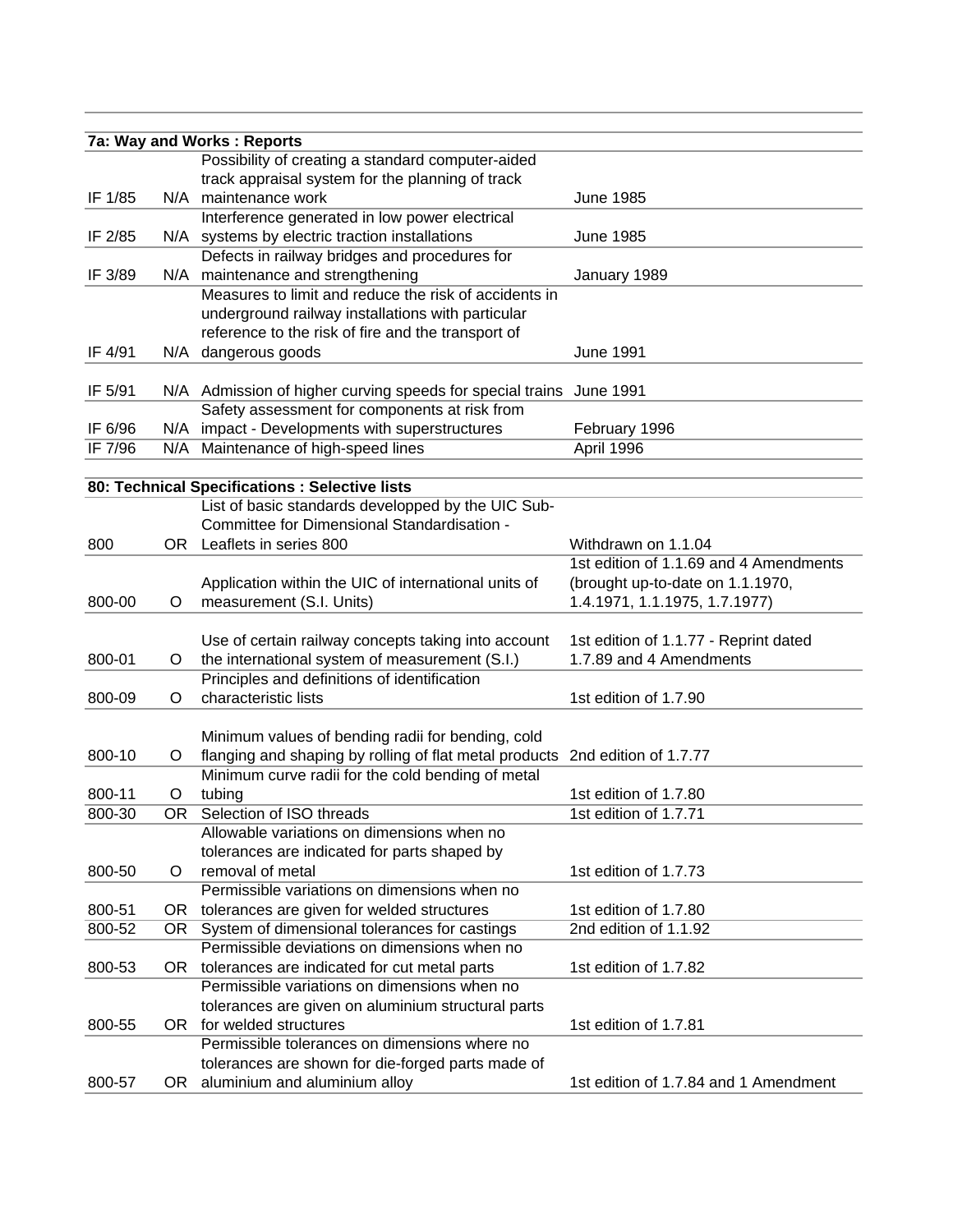|         |     | 7a: Way and Works: Reports                                                   |                                        |
|---------|-----|------------------------------------------------------------------------------|----------------------------------------|
|         |     | Possibility of creating a standard computer-aided                            |                                        |
|         |     | track appraisal system for the planning of track                             |                                        |
| IF 1/85 |     | N/A maintenance work                                                         | <b>June 1985</b>                       |
|         |     | Interference generated in low power electrical                               |                                        |
| IF 2/85 |     | N/A systems by electric traction installations                               | <b>June 1985</b>                       |
|         |     | Defects in railway bridges and procedures for                                |                                        |
| IF 3/89 |     | N/A maintenance and strengthening                                            | January 1989                           |
|         |     | Measures to limit and reduce the risk of accidents in                        |                                        |
|         |     | underground railway installations with particular                            |                                        |
|         |     | reference to the risk of fire and the transport of                           |                                        |
| IF 4/91 |     | N/A dangerous goods                                                          | <b>June 1991</b>                       |
|         |     |                                                                              |                                        |
| IF 5/91 |     | N/A Admission of higher curving speeds for special trains June 1991          |                                        |
|         |     | Safety assessment for components at risk from                                |                                        |
| IF 6/96 |     | N/A impact - Developments with superstructures                               | February 1996                          |
| IF 7/96 |     | N/A Maintenance of high-speed lines                                          | April 1996                             |
|         |     |                                                                              |                                        |
|         |     | 80: Technical Specifications : Selective lists                               |                                        |
|         |     | List of basic standards developped by the UIC Sub-                           |                                        |
|         |     | Committee for Dimensional Standardisation -                                  |                                        |
| 800     |     | OR Leaflets in series 800                                                    | Withdrawn on 1.1.04                    |
|         |     |                                                                              | 1st edition of 1.1.69 and 4 Amendments |
|         |     | Application within the UIC of international units of                         | (brought up-to-date on 1.1.1970,       |
| 800-00  | O   | measurement (S.I. Units)                                                     | 1.4.1971, 1.1.1975, 1.7.1977)          |
|         |     |                                                                              |                                        |
|         |     | Use of certain railway concepts taking into account                          | 1st edition of 1.1.77 - Reprint dated  |
| 800-01  | O   | the international system of measurement (S.I.)                               | 1.7.89 and 4 Amendments                |
|         |     | Principles and definitions of identification                                 |                                        |
| 800-09  | O   | characteristic lists                                                         | 1st edition of 1.7.90                  |
|         |     |                                                                              |                                        |
|         |     | Minimum values of bending radii for bending, cold                            |                                        |
| 800-10  | O   | flanging and shaping by rolling of flat metal products 2nd edition of 1.7.77 |                                        |
|         |     | Minimum curve radii for the cold bending of metal                            |                                        |
| 800-11  | O   | tubing                                                                       | 1st edition of 1.7.80                  |
| 800-30  | OR. | Selection of ISO threads                                                     | 1st edition of 1.7.71                  |
|         |     | Allowable variations on dimensions when no                                   |                                        |
|         |     | tolerances are indicated for parts shaped by                                 |                                        |
| 800-50  | O   | removal of metal                                                             | 1st edition of 1.7.73                  |
|         |     | Permissible variations on dimensions when no                                 |                                        |
| 800-51  |     | OR tolerances are given for welded structures                                | 1st edition of 1.7.80                  |
| 800-52  |     | OR System of dimensional tolerances for castings                             | 2nd edition of 1.1.92                  |
|         |     | Permissible deviations on dimensions when no                                 |                                        |
| 800-53  |     | OR tolerances are indicated for cut metal parts                              | 1st edition of 1.7.82                  |
|         |     | Permissible variations on dimensions when no                                 |                                        |
|         |     | tolerances are given on aluminium structural parts                           |                                        |
| 800-55  |     | OR for welded structures                                                     | 1st edition of 1.7.81                  |
|         |     | Permissible tolerances on dimensions where no                                |                                        |
|         |     | tolerances are shown for die-forged parts made of                            |                                        |
| 800-57  | OR  | aluminium and aluminium alloy                                                | 1st edition of 1.7.84 and 1 Amendment  |
|         |     |                                                                              |                                        |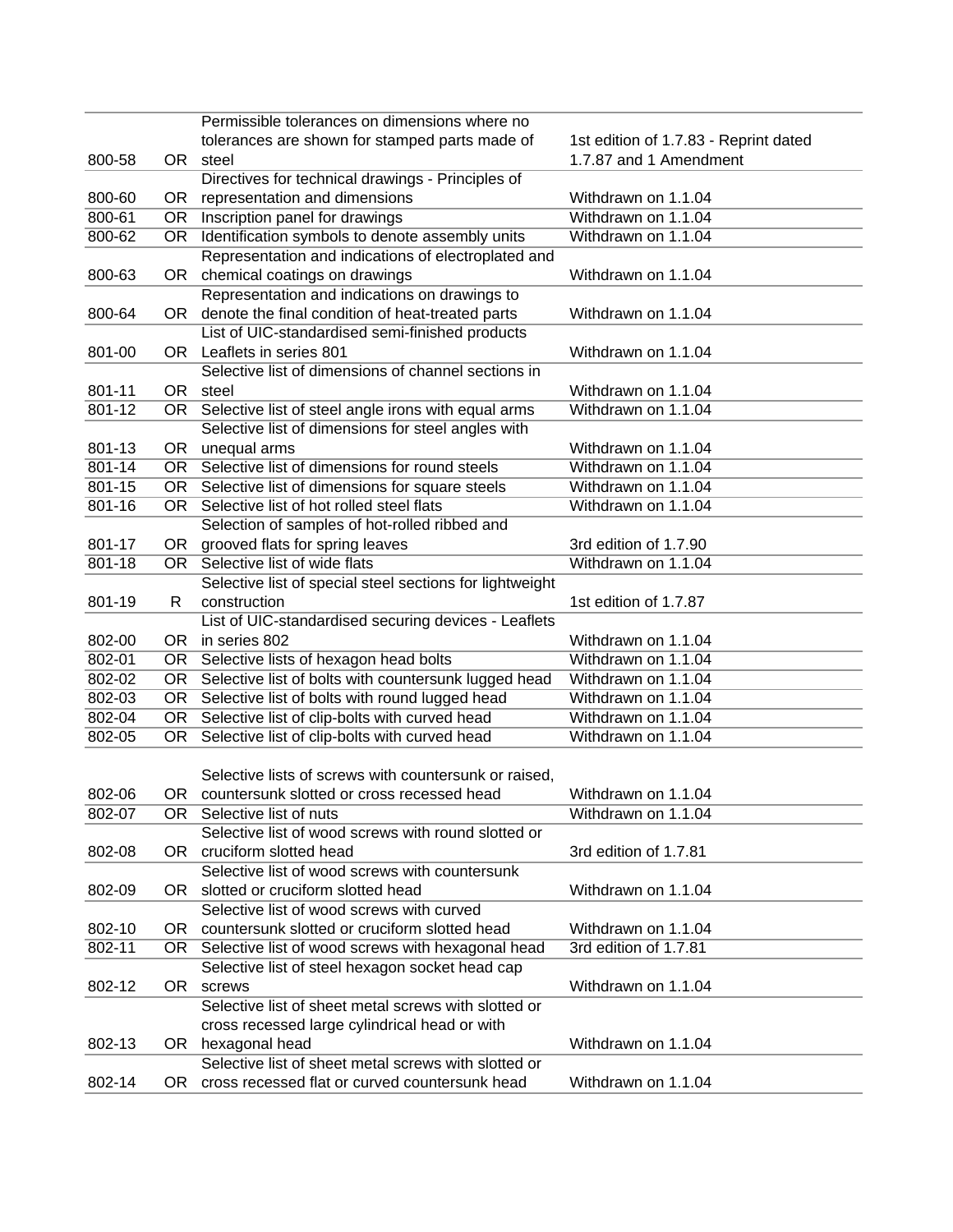|                  |           | Permissible tolerances on dimensions where no            |                                       |
|------------------|-----------|----------------------------------------------------------|---------------------------------------|
|                  |           | tolerances are shown for stamped parts made of           | 1st edition of 1.7.83 - Reprint dated |
| 800-58           |           | OR steel                                                 | 1.7.87 and 1 Amendment                |
|                  |           | Directives for technical drawings - Principles of        |                                       |
| 800-60           | OR        | representation and dimensions                            | Withdrawn on 1.1.04                   |
| 800-61           | OR        | Inscription panel for drawings                           | Withdrawn on 1.1.04                   |
| 800-62           | OR        | Identification symbols to denote assembly units          | Withdrawn on 1.1.04                   |
|                  |           | Representation and indications of electroplated and      |                                       |
| 800-63           | OR        | chemical coatings on drawings                            | Withdrawn on 1.1.04                   |
|                  |           | Representation and indications on drawings to            |                                       |
| 800-64           | OR.       | denote the final condition of heat-treated parts         | Withdrawn on 1.1.04                   |
|                  |           | List of UIC-standardised semi-finished products          |                                       |
| 801-00           |           | OR Leaflets in series 801                                | Withdrawn on 1.1.04                   |
|                  |           | Selective list of dimensions of channel sections in      |                                       |
| 801-11           |           | OR steel                                                 | Withdrawn on 1.1.04                   |
| 801-12           | OR        | Selective list of steel angle irons with equal arms      | Withdrawn on 1.1.04                   |
|                  |           | Selective list of dimensions for steel angles with       |                                       |
| 801-13           | OR        | unequal arms                                             | Withdrawn on 1.1.04                   |
| $801 - 14$       | OR        | Selective list of dimensions for round steels            | Withdrawn on 1.1.04                   |
| 801-15           | OR        | Selective list of dimensions for square steels           | Withdrawn on 1.1.04                   |
| 801-16           | OR.       | Selective list of hot rolled steel flats                 | Withdrawn on 1.1.04                   |
|                  |           | Selection of samples of hot-rolled ribbed and            |                                       |
| 801-17           | OR        | grooved flats for spring leaves                          | 3rd edition of 1.7.90                 |
| $801 - 18$       | OR        | Selective list of wide flats                             | Withdrawn on 1.1.04                   |
|                  |           | Selective list of special steel sections for lightweight |                                       |
| 801-19           | R         | construction                                             | 1st edition of 1.7.87                 |
|                  |           | List of UIC-standardised securing devices - Leaflets     |                                       |
| 802-00           | <b>OR</b> | in series 802                                            | Withdrawn on 1.1.04                   |
| 802-01           | OR        | Selective lists of hexagon head bolts                    | Withdrawn on 1.1.04                   |
| 802-02           | OR        | Selective list of bolts with countersunk lugged head     | Withdrawn on 1.1.04                   |
| 802-03           | OR        | Selective list of bolts with round lugged head           | Withdrawn on 1.1.04                   |
| 802-04           | OR        | Selective list of clip-bolts with curved head            | Withdrawn on 1.1.04                   |
| 802-05           | OR        | Selective list of clip-bolts with curved head            | Withdrawn on 1.1.04                   |
|                  |           |                                                          |                                       |
|                  |           | Selective lists of screws with countersunk or raised,    |                                       |
|                  |           | OR countersunk slotted or cross recessed head            | Withdrawn on 1.1.04                   |
| 802-06<br>802-07 |           | OR Selective list of nuts                                | Withdrawn on 1.1.04                   |
|                  |           | Selective list of wood screws with round slotted or      |                                       |
| 802-08           | OR        | cruciform slotted head                                   | 3rd edition of 1.7.81                 |
|                  |           | Selective list of wood screws with countersunk           |                                       |
|                  |           | slotted or cruciform slotted head                        | Withdrawn on 1.1.04                   |
| 802-09           | OR .      |                                                          |                                       |
|                  |           | Selective list of wood screws with curved                |                                       |
| 802-10           | OR.       | countersunk slotted or cruciform slotted head            | Withdrawn on 1.1.04                   |
| 802-11           | OR        | Selective list of wood screws with hexagonal head        | 3rd edition of 1.7.81                 |
|                  |           | Selective list of steel hexagon socket head cap          |                                       |
| 802-12           | OR        | screws                                                   | Withdrawn on 1.1.04                   |
|                  |           | Selective list of sheet metal screws with slotted or     |                                       |
|                  |           | cross recessed large cylindrical head or with            |                                       |
| 802-13           |           | OR hexagonal head                                        | Withdrawn on 1.1.04                   |
|                  |           | Selective list of sheet metal screws with slotted or     |                                       |
| 802-14           |           | OR cross recessed flat or curved countersunk head        | Withdrawn on 1.1.04                   |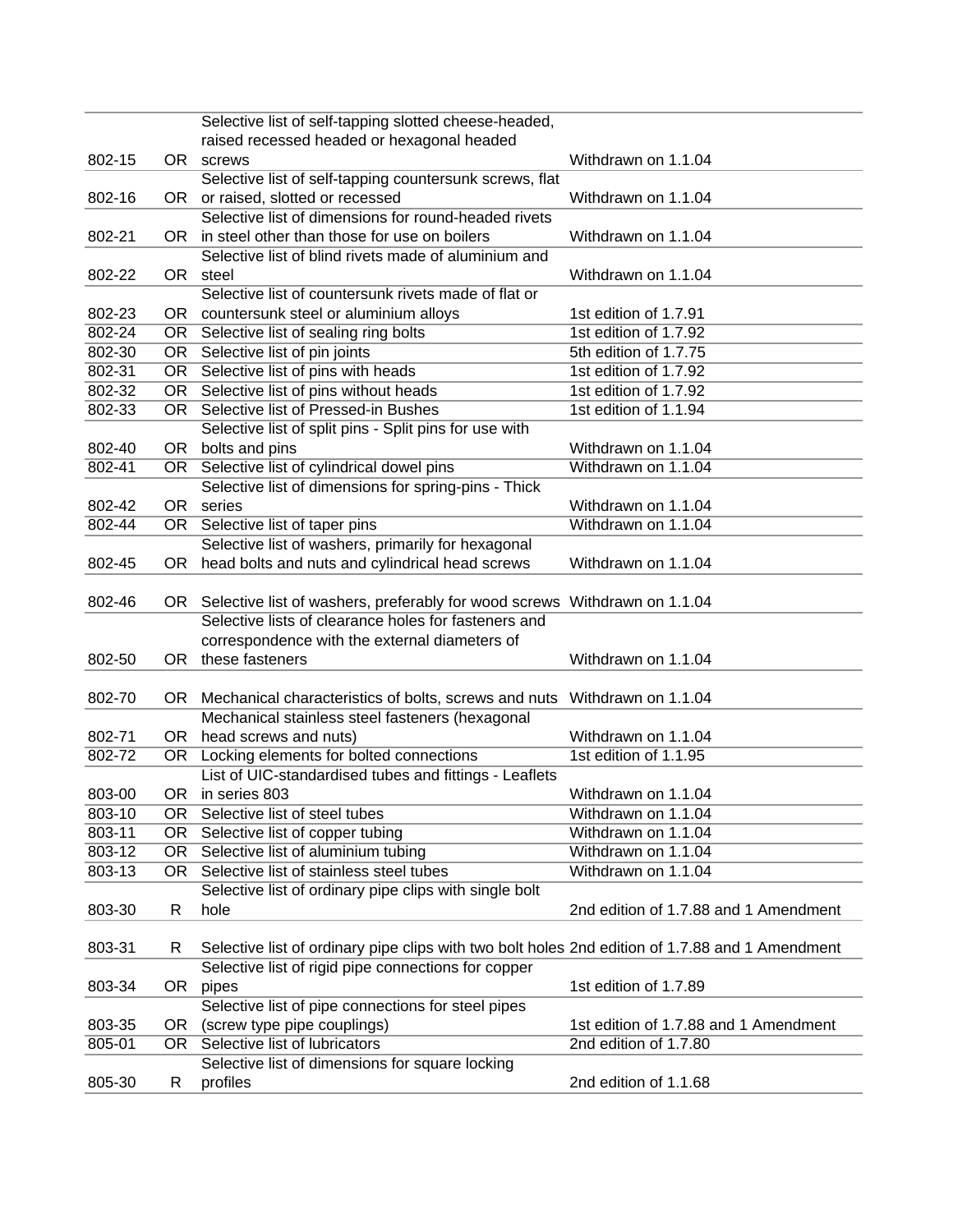|            |                   | Selective list of self-tapping slotted cheese-headed,                                           |                                       |
|------------|-------------------|-------------------------------------------------------------------------------------------------|---------------------------------------|
|            |                   | raised recessed headed or hexagonal headed                                                      |                                       |
| 802-15     |                   | OR screws                                                                                       | Withdrawn on 1.1.04                   |
|            |                   | Selective list of self-tapping countersunk screws, flat                                         |                                       |
| 802-16     |                   | OR or raised, slotted or recessed                                                               | Withdrawn on 1.1.04                   |
|            |                   | Selective list of dimensions for round-headed rivets                                            |                                       |
| 802-21     | OR                | in steel other than those for use on boilers                                                    | Withdrawn on 1.1.04                   |
|            |                   | Selective list of blind rivets made of aluminium and                                            |                                       |
| 802-22     |                   | OR steel                                                                                        | Withdrawn on 1.1.04                   |
|            |                   | Selective list of countersunk rivets made of flat or                                            |                                       |
| 802-23     |                   |                                                                                                 | 1st edition of 1.7.91                 |
|            |                   | OR countersunk steel or aluminium alloys                                                        |                                       |
| 802-24     | $OR$ <sup>-</sup> | Selective list of sealing ring bolts                                                            | 1st edition of 1.7.92                 |
| 802-30     | OR                | Selective list of pin joints                                                                    | 5th edition of 1.7.75                 |
| 802-31     |                   | OR Selective list of pins with heads                                                            | 1st edition of 1.7.92                 |
| 802-32     | OR                | Selective list of pins without heads                                                            | 1st edition of 1.7.92                 |
| 802-33     | OR.               | Selective list of Pressed-in Bushes                                                             | 1st edition of 1.1.94                 |
|            |                   | Selective list of split pins - Split pins for use with                                          |                                       |
| 802-40     | OR                | bolts and pins                                                                                  | Withdrawn on 1.1.04                   |
| 802-41     | OR                | Selective list of cylindrical dowel pins                                                        | Withdrawn on 1.1.04                   |
|            |                   | Selective list of dimensions for spring-pins - Thick                                            |                                       |
| 802-42     | OR                | series                                                                                          | Withdrawn on 1.1.04                   |
| 802-44     | OR                | Selective list of taper pins                                                                    | Withdrawn on 1.1.04                   |
|            |                   | Selective list of washers, primarily for hexagonal                                              |                                       |
| 802-45     | OR .              | head bolts and nuts and cylindrical head screws                                                 | Withdrawn on 1.1.04                   |
|            |                   |                                                                                                 |                                       |
| 802-46     | OR                | Selective list of washers, preferably for wood screws Withdrawn on 1.1.04                       |                                       |
|            |                   | Selective lists of clearance holes for fasteners and                                            |                                       |
|            |                   | correspondence with the external diameters of                                                   |                                       |
| 802-50     |                   | OR these fasteners                                                                              | Withdrawn on 1.1.04                   |
|            |                   |                                                                                                 |                                       |
| 802-70     | OR                | Mechanical characteristics of bolts, screws and nuts Withdrawn on 1.1.04                        |                                       |
|            |                   | Mechanical stainless steel fasteners (hexagonal                                                 |                                       |
| 802-71     | OR                | head screws and nuts)                                                                           | Withdrawn on 1.1.04                   |
| 802-72     | OR                | Locking elements for bolted connections                                                         | 1st edition of 1.1.95                 |
|            |                   | List of UIC-standardised tubes and fittings - Leaflets                                          |                                       |
| 803-00     |                   | OR in series 803                                                                                | Withdrawn on 1.1.04                   |
| 803-10     | OR.               | Selective list of steel tubes                                                                   | Withdrawn on 1.1.04                   |
| 803-11     | OR                | Selective list of copper tubing                                                                 | Withdrawn on 1.1.04                   |
| 803-12     | OR                | Selective list of aluminium tubing                                                              | Withdrawn on 1.1.04                   |
| $803 - 13$ | OR                | Selective list of stainless steel tubes                                                         | Withdrawn on 1.1.04                   |
|            |                   | Selective list of ordinary pipe clips with single bolt                                          |                                       |
| 803-30     | R                 | hole                                                                                            | 2nd edition of 1.7.88 and 1 Amendment |
|            |                   |                                                                                                 |                                       |
| 803-31     | R.                | Selective list of ordinary pipe clips with two bolt holes 2nd edition of 1.7.88 and 1 Amendment |                                       |
|            |                   | Selective list of rigid pipe connections for copper                                             |                                       |
| 803-34     | OR                | pipes                                                                                           | 1st edition of 1.7.89                 |
|            |                   | Selective list of pipe connections for steel pipes                                              |                                       |
| 803-35     | OR.               | (screw type pipe couplings)                                                                     | 1st edition of 1.7.88 and 1 Amendment |
| 805-01     | OR                | Selective list of lubricators                                                                   | 2nd edition of 1.7.80                 |
|            |                   | Selective list of dimensions for square locking                                                 |                                       |
|            |                   |                                                                                                 |                                       |
| 805-30     | R                 | profiles                                                                                        | 2nd edition of 1.1.68                 |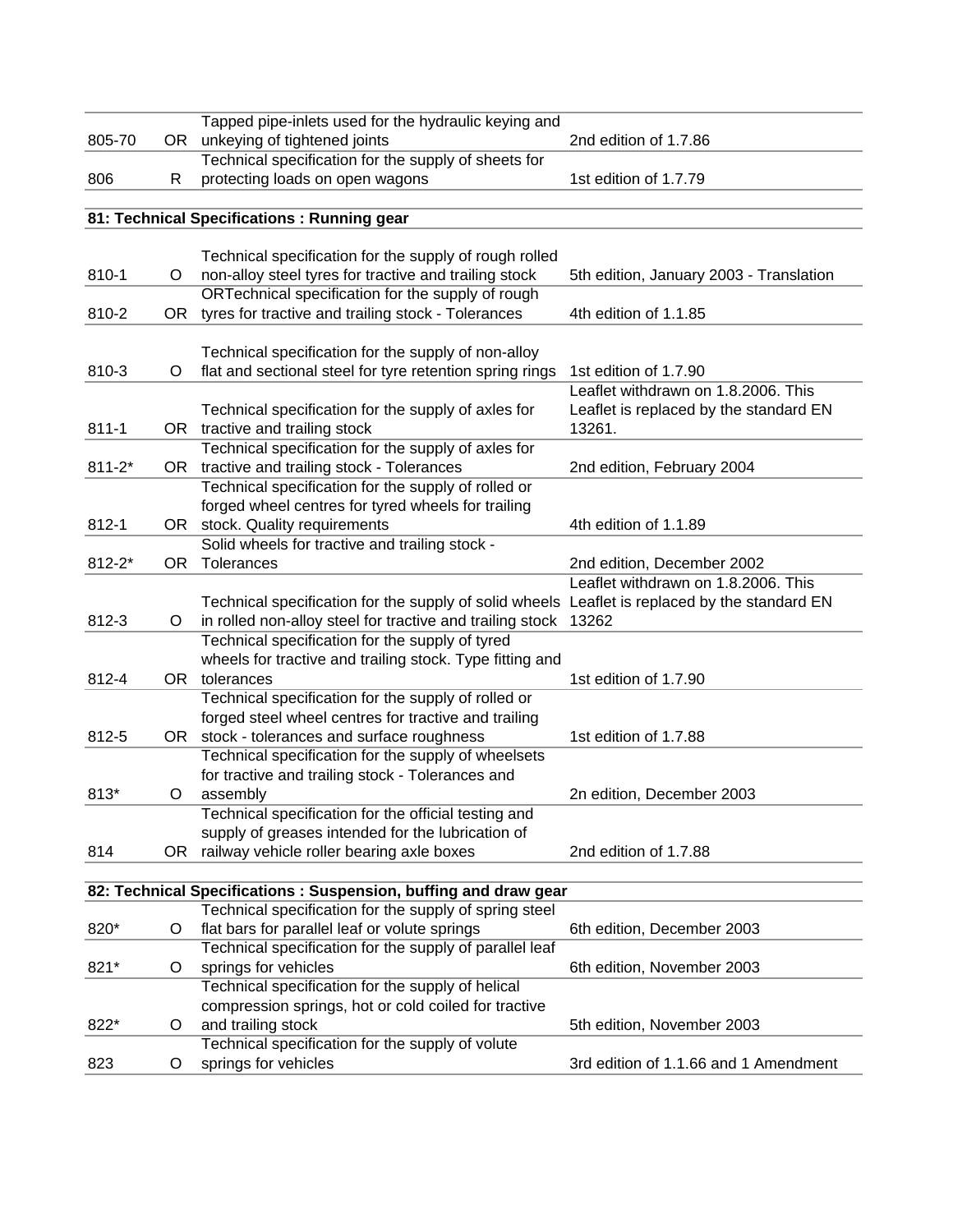|            |     | Tapped pipe-inlets used for the hydraulic keying and            |                                         |
|------------|-----|-----------------------------------------------------------------|-----------------------------------------|
| 805-70     |     | OR unkeying of tightened joints                                 | 2nd edition of 1.7.86                   |
|            |     | Technical specification for the supply of sheets for            |                                         |
| 806        | R   | protecting loads on open wagons                                 | 1st edition of 1.7.79                   |
|            |     |                                                                 |                                         |
|            |     | 81: Technical Specifications : Running gear                     |                                         |
|            |     |                                                                 |                                         |
|            |     | Technical specification for the supply of rough rolled          |                                         |
| 810-1      | O   | non-alloy steel tyres for tractive and trailing stock           | 5th edition, January 2003 - Translation |
|            |     | ORTechnical specification for the supply of rough               |                                         |
| 810-2      | OR. | tyres for tractive and trailing stock - Tolerances              | 4th edition of 1.1.85                   |
|            |     |                                                                 |                                         |
|            |     | Technical specification for the supply of non-alloy             |                                         |
| 810-3      | O   | flat and sectional steel for tyre retention spring rings        | 1st edition of 1.7.90                   |
|            |     |                                                                 | Leaflet withdrawn on 1.8.2006. This     |
|            |     | Technical specification for the supply of axles for             | Leaflet is replaced by the standard EN  |
| $811 - 1$  |     | OR tractive and trailing stock                                  | 13261.                                  |
|            |     | Technical specification for the supply of axles for             |                                         |
| $811 - 2*$ |     | OR tractive and trailing stock - Tolerances                     | 2nd edition, February 2004              |
|            |     | Technical specification for the supply of rolled or             |                                         |
|            |     | forged wheel centres for tyred wheels for trailing              |                                         |
| 812-1      |     | OR stock. Quality requirements                                  | 4th edition of 1.1.89                   |
|            |     | Solid wheels for tractive and trailing stock -                  |                                         |
| $812 - 2*$ | OR. | Tolerances                                                      | 2nd edition, December 2002              |
|            |     |                                                                 | Leaflet withdrawn on 1.8.2006. This     |
|            |     | Technical specification for the supply of solid wheels          | Leaflet is replaced by the standard EN  |
| 812-3      | O   | in rolled non-alloy steel for tractive and trailing stock       | 13262                                   |
|            |     | Technical specification for the supply of tyred                 |                                         |
|            |     | wheels for tractive and trailing stock. Type fitting and        |                                         |
| 812-4      |     | OR tolerances                                                   | 1st edition of 1.7.90                   |
|            |     | Technical specification for the supply of rolled or             |                                         |
|            |     | forged steel wheel centres for tractive and trailing            |                                         |
| 812-5      |     | OR stock - tolerances and surface roughness                     | 1st edition of 1.7.88                   |
|            |     | Technical specification for the supply of wheelsets             |                                         |
|            |     | for tractive and trailing stock - Tolerances and                |                                         |
| 813*       | O   | assembly                                                        | 2n edition, December 2003               |
|            |     | Technical specification for the official testing and            |                                         |
|            |     | supply of greases intended for the lubrication of               |                                         |
| 814        |     | OR railway vehicle roller bearing axle boxes                    | 2nd edition of 1.7.88                   |
|            |     |                                                                 |                                         |
|            |     | 82: Technical Specifications: Suspension, buffing and draw gear |                                         |
|            |     | Technical specification for the supply of spring steel          |                                         |
| 820*       | O   | flat bars for parallel leaf or volute springs                   | 6th edition, December 2003              |
|            |     | Technical specification for the supply of parallel leaf         |                                         |
| 821*       | O   | springs for vehicles                                            | 6th edition, November 2003              |
|            |     | Technical specification for the supply of helical               |                                         |
|            |     | compression springs, hot or cold coiled for tractive            |                                         |
| 822*       | O   | and trailing stock                                              | 5th edition, November 2003              |
|            |     | Technical specification for the supply of volute                |                                         |
| 823        | O   | springs for vehicles                                            | 3rd edition of 1.1.66 and 1 Amendment   |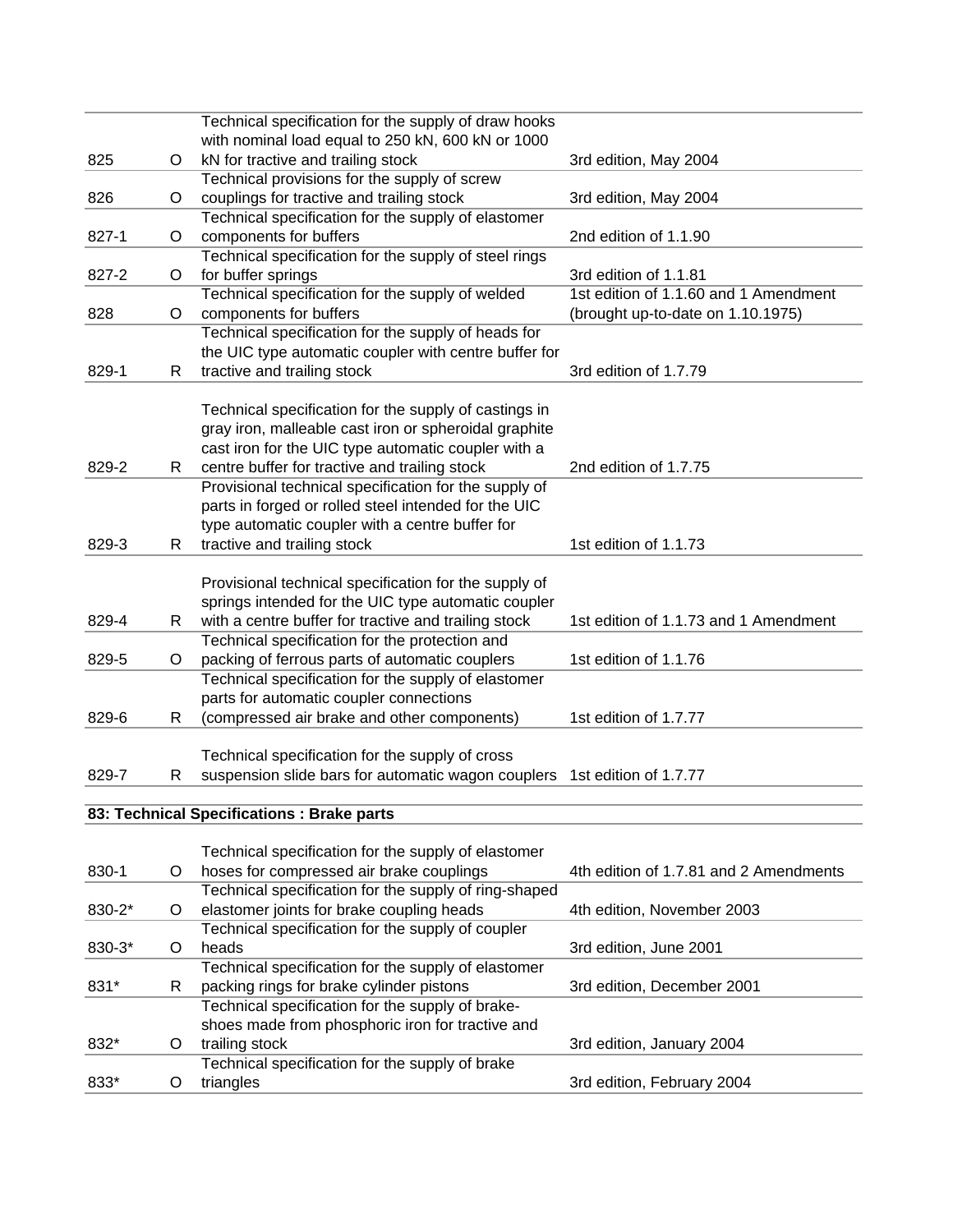|        |   | Technical specification for the supply of draw hooks  |                                        |
|--------|---|-------------------------------------------------------|----------------------------------------|
|        |   | with nominal load equal to 250 kN, 600 kN or 1000     |                                        |
| 825    | O | kN for tractive and trailing stock                    | 3rd edition, May 2004                  |
|        |   | Technical provisions for the supply of screw          |                                        |
| 826    | O | couplings for tractive and trailing stock             | 3rd edition, May 2004                  |
|        |   | Technical specification for the supply of elastomer   |                                        |
| 827-1  | O | components for buffers                                | 2nd edition of 1.1.90                  |
|        |   | Technical specification for the supply of steel rings |                                        |
| 827-2  | O | for buffer springs                                    | 3rd edition of 1.1.81                  |
|        |   | Technical specification for the supply of welded      | 1st edition of 1.1.60 and 1 Amendment  |
| 828    | O | components for buffers                                | (brought up-to-date on 1.10.1975)      |
|        |   | Technical specification for the supply of heads for   |                                        |
|        |   | the UIC type automatic coupler with centre buffer for |                                        |
| 829-1  | R | tractive and trailing stock                           | 3rd edition of 1.7.79                  |
|        |   |                                                       |                                        |
|        |   | Technical specification for the supply of castings in |                                        |
|        |   | gray iron, malleable cast iron or spheroidal graphite |                                        |
|        |   | cast iron for the UIC type automatic coupler with a   |                                        |
| 829-2  | R | centre buffer for tractive and trailing stock         | 2nd edition of 1.7.75                  |
|        |   | Provisional technical specification for the supply of |                                        |
|        |   | parts in forged or rolled steel intended for the UIC  |                                        |
|        |   | type automatic coupler with a centre buffer for       |                                        |
| 829-3  | R | tractive and trailing stock                           | 1st edition of 1.1.73                  |
|        |   |                                                       |                                        |
|        |   | Provisional technical specification for the supply of |                                        |
|        |   | springs intended for the UIC type automatic coupler   |                                        |
| 829-4  | R | with a centre buffer for tractive and trailing stock  | 1st edition of 1.1.73 and 1 Amendment  |
|        |   | Technical specification for the protection and        |                                        |
| 829-5  | O | packing of ferrous parts of automatic couplers        | 1st edition of 1.1.76                  |
|        |   | Technical specification for the supply of elastomer   |                                        |
|        |   | parts for automatic coupler connections               |                                        |
| 829-6  | R | (compressed air brake and other components)           | 1st edition of 1.7.77                  |
|        |   |                                                       |                                        |
|        |   | Technical specification for the supply of cross       |                                        |
| 829-7  | R | suspension slide bars for automatic wagon couplers    | 1st edition of 1.7.77                  |
|        |   |                                                       |                                        |
|        |   | 83: Technical Specifications : Brake parts            |                                        |
|        |   |                                                       |                                        |
|        |   | Technical specification for the supply of elastomer   |                                        |
| 830-1  | O | hoses for compressed air brake couplings              | 4th edition of 1.7.81 and 2 Amendments |
|        |   | Technical specification for the supply of ring-shaped |                                        |
| 830-2* | O | elastomer joints for brake coupling heads             | 4th edition, November 2003             |
|        |   | Technical specification for the supply of coupler     |                                        |
| 830-3* | O | heads                                                 | 3rd edition, June 2001                 |
|        |   | Technical specification for the supply of elastomer   |                                        |
| 831*   | R | packing rings for brake cylinder pistons              | 3rd edition, December 2001             |
|        |   | Technical specification for the supply of brake-      |                                        |
|        |   | shoes made from phosphoric iron for tractive and      |                                        |
| 832*   | O | trailing stock                                        | 3rd edition, January 2004              |
|        |   | Technical specification for the supply of brake       |                                        |
| 833*   | O | triangles                                             | 3rd edition, February 2004             |
|        |   |                                                       |                                        |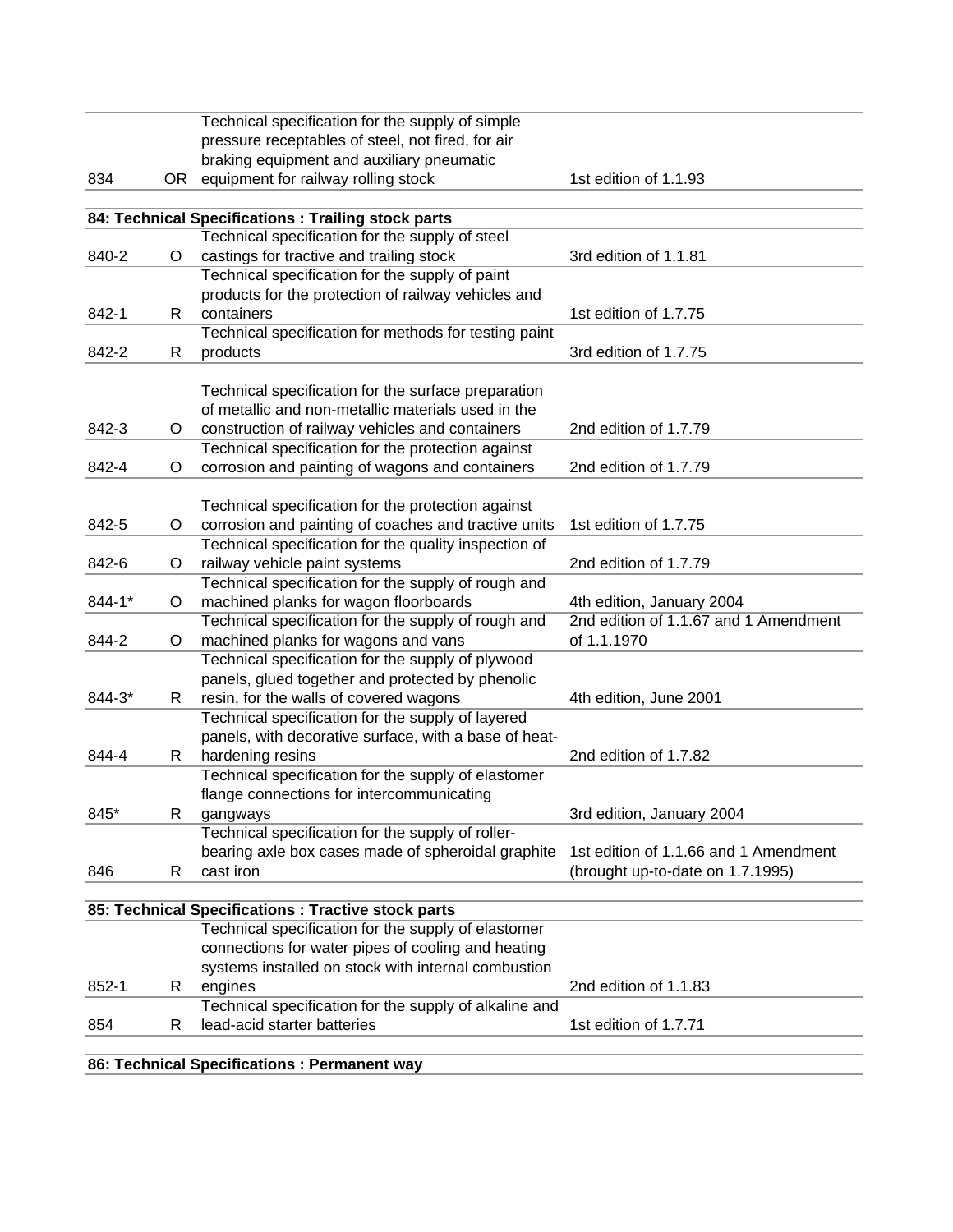|        |    | Technical specification for the supply of simple       |                                       |
|--------|----|--------------------------------------------------------|---------------------------------------|
|        |    | pressure receptables of steel, not fired, for air      |                                       |
|        |    | braking equipment and auxiliary pneumatic              |                                       |
| 834    | OR | equipment for railway rolling stock                    | 1st edition of 1.1.93                 |
|        |    |                                                        |                                       |
|        |    | 84: Technical Specifications : Trailing stock parts    |                                       |
|        |    | Technical specification for the supply of steel        |                                       |
| 840-2  | O  | castings for tractive and trailing stock               | 3rd edition of 1.1.81                 |
|        |    | Technical specification for the supply of paint        |                                       |
|        |    | products for the protection of railway vehicles and    |                                       |
| 842-1  | R. | containers                                             | 1st edition of 1.7.75                 |
|        |    | Technical specification for methods for testing paint  |                                       |
| 842-2  | R  | products                                               | 3rd edition of 1.7.75                 |
|        |    |                                                        |                                       |
|        |    | Technical specification for the surface preparation    |                                       |
|        |    | of metallic and non-metallic materials used in the     |                                       |
| 842-3  | O  | construction of railway vehicles and containers        | 2nd edition of 1.7.79                 |
|        |    | Technical specification for the protection against     |                                       |
| 842-4  | O  | corrosion and painting of wagons and containers        | 2nd edition of 1.7.79                 |
|        |    | Technical specification for the protection against     |                                       |
| 842-5  | O  | corrosion and painting of coaches and tractive units   | 1st edition of 1.7.75                 |
|        |    | Technical specification for the quality inspection of  |                                       |
| 842-6  | O  | railway vehicle paint systems                          | 2nd edition of 1.7.79                 |
|        |    | Technical specification for the supply of rough and    |                                       |
| 844-1* | O  | machined planks for wagon floorboards                  | 4th edition, January 2004             |
|        |    | Technical specification for the supply of rough and    | 2nd edition of 1.1.67 and 1 Amendment |
| 844-2  | O  | machined planks for wagons and vans                    | of 1.1.1970                           |
|        |    | Technical specification for the supply of plywood      |                                       |
|        |    | panels, glued together and protected by phenolic       |                                       |
| 844-3* | R  | resin, for the walls of covered wagons                 | 4th edition, June 2001                |
|        |    | Technical specification for the supply of layered      |                                       |
|        |    | panels, with decorative surface, with a base of heat-  |                                       |
| 844-4  | R. | hardening resins                                       | 2nd edition of 1.7.82                 |
|        |    | Technical specification for the supply of elastomer    |                                       |
|        |    | flange connections for intercommunicating              |                                       |
| 845*   | R  | gangways                                               | 3rd edition, January 2004             |
|        |    | Technical specification for the supply of roller-      |                                       |
|        |    | bearing axle box cases made of spheroidal graphite     | 1st edition of 1.1.66 and 1 Amendment |
| 846    | R  | cast iron                                              | (brought up-to-date on 1.7.1995)      |
|        |    |                                                        |                                       |
|        |    | 85: Technical Specifications : Tractive stock parts    |                                       |
|        |    | Technical specification for the supply of elastomer    |                                       |
|        |    | connections for water pipes of cooling and heating     |                                       |
|        |    | systems installed on stock with internal combustion    |                                       |
| 852-1  | R. | engines                                                | 2nd edition of 1.1.83                 |
|        |    | Technical specification for the supply of alkaline and |                                       |
| 854    | R  | lead-acid starter batteries                            | 1st edition of 1.7.71                 |
|        |    |                                                        |                                       |
|        |    | 86: Technical Specifications : Permanent way           |                                       |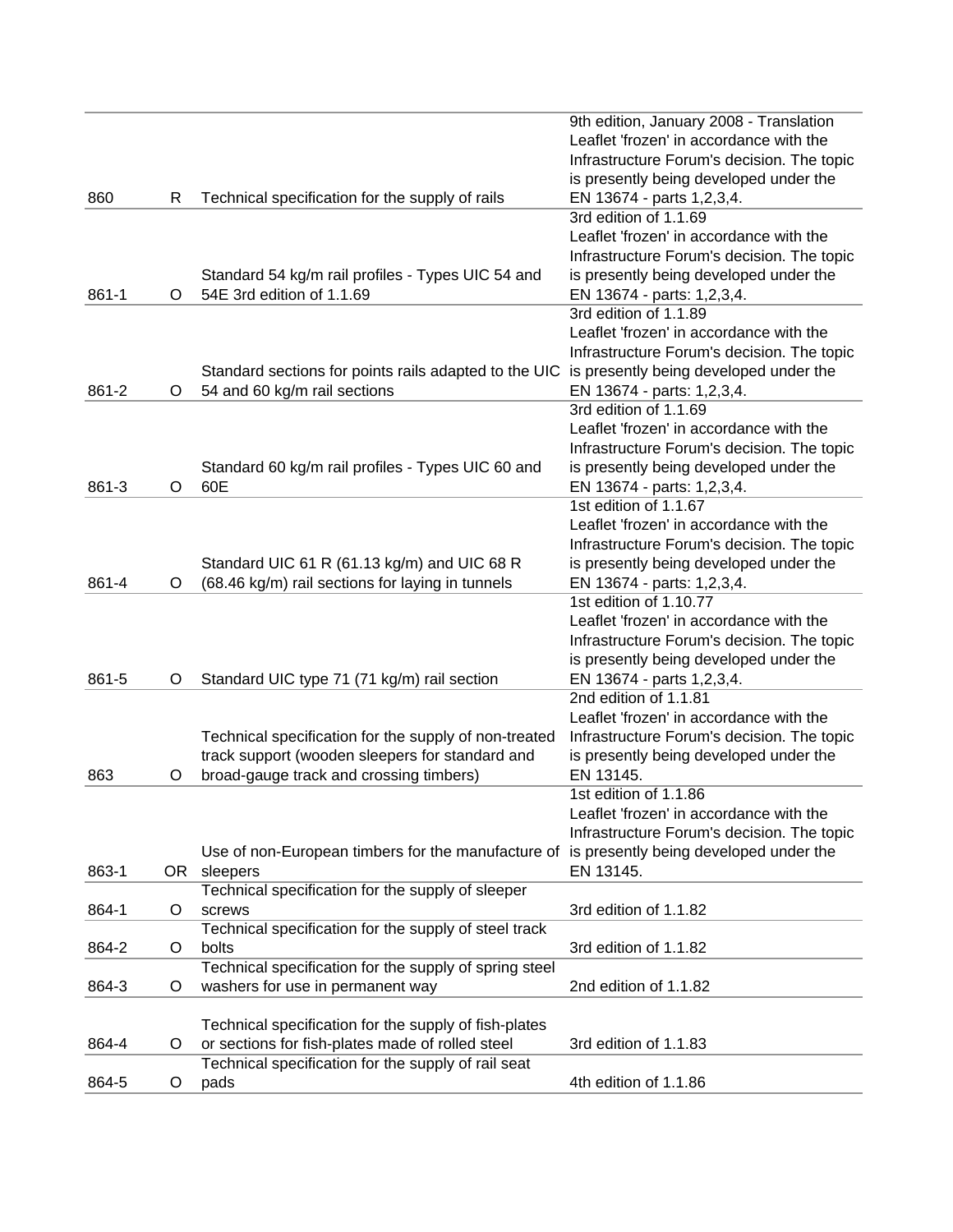|       |    |                                                        | 9th edition, January 2008 - Translation    |
|-------|----|--------------------------------------------------------|--------------------------------------------|
|       |    |                                                        | Leaflet 'frozen' in accordance with the    |
|       |    |                                                        | Infrastructure Forum's decision. The topic |
|       |    |                                                        | is presently being developed under the     |
| 860   | R  | Technical specification for the supply of rails        | EN 13674 - parts 1,2,3,4.                  |
|       |    |                                                        | 3rd edition of 1.1.69                      |
|       |    |                                                        | Leaflet 'frozen' in accordance with the    |
|       |    |                                                        | Infrastructure Forum's decision. The topic |
|       |    |                                                        |                                            |
|       |    | Standard 54 kg/m rail profiles - Types UIC 54 and      | is presently being developed under the     |
| 861-1 | O  | 54E 3rd edition of 1.1.69                              | EN 13674 - parts: 1,2,3,4.                 |
|       |    |                                                        | 3rd edition of 1.1.89                      |
|       |    |                                                        | Leaflet 'frozen' in accordance with the    |
|       |    |                                                        | Infrastructure Forum's decision. The topic |
|       |    | Standard sections for points rails adapted to the UIC  | is presently being developed under the     |
| 861-2 | O  | 54 and 60 kg/m rail sections                           | EN 13674 - parts: 1,2,3,4.                 |
|       |    |                                                        | 3rd edition of 1.1.69                      |
|       |    |                                                        | Leaflet 'frozen' in accordance with the    |
|       |    |                                                        | Infrastructure Forum's decision. The topic |
|       |    | Standard 60 kg/m rail profiles - Types UIC 60 and      | is presently being developed under the     |
| 861-3 | O  | 60E                                                    | EN 13674 - parts: 1,2,3,4.                 |
|       |    |                                                        | 1st edition of 1.1.67                      |
|       |    |                                                        | Leaflet 'frozen' in accordance with the    |
|       |    |                                                        | Infrastructure Forum's decision. The topic |
|       |    | Standard UIC 61 R (61.13 kg/m) and UIC 68 R            | is presently being developed under the     |
| 861-4 | O  | (68.46 kg/m) rail sections for laying in tunnels       | EN 13674 - parts: 1,2,3,4.                 |
|       |    |                                                        | 1st edition of 1.10.77                     |
|       |    |                                                        | Leaflet 'frozen' in accordance with the    |
|       |    |                                                        |                                            |
|       |    |                                                        | Infrastructure Forum's decision. The topic |
|       |    |                                                        | is presently being developed under the     |
| 861-5 | O  | Standard UIC type 71 (71 kg/m) rail section            | EN 13674 - parts 1,2,3,4.                  |
|       |    |                                                        | 2nd edition of 1.1.81                      |
|       |    |                                                        | Leaflet 'frozen' in accordance with the    |
|       |    | Technical specification for the supply of non-treated  | Infrastructure Forum's decision. The topic |
|       |    | track support (wooden sleepers for standard and        | is presently being developed under the     |
| 863   | O  | broad-gauge track and crossing timbers)                | EN 13145.                                  |
|       |    |                                                        | 1st edition of 1.1.86                      |
|       |    |                                                        | Leaflet 'frozen' in accordance with the    |
|       |    |                                                        | Infrastructure Forum's decision. The topic |
|       |    | Use of non-European timbers for the manufacture of     | is presently being developed under the     |
| 863-1 | OR | sleepers                                               | EN 13145.                                  |
|       |    | Technical specification for the supply of sleeper      |                                            |
| 864-1 | O  | screws                                                 | 3rd edition of 1.1.82                      |
|       |    | Technical specification for the supply of steel track  |                                            |
| 864-2 | O  | bolts                                                  | 3rd edition of 1.1.82                      |
|       |    | Technical specification for the supply of spring steel |                                            |
| 864-3 | O  | washers for use in permanent way                       | 2nd edition of 1.1.82                      |
|       |    |                                                        |                                            |
|       |    | Technical specification for the supply of fish-plates  |                                            |
| 864-4 | O  | or sections for fish-plates made of rolled steel       | 3rd edition of 1.1.83                      |
|       |    | Technical specification for the supply of rail seat    |                                            |
| 864-5 | O  | pads                                                   | 4th edition of 1.1.86                      |
|       |    |                                                        |                                            |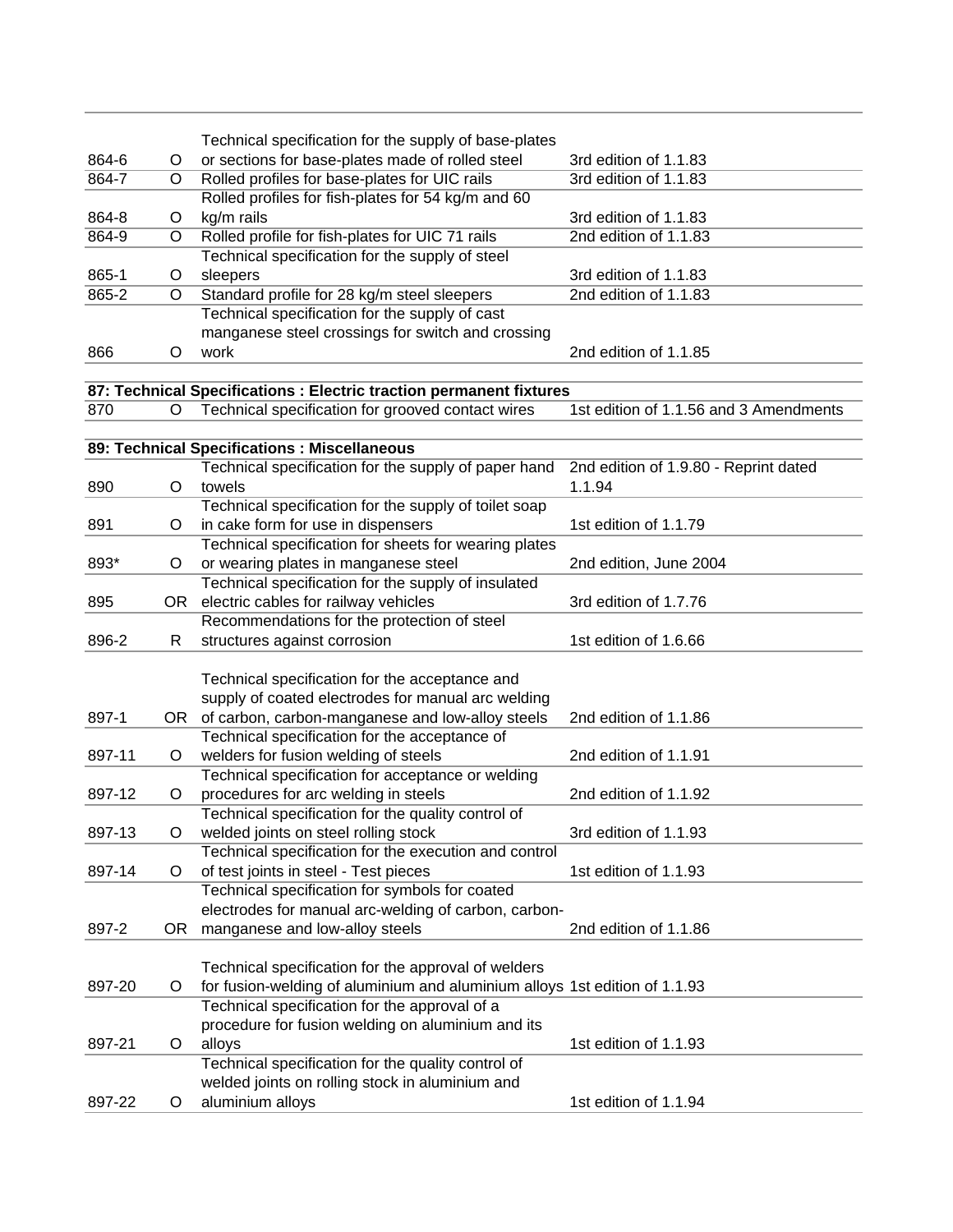|        |         | Technical specification for the supply of base-plates                                                                    |                                        |
|--------|---------|--------------------------------------------------------------------------------------------------------------------------|----------------------------------------|
| 864-6  | O       | or sections for base-plates made of rolled steel                                                                         | 3rd edition of 1.1.83                  |
| 864-7  | O       | Rolled profiles for base-plates for UIC rails                                                                            | 3rd edition of 1.1.83                  |
|        |         | Rolled profiles for fish-plates for 54 kg/m and 60                                                                       |                                        |
| 864-8  | O       | kg/m rails                                                                                                               | 3rd edition of 1.1.83                  |
| 864-9  | $\circ$ | Rolled profile for fish-plates for UIC 71 rails                                                                          | 2nd edition of 1.1.83                  |
|        |         | Technical specification for the supply of steel                                                                          |                                        |
| 865-1  | O       | sleepers                                                                                                                 | 3rd edition of 1.1.83                  |
| 865-2  | $\circ$ | Standard profile for 28 kg/m steel sleepers                                                                              | 2nd edition of 1.1.83                  |
|        |         | Technical specification for the supply of cast                                                                           |                                        |
|        |         | manganese steel crossings for switch and crossing                                                                        |                                        |
| 866    | O       | work                                                                                                                     | 2nd edition of 1.1.85                  |
|        |         |                                                                                                                          |                                        |
| 870    | $\circ$ | 87: Technical Specifications : Electric traction permanent fixtures<br>Technical specification for grooved contact wires | 1st edition of 1.1.56 and 3 Amendments |
|        |         |                                                                                                                          |                                        |
|        |         | 89: Technical Specifications : Miscellaneous                                                                             |                                        |
|        |         | Technical specification for the supply of paper hand                                                                     | 2nd edition of 1.9.80 - Reprint dated  |
| 890    | O       | towels                                                                                                                   | 1.1.94                                 |
|        |         | Technical specification for the supply of toilet soap                                                                    |                                        |
| 891    | O       | in cake form for use in dispensers                                                                                       | 1st edition of 1.1.79                  |
|        |         | Technical specification for sheets for wearing plates                                                                    |                                        |
| 893*   | $\circ$ | or wearing plates in manganese steel                                                                                     | 2nd edition, June 2004                 |
|        |         | Technical specification for the supply of insulated                                                                      |                                        |
| 895    | OR      | electric cables for railway vehicles                                                                                     | 3rd edition of 1.7.76                  |
|        |         | Recommendations for the protection of steel                                                                              |                                        |
| 896-2  | R.      | structures against corrosion                                                                                             | 1st edition of 1.6.66                  |
|        |         |                                                                                                                          |                                        |
|        |         | Technical specification for the acceptance and                                                                           |                                        |
|        |         | supply of coated electrodes for manual arc welding                                                                       |                                        |
| 897-1  | OR      | of carbon, carbon-manganese and low-alloy steels                                                                         | 2nd edition of 1.1.86                  |
|        |         | Technical specification for the acceptance of                                                                            |                                        |
| 897-11 | O       | welders for fusion welding of steels                                                                                     | 2nd edition of 1.1.91                  |
|        |         | Technical specification for acceptance or welding                                                                        |                                        |
| 897-12 | O       | procedures for arc welding in steels                                                                                     | 2nd edition of 1.1.92                  |
|        |         | Technical specification for the quality control of                                                                       |                                        |
| 897-13 | O       | welded joints on steel rolling stock                                                                                     | 3rd edition of 1.1.93                  |
|        |         | Technical specification for the execution and control                                                                    |                                        |
| 897-14 | $\circ$ | of test joints in steel - Test pieces                                                                                    | 1st edition of 1.1.93                  |
|        |         | Technical specification for symbols for coated                                                                           |                                        |
|        |         | electrodes for manual arc-welding of carbon, carbon-                                                                     |                                        |
| 897-2  | OR      | manganese and low-alloy steels                                                                                           | 2nd edition of 1.1.86                  |
|        |         |                                                                                                                          |                                        |
|        |         | Technical specification for the approval of welders                                                                      |                                        |
| 897-20 | $\circ$ | for fusion-welding of aluminium and aluminium alloys 1st edition of 1.1.93                                               |                                        |
|        |         | Technical specification for the approval of a                                                                            |                                        |
|        |         | procedure for fusion welding on aluminium and its                                                                        |                                        |
| 897-21 | O       | alloys                                                                                                                   | 1st edition of 1.1.93                  |
|        |         | Technical specification for the quality control of                                                                       |                                        |
|        |         | welded joints on rolling stock in aluminium and                                                                          |                                        |
| 897-22 | O       | aluminium alloys                                                                                                         | 1st edition of 1.1.94                  |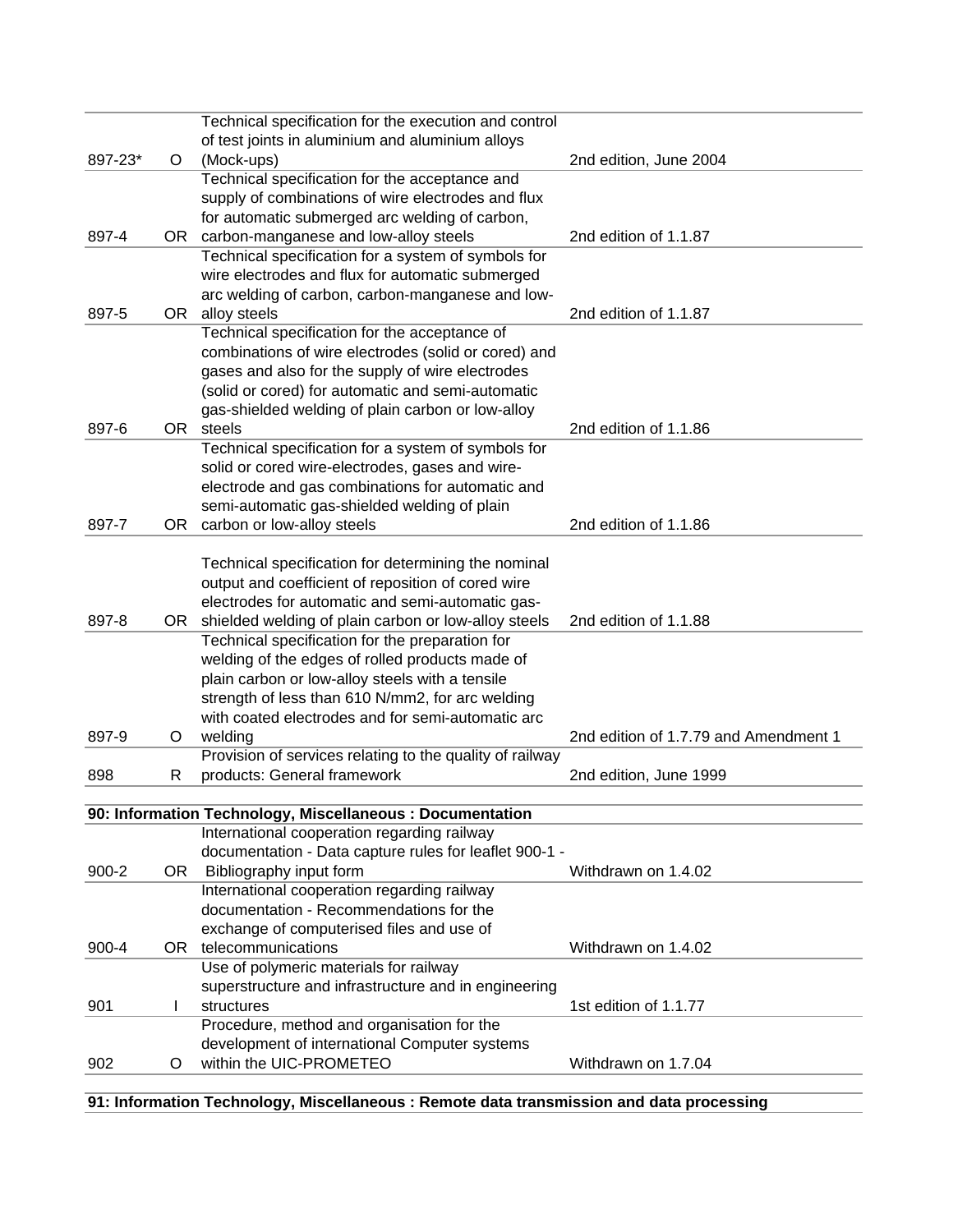|           |         | Technical specification for the execution and control    |                                       |
|-----------|---------|----------------------------------------------------------|---------------------------------------|
|           |         | of test joints in aluminium and aluminium alloys         |                                       |
| 897-23*   | $\circ$ | (Mock-ups)                                               | 2nd edition, June 2004                |
|           |         | Technical specification for the acceptance and           |                                       |
|           |         | supply of combinations of wire electrodes and flux       |                                       |
|           |         | for automatic submerged arc welding of carbon,           |                                       |
| 897-4     |         | OR carbon-manganese and low-alloy steels                 | 2nd edition of 1.1.87                 |
|           |         | Technical specification for a system of symbols for      |                                       |
|           |         | wire electrodes and flux for automatic submerged         |                                       |
|           |         | arc welding of carbon, carbon-manganese and low-         |                                       |
| 897-5     |         | OR alloy steels                                          | 2nd edition of 1.1.87                 |
|           |         | Technical specification for the acceptance of            |                                       |
|           |         | combinations of wire electrodes (solid or cored) and     |                                       |
|           |         | gases and also for the supply of wire electrodes         |                                       |
|           |         | (solid or cored) for automatic and semi-automatic        |                                       |
|           |         | gas-shielded welding of plain carbon or low-alloy        |                                       |
| 897-6     | OR .    | steels                                                   | 2nd edition of 1.1.86                 |
|           |         | Technical specification for a system of symbols for      |                                       |
|           |         | solid or cored wire-electrodes, gases and wire-          |                                       |
|           |         | electrode and gas combinations for automatic and         |                                       |
|           |         | semi-automatic gas-shielded welding of plain             |                                       |
| 897-7     |         | OR carbon or low-alloy steels                            | 2nd edition of 1.1.86                 |
|           |         |                                                          |                                       |
|           |         | Technical specification for determining the nominal      |                                       |
|           |         | output and coefficient of reposition of cored wire       |                                       |
|           |         | electrodes for automatic and semi-automatic gas-         |                                       |
| 897-8     | OR      | shielded welding of plain carbon or low-alloy steels     | 2nd edition of 1.1.88                 |
|           |         | Technical specification for the preparation for          |                                       |
|           |         | welding of the edges of rolled products made of          |                                       |
|           |         | plain carbon or low-alloy steels with a tensile          |                                       |
|           |         | strength of less than 610 N/mm2, for arc welding         |                                       |
|           |         | with coated electrodes and for semi-automatic arc        |                                       |
| 897-9     | O       | welding                                                  | 2nd edition of 1.7.79 and Amendment 1 |
|           |         | Provision of services relating to the quality of railway |                                       |
| 898       | R       | products: General framework                              | 2nd edition, June 1999                |
|           |         |                                                          |                                       |
|           |         | 90: Information Technology, Miscellaneous: Documentation |                                       |
|           |         | International cooperation regarding railway              |                                       |
|           |         | documentation - Data capture rules for leaflet 900-1 -   |                                       |
| $900 - 2$ | OR.     | Bibliography input form                                  | Withdrawn on 1.4.02                   |
|           |         | International cooperation regarding railway              |                                       |
|           |         | documentation - Recommendations for the                  |                                       |
|           |         | exchange of computerised files and use of                |                                       |
| $900 - 4$ | OR      | telecommunications                                       | Withdrawn on 1.4.02                   |
|           |         | Use of polymeric materials for railway                   |                                       |
|           |         | superstructure and infrastructure and in engineering     |                                       |
| 901       | L       | structures                                               | 1st edition of 1.1.77                 |
|           |         | Procedure, method and organisation for the               |                                       |
|           |         | development of international Computer systems            |                                       |
| 902       | O       | within the UIC-PROMETEO                                  | Withdrawn on 1.7.04                   |
|           |         |                                                          |                                       |
|           |         |                                                          |                                       |

**91: Information Technology, Miscellaneous : Remote data transmission and data processing**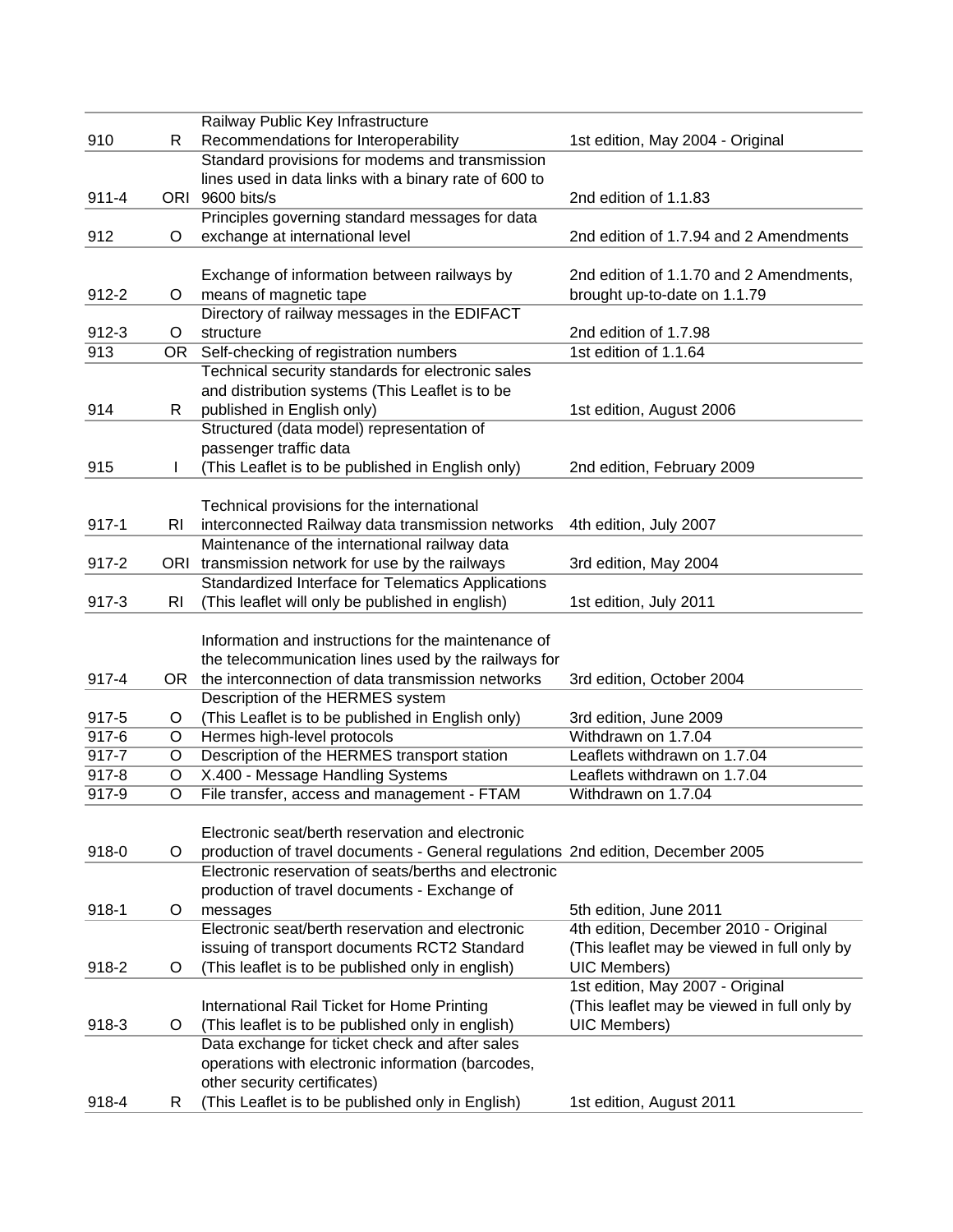|           |                | Railway Public Key Infrastructure                                               |                                             |
|-----------|----------------|---------------------------------------------------------------------------------|---------------------------------------------|
| 910       | R              | Recommendations for Interoperability                                            | 1st edition, May 2004 - Original            |
|           |                | Standard provisions for modems and transmission                                 |                                             |
|           |                | lines used in data links with a binary rate of 600 to                           |                                             |
| $911 - 4$ |                | ORI 9600 bits/s                                                                 | 2nd edition of 1.1.83                       |
|           |                | Principles governing standard messages for data                                 |                                             |
| 912       | O              | exchange at international level                                                 | 2nd edition of 1.7.94 and 2 Amendments      |
|           |                |                                                                                 |                                             |
|           |                | Exchange of information between railways by                                     | 2nd edition of 1.1.70 and 2 Amendments,     |
| $912 - 2$ | O              | means of magnetic tape                                                          | brought up-to-date on 1.1.79                |
|           |                | Directory of railway messages in the EDIFACT                                    |                                             |
| 912-3     | $\circ$        | structure                                                                       | 2nd edition of 1.7.98                       |
| 913       | OR.            | Self-checking of registration numbers                                           | 1st edition of 1.1.64                       |
|           |                | Technical security standards for electronic sales                               |                                             |
|           |                | and distribution systems (This Leaflet is to be                                 |                                             |
|           |                |                                                                                 |                                             |
| 914       | R              | published in English only)                                                      | 1st edition, August 2006                    |
|           |                | Structured (data model) representation of                                       |                                             |
|           |                | passenger traffic data                                                          |                                             |
| 915       |                | (This Leaflet is to be published in English only)                               | 2nd edition, February 2009                  |
|           |                |                                                                                 |                                             |
|           |                | Technical provisions for the international                                      |                                             |
| $917 - 1$ | RI             | interconnected Railway data transmission networks                               | 4th edition, July 2007                      |
|           |                | Maintenance of the international railway data                                   |                                             |
| $917 - 2$ |                | ORI transmission network for use by the railways                                | 3rd edition, May 2004                       |
|           |                | Standardized Interface for Telematics Applications                              |                                             |
| $917 - 3$ | R <sub>l</sub> | (This leaflet will only be published in english)                                | 1st edition, July 2011                      |
|           |                |                                                                                 |                                             |
|           |                | Information and instructions for the maintenance of                             |                                             |
|           |                | the telecommunication lines used by the railways for                            |                                             |
| 917-4     | OR.            | the interconnection of data transmission networks                               | 3rd edition, October 2004                   |
|           |                | Description of the HERMES system                                                |                                             |
| 917-5     | O              | (This Leaflet is to be published in English only)                               | 3rd edition, June 2009                      |
| 917-6     | $\circ$        | Hermes high-level protocols                                                     | Withdrawn on 1.7.04                         |
| $917 - 7$ | $\circ$        | Description of the HERMES transport station                                     | Leaflets withdrawn on 1.7.04                |
| 917-8     | $\circ$        | X.400 - Message Handling Systems                                                | Leaflets withdrawn on 1.7.04                |
| 917-9     | O              | File transfer, access and management - FTAM                                     | Withdrawn on 1.7.04                         |
|           |                |                                                                                 |                                             |
|           |                | Electronic seat/berth reservation and electronic                                |                                             |
| 918-0     | $\circ$        | production of travel documents - General regulations 2nd edition, December 2005 |                                             |
|           |                | Electronic reservation of seats/berths and electronic                           |                                             |
|           |                | production of travel documents - Exchange of                                    |                                             |
| 918-1     | $\circ$        | messages                                                                        | 5th edition, June 2011                      |
|           |                | Electronic seat/berth reservation and electronic                                | 4th edition, December 2010 - Original       |
|           |                | issuing of transport documents RCT2 Standard                                    | (This leaflet may be viewed in full only by |
| 918-2     | $\circ$        | (This leaflet is to be published only in english)                               | UIC Members)                                |
|           |                |                                                                                 | 1st edition, May 2007 - Original            |
|           |                | International Rail Ticket for Home Printing                                     | (This leaflet may be viewed in full only by |
| 918-3     | $\circ$        | (This leaflet is to be published only in english)                               | <b>UIC Members)</b>                         |
|           |                | Data exchange for ticket check and after sales                                  |                                             |
|           |                | operations with electronic information (barcodes,                               |                                             |
|           |                | other security certificates)                                                    |                                             |
| 918-4     | R              | (This Leaflet is to be published only in English)                               | 1st edition, August 2011                    |
|           |                |                                                                                 |                                             |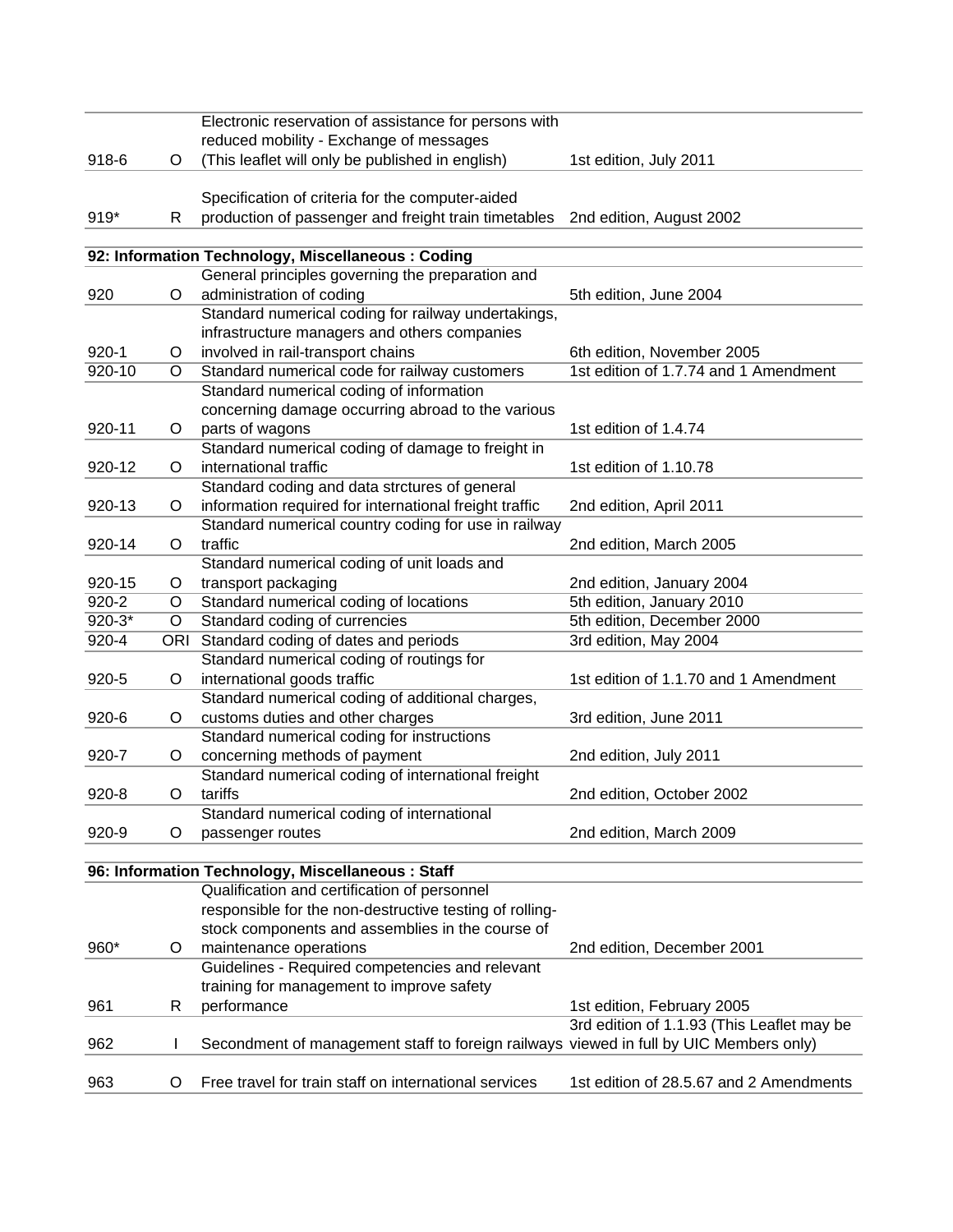|            |         | Electronic reservation of assistance for persons with                                  |                                            |
|------------|---------|----------------------------------------------------------------------------------------|--------------------------------------------|
|            |         | reduced mobility - Exchange of messages                                                |                                            |
| 918-6      | O       | (This leaflet will only be published in english)                                       | 1st edition, July 2011                     |
|            |         |                                                                                        |                                            |
|            |         | Specification of criteria for the computer-aided                                       |                                            |
| 919*       | R       | production of passenger and freight train timetables                                   | 2nd edition, August 2002                   |
|            |         |                                                                                        |                                            |
|            |         | 92: Information Technology, Miscellaneous: Coding                                      |                                            |
|            |         | General principles governing the preparation and                                       |                                            |
| 920        | O       | administration of coding                                                               | 5th edition, June 2004                     |
|            |         | Standard numerical coding for railway undertakings,                                    |                                            |
|            |         | infrastructure managers and others companies                                           |                                            |
| $920 - 1$  | O       | involved in rail-transport chains                                                      | 6th edition, November 2005                 |
| 920-10     | O       | Standard numerical code for railway customers                                          | 1st edition of 1.7.74 and 1 Amendment      |
|            |         | Standard numerical coding of information                                               |                                            |
|            |         | concerning damage occurring abroad to the various                                      |                                            |
| 920-11     | O       | parts of wagons                                                                        | 1st edition of 1.4.74                      |
|            |         | Standard numerical coding of damage to freight in                                      |                                            |
| 920-12     | $\circ$ | international traffic                                                                  | 1st edition of 1.10.78                     |
|            |         | Standard coding and data strctures of general                                          |                                            |
| 920-13     | O       | information required for international freight traffic                                 | 2nd edition, April 2011                    |
|            |         | Standard numerical country coding for use in railway                                   |                                            |
| 920-14     | O       | traffic                                                                                | 2nd edition, March 2005                    |
|            |         | Standard numerical coding of unit loads and                                            |                                            |
| 920-15     | O       | transport packaging                                                                    | 2nd edition, January 2004                  |
| $920 - 2$  | O       | Standard numerical coding of locations                                                 | 5th edition, January 2010                  |
| $920 - 3*$ | O       | Standard coding of currencies                                                          | 5th edition, December 2000                 |
| $920 - 4$  |         | ORI Standard coding of dates and periods                                               | 3rd edition, May 2004                      |
|            |         | Standard numerical coding of routings for                                              |                                            |
| 920-5      | O       | international goods traffic                                                            | 1st edition of 1.1.70 and 1 Amendment      |
|            |         | Standard numerical coding of additional charges,                                       |                                            |
| $920 - 6$  | O       | customs duties and other charges                                                       | 3rd edition, June 2011                     |
|            |         | Standard numerical coding for instructions                                             |                                            |
| 920-7      | O       | concerning methods of payment                                                          | 2nd edition, July 2011                     |
|            |         | Standard numerical coding of international freight                                     |                                            |
| $920 - 8$  | $\circ$ | tariffs                                                                                | 2nd edition, October 2002                  |
|            |         | Standard numerical coding of international                                             |                                            |
| 920-9      | O       | passenger routes                                                                       | 2nd edition, March 2009                    |
|            |         |                                                                                        |                                            |
|            |         | 96: Information Technology, Miscellaneous : Staff                                      |                                            |
|            |         | Qualification and certification of personnel                                           |                                            |
|            |         | responsible for the non-destructive testing of rolling-                                |                                            |
|            |         | stock components and assemblies in the course of                                       |                                            |
| 960*       | O       | maintenance operations                                                                 | 2nd edition, December 2001                 |
|            |         | Guidelines - Required competencies and relevant                                        |                                            |
|            |         | training for management to improve safety                                              |                                            |
| 961        | R       | performance                                                                            | 1st edition, February 2005                 |
|            |         |                                                                                        | 3rd edition of 1.1.93 (This Leaflet may be |
| 962        |         | Secondment of management staff to foreign railways viewed in full by UIC Members only) |                                            |
|            |         |                                                                                        |                                            |
| 963        | O       | Free travel for train staff on international services                                  | 1st edition of 28.5.67 and 2 Amendments    |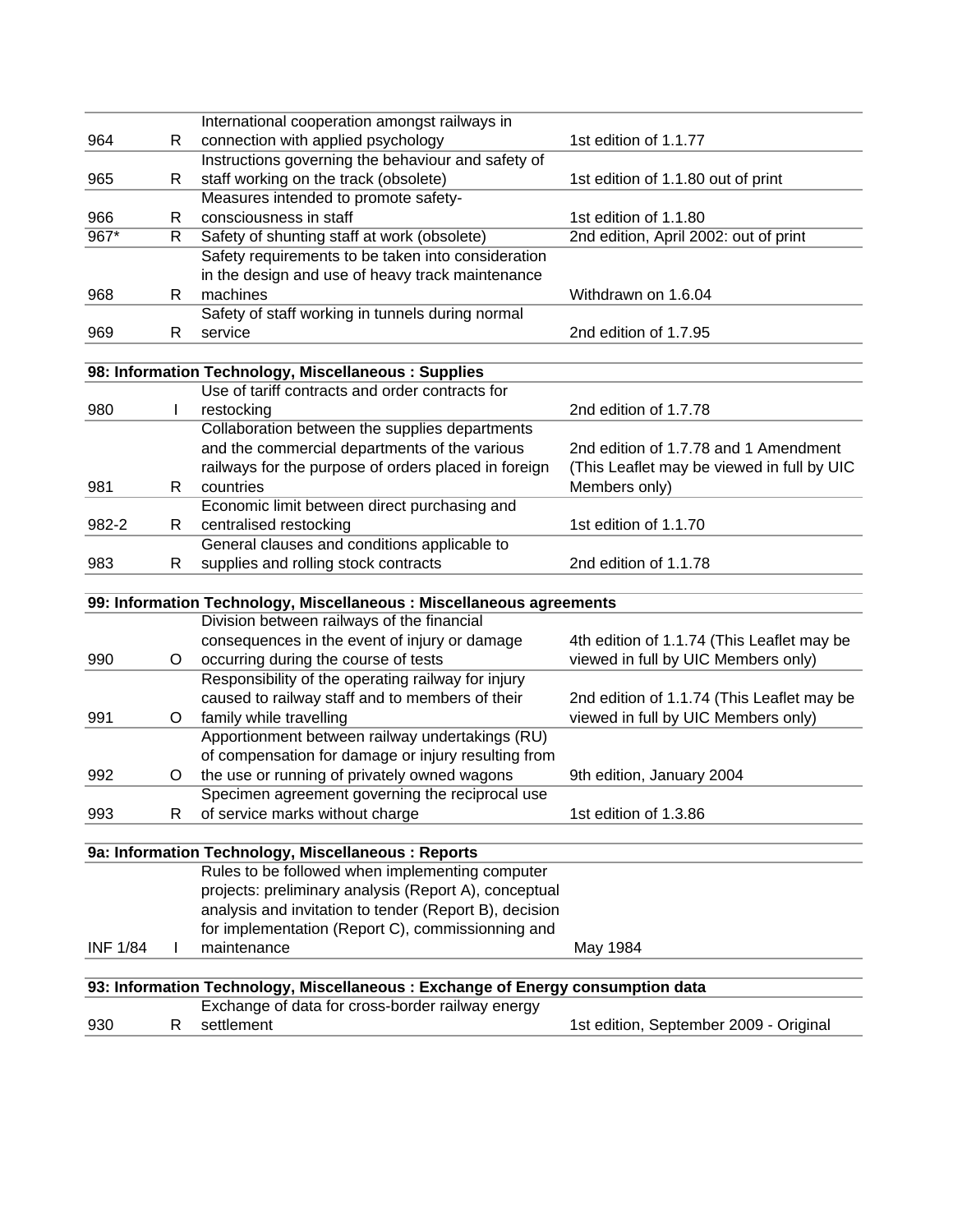|                 |    | International cooperation amongst railways in                                                          |                                            |
|-----------------|----|--------------------------------------------------------------------------------------------------------|--------------------------------------------|
| 964             | R  | connection with applied psychology                                                                     | 1st edition of 1.1.77                      |
|                 |    | Instructions governing the behaviour and safety of                                                     |                                            |
| 965             | R  | staff working on the track (obsolete)                                                                  | 1st edition of 1.1.80 out of print         |
|                 |    | Measures intended to promote safety-                                                                   |                                            |
| 966             | R  | consciousness in staff                                                                                 | 1st edition of 1.1.80                      |
| $967*$          | R  | Safety of shunting staff at work (obsolete)                                                            | 2nd edition, April 2002: out of print      |
|                 |    | Safety requirements to be taken into consideration                                                     |                                            |
|                 |    | in the design and use of heavy track maintenance                                                       |                                            |
| 968             | R  | machines                                                                                               | Withdrawn on 1.6.04                        |
|                 |    | Safety of staff working in tunnels during normal                                                       |                                            |
| 969             | R  | service                                                                                                | 2nd edition of 1.7.95                      |
|                 |    |                                                                                                        |                                            |
|                 |    | 98: Information Technology, Miscellaneous : Supplies                                                   |                                            |
|                 |    | Use of tariff contracts and order contracts for                                                        |                                            |
| 980             |    | restocking                                                                                             | 2nd edition of 1.7.78                      |
|                 |    | Collaboration between the supplies departments                                                         |                                            |
|                 |    | and the commercial departments of the various                                                          | 2nd edition of 1.7.78 and 1 Amendment      |
|                 |    | railways for the purpose of orders placed in foreign                                                   | (This Leaflet may be viewed in full by UIC |
| 981             | R. | countries                                                                                              | Members only)                              |
|                 |    | Economic limit between direct purchasing and                                                           |                                            |
| 982-2           | R  | centralised restocking                                                                                 | 1st edition of 1.1.70                      |
|                 |    | General clauses and conditions applicable to                                                           |                                            |
| 983             | R  | supplies and rolling stock contracts                                                                   | 2nd edition of 1.1.78                      |
|                 |    |                                                                                                        |                                            |
|                 |    | 99: Information Technology, Miscellaneous : Miscellaneous agreements                                   |                                            |
|                 |    | Division between railways of the financial                                                             |                                            |
|                 |    | consequences in the event of injury or damage                                                          | 4th edition of 1.1.74 (This Leaflet may be |
| 990             | O  | occurring during the course of tests                                                                   | viewed in full by UIC Members only)        |
|                 |    | Responsibility of the operating railway for injury                                                     |                                            |
|                 |    | caused to railway staff and to members of their                                                        | 2nd edition of 1.1.74 (This Leaflet may be |
| 991             | O  | family while travelling                                                                                | viewed in full by UIC Members only)        |
|                 |    | Apportionment between railway undertakings (RU)                                                        |                                            |
|                 |    | of compensation for damage or injury resulting from                                                    |                                            |
| 992             | Ő  | the use or running of privately owned wagons                                                           | 9th edition, January 2004                  |
|                 |    | Specimen agreement governing the reciprocal use                                                        | 1st edition of 1.3.86                      |
| 993             | R  | of service marks without charge                                                                        |                                            |
|                 |    |                                                                                                        |                                            |
|                 |    | 9a: Information Technology, Miscellaneous : Reports<br>Rules to be followed when implementing computer |                                            |
|                 |    | projects: preliminary analysis (Report A), conceptual                                                  |                                            |
|                 |    | analysis and invitation to tender (Report B), decision                                                 |                                            |
|                 |    | for implementation (Report C), commissionning and                                                      |                                            |
| <b>INF 1/84</b> |    | maintenance                                                                                            | May 1984                                   |
|                 |    |                                                                                                        |                                            |
|                 |    | 93: Information Technology, Miscellaneous : Exchange of Energy consumption data                        |                                            |
|                 |    | Exchange of data for cross-border railway energy                                                       |                                            |
| 930             | R  | settlement                                                                                             | 1st edition, September 2009 - Original     |
|                 |    |                                                                                                        |                                            |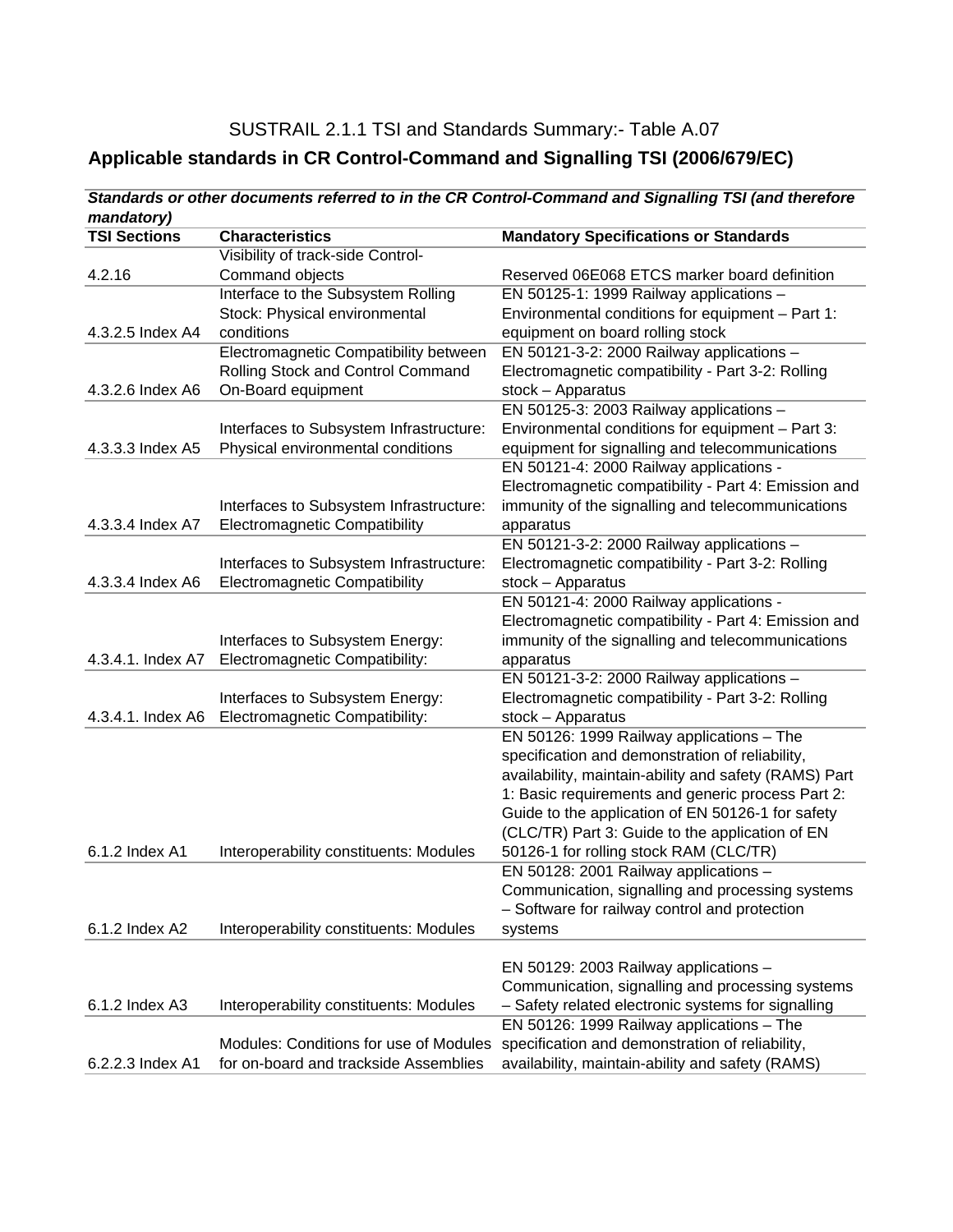## SUSTRAIL 2.1.1 TSI and Standards Summary:- Table A.07 **Applicable standards in CR Control-Command and Signalling TSI (2006/679/EC)**

| mandatory)          |                                         |                                                       |
|---------------------|-----------------------------------------|-------------------------------------------------------|
| <b>TSI Sections</b> | <b>Characteristics</b>                  | <b>Mandatory Specifications or Standards</b>          |
|                     | Visibility of track-side Control-       |                                                       |
| 4.2.16              | Command objects                         | Reserved 06E068 ETCS marker board definition          |
|                     | Interface to the Subsystem Rolling      | EN 50125-1: 1999 Railway applications -               |
|                     | Stock: Physical environmental           | Environmental conditions for equipment - Part 1:      |
| 4.3.2.5 Index A4    | conditions                              | equipment on board rolling stock                      |
|                     | Electromagnetic Compatibility between   | EN 50121-3-2: 2000 Railway applications -             |
|                     | Rolling Stock and Control Command       | Electromagnetic compatibility - Part 3-2: Rolling     |
| 4.3.2.6 Index A6    | On-Board equipment                      | $stock - Apparatus$                                   |
|                     |                                         | EN 50125-3: 2003 Railway applications -               |
|                     | Interfaces to Subsystem Infrastructure: | Environmental conditions for equipment - Part 3:      |
| 4.3.3.3 Index A5    | Physical environmental conditions       | equipment for signalling and telecommunications       |
|                     |                                         | EN 50121-4: 2000 Railway applications -               |
|                     |                                         | Electromagnetic compatibility - Part 4: Emission and  |
|                     | Interfaces to Subsystem Infrastructure: | immunity of the signalling and telecommunications     |
| 4.3.3.4 Index A7    | <b>Electromagnetic Compatibility</b>    | apparatus                                             |
|                     |                                         | EN 50121-3-2: 2000 Railway applications -             |
|                     | Interfaces to Subsystem Infrastructure: | Electromagnetic compatibility - Part 3-2: Rolling     |
| 4.3.3.4 Index A6    | <b>Electromagnetic Compatibility</b>    | stock - Apparatus                                     |
|                     |                                         | EN 50121-4: 2000 Railway applications -               |
|                     |                                         | Electromagnetic compatibility - Part 4: Emission and  |
|                     | Interfaces to Subsystem Energy:         | immunity of the signalling and telecommunications     |
| 4.3.4.1. Index A7   | Electromagnetic Compatibility:          | apparatus                                             |
|                     |                                         | EN 50121-3-2: 2000 Railway applications $-$           |
|                     | Interfaces to Subsystem Energy:         | Electromagnetic compatibility - Part 3-2: Rolling     |
| 4.3.4.1. Index A6   | Electromagnetic Compatibility:          | stock - Apparatus                                     |
|                     |                                         | EN 50126: 1999 Railway applications - The             |
|                     |                                         | specification and demonstration of reliability,       |
|                     |                                         | availability, maintain-ability and safety (RAMS) Part |
|                     |                                         | 1: Basic requirements and generic process Part 2:     |
|                     |                                         | Guide to the application of EN 50126-1 for safety     |
|                     |                                         | (CLC/TR) Part 3: Guide to the application of EN       |
| 6.1.2 Index A1      | Interoperability constituents: Modules  | 50126-1 for rolling stock RAM (CLC/TR)                |
|                     |                                         | EN 50128: 2001 Railway applications -                 |
|                     |                                         | Communication, signalling and processing systems      |
|                     |                                         | - Software for railway control and protection         |
| 6.1.2 Index A2      | Interoperability constituents: Modules  | systems                                               |
|                     |                                         |                                                       |
|                     |                                         | EN 50129: 2003 Railway applications -                 |
|                     |                                         | Communication, signalling and processing systems      |
| 6.1.2 Index A3      | Interoperability constituents: Modules  | - Safety related electronic systems for signalling    |
|                     |                                         | EN 50126: 1999 Railway applications - The             |
|                     | Modules: Conditions for use of Modules  | specification and demonstration of reliability,       |
| 6.2.2.3 Index A1    | for on-board and trackside Assemblies   | availability, maintain-ability and safety (RAMS)      |

# *Standards or other documents referred to in the CR Control-Command and Signalling TSI (and therefore*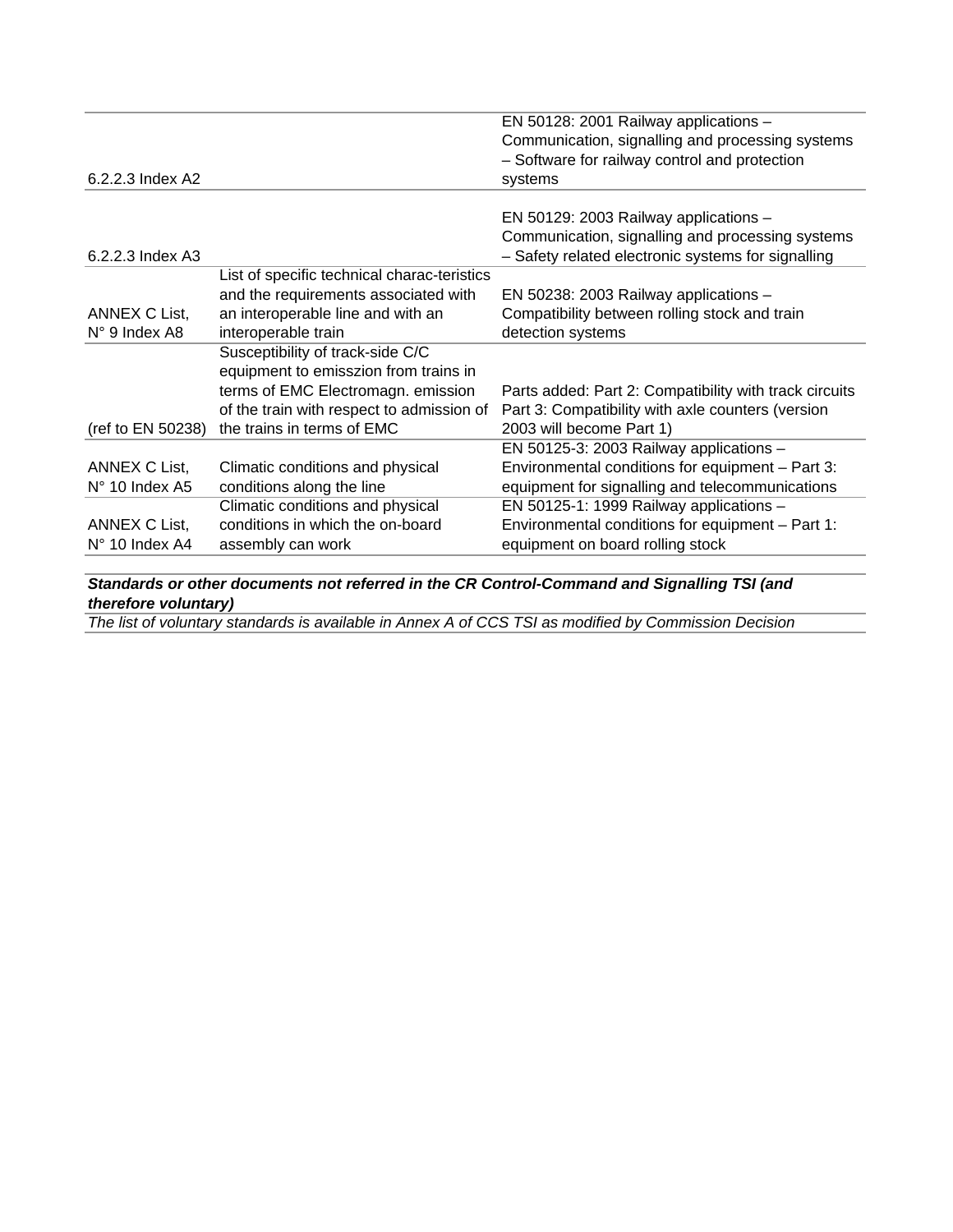|                         |                                             | EN 50128: 2001 Railway applications -                  |
|-------------------------|---------------------------------------------|--------------------------------------------------------|
|                         |                                             | Communication, signalling and processing systems       |
|                         |                                             | - Software for railway control and protection          |
| 6.2.2.3 Index A2        |                                             | systems                                                |
|                         |                                             |                                                        |
|                         |                                             | EN 50129: 2003 Railway applications -                  |
|                         |                                             | Communication, signalling and processing systems       |
| 6.2.2.3 Index A3        |                                             | - Safety related electronic systems for signalling     |
|                         | List of specific technical charac-teristics |                                                        |
|                         | and the requirements associated with        | EN 50238: 2003 Railway applications -                  |
| ANNEX C List,           | an interoperable line and with an           | Compatibility between rolling stock and train          |
| N° 9 Index A8           | interoperable train                         | detection systems                                      |
|                         | Susceptibility of track-side C/C            |                                                        |
|                         | equipment to emisszion from trains in       |                                                        |
|                         | terms of EMC Electromagn. emission          | Parts added: Part 2: Compatibility with track circuits |
|                         | of the train with respect to admission of   | Part 3: Compatibility with axle counters (version      |
| (ref to EN 50238)       | the trains in terms of EMC                  | 2003 will become Part 1)                               |
|                         |                                             | EN 50125-3: 2003 Railway applications -                |
| ANNEX C List,           | Climatic conditions and physical            | Environmental conditions for equipment - Part 3:       |
| $N^{\circ}$ 10 Index A5 | conditions along the line                   | equipment for signalling and telecommunications        |
|                         | Climatic conditions and physical            | EN 50125-1: 1999 Railway applications -                |
| ANNEX C List,           | conditions in which the on-board            | Environmental conditions for equipment - Part 1:       |
| $N^{\circ}$ 10 Index A4 | assembly can work                           | equipment on board rolling stock                       |
|                         |                                             |                                                        |

*Standards or other documents not referred in the CR Control-Command and Signalling TSI (and therefore voluntary)* 

*The list of voluntary standards is available in Annex A of CCS TSI as modified by Commission Decision*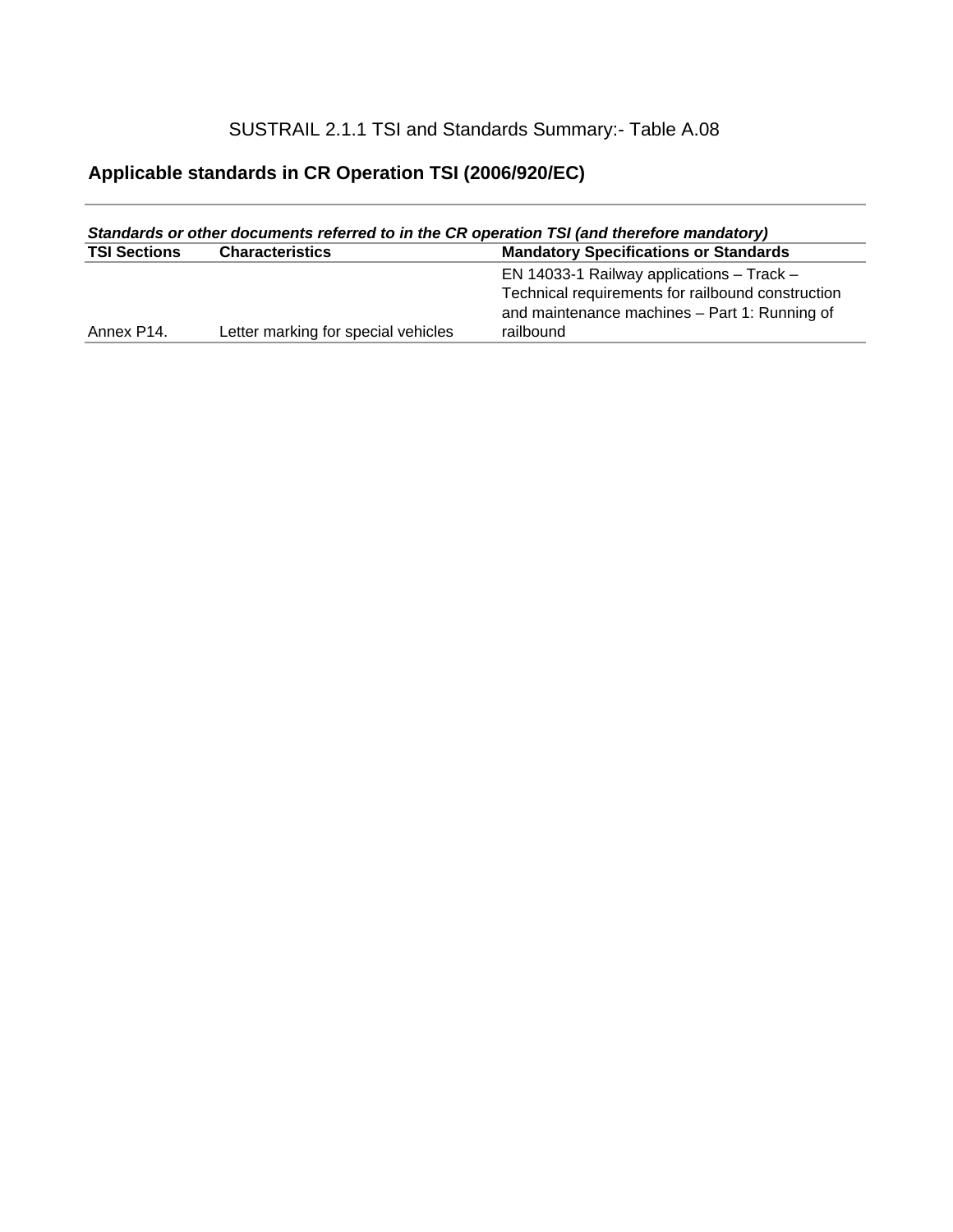### SUSTRAIL 2.1.1 TSI and Standards Summary:- Table A.08

### **Applicable standards in CR Operation TSI (2006/920/EC)**

| Standards or other documents referred to in the CR operation TSI (and therefore mandatory) |                                     |                                                   |  |
|--------------------------------------------------------------------------------------------|-------------------------------------|---------------------------------------------------|--|
| <b>TSI Sections</b>                                                                        | <b>Characteristics</b>              | <b>Mandatory Specifications or Standards</b>      |  |
|                                                                                            |                                     | EN 14033-1 Railway applications $-$ Track $-$     |  |
|                                                                                            |                                     | Technical requirements for railbound construction |  |
|                                                                                            |                                     | and maintenance machines - Part 1: Running of     |  |
| Annex P14.                                                                                 | Letter marking for special vehicles | railbound                                         |  |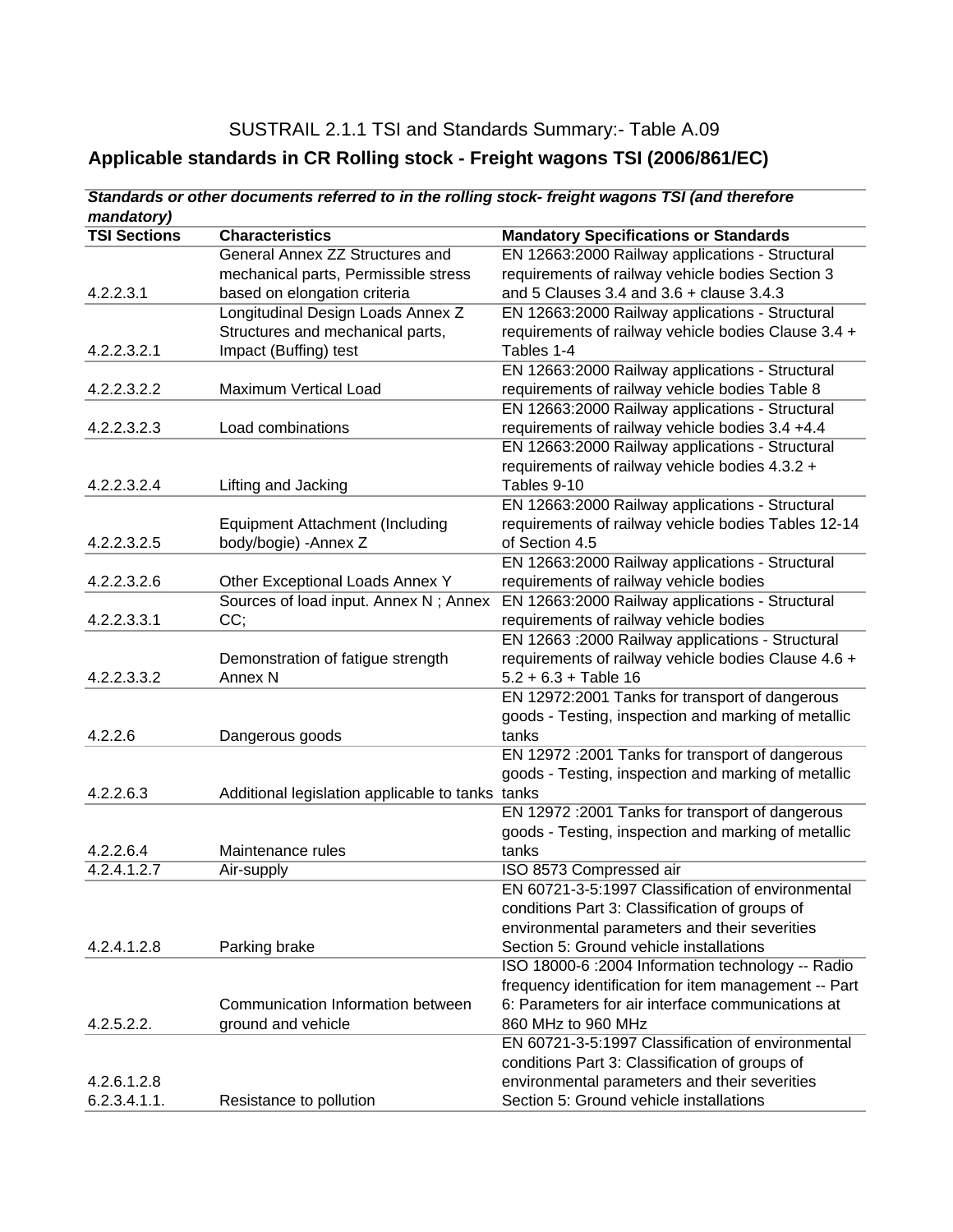#### SUSTRAIL 2.1.1 TSI and Standards Summary:- Table A.09

### **Applicable standards in CR Rolling stock - Freight wagons TSI (2006/861/EC)**

| mandatory)          | olandarus or oliner uocuments referred to in the rolling stock- ireignt wagons i or fand therefore |                                                      |
|---------------------|----------------------------------------------------------------------------------------------------|------------------------------------------------------|
| <b>TSI Sections</b> | <b>Characteristics</b>                                                                             | <b>Mandatory Specifications or Standards</b>         |
|                     | General Annex ZZ Structures and                                                                    | EN 12663:2000 Railway applications - Structural      |
|                     | mechanical parts, Permissible stress                                                               | requirements of railway vehicle bodies Section 3     |
| 4.2.2.3.1           | based on elongation criteria                                                                       | and 5 Clauses 3.4 and $3.6$ + clause 3.4.3           |
|                     | Longitudinal Design Loads Annex Z                                                                  | EN 12663:2000 Railway applications - Structural      |
|                     | Structures and mechanical parts,                                                                   | requirements of railway vehicle bodies Clause 3.4 +  |
| 4.2.2.3.2.1         | Impact (Buffing) test                                                                              | Tables 1-4                                           |
|                     |                                                                                                    | EN 12663:2000 Railway applications - Structural      |
| 4.2.2.3.2.2         | Maximum Vertical Load                                                                              | requirements of railway vehicle bodies Table 8       |
|                     |                                                                                                    | EN 12663:2000 Railway applications - Structural      |
| 4.2.2.3.2.3         | Load combinations                                                                                  | requirements of railway vehicle bodies 3.4 +4.4      |
|                     |                                                                                                    | EN 12663:2000 Railway applications - Structural      |
|                     |                                                                                                    | requirements of railway vehicle bodies 4.3.2 +       |
| 4.2.2.3.2.4         | Lifting and Jacking                                                                                | Tables 9-10                                          |
|                     |                                                                                                    | EN 12663:2000 Railway applications - Structural      |
|                     | <b>Equipment Attachment (Including</b>                                                             | requirements of railway vehicle bodies Tables 12-14  |
| 4.2.2.3.2.5         | body/bogie) - Annex Z                                                                              | of Section 4.5                                       |
|                     |                                                                                                    | EN 12663:2000 Railway applications - Structural      |
| 4.2.2.3.2.6         | Other Exceptional Loads Annex Y                                                                    | requirements of railway vehicle bodies               |
|                     | Sources of load input. Annex N; Annex                                                              | EN 12663:2000 Railway applications - Structural      |
| 4.2.2.3.3.1         | CC;                                                                                                | requirements of railway vehicle bodies               |
|                     |                                                                                                    | EN 12663 : 2000 Railway applications - Structural    |
|                     | Demonstration of fatigue strength                                                                  | requirements of railway vehicle bodies Clause 4.6 +  |
| 4.2.2.3.3.2         | Annex <sub>N</sub>                                                                                 | $5.2 + 6.3 + Table 16$                               |
|                     |                                                                                                    | EN 12972:2001 Tanks for transport of dangerous       |
|                     |                                                                                                    | goods - Testing, inspection and marking of metallic  |
| 4.2.2.6             | Dangerous goods                                                                                    | tanks                                                |
|                     |                                                                                                    | EN 12972 : 2001 Tanks for transport of dangerous     |
| 4.2.2.6.3           | Additional legislation applicable to tanks tanks                                                   | goods - Testing, inspection and marking of metallic  |
|                     |                                                                                                    | EN 12972 : 2001 Tanks for transport of dangerous     |
|                     |                                                                                                    | goods - Testing, inspection and marking of metallic  |
| 4.2.2.6.4           | Maintenance rules                                                                                  | tanks                                                |
| 4.2.4.1.2.7         | Air-supply                                                                                         | ISO 8573 Compressed air                              |
|                     |                                                                                                    | EN 60721-3-5:1997 Classification of environmental    |
|                     |                                                                                                    | conditions Part 3: Classification of groups of       |
|                     |                                                                                                    | environmental parameters and their severities        |
| 4.2.4.1.2.8         | Parking brake                                                                                      | Section 5: Ground vehicle installations              |
|                     |                                                                                                    | ISO 18000-6 : 2004 Information technology -- Radio   |
|                     |                                                                                                    | frequency identification for item management -- Part |
|                     | Communication Information between                                                                  | 6: Parameters for air interface communications at    |
| 4.2.5.2.2.          | ground and vehicle                                                                                 | 860 MHz to 960 MHz                                   |
|                     |                                                                                                    | EN 60721-3-5:1997 Classification of environmental    |
|                     |                                                                                                    | conditions Part 3: Classification of groups of       |
| 4.2.6.1.2.8         |                                                                                                    | environmental parameters and their severities        |
| 6.2.3.4.1.1.        | Resistance to pollution                                                                            | Section 5: Ground vehicle installations              |

*Standards or other documents referred to in the rolling stock- freight wagons TSI (and therefore*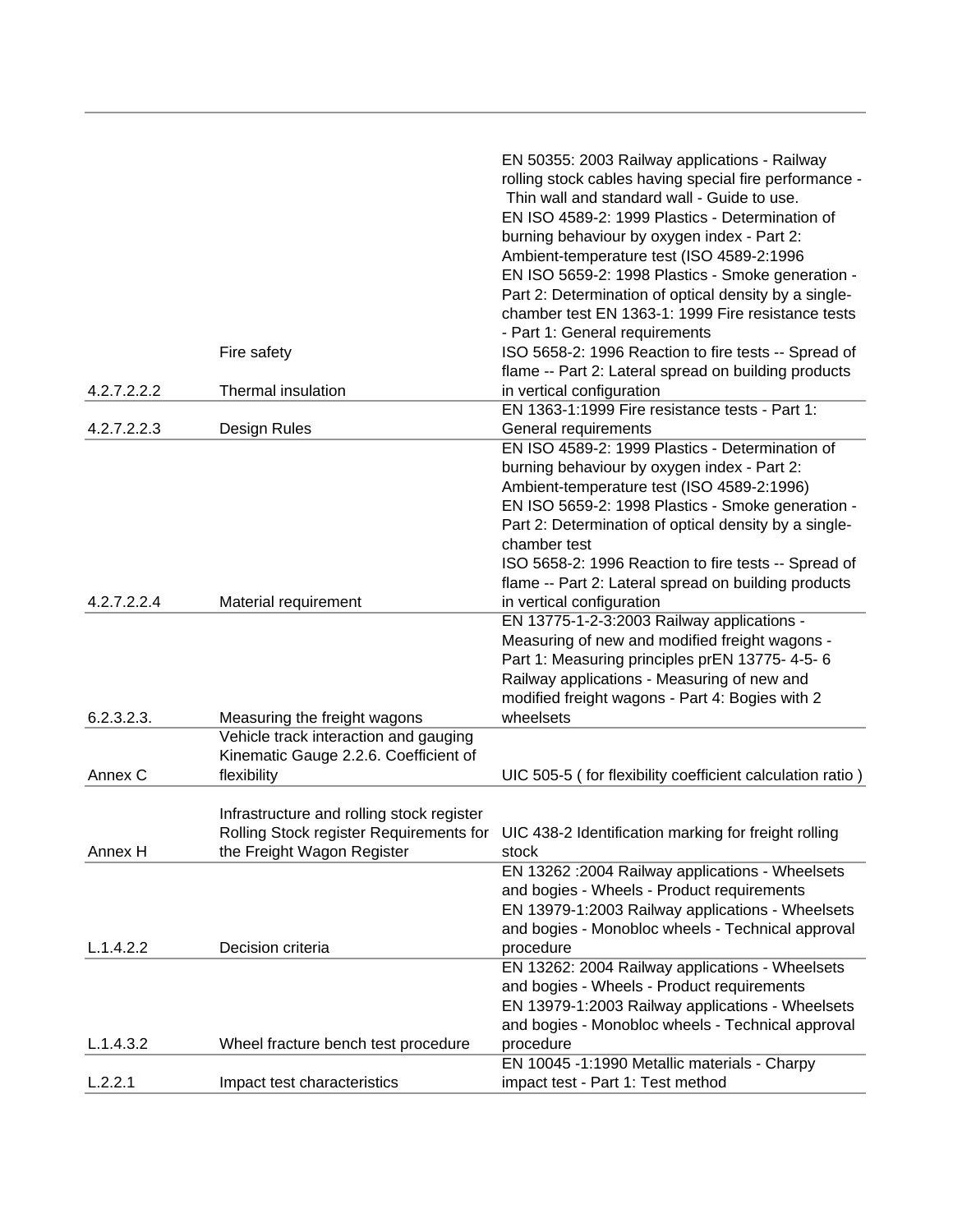|             |                                           | EN 50355: 2003 Railway applications - Railway<br>rolling stock cables having special fire performance - |
|-------------|-------------------------------------------|---------------------------------------------------------------------------------------------------------|
|             |                                           | Thin wall and standard wall - Guide to use.                                                             |
|             |                                           | EN ISO 4589-2: 1999 Plastics - Determination of                                                         |
|             |                                           | burning behaviour by oxygen index - Part 2:                                                             |
|             |                                           | Ambient-temperature test (ISO 4589-2:1996                                                               |
|             |                                           | EN ISO 5659-2: 1998 Plastics - Smoke generation -                                                       |
|             |                                           | Part 2: Determination of optical density by a single-                                                   |
|             |                                           | chamber test EN 1363-1: 1999 Fire resistance tests                                                      |
|             |                                           | - Part 1: General requirements                                                                          |
|             | Fire safety                               | ISO 5658-2: 1996 Reaction to fire tests -- Spread of                                                    |
|             |                                           | flame -- Part 2: Lateral spread on building products                                                    |
| 4.2.7.2.2.2 | Thermal insulation                        | in vertical configuration                                                                               |
|             |                                           | EN 1363-1:1999 Fire resistance tests - Part 1:                                                          |
| 4.2.7.2.2.3 | Design Rules                              | General requirements                                                                                    |
|             |                                           | EN ISO 4589-2: 1999 Plastics - Determination of                                                         |
|             |                                           | burning behaviour by oxygen index - Part 2:                                                             |
|             |                                           | Ambient-temperature test (ISO 4589-2:1996)                                                              |
|             |                                           | EN ISO 5659-2: 1998 Plastics - Smoke generation -                                                       |
|             |                                           | Part 2: Determination of optical density by a single-                                                   |
|             |                                           | chamber test                                                                                            |
|             |                                           | ISO 5658-2: 1996 Reaction to fire tests -- Spread of                                                    |
|             |                                           | flame -- Part 2: Lateral spread on building products                                                    |
| 4.2.7.2.2.4 | Material requirement                      | in vertical configuration                                                                               |
|             |                                           | EN 13775-1-2-3:2003 Railway applications -                                                              |
|             |                                           | Measuring of new and modified freight wagons -<br>Part 1: Measuring principles prEN 13775- 4-5-6        |
|             |                                           | Railway applications - Measuring of new and                                                             |
|             |                                           | modified freight wagons - Part 4: Bogies with 2                                                         |
| 6.2.3.2.3.  | Measuring the freight wagons              | wheelsets                                                                                               |
|             | Vehicle track interaction and gauging     |                                                                                                         |
|             | Kinematic Gauge 2.2.6. Coefficient of     |                                                                                                         |
| Annex C     | flexibility                               | UIC 505-5 (for flexibility coefficient calculation ratio)                                               |
|             |                                           |                                                                                                         |
|             | Infrastructure and rolling stock register |                                                                                                         |
|             |                                           | Rolling Stock register Requirements for UIC 438-2 Identification marking for freight rolling            |
| Annex H     | the Freight Wagon Register                | stock                                                                                                   |
|             |                                           | EN 13262 : 2004 Railway applications - Wheelsets                                                        |
|             |                                           | and bogies - Wheels - Product requirements                                                              |
|             |                                           | EN 13979-1:2003 Railway applications - Wheelsets                                                        |
|             |                                           | and bogies - Monobloc wheels - Technical approval                                                       |
| L.1.4.2.2   | Decision criteria                         | procedure                                                                                               |
|             |                                           | EN 13262: 2004 Railway applications - Wheelsets                                                         |
|             |                                           | and bogies - Wheels - Product requirements                                                              |
|             |                                           | EN 13979-1:2003 Railway applications - Wheelsets                                                        |
|             |                                           | and bogies - Monobloc wheels - Technical approval                                                       |
| L.1.4.3.2   | Wheel fracture bench test procedure       | procedure                                                                                               |
|             |                                           | EN 10045 -1:1990 Metallic materials - Charpy                                                            |
| L.2.2.1     | Impact test characteristics               | impact test - Part 1: Test method                                                                       |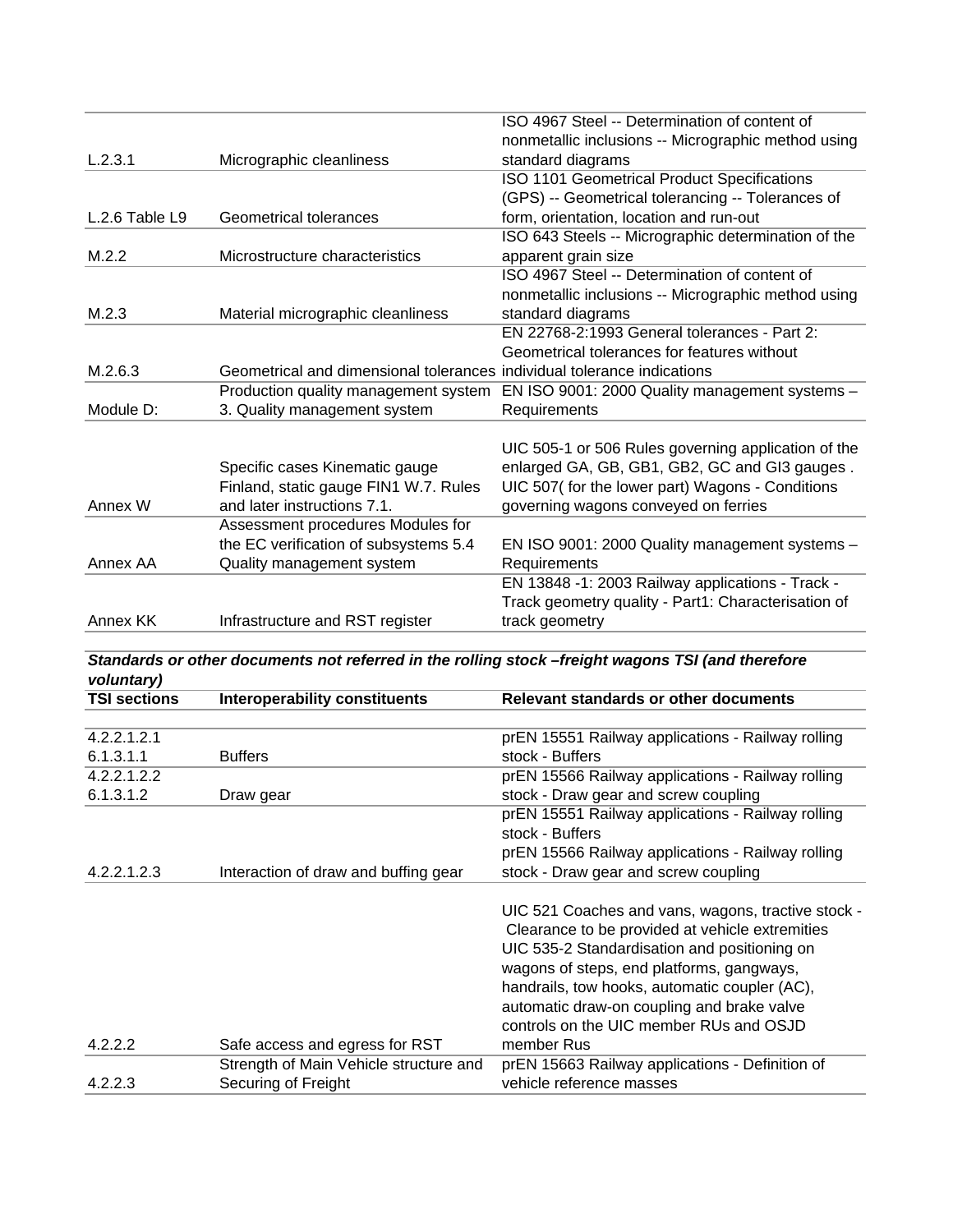|                |                                                                         | ISO 4967 Steel -- Determination of content of       |
|----------------|-------------------------------------------------------------------------|-----------------------------------------------------|
|                |                                                                         | nonmetallic inclusions -- Micrographic method using |
| L.2.3.1        | Micrographic cleanliness                                                | standard diagrams                                   |
|                |                                                                         | ISO 1101 Geometrical Product Specifications         |
|                |                                                                         | (GPS) -- Geometrical tolerancing -- Tolerances of   |
| L.2.6 Table L9 | Geometrical tolerances                                                  | form, orientation, location and run-out             |
|                |                                                                         | ISO 643 Steels -- Micrographic determination of the |
| M.2.2          | Microstructure characteristics                                          | apparent grain size                                 |
|                |                                                                         | ISO 4967 Steel -- Determination of content of       |
|                |                                                                         | nonmetallic inclusions -- Micrographic method using |
| M.2.3          | Material micrographic cleanliness                                       | standard diagrams                                   |
|                |                                                                         | EN 22768-2:1993 General tolerances - Part 2:        |
|                |                                                                         | Geometrical tolerances for features without         |
| M.2.6.3        | Geometrical and dimensional tolerances individual tolerance indications |                                                     |
|                | Production quality management system                                    | EN ISO 9001: 2000 Quality management systems -      |
| Module D:      | 3. Quality management system                                            | Requirements                                        |
|                |                                                                         |                                                     |
|                |                                                                         | UIC 505-1 or 506 Rules governing application of the |
|                | Specific cases Kinematic gauge                                          | enlarged GA, GB, GB1, GB2, GC and GI3 gauges.       |
|                | Finland, static gauge FIN1 W.7. Rules                                   | UIC 507(for the lower part) Wagons - Conditions     |
| Annex W        | and later instructions 7.1.                                             | governing wagons conveyed on ferries                |
|                | Assessment procedures Modules for                                       |                                                     |
|                | the EC verification of subsystems 5.4                                   | EN ISO 9001: 2000 Quality management systems -      |
| Annex AA       | Quality management system                                               | Requirements                                        |
|                |                                                                         | EN 13848 -1: 2003 Railway applications - Track -    |
|                |                                                                         | Track geometry quality - Part1: Characterisation of |
| Annex KK       | Infrastructure and RST register                                         | track geometry                                      |

*Standards or other documents not referred in the rolling stock –freight wagons TSI (and therefore voluntary)* **TSI sections Interoperability constituents Relevant standards or other documents**

| TSI Sections | interoperability constituents          | Relevant standards or other documents              |
|--------------|----------------------------------------|----------------------------------------------------|
|              |                                        |                                                    |
| 4.2.2.1.2.1  |                                        | prEN 15551 Railway applications - Railway rolling  |
| 6.1.3.1.1    | <b>Buffers</b>                         | stock - Buffers                                    |
| 4.2.2.1.2.2  |                                        | prEN 15566 Railway applications - Railway rolling  |
| 6.1.3.1.2    | Draw gear                              | stock - Draw gear and screw coupling               |
|              |                                        | prEN 15551 Railway applications - Railway rolling  |
|              |                                        | stock - Buffers                                    |
|              |                                        | prEN 15566 Railway applications - Railway rolling  |
| 4.2.2.1.2.3  | Interaction of draw and buffing gear   | stock - Draw gear and screw coupling               |
|              |                                        |                                                    |
|              |                                        | UIC 521 Coaches and vans, wagons, tractive stock - |
|              |                                        | Clearance to be provided at vehicle extremities    |
|              |                                        | UIC 535-2 Standardisation and positioning on       |
|              |                                        | wagons of steps, end platforms, gangways,          |
|              |                                        | handrails, tow hooks, automatic coupler (AC),      |
|              |                                        | automatic draw-on coupling and brake valve         |
|              |                                        | controls on the UIC member RUs and OSJD            |
| 4.2.2.2      | Safe access and egress for RST         | member Rus                                         |
|              | Strength of Main Vehicle structure and | prEN 15663 Railway applications - Definition of    |
| 4.2.2.3      | Securing of Freight                    | vehicle reference masses                           |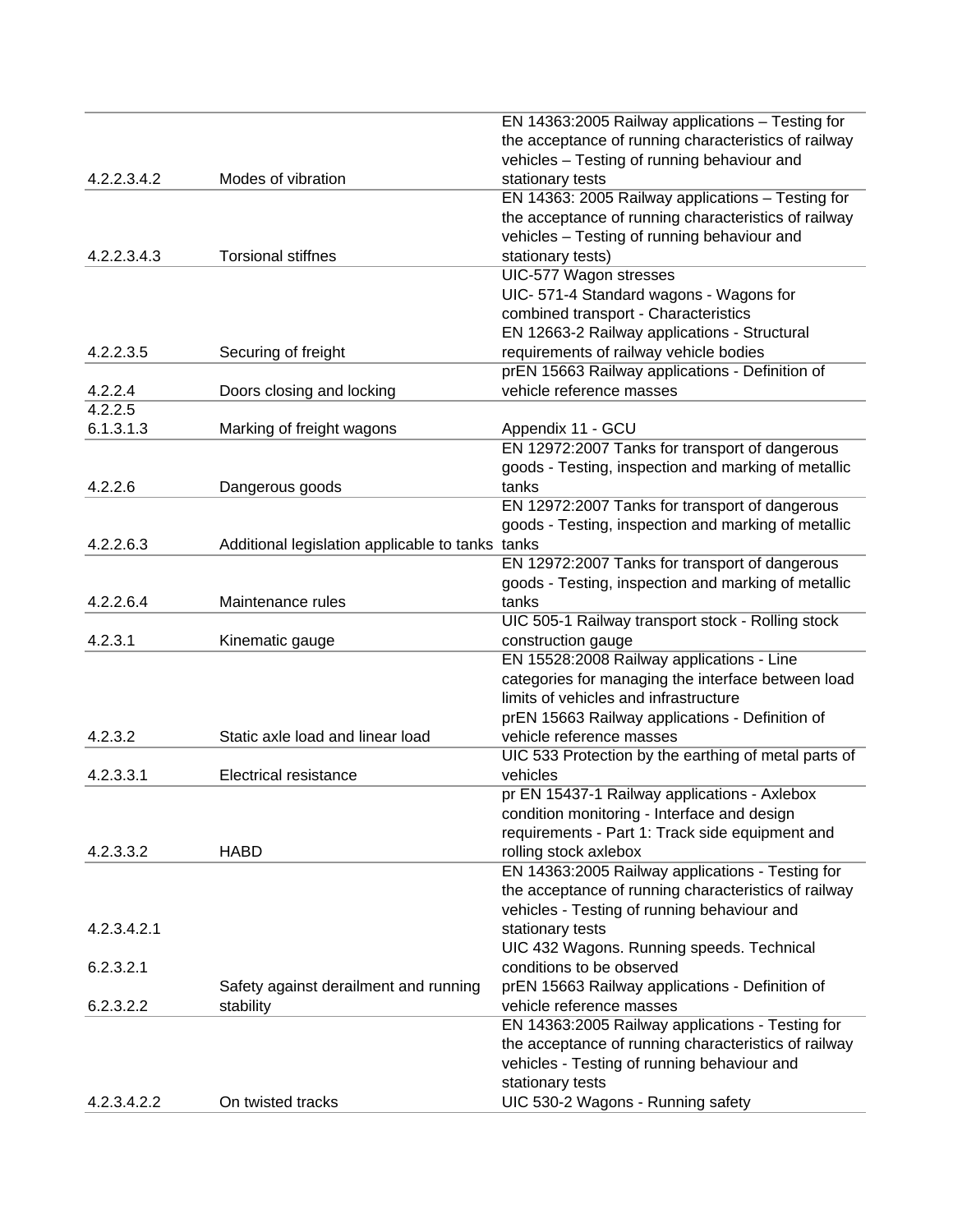|             |                                                  | EN 14363:2005 Railway applications - Testing for     |
|-------------|--------------------------------------------------|------------------------------------------------------|
|             |                                                  | the acceptance of running characteristics of railway |
|             |                                                  | vehicles - Testing of running behaviour and          |
| 4.2.2.3.4.2 | Modes of vibration                               | stationary tests                                     |
|             |                                                  | EN 14363: 2005 Railway applications - Testing for    |
|             |                                                  | the acceptance of running characteristics of railway |
|             |                                                  | vehicles - Testing of running behaviour and          |
| 4.2.2.3.4.3 | <b>Torsional stiffnes</b>                        | stationary tests)                                    |
|             |                                                  | UIC-577 Wagon stresses                               |
|             |                                                  | UIC-571-4 Standard wagons - Wagons for               |
|             |                                                  | combined transport - Characteristics                 |
|             |                                                  | EN 12663-2 Railway applications - Structural         |
| 4.2.2.3.5   | Securing of freight                              | requirements of railway vehicle bodies               |
|             |                                                  | prEN 15663 Railway applications - Definition of      |
| 4.2.2.4     | Doors closing and locking                        | vehicle reference masses                             |
| 4.2.2.5     |                                                  |                                                      |
| 6.1.3.1.3   | Marking of freight wagons                        | Appendix 11 - GCU                                    |
|             |                                                  | EN 12972:2007 Tanks for transport of dangerous       |
|             |                                                  | goods - Testing, inspection and marking of metallic  |
| 4.2.2.6     | Dangerous goods                                  | tanks                                                |
|             |                                                  | EN 12972:2007 Tanks for transport of dangerous       |
|             |                                                  | goods - Testing, inspection and marking of metallic  |
| 4.2.2.6.3   | Additional legislation applicable to tanks tanks |                                                      |
|             |                                                  | EN 12972:2007 Tanks for transport of dangerous       |
|             |                                                  | goods - Testing, inspection and marking of metallic  |
| 4.2.2.6.4   | Maintenance rules                                | tanks                                                |
|             |                                                  | UIC 505-1 Railway transport stock - Rolling stock    |
| 4.2.3.1     | Kinematic gauge                                  | construction gauge                                   |
|             |                                                  | EN 15528:2008 Railway applications - Line            |
|             |                                                  | categories for managing the interface between load   |
|             |                                                  | limits of vehicles and infrastructure                |
|             |                                                  | prEN 15663 Railway applications - Definition of      |
| 4.2.3.2     | Static axle load and linear load                 | vehicle reference masses                             |
|             |                                                  | UIC 533 Protection by the earthing of metal parts of |
| 4.2.3.3.1   | <b>Electrical resistance</b>                     | vehicles                                             |
|             |                                                  | pr EN 15437-1 Railway applications - Axlebox         |
|             |                                                  | condition monitoring - Interface and design          |
|             |                                                  | requirements - Part 1: Track side equipment and      |
| 4.2.3.3.2   | <b>HABD</b>                                      | rolling stock axlebox                                |
|             |                                                  | EN 14363:2005 Railway applications - Testing for     |
|             |                                                  | the acceptance of running characteristics of railway |
|             |                                                  | vehicles - Testing of running behaviour and          |
| 4.2.3.4.2.1 |                                                  | stationary tests                                     |
|             |                                                  | UIC 432 Wagons. Running speeds. Technical            |
| 6.2.3.2.1   |                                                  | conditions to be observed                            |
|             | Safety against derailment and running            | prEN 15663 Railway applications - Definition of      |
| 6.2.3.2.2   | stability                                        | vehicle reference masses                             |
|             |                                                  | EN 14363:2005 Railway applications - Testing for     |
|             |                                                  | the acceptance of running characteristics of railway |
|             |                                                  | vehicles - Testing of running behaviour and          |
|             |                                                  | stationary tests                                     |
| 4.2.3.4.2.2 | On twisted tracks                                | UIC 530-2 Wagons - Running safety                    |
|             |                                                  |                                                      |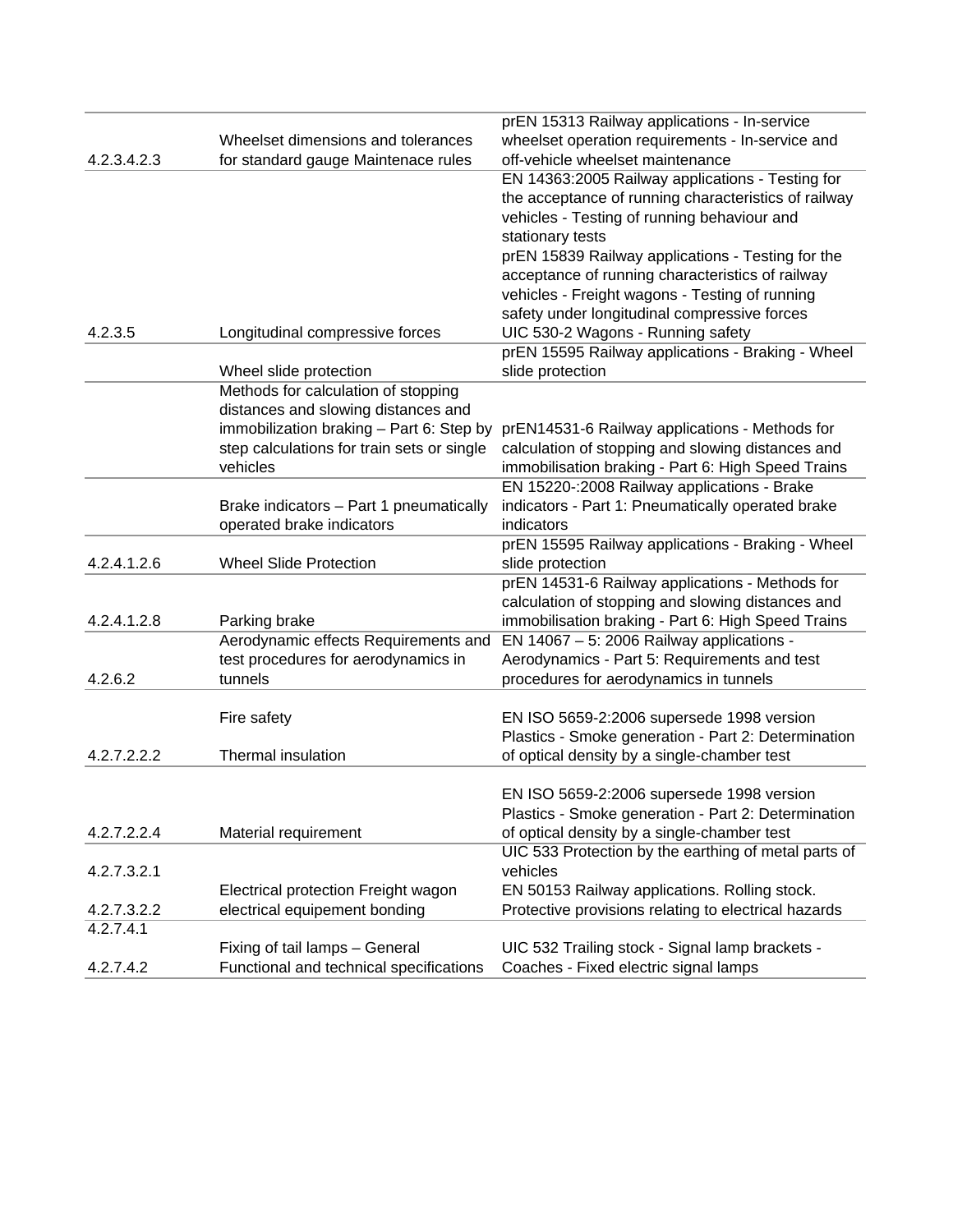|             |                                            | prEN 15313 Railway applications - In-service         |
|-------------|--------------------------------------------|------------------------------------------------------|
|             | Wheelset dimensions and tolerances         | wheelset operation requirements - In-service and     |
| 4.2.3.4.2.3 | for standard gauge Maintenace rules        | off-vehicle wheelset maintenance                     |
|             |                                            | EN 14363:2005 Railway applications - Testing for     |
|             |                                            | the acceptance of running characteristics of railway |
|             |                                            | vehicles - Testing of running behaviour and          |
|             |                                            | stationary tests                                     |
|             |                                            | prEN 15839 Railway applications - Testing for the    |
|             |                                            | acceptance of running characteristics of railway     |
|             |                                            | vehicles - Freight wagons - Testing of running       |
|             |                                            | safety under longitudinal compressive forces         |
| 4.2.3.5     | Longitudinal compressive forces            | UIC 530-2 Wagons - Running safety                    |
|             |                                            | prEN 15595 Railway applications - Braking - Wheel    |
|             | Wheel slide protection                     | slide protection                                     |
|             | Methods for calculation of stopping        |                                                      |
|             | distances and slowing distances and        |                                                      |
|             | immobilization braking - Part 6: Step by   | prEN14531-6 Railway applications - Methods for       |
|             | step calculations for train sets or single | calculation of stopping and slowing distances and    |
|             | vehicles                                   | immobilisation braking - Part 6: High Speed Trains   |
|             |                                            | EN 15220-:2008 Railway applications - Brake          |
|             | Brake indicators - Part 1 pneumatically    | indicators - Part 1: Pneumatically operated brake    |
|             | operated brake indicators                  | indicators                                           |
|             |                                            | prEN 15595 Railway applications - Braking - Wheel    |
| 4.2.4.1.2.6 | <b>Wheel Slide Protection</b>              | slide protection                                     |
|             |                                            | prEN 14531-6 Railway applications - Methods for      |
|             |                                            | calculation of stopping and slowing distances and    |
| 4.2.4.1.2.8 | Parking brake                              | immobilisation braking - Part 6: High Speed Trains   |
|             | Aerodynamic effects Requirements and       | EN 14067 $-5$ : 2006 Railway applications -          |
|             | test procedures for aerodynamics in        | Aerodynamics - Part 5: Requirements and test         |
| 4.2.6.2     | tunnels                                    | procedures for aerodynamics in tunnels               |
|             |                                            |                                                      |
|             | Fire safety                                | EN ISO 5659-2:2006 supersede 1998 version            |
|             |                                            | Plastics - Smoke generation - Part 2: Determination  |
| 4.2.7.2.2.2 | Thermal insulation                         | of optical density by a single-chamber test          |
|             |                                            | EN ISO 5659-2:2006 supersede 1998 version            |
|             |                                            | Plastics - Smoke generation - Part 2: Determination  |
| 4.2.7.2.2.4 | Material requirement                       | of optical density by a single-chamber test          |
|             |                                            | UIC 533 Protection by the earthing of metal parts of |
| 4.2.7.3.2.1 |                                            | vehicles                                             |
|             | Electrical protection Freight wagon        | EN 50153 Railway applications. Rolling stock.        |
| 4.2.7.3.2.2 | electrical equipement bonding              | Protective provisions relating to electrical hazards |
| 4.2.7.4.1   |                                            |                                                      |
|             | Fixing of tail lamps - General             | UIC 532 Trailing stock - Signal lamp brackets -      |
| 4.2.7.4.2   | Functional and technical specifications    | Coaches - Fixed electric signal lamps                |
|             |                                            |                                                      |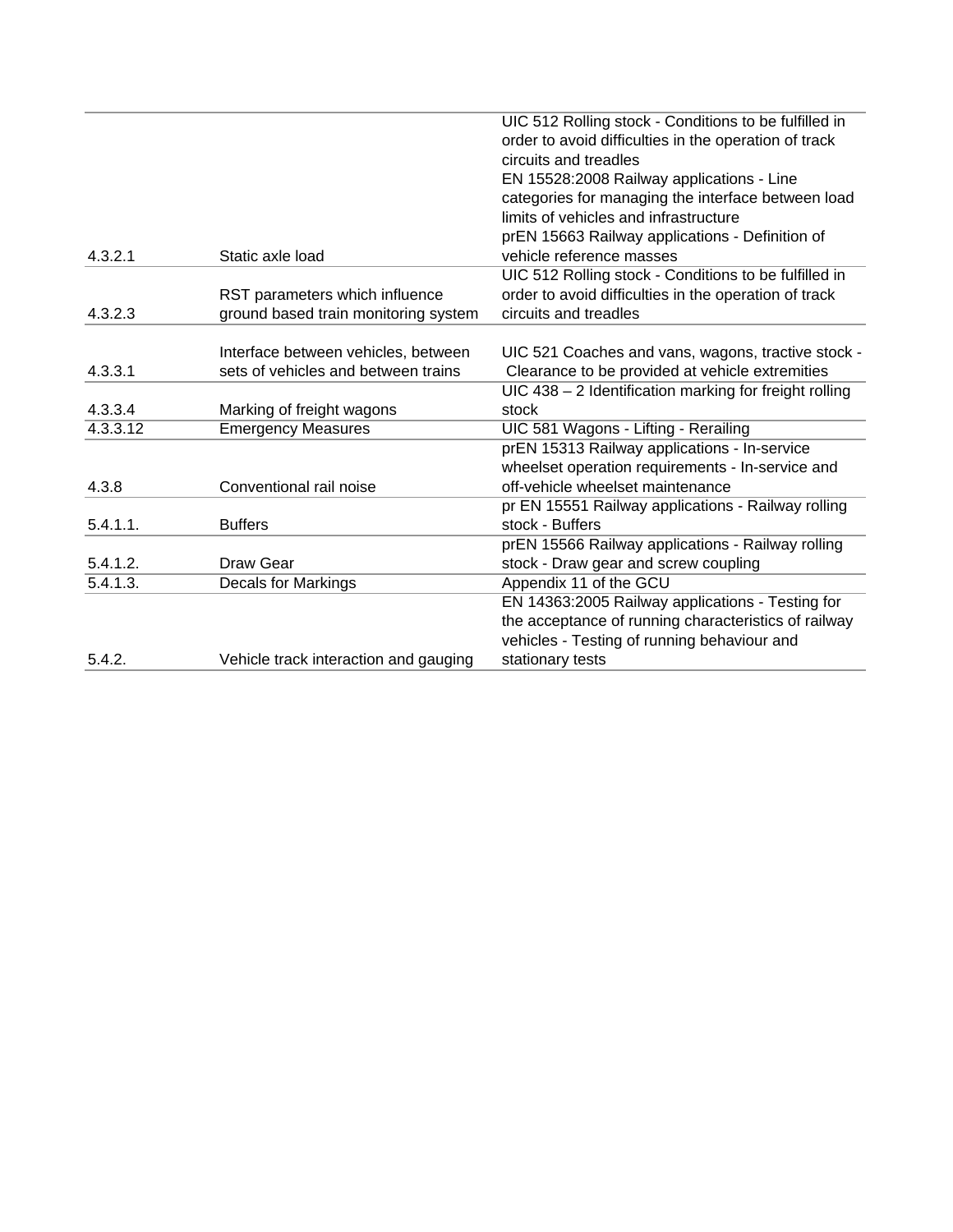|             |                                       | UIC 512 Rolling stock - Conditions to be fulfilled in<br>order to avoid difficulties in the operation of track |
|-------------|---------------------------------------|----------------------------------------------------------------------------------------------------------------|
|             |                                       | circuits and treadles                                                                                          |
|             |                                       | EN 15528:2008 Railway applications - Line                                                                      |
|             |                                       | categories for managing the interface between load                                                             |
|             |                                       | limits of vehicles and infrastructure                                                                          |
|             |                                       | prEN 15663 Railway applications - Definition of                                                                |
| 4.3.2.1     | Static axle load                      | vehicle reference masses                                                                                       |
|             |                                       | UIC 512 Rolling stock - Conditions to be fulfilled in                                                          |
|             | RST parameters which influence        | order to avoid difficulties in the operation of track                                                          |
| 4.3.2.3     | ground based train monitoring system  | circuits and treadles                                                                                          |
|             |                                       |                                                                                                                |
|             | Interface between vehicles, between   | UIC 521 Coaches and vans, wagons, tractive stock -                                                             |
| 4.3.3.1     | sets of vehicles and between trains   | Clearance to be provided at vehicle extremities                                                                |
|             |                                       | $UIC$ 438 – 2 Identification marking for freight rolling                                                       |
| 4.3.3.4     | Marking of freight wagons             | stock                                                                                                          |
| 4.3.3.12    | <b>Emergency Measures</b>             | UIC 581 Wagons - Lifting - Rerailing                                                                           |
|             |                                       | prEN 15313 Railway applications - In-service                                                                   |
|             |                                       | wheelset operation requirements - In-service and                                                               |
| 4.3.8       | Conventional rail noise               | off-vehicle wheelset maintenance                                                                               |
|             |                                       | pr EN 15551 Railway applications - Railway rolling                                                             |
| $5.4.1.1$ . | <b>Buffers</b>                        | stock - Buffers                                                                                                |
|             |                                       | prEN 15566 Railway applications - Railway rolling                                                              |
| 5.4.1.2.    | Draw Gear                             | stock - Draw gear and screw coupling                                                                           |
| 5.4.1.3.    | <b>Decals for Markings</b>            | Appendix 11 of the GCU                                                                                         |
|             |                                       | EN 14363:2005 Railway applications - Testing for                                                               |
|             |                                       | the acceptance of running characteristics of railway                                                           |
|             |                                       | vehicles - Testing of running behaviour and                                                                    |
| 5.4.2.      | Vehicle track interaction and gauging | stationary tests                                                                                               |
|             |                                       |                                                                                                                |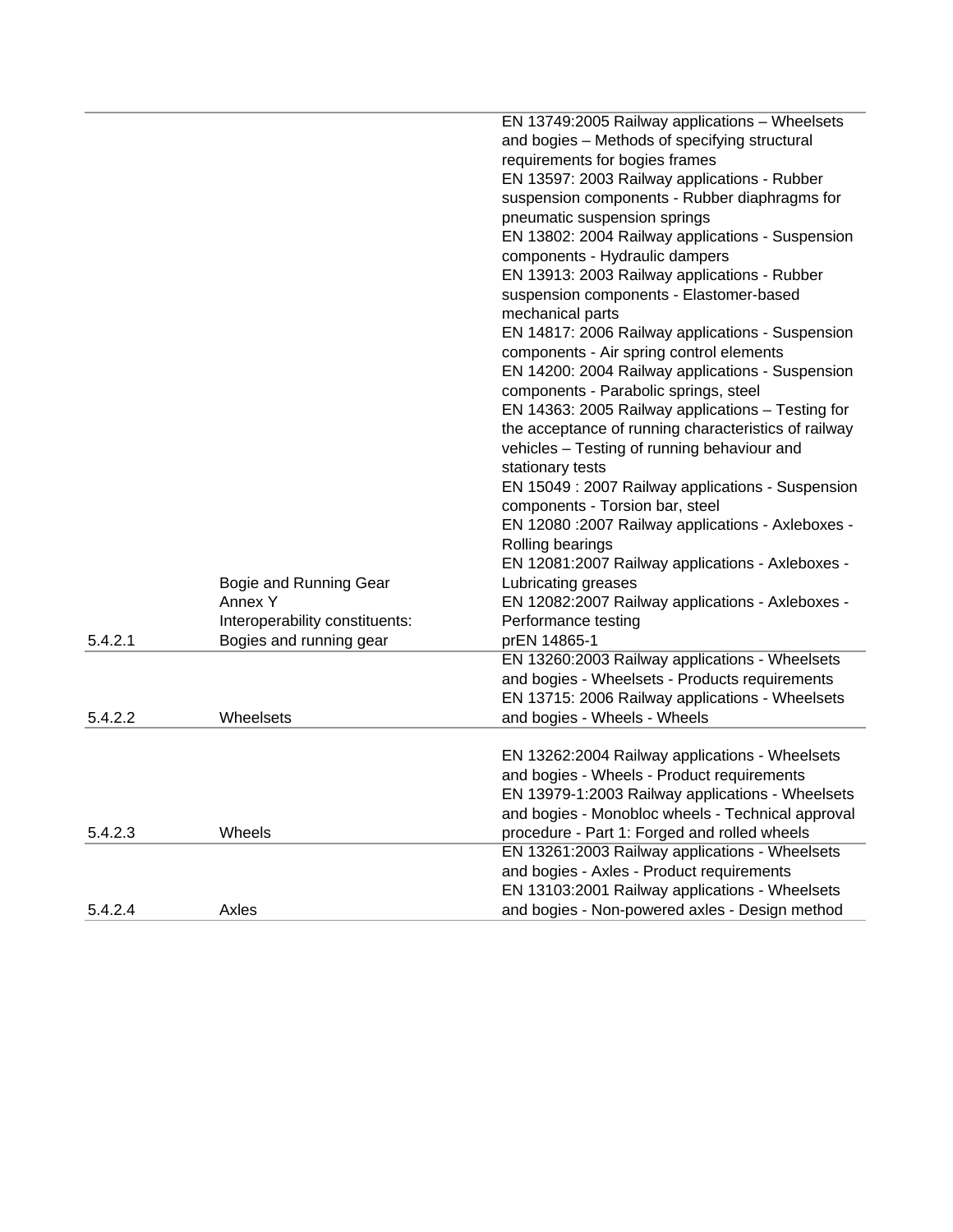|         |                                   | EN 13749:2005 Railway applications - Wheelsets<br>and bogies - Methods of specifying structural<br>requirements for bogies frames<br>EN 13597: 2003 Railway applications - Rubber |
|---------|-----------------------------------|-----------------------------------------------------------------------------------------------------------------------------------------------------------------------------------|
|         |                                   | suspension components - Rubber diaphragms for<br>pneumatic suspension springs                                                                                                     |
|         |                                   | EN 13802: 2004 Railway applications - Suspension                                                                                                                                  |
|         |                                   | components - Hydraulic dampers                                                                                                                                                    |
|         |                                   | EN 13913: 2003 Railway applications - Rubber                                                                                                                                      |
|         |                                   | suspension components - Elastomer-based                                                                                                                                           |
|         |                                   | mechanical parts                                                                                                                                                                  |
|         |                                   | EN 14817: 2006 Railway applications - Suspension                                                                                                                                  |
|         |                                   | components - Air spring control elements                                                                                                                                          |
|         |                                   | EN 14200: 2004 Railway applications - Suspension<br>components - Parabolic springs, steel                                                                                         |
|         |                                   | EN 14363: 2005 Railway applications - Testing for                                                                                                                                 |
|         |                                   | the acceptance of running characteristics of railway                                                                                                                              |
|         |                                   | vehicles - Testing of running behaviour and                                                                                                                                       |
|         |                                   | stationary tests                                                                                                                                                                  |
|         |                                   | EN 15049 : 2007 Railway applications - Suspension                                                                                                                                 |
|         |                                   | components - Torsion bar, steel                                                                                                                                                   |
|         |                                   | EN 12080 : 2007 Railway applications - Axleboxes -                                                                                                                                |
|         |                                   | Rolling bearings                                                                                                                                                                  |
|         |                                   | EN 12081:2007 Railway applications - Axleboxes -<br>Lubricating greases                                                                                                           |
|         | Bogie and Running Gear<br>Annex Y | EN 12082:2007 Railway applications - Axleboxes -                                                                                                                                  |
|         | Interoperability constituents:    | Performance testing                                                                                                                                                               |
| 5.4.2.1 | Bogies and running gear           | prEN 14865-1                                                                                                                                                                      |
|         |                                   | EN 13260:2003 Railway applications - Wheelsets                                                                                                                                    |
|         |                                   | and bogies - Wheelsets - Products requirements                                                                                                                                    |
|         |                                   | EN 13715: 2006 Railway applications - Wheelsets                                                                                                                                   |
| 5.4.2.2 | Wheelsets                         | and bogies - Wheels - Wheels                                                                                                                                                      |
|         |                                   |                                                                                                                                                                                   |
|         |                                   | EN 13262:2004 Railway applications - Wheelsets<br>and bogies - Wheels - Product requirements                                                                                      |
|         |                                   | EN 13979-1:2003 Railway applications - Wheelsets                                                                                                                                  |
|         |                                   | and bogies - Monobloc wheels - Technical approval                                                                                                                                 |
| 5.4.2.3 | Wheels                            | procedure - Part 1: Forged and rolled wheels                                                                                                                                      |
|         |                                   | EN 13261:2003 Railway applications - Wheelsets                                                                                                                                    |
|         |                                   | and bogies - Axles - Product requirements                                                                                                                                         |
|         |                                   | EN 13103:2001 Railway applications - Wheelsets                                                                                                                                    |
| 5.4.2.4 | Axles                             | and bogies - Non-powered axles - Design method                                                                                                                                    |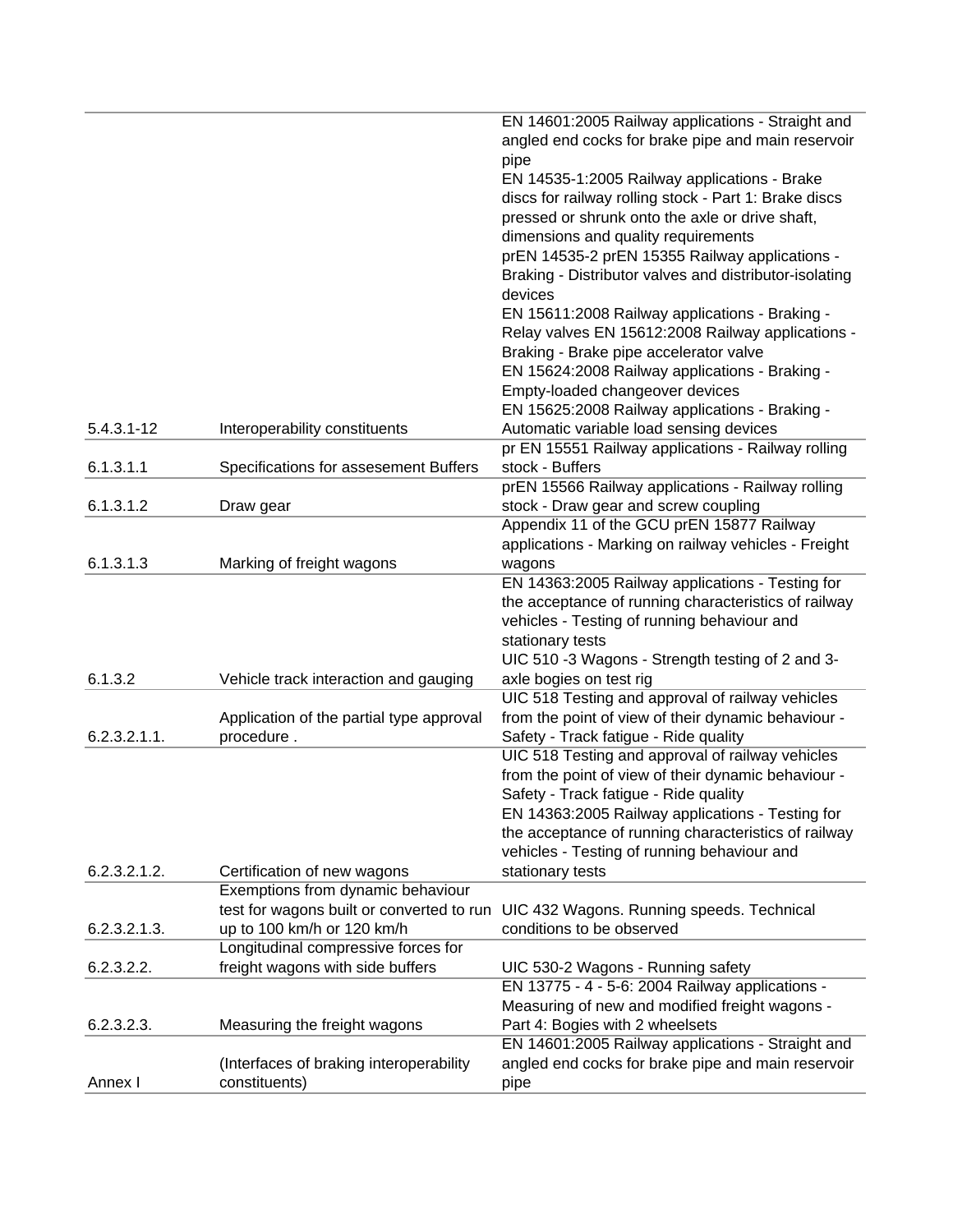|                |                                           | EN 14601:2005 Railway applications - Straight and      |
|----------------|-------------------------------------------|--------------------------------------------------------|
|                |                                           | angled end cocks for brake pipe and main reservoir     |
|                |                                           | pipe                                                   |
|                |                                           | EN 14535-1:2005 Railway applications - Brake           |
|                |                                           | discs for railway rolling stock - Part 1: Brake discs  |
|                |                                           | pressed or shrunk onto the axle or drive shaft,        |
|                |                                           | dimensions and quality requirements                    |
|                |                                           | prEN 14535-2 prEN 15355 Railway applications -         |
|                |                                           | Braking - Distributor valves and distributor-isolating |
|                |                                           | devices                                                |
|                |                                           | EN 15611:2008 Railway applications - Braking -         |
|                |                                           | Relay valves EN 15612:2008 Railway applications -      |
|                |                                           | Braking - Brake pipe accelerator valve                 |
|                |                                           |                                                        |
|                |                                           | EN 15624:2008 Railway applications - Braking -         |
|                |                                           | Empty-loaded changeover devices                        |
|                |                                           | EN 15625:2008 Railway applications - Braking -         |
| $5.4.3.1 - 12$ | Interoperability constituents             | Automatic variable load sensing devices                |
|                |                                           | pr EN 15551 Railway applications - Railway rolling     |
| 6.1.3.1.1      | Specifications for assesement Buffers     | stock - Buffers                                        |
|                |                                           | prEN 15566 Railway applications - Railway rolling      |
| 6.1.3.1.2      | Draw gear                                 | stock - Draw gear and screw coupling                   |
|                |                                           | Appendix 11 of the GCU prEN 15877 Railway              |
|                |                                           | applications - Marking on railway vehicles - Freight   |
| 6.1.3.1.3      | Marking of freight wagons                 | wagons                                                 |
|                |                                           | EN 14363:2005 Railway applications - Testing for       |
|                |                                           | the acceptance of running characteristics of railway   |
|                |                                           | vehicles - Testing of running behaviour and            |
|                |                                           | stationary tests                                       |
|                |                                           | UIC 510 -3 Wagons - Strength testing of 2 and 3-       |
| 6.1.3.2        | Vehicle track interaction and gauging     | axle bogies on test rig                                |
|                |                                           | UIC 518 Testing and approval of railway vehicles       |
|                | Application of the partial type approval  | from the point of view of their dynamic behaviour -    |
| 6.2.3.2.1.1.   | procedure.                                | Safety - Track fatigue - Ride quality                  |
|                |                                           | UIC 518 Testing and approval of railway vehicles       |
|                |                                           | from the point of view of their dynamic behaviour -    |
|                |                                           | Safety - Track fatigue - Ride quality                  |
|                |                                           | EN 14363:2005 Railway applications - Testing for       |
|                |                                           | the acceptance of running characteristics of railway   |
|                |                                           | vehicles - Testing of running behaviour and            |
| 6.2.3.2.1.2.   | Certification of new wagons               | stationary tests                                       |
|                | Exemptions from dynamic behaviour         |                                                        |
|                | test for wagons built or converted to run | UIC 432 Wagons. Running speeds. Technical              |
| 6.2.3.2.1.3.   | up to 100 km/h or 120 km/h                | conditions to be observed                              |
|                | Longitudinal compressive forces for       |                                                        |
| 6.2.3.2.2.     | freight wagons with side buffers          | UIC 530-2 Wagons - Running safety                      |
|                |                                           | EN 13775 - 4 - 5-6: 2004 Railway applications -        |
|                |                                           | Measuring of new and modified freight wagons -         |
| 6.2.3.2.3.     | Measuring the freight wagons              | Part 4: Bogies with 2 wheelsets                        |
|                |                                           | EN 14601:2005 Railway applications - Straight and      |
|                | (Interfaces of braking interoperability   | angled end cocks for brake pipe and main reservoir     |
| Annex I        | constituents)                             | pipe                                                   |
|                |                                           |                                                        |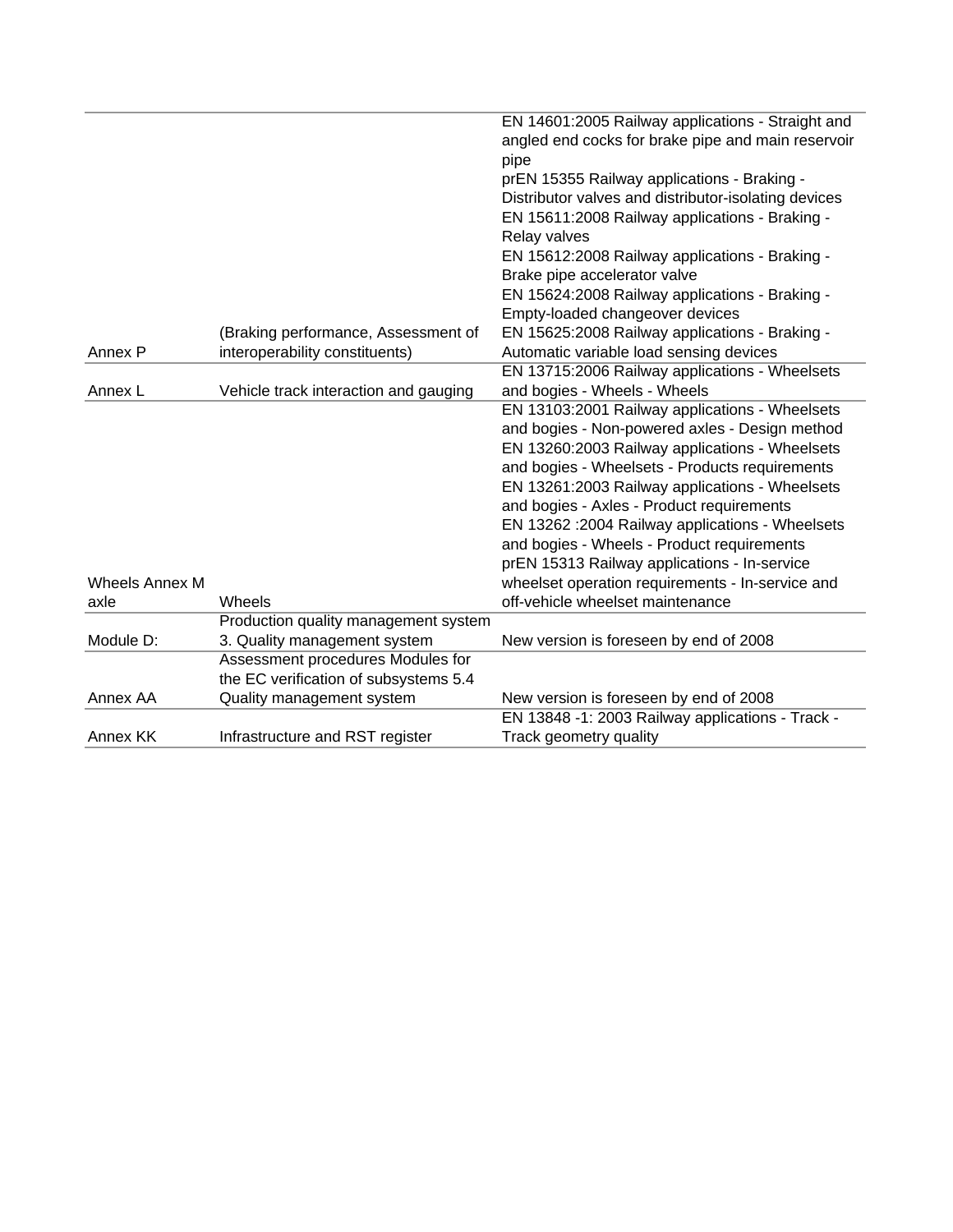|                       |                                       | EN 14601:2005 Railway applications - Straight and    |
|-----------------------|---------------------------------------|------------------------------------------------------|
|                       |                                       | angled end cocks for brake pipe and main reservoir   |
|                       |                                       | pipe                                                 |
|                       |                                       | prEN 15355 Railway applications - Braking -          |
|                       |                                       | Distributor valves and distributor-isolating devices |
|                       |                                       | EN 15611:2008 Railway applications - Braking -       |
|                       |                                       | Relay valves                                         |
|                       |                                       | EN 15612:2008 Railway applications - Braking -       |
|                       |                                       | Brake pipe accelerator valve                         |
|                       |                                       | EN 15624:2008 Railway applications - Braking -       |
|                       |                                       | Empty-loaded changeover devices                      |
|                       | (Braking performance, Assessment of   | EN 15625:2008 Railway applications - Braking -       |
| Annex P               | interoperability constituents)        | Automatic variable load sensing devices              |
|                       |                                       | EN 13715:2006 Railway applications - Wheelsets       |
| Annex L               | Vehicle track interaction and gauging | and bogies - Wheels - Wheels                         |
|                       |                                       | EN 13103:2001 Railway applications - Wheelsets       |
|                       |                                       | and bogies - Non-powered axles - Design method       |
|                       |                                       | EN 13260:2003 Railway applications - Wheelsets       |
|                       |                                       | and bogies - Wheelsets - Products requirements       |
|                       |                                       | EN 13261:2003 Railway applications - Wheelsets       |
|                       |                                       | and bogies - Axles - Product requirements            |
|                       |                                       | EN 13262 : 2004 Railway applications - Wheelsets     |
|                       |                                       | and bogies - Wheels - Product requirements           |
|                       |                                       | prEN 15313 Railway applications - In-service         |
| <b>Wheels Annex M</b> |                                       | wheelset operation requirements - In-service and     |
| axle                  | Wheels                                | off-vehicle wheelset maintenance                     |
|                       | Production quality management system  |                                                      |
| Module D:             | 3. Quality management system          | New version is foreseen by end of 2008               |
|                       | Assessment procedures Modules for     |                                                      |
|                       | the EC verification of subsystems 5.4 |                                                      |
| Annex AA              | Quality management system             | New version is foreseen by end of 2008               |
|                       |                                       | EN 13848 -1: 2003 Railway applications - Track -     |
| Annex KK              | Infrastructure and RST register       | Track geometry quality                               |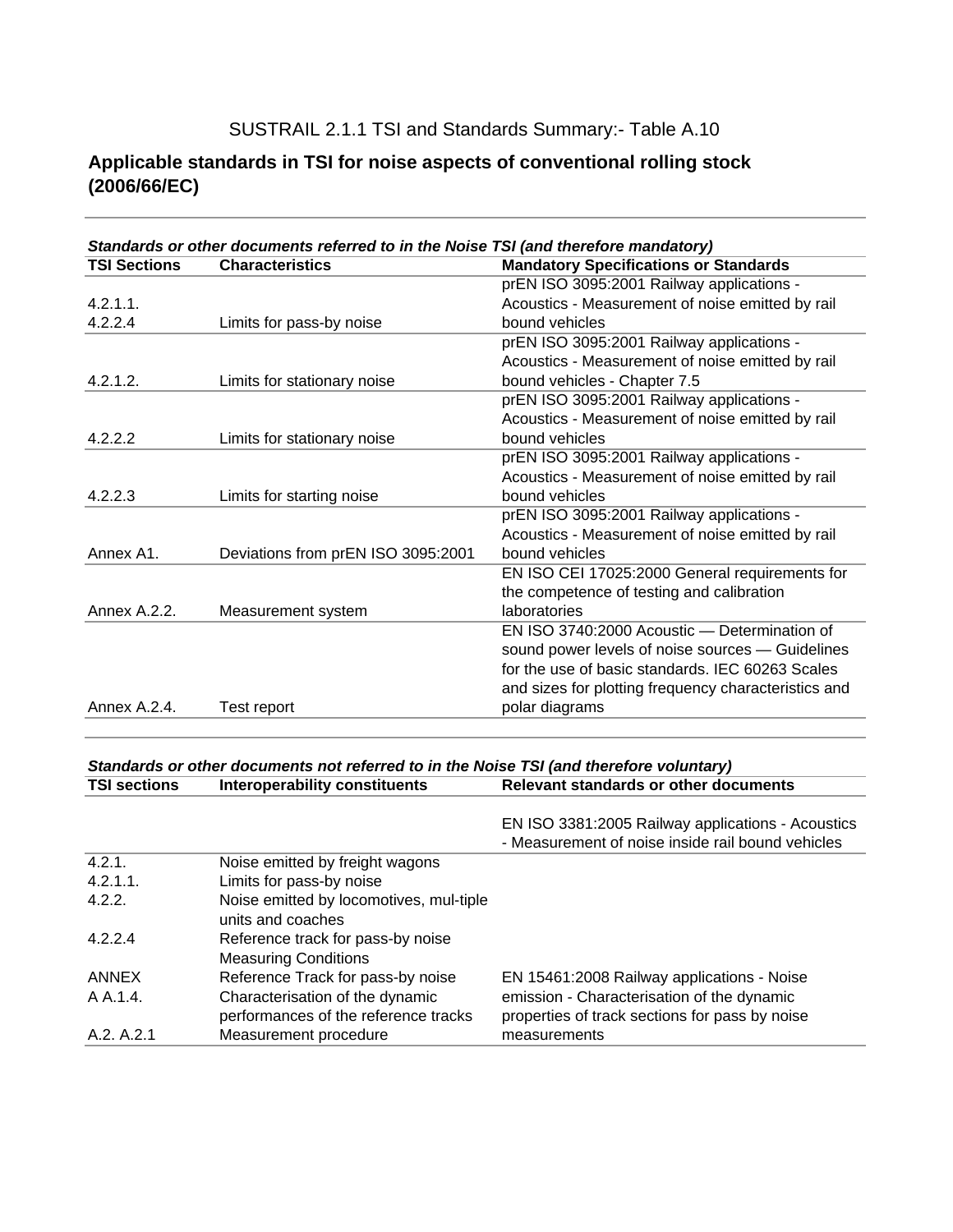SUSTRAIL 2.1.1 TSI and Standards Summary:- Table A.10

#### **Applicable standards in TSI for noise aspects of conventional rolling stock (2006/66/EC)**

| <b>TSI Sections</b> | Standards or other documents referred to in the Noise TSI (and therefore mandatory)<br><b>Characteristics</b> | <b>Mandatory Specifications or Standards</b>         |
|---------------------|---------------------------------------------------------------------------------------------------------------|------------------------------------------------------|
|                     |                                                                                                               | prEN ISO 3095:2001 Railway applications -            |
| $4.2.1.1$ .         |                                                                                                               | Acoustics - Measurement of noise emitted by rail     |
| 4.2.2.4             | Limits for pass-by noise                                                                                      | bound vehicles                                       |
|                     |                                                                                                               | prEN ISO 3095:2001 Railway applications -            |
|                     |                                                                                                               | Acoustics - Measurement of noise emitted by rail     |
| 4.2.1.2.            | Limits for stationary noise                                                                                   | bound vehicles - Chapter 7.5                         |
|                     |                                                                                                               | prEN ISO 3095:2001 Railway applications -            |
|                     |                                                                                                               | Acoustics - Measurement of noise emitted by rail     |
| 4.2.2.2             | Limits for stationary noise                                                                                   | bound vehicles                                       |
|                     |                                                                                                               | prEN ISO 3095:2001 Railway applications -            |
|                     |                                                                                                               | Acoustics - Measurement of noise emitted by rail     |
| 4.2.2.3             | Limits for starting noise                                                                                     | bound vehicles                                       |
|                     |                                                                                                               | prEN ISO 3095:2001 Railway applications -            |
|                     |                                                                                                               | Acoustics - Measurement of noise emitted by rail     |
| Annex A1.           | Deviations from prEN ISO 3095:2001                                                                            | bound vehicles                                       |
|                     |                                                                                                               | EN ISO CEI 17025:2000 General requirements for       |
|                     |                                                                                                               | the competence of testing and calibration            |
| Annex A.2.2.        | Measurement system                                                                                            | laboratories                                         |
|                     |                                                                                                               | EN ISO 3740:2000 Acoustic - Determination of         |
|                     |                                                                                                               | sound power levels of noise sources - Guidelines     |
|                     |                                                                                                               | for the use of basic standards. IEC 60263 Scales     |
|                     |                                                                                                               | and sizes for plotting frequency characteristics and |
| Annex A.2.4.        | Test report                                                                                                   | polar diagrams                                       |

#### *Standards or other documents not referred to in the Noise TSI (and therefore voluntary)* **TSI sections** Interoperability constituents Relevant standards or other documents

EN ISO 3381:2005 Railway applications - Acoustics - Measurement of noise inside rail bound vehicles

| A.2. A.2.1  | Measurement procedure                   | measurements                                   |
|-------------|-----------------------------------------|------------------------------------------------|
|             | performances of the reference tracks    | properties of track sections for pass by noise |
| A A 1.4.    | Characterisation of the dynamic         | emission - Characterisation of the dynamic     |
| ANNEX       | Reference Track for pass-by noise       | EN 15461:2008 Railway applications - Noise     |
|             | <b>Measuring Conditions</b>             |                                                |
| 4.2.2.4     | Reference track for pass-by noise       |                                                |
|             | units and coaches                       |                                                |
| 4.2.2.      | Noise emitted by locomotives, mul-tiple |                                                |
| $4.2.1.1$ . | Limits for pass-by noise                |                                                |
| 4.2.1.      | Noise emitted by freight wagons         |                                                |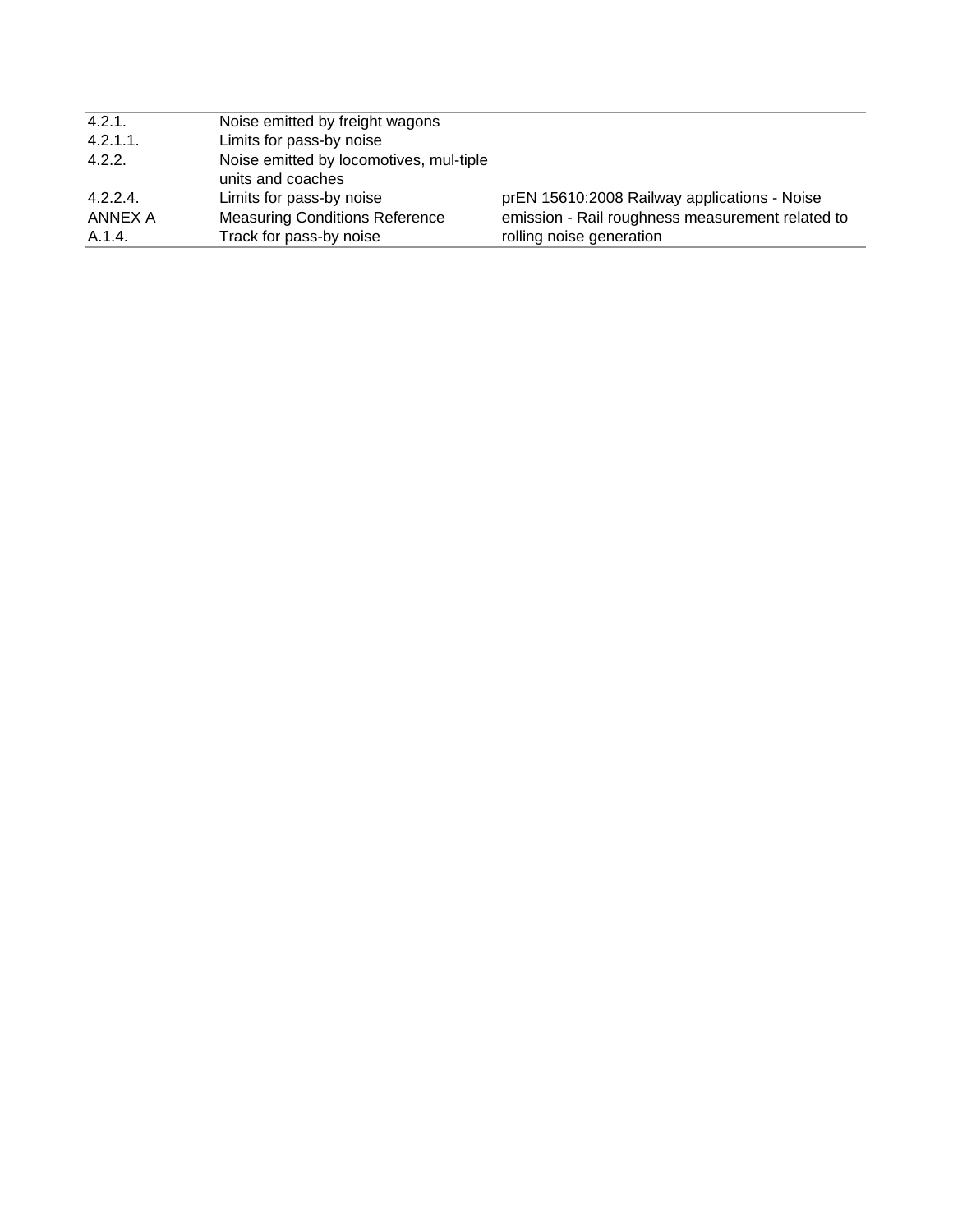| 4.2.1.      | Noise emitted by freight wagons                              |                                                  |
|-------------|--------------------------------------------------------------|--------------------------------------------------|
| $4.2.1.1$ . | Limits for pass-by noise                                     |                                                  |
| 4.2.2.      | Noise emitted by locomotives, mul-tiple<br>units and coaches |                                                  |
| 4.2.2.4     | Limits for pass-by noise                                     | prEN 15610:2008 Railway applications - Noise     |
| ANNEX A     | <b>Measuring Conditions Reference</b>                        | emission - Rail roughness measurement related to |
| A.1.4.      | Track for pass-by noise                                      | rolling noise generation                         |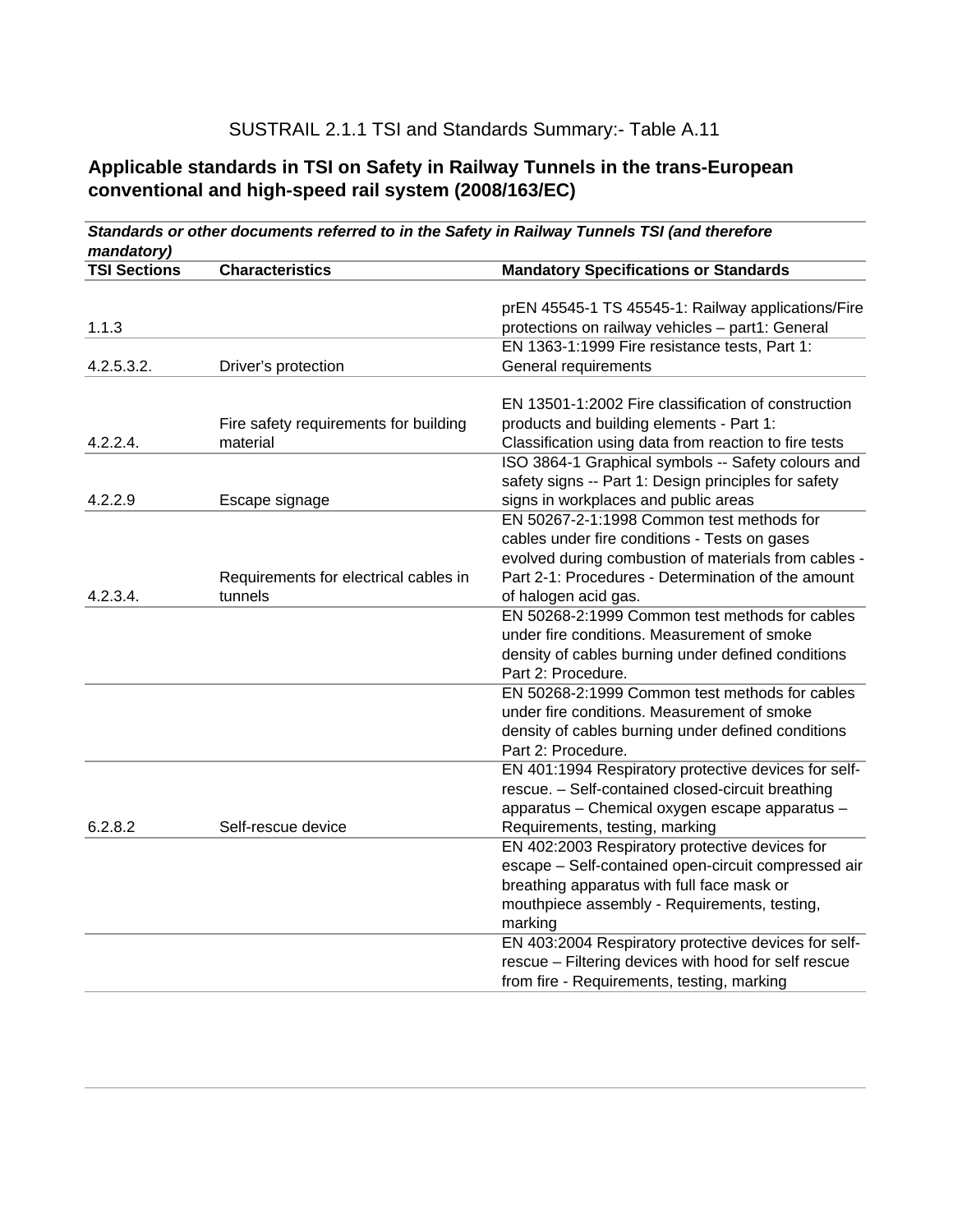#### SUSTRAIL 2.1.1 TSI and Standards Summary:- Table A.11

#### **Applicable standards in TSI on Safety in Railway Tunnels in the trans-European conventional and high-speed rail system (2008/163/EC)**

|                     |                                       | Standards or other documents referred to in the Safety in Railway Tunnels TSI (and therefore |
|---------------------|---------------------------------------|----------------------------------------------------------------------------------------------|
| mandatory)          |                                       |                                                                                              |
| <b>TSI Sections</b> | <b>Characteristics</b>                | <b>Mandatory Specifications or Standards</b>                                                 |
|                     |                                       |                                                                                              |
|                     |                                       | prEN 45545-1 TS 45545-1: Railway applications/Fire                                           |
| 1.1.3               |                                       | protections on railway vehicles - part1: General                                             |
|                     |                                       | EN 1363-1:1999 Fire resistance tests, Part 1:                                                |
| 4.2.5.3.2.          | Driver's protection                   | General requirements                                                                         |
|                     |                                       |                                                                                              |
|                     |                                       | EN 13501-1:2002 Fire classification of construction                                          |
|                     | Fire safety requirements for building | products and building elements - Part 1:                                                     |
| 4.2.2.4.            | material                              | Classification using data from reaction to fire tests                                        |
|                     |                                       | ISO 3864-1 Graphical symbols -- Safety colours and                                           |
|                     |                                       | safety signs -- Part 1: Design principles for safety                                         |
| 4.2.2.9             | Escape signage                        | signs in workplaces and public areas<br>EN 50267-2-1:1998 Common test methods for            |
|                     |                                       | cables under fire conditions - Tests on gases                                                |
|                     |                                       | evolved during combustion of materials from cables -                                         |
|                     |                                       | Part 2-1: Procedures - Determination of the amount                                           |
| 4.2.3.4.            | Requirements for electrical cables in |                                                                                              |
|                     | tunnels                               | of halogen acid gas.<br>EN 50268-2:1999 Common test methods for cables                       |
|                     |                                       | under fire conditions. Measurement of smoke                                                  |
|                     |                                       |                                                                                              |
|                     |                                       | density of cables burning under defined conditions<br>Part 2: Procedure.                     |
|                     |                                       | EN 50268-2:1999 Common test methods for cables                                               |
|                     |                                       | under fire conditions. Measurement of smoke                                                  |
|                     |                                       | density of cables burning under defined conditions                                           |
|                     |                                       | Part 2: Procedure.                                                                           |
|                     |                                       | EN 401:1994 Respiratory protective devices for self-                                         |
|                     |                                       | rescue. - Self-contained closed-circuit breathing                                            |
|                     |                                       | apparatus - Chemical oxygen escape apparatus -                                               |
| 6.2.8.2             | Self-rescue device                    | Requirements, testing, marking                                                               |
|                     |                                       | EN 402:2003 Respiratory protective devices for                                               |
|                     |                                       | escape - Self-contained open-circuit compressed air                                          |
|                     |                                       | breathing apparatus with full face mask or                                                   |
|                     |                                       | mouthpiece assembly - Requirements, testing,                                                 |
|                     |                                       | marking                                                                                      |
|                     |                                       | EN 403:2004 Respiratory protective devices for self-                                         |
|                     |                                       | rescue - Filtering devices with hood for self rescue                                         |
|                     |                                       | from fire - Requirements, testing, marking                                                   |
|                     |                                       |                                                                                              |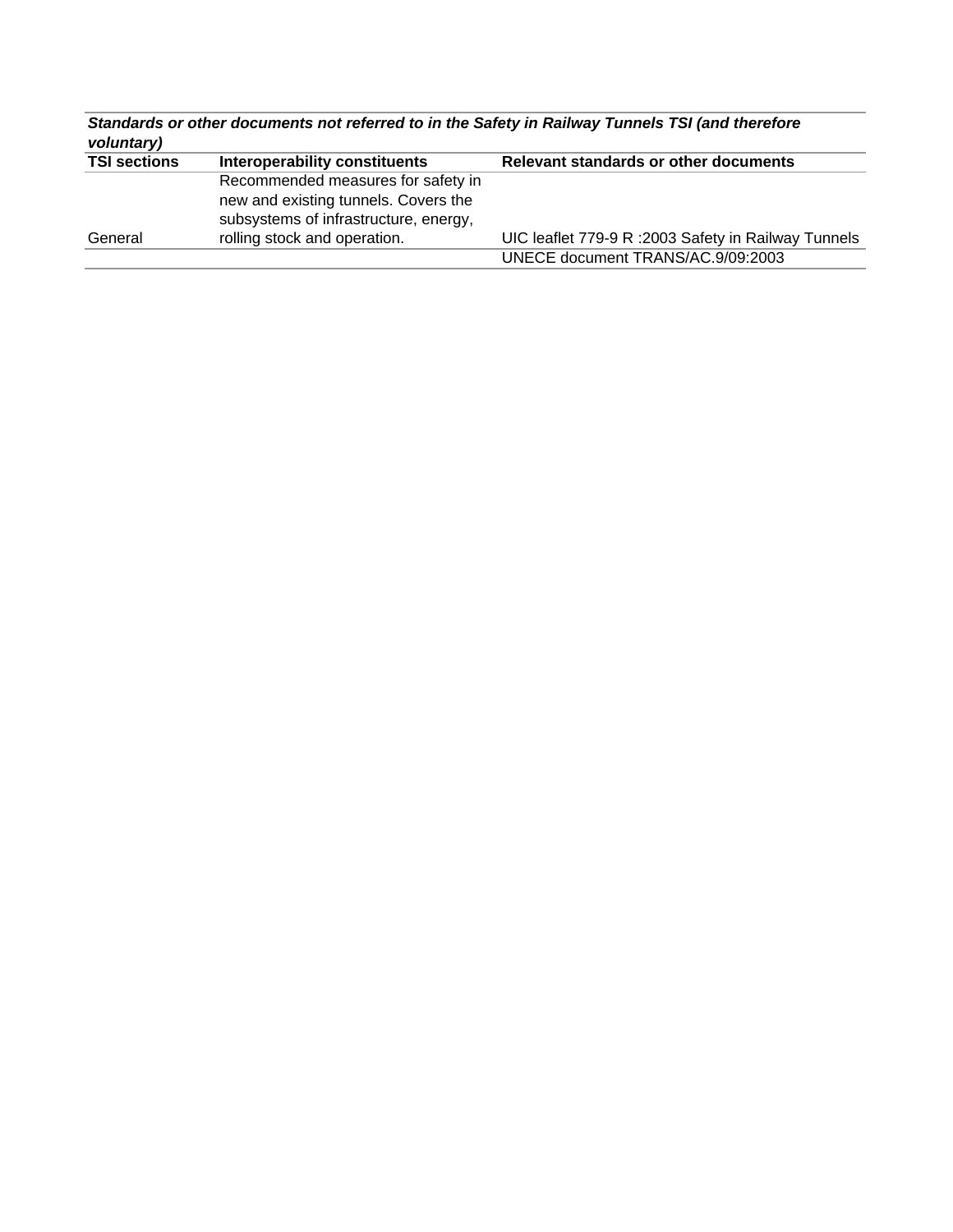| Standards or other documents not referred to in the Safety in Railway Tunnels TSI (and therefore<br>voluntary) |                                                                               |                                                      |  |  |  |  |
|----------------------------------------------------------------------------------------------------------------|-------------------------------------------------------------------------------|------------------------------------------------------|--|--|--|--|
| <b>TSI sections</b>                                                                                            | Interoperability constituents                                                 | Relevant standards or other documents                |  |  |  |  |
|                                                                                                                | Recommended measures for safety in                                            |                                                      |  |  |  |  |
|                                                                                                                | new and existing tunnels. Covers the<br>subsystems of infrastructure, energy, |                                                      |  |  |  |  |
|                                                                                                                |                                                                               |                                                      |  |  |  |  |
| General                                                                                                        | rolling stock and operation.                                                  | UIC leaflet 779-9 R : 2003 Safety in Railway Tunnels |  |  |  |  |
|                                                                                                                |                                                                               | UNECE document TRANS/AC.9/09:2003                    |  |  |  |  |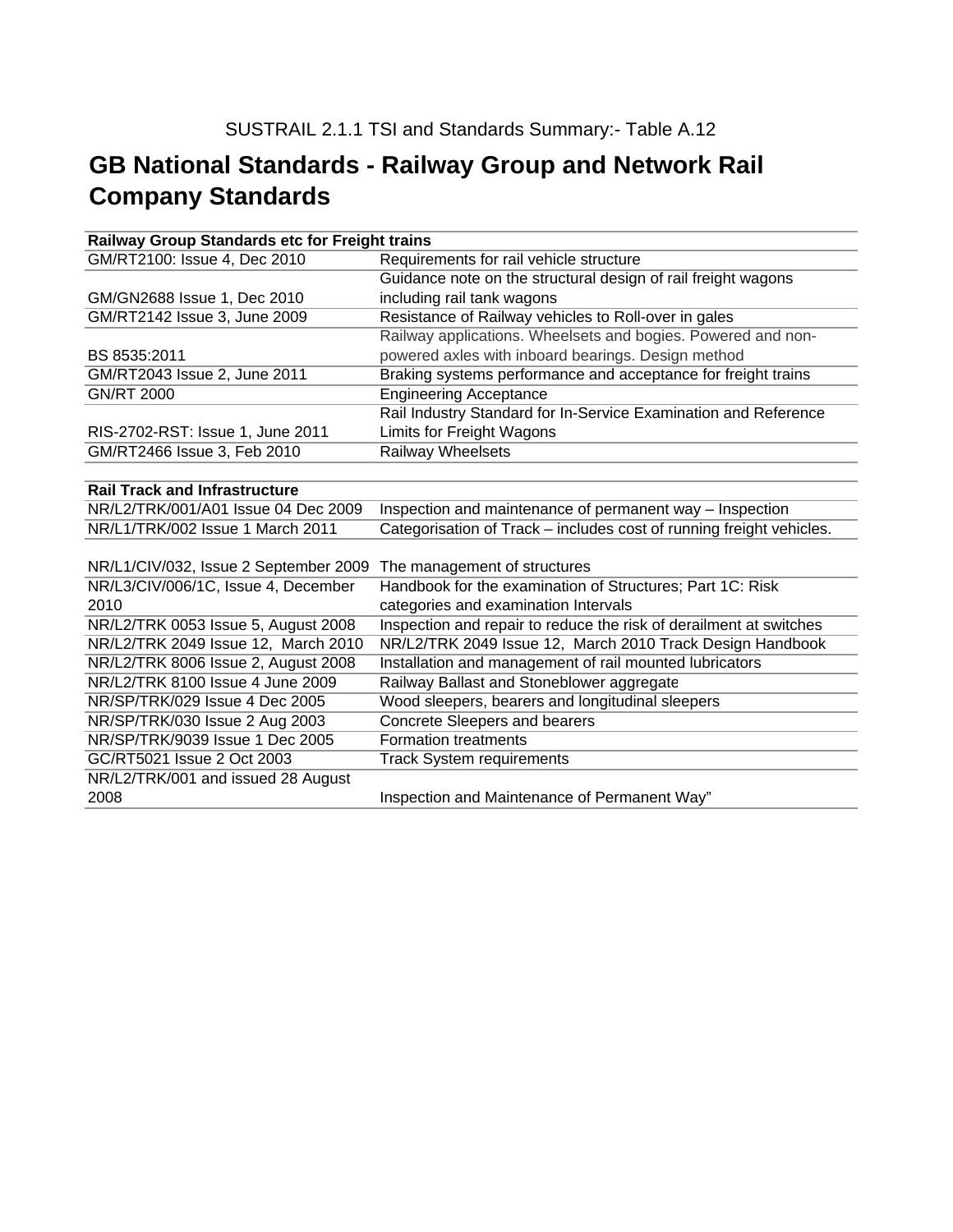## **GB National Standards - Railway Group and Network Rail Company Standards**

| Railway Group Standards etc for Freight trains |                                                                      |  |  |  |
|------------------------------------------------|----------------------------------------------------------------------|--|--|--|
| GM/RT2100: Issue 4, Dec 2010                   | Requirements for rail vehicle structure                              |  |  |  |
|                                                | Guidance note on the structural design of rail freight wagons        |  |  |  |
| GM/GN2688 Issue 1, Dec 2010                    | including rail tank wagons                                           |  |  |  |
| GM/RT2142 Issue 3, June 2009                   | Resistance of Railway vehicles to Roll-over in gales                 |  |  |  |
|                                                | Railway applications. Wheelsets and bogies. Powered and non-         |  |  |  |
| BS 8535:2011                                   | powered axles with inboard bearings. Design method                   |  |  |  |
| GM/RT2043 Issue 2, June 2011                   | Braking systems performance and acceptance for freight trains        |  |  |  |
| <b>GN/RT 2000</b>                              | <b>Engineering Acceptance</b>                                        |  |  |  |
|                                                | Rail Industry Standard for In-Service Examination and Reference      |  |  |  |
| RIS-2702-RST: Issue 1, June 2011               | Limits for Freight Wagons                                            |  |  |  |
| GM/RT2466 Issue 3, Feb 2010                    | <b>Railway Wheelsets</b>                                             |  |  |  |
|                                                |                                                                      |  |  |  |
| <b>Rail Track and Infrastructure</b>           |                                                                      |  |  |  |
| NR/L2/TRK/001/A01 Issue 04 Dec 2009            | Inspection and maintenance of permanent way - Inspection             |  |  |  |
| NR/L1/TRK/002 Issue 1 March 2011               | Categorisation of Track - includes cost of running freight vehicles. |  |  |  |
|                                                |                                                                      |  |  |  |
| NR/L1/CIV/032, Issue 2 September 2009          | The management of structures                                         |  |  |  |
| NR/L3/CIV/006/1C, Issue 4, December            | Handbook for the examination of Structures; Part 1C: Risk            |  |  |  |
| 2010                                           | categories and examination Intervals                                 |  |  |  |
| NR/L2/TRK 0053 Issue 5, August 2008            | Inspection and repair to reduce the risk of derailment at switches   |  |  |  |
| NR/L2/TRK 2049 Issue 12, March 2010            | NR/L2/TRK 2049 Issue 12, March 2010 Track Design Handbook            |  |  |  |
| NR/L2/TRK 8006 Issue 2, August 2008            | Installation and management of rail mounted lubricators              |  |  |  |
| NR/L2/TRK 8100 Issue 4 June 2009               | Railway Ballast and Stoneblower aggregate                            |  |  |  |
| NR/SP/TRK/029 Issue 4 Dec 2005                 | Wood sleepers, bearers and longitudinal sleepers                     |  |  |  |
| NR/SP/TRK/030 Issue 2 Aug 2003                 | <b>Concrete Sleepers and bearers</b>                                 |  |  |  |
| NR/SP/TRK/9039 Issue 1 Dec 2005                | <b>Formation treatments</b>                                          |  |  |  |
| GC/RT5021 Issue 2 Oct 2003                     | <b>Track System requirements</b>                                     |  |  |  |
| NR/L2/TRK/001 and issued 28 August             |                                                                      |  |  |  |
| 2008                                           | Inspection and Maintenance of Permanent Way"                         |  |  |  |
|                                                |                                                                      |  |  |  |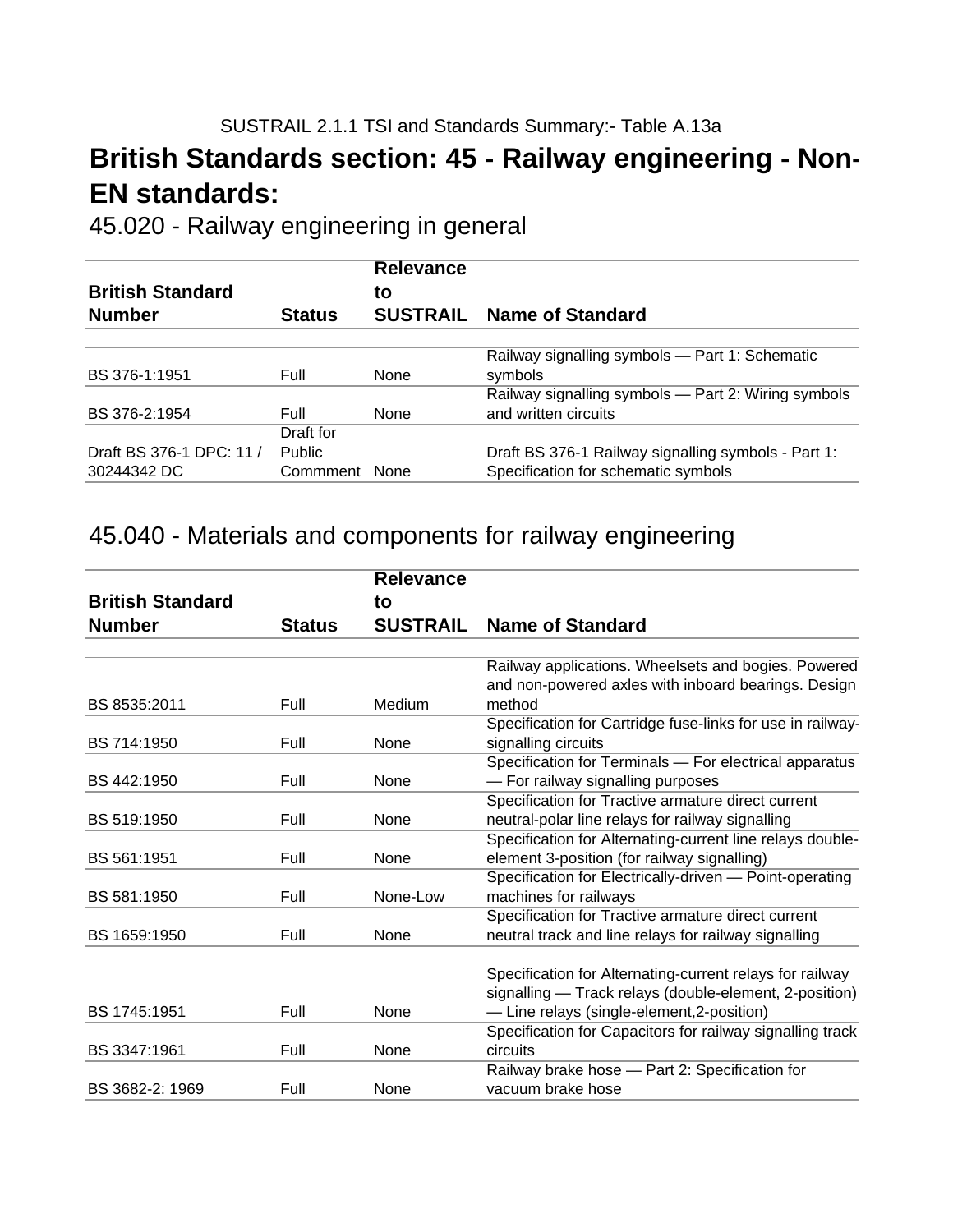## **- British Standards section: 45 - Railway engineering - Non EN standards:**

45.020 - Railway engineering in general

| <b>British Standard</b><br><b>Number</b> | <b>Status</b> | <b>Relevance</b><br>to<br><b>SUSTRAIL</b> | <b>Name of Standard</b>                             |
|------------------------------------------|---------------|-------------------------------------------|-----------------------------------------------------|
|                                          |               |                                           |                                                     |
|                                          |               |                                           | Railway signalling symbols - Part 1: Schematic      |
| BS 376-1:1951                            | Full          | <b>None</b>                               | symbols                                             |
|                                          |               |                                           | Railway signalling symbols - Part 2: Wiring symbols |
| BS 376-2:1954                            | <b>Full</b>   | <b>None</b>                               | and written circuits                                |
|                                          | Draft for     |                                           |                                                     |
| Draft BS 376-1 DPC: 11 /                 | <b>Public</b> |                                           | Draft BS 376-1 Railway signalling symbols - Part 1: |
| 30244342 DC                              | Commment None |                                           | Specification for schematic symbols                 |

### 45.040 - Materials and components for railway engineering

|                         |               | <b>Relevance</b> |                                                            |
|-------------------------|---------------|------------------|------------------------------------------------------------|
| <b>British Standard</b> |               | to               |                                                            |
| <b>Number</b>           | <b>Status</b> | <b>SUSTRAIL</b>  | Name of Standard                                           |
|                         |               |                  |                                                            |
|                         |               |                  | Railway applications. Wheelsets and bogies. Powered        |
|                         |               |                  | and non-powered axles with inboard bearings. Design        |
| BS 8535:2011            | Full          | Medium           | method                                                     |
|                         |               |                  | Specification for Cartridge fuse-links for use in railway- |
| BS 714:1950             | Full          | None             | signalling circuits                                        |
|                         |               |                  | Specification for Terminals - For electrical apparatus     |
| BS 442:1950             | Full          | None             | - For railway signalling purposes                          |
|                         |               |                  | Specification for Tractive armature direct current         |
| BS 519:1950             | Full          | None             | neutral-polar line relays for railway signalling           |
|                         |               |                  | Specification for Alternating-current line relays double-  |
| BS 561:1951             | Full          | None             | element 3-position (for railway signalling)                |
|                         |               |                  | Specification for Electrically-driven - Point-operating    |
| BS 581:1950             | Full          | None-Low         | machines for railways                                      |
|                         |               |                  | Specification for Tractive armature direct current         |
| BS 1659:1950            | Full          | None             | neutral track and line relays for railway signalling       |
|                         |               |                  | Specification for Alternating-current relays for railway   |
|                         |               |                  | signalling - Track relays (double-element, 2-position)     |
| BS 1745:1951            | Full          | None             | - Line relays (single-element, 2-position)                 |
|                         |               |                  | Specification for Capacitors for railway signalling track  |
| BS 3347:1961            | Full          | None             | circuits                                                   |
|                         |               |                  | Railway brake hose - Part 2: Specification for             |
| BS 3682-2: 1969         | Full          | None             | vacuum brake hose                                          |
|                         |               |                  |                                                            |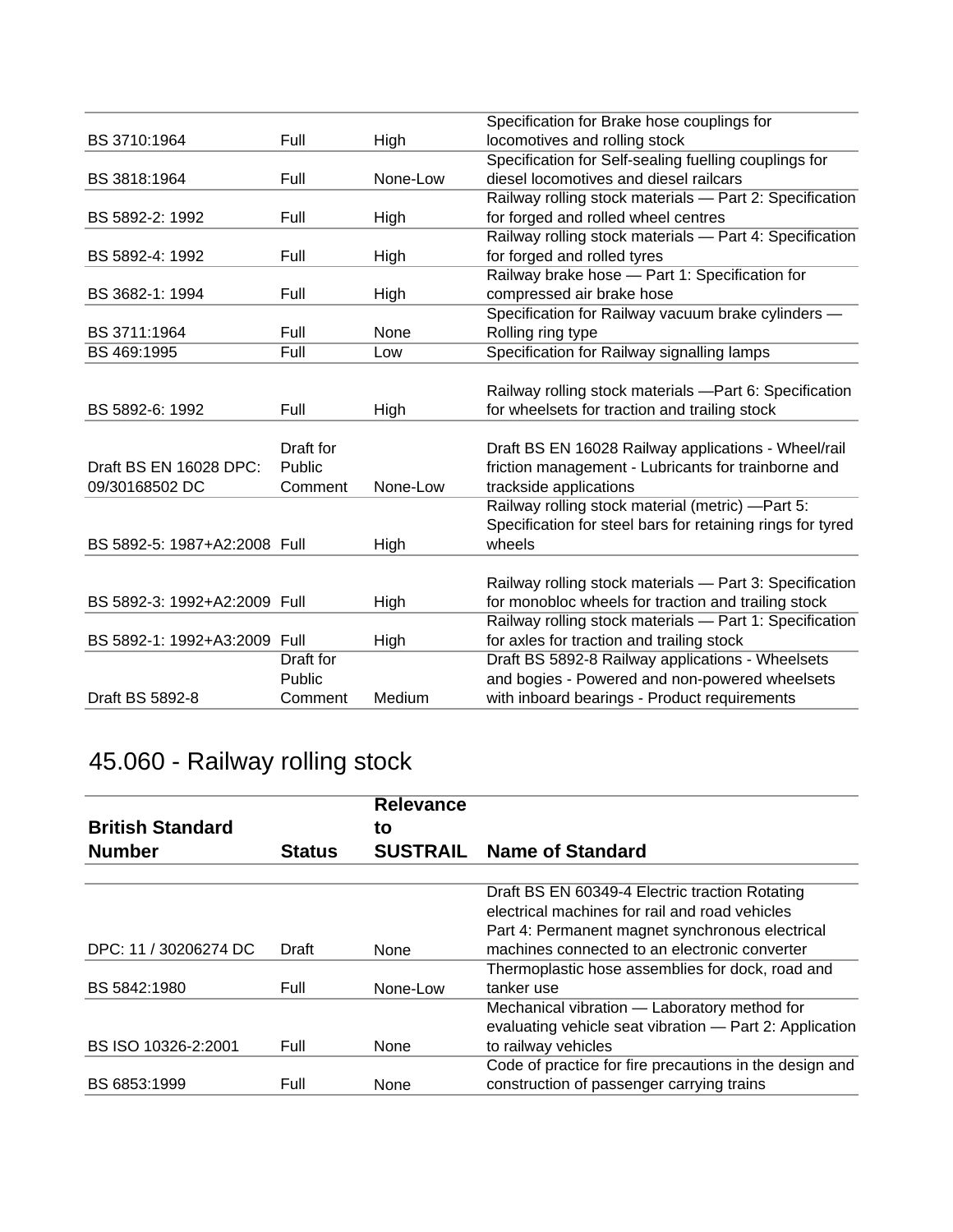|                              |           |          | Specification for Brake hose couplings for                 |
|------------------------------|-----------|----------|------------------------------------------------------------|
| BS 3710:1964                 | Full      | High     | locomotives and rolling stock                              |
|                              |           |          | Specification for Self-sealing fuelling couplings for      |
| BS 3818:1964                 | Full      | None-Low | diesel locomotives and diesel railcars                     |
|                              |           |          | Railway rolling stock materials - Part 2: Specification    |
| BS 5892-2: 1992              | Full      | High     | for forged and rolled wheel centres                        |
|                              |           |          | Railway rolling stock materials - Part 4: Specification    |
| BS 5892-4: 1992              | Full      | High     | for forged and rolled tyres                                |
|                              |           |          | Railway brake hose - Part 1: Specification for             |
| BS 3682-1: 1994              | Full      | High     | compressed air brake hose                                  |
|                              |           |          | Specification for Railway vacuum brake cylinders -         |
| BS 3711:1964                 | Full      | None     | Rolling ring type                                          |
| BS 469:1995                  | Full      | Low      | Specification for Railway signalling lamps                 |
|                              |           |          |                                                            |
|                              |           |          | Railway rolling stock materials -Part 6: Specification     |
| BS 5892-6: 1992              | Full      | High     | for wheelsets for traction and trailing stock              |
|                              |           |          |                                                            |
|                              | Draft for |          | Draft BS EN 16028 Railway applications - Wheel/rail        |
| Draft BS EN 16028 DPC:       | Public    |          | friction management - Lubricants for trainborne and        |
| 09/30168502 DC               | Comment   | None-Low | trackside applications                                     |
|                              |           |          | Railway rolling stock material (metric) -Part 5:           |
|                              |           |          | Specification for steel bars for retaining rings for tyred |
| BS 5892-5: 1987+A2:2008 Full |           | High     | wheels                                                     |
|                              |           |          |                                                            |
|                              |           |          | Railway rolling stock materials - Part 3: Specification    |
| BS 5892-3: 1992+A2:2009 Full |           | High     | for monobloc wheels for traction and trailing stock        |
|                              |           |          | Railway rolling stock materials - Part 1: Specification    |
| BS 5892-1: 1992+A3:2009 Full |           | High     | for axles for traction and trailing stock                  |
|                              | Draft for |          | Draft BS 5892-8 Railway applications - Wheelsets           |
|                              | Public    |          | and bogies - Powered and non-powered wheelsets             |
| Draft BS 5892-8              | Comment   | Medium   | with inboard bearings - Product requirements               |

## 45.060 - Railway rolling stock

|                         |               | <b>Relevance</b> |                                                         |
|-------------------------|---------------|------------------|---------------------------------------------------------|
| <b>British Standard</b> |               | to               |                                                         |
| <b>Number</b>           | <b>Status</b> | <b>SUSTRAIL</b>  | <b>Name of Standard</b>                                 |
|                         |               |                  | Draft BS EN 60349-4 Electric traction Rotating          |
|                         |               |                  | electrical machines for rail and road vehicles          |
|                         |               |                  | Part 4: Permanent magnet synchronous electrical         |
| DPC: 11 / 30206274 DC   | Draft         | None             | machines connected to an electronic converter           |
|                         |               |                  | Thermoplastic hose assemblies for dock, road and        |
| BS 5842:1980            | Full          | None-Low         | tanker use                                              |
|                         |               |                  | Mechanical vibration - Laboratory method for            |
|                         |               |                  | evaluating vehicle seat vibration - Part 2: Application |
| BS ISO 10326-2:2001     | Full          | None             | to railway vehicles                                     |
|                         |               |                  | Code of practice for fire precautions in the design and |
| BS 6853:1999            | Full          | None             | construction of passenger carrying trains               |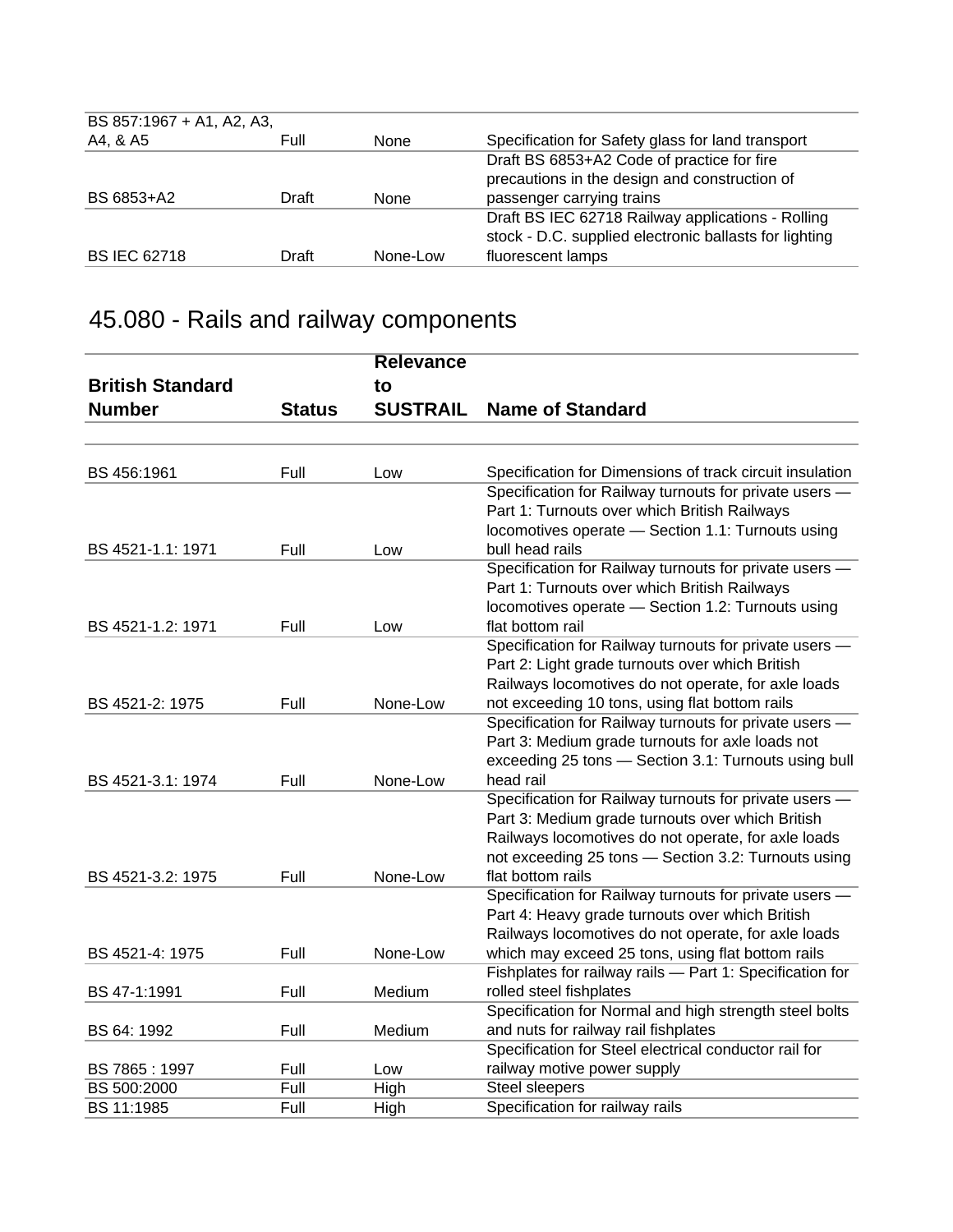| BS 857:1967 + A1, A2, A3, |       |             |                                                        |
|---------------------------|-------|-------------|--------------------------------------------------------|
| A4, & A5                  | Full  | None        | Specification for Safety glass for land transport      |
|                           |       |             | Draft BS 6853+A2 Code of practice for fire             |
|                           |       |             | precautions in the design and construction of          |
| BS 6853+A2                | Draft | <b>None</b> | passenger carrying trains                              |
|                           |       |             | Draft BS IEC 62718 Railway applications - Rolling      |
|                           |       |             | stock - D.C. supplied electronic ballasts for lighting |
| <b>BS IEC 62718</b>       | Draft | None-Low    | fluorescent lamps                                      |

# 45.080 - Rails and railway components

|                         |               | <b>Relevance</b> |                                                          |
|-------------------------|---------------|------------------|----------------------------------------------------------|
| <b>British Standard</b> |               | to               |                                                          |
| <b>Number</b>           | <b>Status</b> | <b>SUSTRAIL</b>  | <b>Name of Standard</b>                                  |
|                         |               |                  |                                                          |
|                         |               |                  |                                                          |
| BS 456:1961             | Full          | Low              | Specification for Dimensions of track circuit insulation |
|                         |               |                  | Specification for Railway turnouts for private users -   |
|                         |               |                  | Part 1: Turnouts over which British Railways             |
|                         |               |                  | locomotives operate - Section 1.1: Turnouts using        |
| BS 4521-1.1: 1971       | Full          | Low              | bull head rails                                          |
|                         |               |                  | Specification for Railway turnouts for private users -   |
|                         |               |                  | Part 1: Turnouts over which British Railways             |
|                         |               |                  | locomotives operate - Section 1.2: Turnouts using        |
| BS 4521-1.2: 1971       | Full          | Low              | flat bottom rail                                         |
|                         |               |                  | Specification for Railway turnouts for private users -   |
|                         |               |                  | Part 2: Light grade turnouts over which British          |
|                         |               |                  | Railways locomotives do not operate, for axle loads      |
| BS 4521-2: 1975         | Full          | None-Low         | not exceeding 10 tons, using flat bottom rails           |
|                         |               |                  | Specification for Railway turnouts for private users -   |
|                         |               |                  | Part 3: Medium grade turnouts for axle loads not         |
|                         |               |                  | exceeding 25 tons - Section 3.1: Turnouts using bull     |
| BS 4521-3.1: 1974       | Full          | None-Low         | head rail                                                |
|                         |               |                  | Specification for Railway turnouts for private users -   |
|                         |               |                  | Part 3: Medium grade turnouts over which British         |
|                         |               |                  | Railways locomotives do not operate, for axle loads      |
|                         |               |                  | not exceeding 25 tons - Section 3.2: Turnouts using      |
| BS 4521-3.2: 1975       | Full          | None-Low         | flat bottom rails                                        |
|                         |               |                  | Specification for Railway turnouts for private users -   |
|                         |               |                  | Part 4: Heavy grade turnouts over which British          |
|                         |               |                  | Railways locomotives do not operate, for axle loads      |
| BS 4521-4: 1975         | Full          | None-Low         | which may exceed 25 tons, using flat bottom rails        |
|                         |               |                  | Fishplates for railway rails - Part 1: Specification for |
| BS 47-1:1991            | Full          | Medium           | rolled steel fishplates                                  |
|                         |               |                  | Specification for Normal and high strength steel bolts   |
| BS 64: 1992             | Full          | Medium           | and nuts for railway rail fishplates                     |
|                         |               |                  | Specification for Steel electrical conductor rail for    |
| BS 7865:1997            | Full          | Low              | railway motive power supply                              |
| BS 500:2000             | Full          | High             | Steel sleepers                                           |
| BS 11:1985              | Full          | High             | Specification for railway rails                          |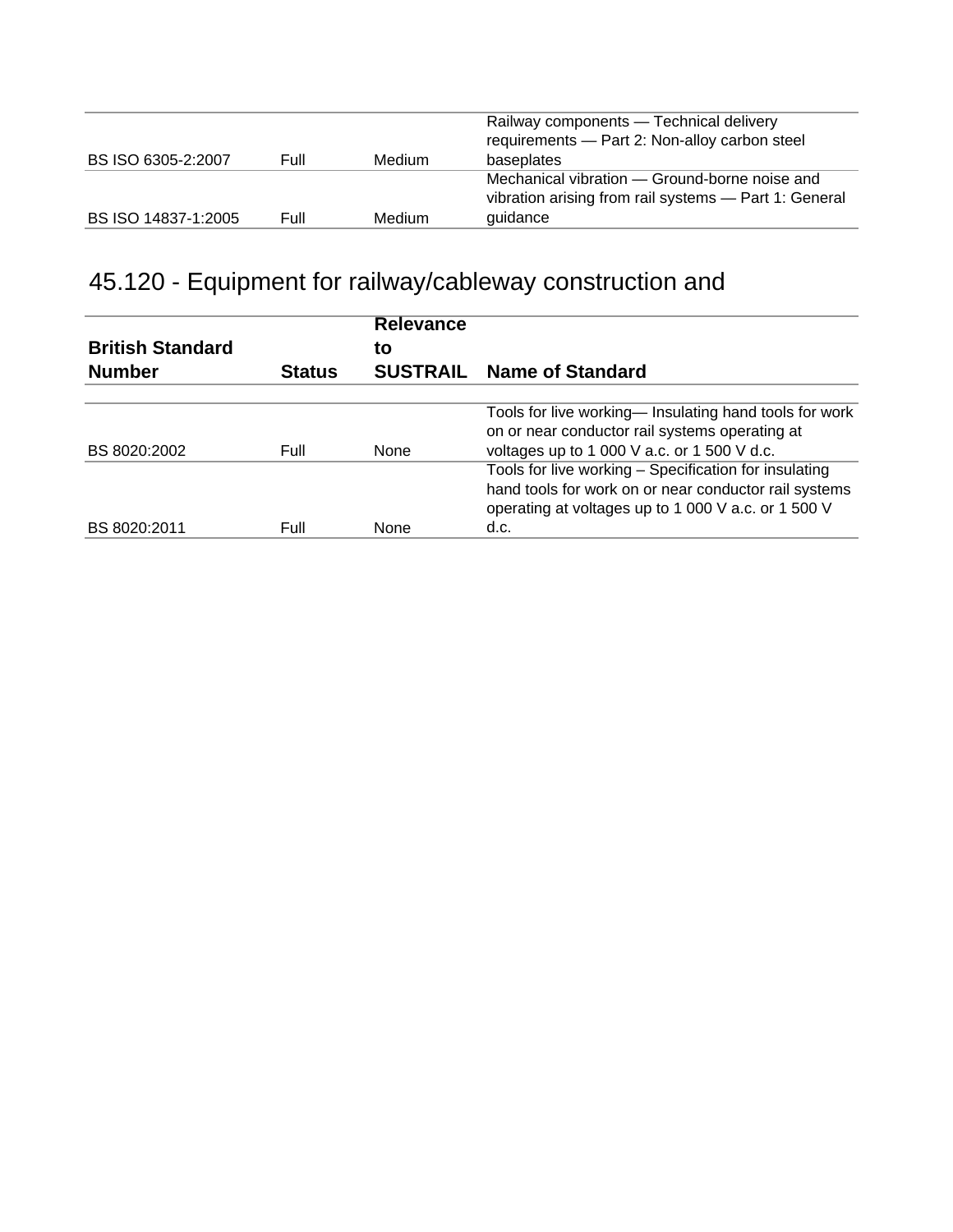| BS ISO 6305-2:2007  | Full | Medium        | Railway components - Technical delivery<br>requirements - Part 2: Non-alloy carbon steel<br>baseplates             |
|---------------------|------|---------------|--------------------------------------------------------------------------------------------------------------------|
| BS ISO 14837-1:2005 | Full | <b>Medium</b> | Mechanical vibration – Ground-borne noise and<br>vibration arising from rail systems - Part 1: General<br>guidance |

## 45.120 - Equipment for railway/cableway construction and

| <b>British Standard</b><br><b>Number</b> | <b>Status</b> | <b>Relevance</b><br>to | <b>SUSTRAIL Name of Standard</b>                       |
|------------------------------------------|---------------|------------------------|--------------------------------------------------------|
|                                          |               |                        |                                                        |
|                                          |               |                        | Tools for live working— Insulating hand tools for work |
|                                          |               |                        | on or near conductor rail systems operating at         |
| BS 8020:2002                             | Full          | <b>None</b>            | voltages up to 1 000 V a.c. or 1 500 V d.c.            |
|                                          |               |                        | Tools for live working - Specification for insulating  |
|                                          |               |                        | hand tools for work on or near conductor rail systems  |
|                                          |               |                        | operating at voltages up to 1 000 V a.c. or 1 500 V    |
| BS 8020:2011                             | Full          | <b>None</b>            | d.c.                                                   |